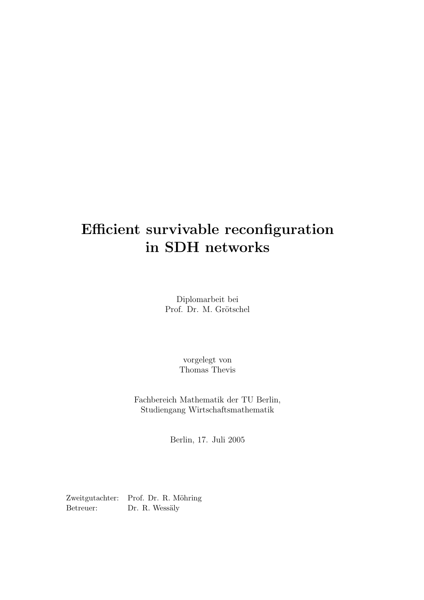# Efficient survivable reconfiguration in SDH networks

Diplomarbeit bei Prof. Dr. M. Grötschel

> vorgelegt von Thomas Thevis

Fachbereich Mathematik der TU Berlin, Studiengang Wirtschaftsmathematik

Berlin, 17. Juli 2005

Zweitgutachter: Prof. Dr. R. Möhring Betreuer: Dr. R. Wessäly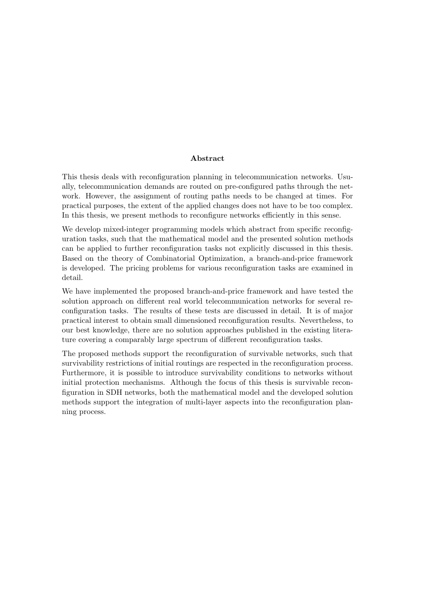#### Abstract

This thesis deals with reconfiguration planning in telecommunication networks. Usually, telecommunication demands are routed on pre-configured paths through the network. However, the assignment of routing paths needs to be changed at times. For practical purposes, the extent of the applied changes does not have to be too complex. In this thesis, we present methods to reconfigure networks efficiently in this sense.

We develop mixed-integer programming models which abstract from specific reconfiguration tasks, such that the mathematical model and the presented solution methods can be applied to further reconfiguration tasks not explicitly discussed in this thesis. Based on the theory of Combinatorial Optimization, a branch-and-price framework is developed. The pricing problems for various reconfiguration tasks are examined in detail.

We have implemented the proposed branch-and-price framework and have tested the solution approach on different real world telecommunication networks for several reconfiguration tasks. The results of these tests are discussed in detail. It is of major practical interest to obtain small dimensioned reconfiguration results. Nevertheless, to our best knowledge, there are no solution approaches published in the existing literature covering a comparably large spectrum of different reconfiguration tasks.

The proposed methods support the reconfiguration of survivable networks, such that survivability restrictions of initial routings are respected in the reconfiguration process. Furthermore, it is possible to introduce survivability conditions to networks without initial protection mechanisms. Although the focus of this thesis is survivable reconfiguration in SDH networks, both the mathematical model and the developed solution methods support the integration of multi-layer aspects into the reconfiguration planning process.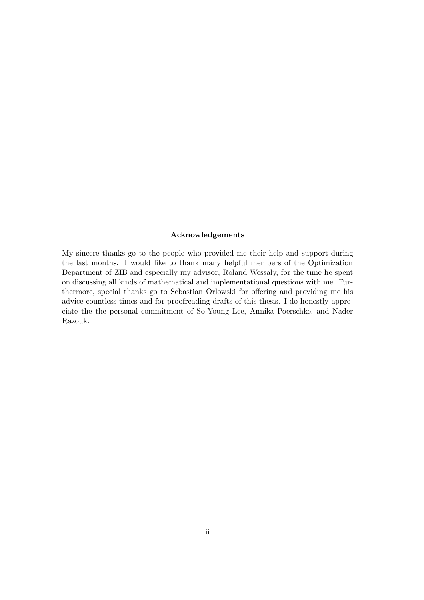#### Acknowledgements

My sincere thanks go to the people who provided me their help and support during the last months. I would like to thank many helpful members of the Optimization Department of ZIB and especially my advisor, Roland Wessäly, for the time he spent on discussing all kinds of mathematical and implementational questions with me. Furthermore, special thanks go to Sebastian Orlowski for offering and providing me his advice countless times and for proofreading drafts of this thesis. I do honestly appreciate the the personal commitment of So-Young Lee, Annika Poerschke, and Nader Razouk.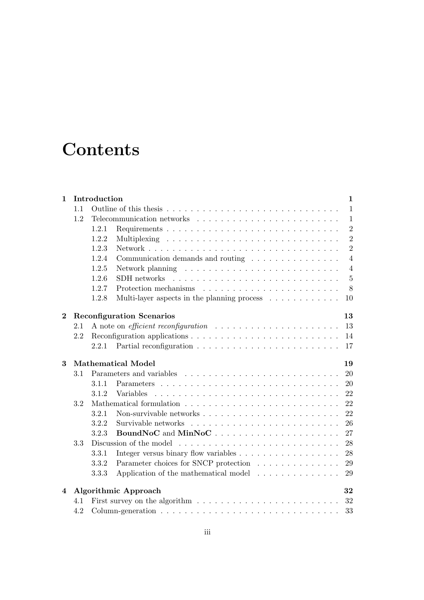# **Contents**

| $\mathbf{1}$ | Introduction<br>$\mathbf 1$            |       |                                                                                              |                |  |  |  |
|--------------|----------------------------------------|-------|----------------------------------------------------------------------------------------------|----------------|--|--|--|
|              | 1.1                                    |       |                                                                                              | $\mathbf{1}$   |  |  |  |
|              | 1.2                                    |       |                                                                                              |                |  |  |  |
|              |                                        | 1.2.1 |                                                                                              | $\overline{2}$ |  |  |  |
|              |                                        | 1.2.2 |                                                                                              | $\overline{2}$ |  |  |  |
|              |                                        | 1.2.3 |                                                                                              | $\overline{2}$ |  |  |  |
|              |                                        | 1.2.4 | Communication demands and routing $\ldots \ldots \ldots \ldots \ldots$                       | $\overline{4}$ |  |  |  |
|              |                                        | 1.2.5 |                                                                                              | $\overline{4}$ |  |  |  |
|              |                                        | 1.2.6 |                                                                                              | $\overline{5}$ |  |  |  |
|              |                                        | 1.2.7 |                                                                                              | 8              |  |  |  |
|              |                                        | 1.2.8 | Multi-layer aspects in the planning process $\dots \dots \dots$<br>10                        |                |  |  |  |
| $\bf{2}$     | <b>Reconfiguration Scenarios</b><br>13 |       |                                                                                              |                |  |  |  |
|              | 2.1                                    |       | A note on <i>efficient reconfiguration</i><br>13                                             |                |  |  |  |
|              | 2.2                                    |       | Reconfiguration applications $\ldots \ldots \ldots \ldots \ldots \ldots \ldots \ldots$<br>14 |                |  |  |  |
|              |                                        | 2.2.1 | 17                                                                                           |                |  |  |  |
|              |                                        |       |                                                                                              |                |  |  |  |
| 3            |                                        |       | <b>Mathematical Model</b><br>19                                                              |                |  |  |  |
|              | 3.1                                    |       | 20                                                                                           |                |  |  |  |
|              |                                        | 3.1.1 | 20                                                                                           |                |  |  |  |
|              |                                        | 3.1.2 | 22<br>Variables                                                                              |                |  |  |  |
|              | 3.2                                    |       | 22                                                                                           |                |  |  |  |
|              |                                        | 3.2.1 | 22                                                                                           |                |  |  |  |
|              |                                        | 3.2.2 | 26                                                                                           |                |  |  |  |
|              |                                        | 3.2.3 | 27                                                                                           |                |  |  |  |
|              | 3.3                                    |       | 28                                                                                           |                |  |  |  |
|              |                                        | 3.3.1 | 28                                                                                           |                |  |  |  |
|              |                                        | 3.3.2 | Parameter choices for SNCP protection<br>29                                                  |                |  |  |  |
|              |                                        | 3.3.3 | Application of the mathematical model<br>29                                                  |                |  |  |  |
| 4            |                                        |       | Algorithmic Approach<br>32                                                                   |                |  |  |  |
|              | 4.1                                    |       | 32                                                                                           |                |  |  |  |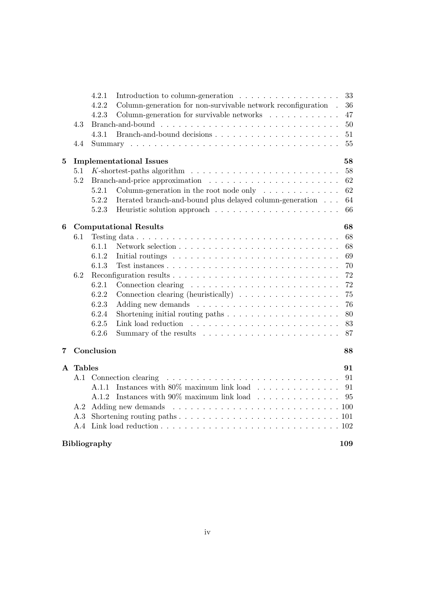|              |               | 4.2.1<br>Introduction to column-generation $\ldots \ldots \ldots \ldots \ldots$                                                                                                                                                                           | 33  |
|--------------|---------------|-----------------------------------------------------------------------------------------------------------------------------------------------------------------------------------------------------------------------------------------------------------|-----|
|              |               | Column-generation for non-survivable network reconfiguration.<br>4.2.2                                                                                                                                                                                    | 36  |
|              |               | 4.2.3<br>Column-generation for survivable networks $\ldots \ldots \ldots \ldots$                                                                                                                                                                          | 47  |
|              | 4.3           |                                                                                                                                                                                                                                                           | 50  |
|              |               | 4.3.1                                                                                                                                                                                                                                                     | 51  |
|              | 4.4           |                                                                                                                                                                                                                                                           | 55  |
| 5            |               | <b>Implementational Issues</b>                                                                                                                                                                                                                            | 58  |
|              | 5.1           |                                                                                                                                                                                                                                                           | 58  |
|              | 5.2           |                                                                                                                                                                                                                                                           | 62  |
|              |               | Column-generation in the root node only $\ldots \ldots \ldots \ldots$<br>5.2.1                                                                                                                                                                            | 62  |
|              |               | 5.2.2<br>Iterated branch-and-bound plus delayed column-generation                                                                                                                                                                                         | 64  |
|              |               | 5.2.3                                                                                                                                                                                                                                                     | 66  |
| 6            |               | <b>Computational Results</b>                                                                                                                                                                                                                              | 68  |
|              | 6.1           |                                                                                                                                                                                                                                                           | 68  |
|              |               | 6.1.1                                                                                                                                                                                                                                                     | 68  |
|              |               | 6.1.2<br>Initial routings $\ldots \ldots \ldots \ldots \ldots \ldots \ldots \ldots \ldots$                                                                                                                                                                | 69  |
|              |               | 6.1.3                                                                                                                                                                                                                                                     | 70  |
|              | 6.2           |                                                                                                                                                                                                                                                           | 72  |
|              |               | 6.2.1<br>Connection clearing $\dots \dots \dots \dots \dots \dots \dots \dots \dots$                                                                                                                                                                      | 72  |
|              |               | 6.2.2<br>Connection clearing (heuristically) $\ldots \ldots \ldots \ldots \ldots$                                                                                                                                                                         | 75  |
|              |               | 6.2.3                                                                                                                                                                                                                                                     | 76  |
|              |               | 6.2.4                                                                                                                                                                                                                                                     | 80  |
|              |               | 6.2.5                                                                                                                                                                                                                                                     | 83  |
|              |               | 6.2.6                                                                                                                                                                                                                                                     | 87  |
| 7            |               | Conclusion                                                                                                                                                                                                                                                | 88  |
| $\mathbf{A}$ | <b>Tables</b> |                                                                                                                                                                                                                                                           | 91  |
|              | A.1           | Connection clearing<br>$\mathcal{A}$ , and a set of the set of the set of the set of the set of the set of the set of the set of the set of the set of the set of the set of the set of the set of the set of the set of the set of the set of the set of | 91  |
|              |               | Instances with $80\%$ maximum link load 91<br>A.1.1                                                                                                                                                                                                       |     |
|              |               | Instances with $90\%$ maximum link load<br>A.1.2                                                                                                                                                                                                          | 95  |
|              | A.2           |                                                                                                                                                                                                                                                           |     |
|              | А.З           | Shortening routing paths $\ldots \ldots \ldots \ldots \ldots \ldots \ldots \ldots \ldots \ldots 101$                                                                                                                                                      |     |
|              | A.4           |                                                                                                                                                                                                                                                           |     |
|              |               | <b>Bibliography</b>                                                                                                                                                                                                                                       | 109 |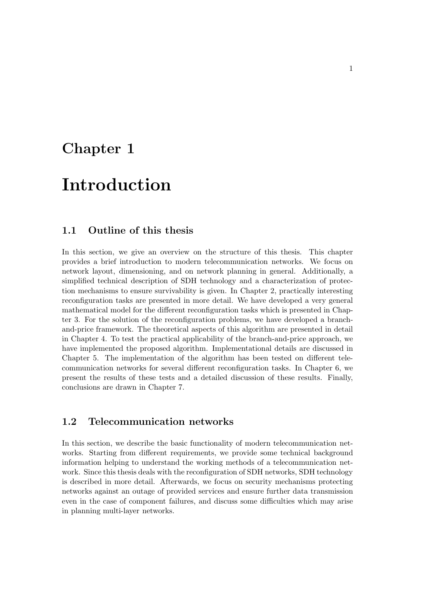## Chapter 1

## Introduction

### 1.1 Outline of this thesis

In this section, we give an overview on the structure of this thesis. This chapter provides a brief introduction to modern telecommunication networks. We focus on network layout, dimensioning, and on network planning in general. Additionally, a simplified technical description of SDH technology and a characterization of protection mechanisms to ensure survivability is given. In Chapter 2, practically interesting reconfiguration tasks are presented in more detail. We have developed a very general mathematical model for the different reconfiguration tasks which is presented in Chapter 3. For the solution of the reconfiguration problems, we have developed a branchand-price framework. The theoretical aspects of this algorithm are presented in detail in Chapter 4. To test the practical applicability of the branch-and-price approach, we have implemented the proposed algorithm. Implementational details are discussed in Chapter 5. The implementation of the algorithm has been tested on different telecommunication networks for several different reconfiguration tasks. In Chapter 6, we present the results of these tests and a detailed discussion of these results. Finally, conclusions are drawn in Chapter 7.

### 1.2 Telecommunication networks

In this section, we describe the basic functionality of modern telecommunication networks. Starting from different requirements, we provide some technical background information helping to understand the working methods of a telecommunication network. Since this thesis deals with the reconfiguration of SDH networks, SDH technology is described in more detail. Afterwards, we focus on security mechanisms protecting networks against an outage of provided services and ensure further data transmission even in the case of component failures, and discuss some difficulties which may arise in planning multi-layer networks.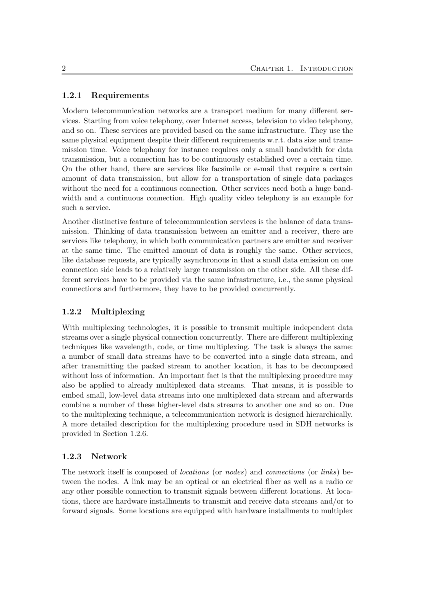#### 1.2.1 Requirements

Modern telecommunication networks are a transport medium for many different services. Starting from voice telephony, over Internet access, television to video telephony, and so on. These services are provided based on the same infrastructure. They use the same physical equipment despite their different requirements w.r.t. data size and transmission time. Voice telephony for instance requires only a small bandwidth for data transmission, but a connection has to be continuously established over a certain time. On the other hand, there are services like facsimile or e-mail that require a certain amount of data transmission, but allow for a transportation of single data packages without the need for a continuous connection. Other services need both a huge bandwidth and a continuous connection. High quality video telephony is an example for such a service.

Another distinctive feature of telecommunication services is the balance of data transmission. Thinking of data transmission between an emitter and a receiver, there are services like telephony, in which both communication partners are emitter and receiver at the same time. The emitted amount of data is roughly the same. Other services, like database requests, are typically asynchronous in that a small data emission on one connection side leads to a relatively large transmission on the other side. All these different services have to be provided via the same infrastructure, i.e., the same physical connections and furthermore, they have to be provided concurrently.

#### 1.2.2 Multiplexing

With multiplexing technologies, it is possible to transmit multiple independent data streams over a single physical connection concurrently. There are different multiplexing techniques like wavelength, code, or time multiplexing. The task is always the same: a number of small data streams have to be converted into a single data stream, and after transmitting the packed stream to another location, it has to be decomposed without loss of information. An important fact is that the multiplexing procedure may also be applied to already multiplexed data streams. That means, it is possible to embed small, low-level data streams into one multiplexed data stream and afterwards combine a number of these higher-level data streams to another one and so on. Due to the multiplexing technique, a telecommunication network is designed hierarchically. A more detailed description for the multiplexing procedure used in SDH networks is provided in Section 1.2.6.

#### 1.2.3 Network

The network itself is composed of locations (or nodes) and connections (or links) between the nodes. A link may be an optical or an electrical fiber as well as a radio or any other possible connection to transmit signals between different locations. At locations, there are hardware installments to transmit and receive data streams and/or to forward signals. Some locations are equipped with hardware installments to multiplex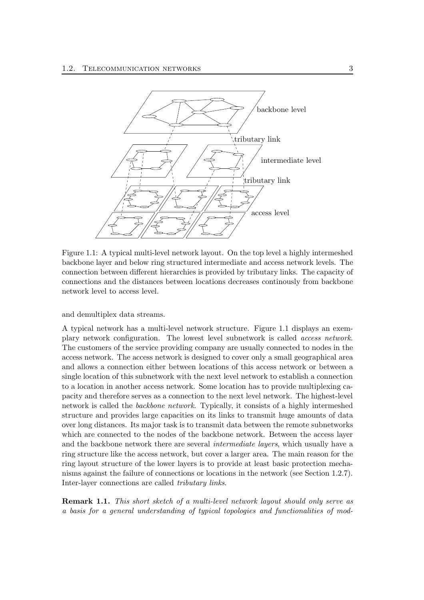

Figure 1.1: A typical multi-level network layout. On the top level a highly intermeshed backbone layer and below ring structured intermediate and access network levels. The connection between different hierarchies is provided by tributary links. The capacity of connections and the distances between locations decreases continously from backbone network level to access level.

and demultiplex data streams.

A typical network has a multi-level network structure. Figure 1.1 displays an exemplary network configuration. The lowest level subnetwork is called access network. The customers of the service providing company are usually connected to nodes in the access network. The access network is designed to cover only a small geographical area and allows a connection either between locations of this access network or between a single location of this subnetwork with the next level network to establish a connection to a location in another access network. Some location has to provide multiplexing capacity and therefore serves as a connection to the next level network. The highest-level network is called the backbone network. Typically, it consists of a highly intermeshed structure and provides large capacities on its links to transmit huge amounts of data over long distances. Its major task is to transmit data between the remote subnetworks which are connected to the nodes of the backbone network. Between the access layer and the backbone network there are several intermediate layers, which usually have a ring structure like the access network, but cover a larger area. The main reason for the ring layout structure of the lower layers is to provide at least basic protection mechanisms against the failure of connections or locations in the network (see Section 1.2.7). Inter-layer connections are called tributary links.

**Remark 1.1.** This short sketch of a multi-level network layout should only serve as a basis for a general understanding of typical topologies and functionalities of mod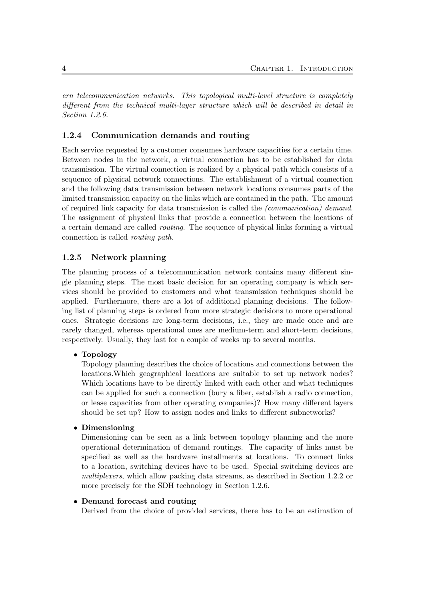ern telecommunication networks. This topological multi-level structure is completely different from the technical multi-layer structure which will be described in detail in Section 1.2.6.

#### 1.2.4 Communication demands and routing

Each service requested by a customer consumes hardware capacities for a certain time. Between nodes in the network, a virtual connection has to be established for data transmission. The virtual connection is realized by a physical path which consists of a sequence of physical network connections. The establishment of a virtual connection and the following data transmission between network locations consumes parts of the limited transmission capacity on the links which are contained in the path. The amount of required link capacity for data transmission is called the (communication) demand. The assignment of physical links that provide a connection between the locations of a certain demand are called routing. The sequence of physical links forming a virtual connection is called routing path.

#### 1.2.5 Network planning

The planning process of a telecommunication network contains many different single planning steps. The most basic decision for an operating company is which services should be provided to customers and what transmission techniques should be applied. Furthermore, there are a lot of additional planning decisions. The following list of planning steps is ordered from more strategic decisions to more operational ones. Strategic decisions are long-term decisions, i.e., they are made once and are rarely changed, whereas operational ones are medium-term and short-term decisions, respectively. Usually, they last for a couple of weeks up to several months.

#### • Topology

Topology planning describes the choice of locations and connections between the locations.Which geographical locations are suitable to set up network nodes? Which locations have to be directly linked with each other and what techniques can be applied for such a connection (bury a fiber, establish a radio connection, or lease capacities from other operating companies)? How many different layers should be set up? How to assign nodes and links to different subnetworks?

#### • Dimensioning

Dimensioning can be seen as a link between topology planning and the more operational determination of demand routings. The capacity of links must be specified as well as the hardware installments at locations. To connect links to a location, switching devices have to be used. Special switching devices are multiplexers, which allow packing data streams, as described in Section 1.2.2 or more precisely for the SDH technology in Section 1.2.6.

#### • Demand forecast and routing

Derived from the choice of provided services, there has to be an estimation of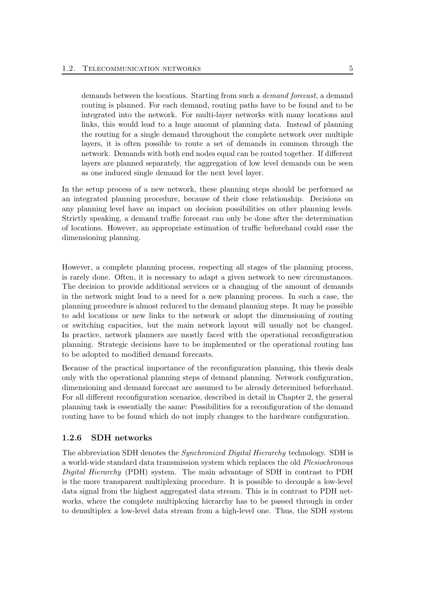demands between the locations. Starting from such a demand forecast, a demand routing is planned. For each demand, routing paths have to be found and to be integrated into the network. For multi-layer networks with many locations and links, this would lead to a huge amount of planning data. Instead of planning the routing for a single demand throughout the complete network over multiple layers, it is often possible to route a set of demands in common through the network. Demands with both end nodes equal can be routed together. If different layers are planned separately, the aggregation of low level demands can be seen as one induced single demand for the next level layer.

In the setup process of a new network, these planning steps should be performed as an integrated planning procedure, because of their close relationship. Decisions on any planning level have an impact on decision possibilities on other planning levels. Strictly speaking, a demand traffic forecast can only be done after the determination of locations. However, an appropriate estimation of traffic beforehand could ease the dimensioning planning.

However, a complete planning process, respecting all stages of the planning process, is rarely done. Often, it is necessary to adapt a given network to new circumstances. The decision to provide additional services or a changing of the amount of demands in the network might lead to a need for a new planning process. In such a case, the planning procedure is almost reduced to the demand planning steps. It may be possible to add locations or new links to the network or adopt the dimensioning of routing or switching capacities, but the main network layout will usually not be changed. In practice, network planners are mostly faced with the operational reconfiguration planning. Strategic decisions have to be implemented or the operational routing has to be adopted to modified demand forecasts.

Because of the practical importance of the reconfiguration planning, this thesis deals only with the operational planning steps of demand planning. Network configuration, dimensioning and demand forecast are assumed to be already determined beforehand. For all different reconfiguration scenarios, described in detail in Chapter 2, the general planning task is essentially the same: Possibilities for a reconfiguration of the demand routing have to be found which do not imply changes to the hardware configuration.

#### 1.2.6 SDH networks

The abbreviation SDH denotes the Synchronized Digital Hierarchy technology. SDH is a world-wide standard data transmission system which replaces the old Plesiochronous Digital Hierarchy (PDH) system. The main advantage of SDH in contrast to PDH is the more transparent multiplexing procedure. It is possible to decouple a low-level data signal from the highest aggregated data stream. This is in contrast to PDH networks, where the complete multiplexing hierarchy has to be passed through in order to demultiplex a low-level data stream from a high-level one. Thus, the SDH system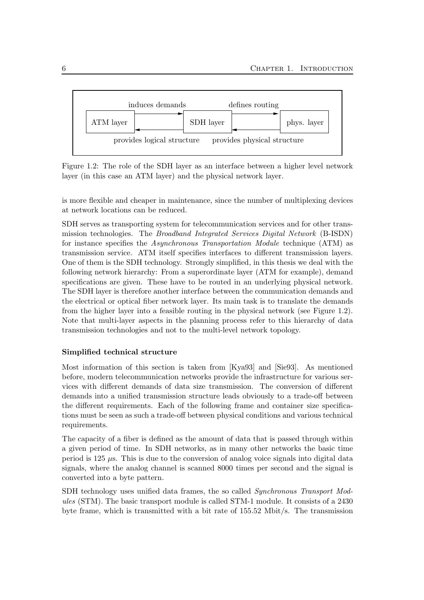

Figure 1.2: The role of the SDH layer as an interface between a higher level network layer (in this case an ATM layer) and the physical network layer.

is more flexible and cheaper in maintenance, since the number of multiplexing devices at network locations can be reduced.

SDH serves as transporting system for telecommunication services and for other transmission technologies. The Broadband Integrated Services Digital Network (B-ISDN) for instance specifies the Asynchronous Transportation Module technique (ATM) as transmission service. ATM itself specifies interfaces to different transmission layers. One of them is the SDH technology. Strongly simplified, in this thesis we deal with the following network hierarchy: From a superordinate layer (ATM for example), demand specifications are given. These have to be routed in an underlying physical network. The SDH layer is therefore another interface between the communication demands and the electrical or optical fiber network layer. Its main task is to translate the demands from the higher layer into a feasible routing in the physical network (see Figure 1.2). Note that multi-layer aspects in the planning process refer to this hierarchy of data transmission technologies and not to the multi-level network topology.

#### Simplified technical structure

Most information of this section is taken from [Kya93] and [Sie93]. As mentioned before, modern telecommunication networks provide the infrastructure for various services with different demands of data size transmission. The conversion of different demands into a unified transmission structure leads obviously to a trade-off between the different requirements. Each of the following frame and container size specifications must be seen as such a trade-off between physical conditions and various technical requirements.

The capacity of a fiber is defined as the amount of data that is passed through within a given period of time. In SDH networks, as in many other networks the basic time period is  $125 \mu s$ . This is due to the conversion of analog voice signals into digital data signals, where the analog channel is scanned 8000 times per second and the signal is converted into a byte pattern.

SDH technology uses unified data frames, the so called Synchronous Transport Modules (STM). The basic transport module is called STM-1 module. It consists of a 2430 byte frame, which is transmitted with a bit rate of 155.52 Mbit/s. The transmission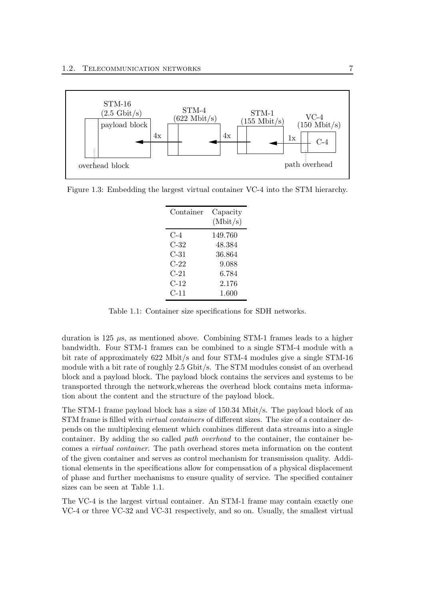

Figure 1.3: Embedding the largest virtual container VC-4 into the STM hierarchy.

| Container | Capacity<br>(Mbit/s) |
|-----------|----------------------|
| $C-4$     | 149.760              |
| C-32      | 48.384               |
| $C-31$    | 36.864               |
| $C-22$    | 9.088                |
| $C-21$    | 6.784                |
| C-12      | 2.176                |
| C-11      | 1.600                |

Table 1.1: Container size specifications for SDH networks.

duration is 125  $\mu$ s, as mentioned above. Combining STM-1 frames leads to a higher bandwidth. Four STM-1 frames can be combined to a single STM-4 module with a bit rate of approximately 622 Mbit/s and four STM-4 modules give a single STM-16 module with a bit rate of roughly 2.5 Gbit/s. The STM modules consist of an overhead block and a payload block. The payload block contains the services and systems to be transported through the network,whereas the overhead block contains meta information about the content and the structure of the payload block.

The STM-1 frame payload block has a size of 150.34 Mbit/s. The payload block of an STM frame is filled with virtual containers of different sizes. The size of a container depends on the multiplexing element which combines different data streams into a single container. By adding the so called path overhead to the container, the container becomes a virtual container. The path overhead stores meta information on the content of the given container and serves as control mechanism for transmission quality. Additional elements in the specifications allow for compensation of a physical displacement of phase and further mechanisms to ensure quality of service. The specified container sizes can be seen at Table 1.1.

The VC-4 is the largest virtual container. An STM-1 frame may contain exactly one VC-4 or three VC-32 and VC-31 respectively, and so on. Usually, the smallest virtual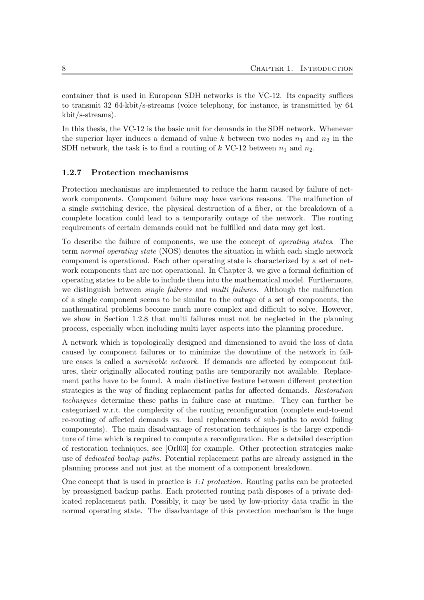container that is used in European SDH networks is the VC-12. Its capacity suffices to transmit 32 64-kbit/s-streams (voice telephony, for instance, is transmitted by 64 kbit/s-streams).

In this thesis, the VC-12 is the basic unit for demands in the SDH network. Whenever the superior layer induces a demand of value k between two nodes  $n_1$  and  $n_2$  in the SDH network, the task is to find a routing of  $k$  VC-12 between  $n_1$  and  $n_2$ .

#### 1.2.7 Protection mechanisms

Protection mechanisms are implemented to reduce the harm caused by failure of network components. Component failure may have various reasons. The malfunction of a single switching device, the physical destruction of a fiber, or the breakdown of a complete location could lead to a temporarily outage of the network. The routing requirements of certain demands could not be fulfilled and data may get lost.

To describe the failure of components, we use the concept of operating states. The term normal operating state (NOS) denotes the situation in which each single network component is operational. Each other operating state is characterized by a set of network components that are not operational. In Chapter 3, we give a formal definition of operating states to be able to include them into the mathematical model. Furthermore, we distinguish between *single failures* and *multi failures*. Although the malfunction of a single component seems to be similar to the outage of a set of components, the mathematical problems become much more complex and difficult to solve. However, we show in Section 1.2.8 that multi failures must not be neglected in the planning process, especially when including multi layer aspects into the planning procedure.

A network which is topologically designed and dimensioned to avoid the loss of data caused by component failures or to minimize the downtime of the network in failure cases is called a survivable network. If demands are affected by component failures, their originally allocated routing paths are temporarily not available. Replacement paths have to be found. A main distinctive feature between different protection strategies is the way of finding replacement paths for affected demands. Restoration techniques determine these paths in failure case at runtime. They can further be categorized w.r.t. the complexity of the routing reconfiguration (complete end-to-end re-routing of affected demands vs. local replacements of sub-paths to avoid failing components). The main disadvantage of restoration techniques is the large expenditure of time which is required to compute a reconfiguration. For a detailed description of restoration techniques, see [Orl03] for example. Other protection strategies make use of dedicated backup paths. Potential replacement paths are already assigned in the planning process and not just at the moment of a component breakdown.

One concept that is used in practice is 1:1 protection. Routing paths can be protected by preassigned backup paths. Each protected routing path disposes of a private dedicated replacement path. Possibly, it may be used by low-priority data traffic in the normal operating state. The disadvantage of this protection mechanism is the huge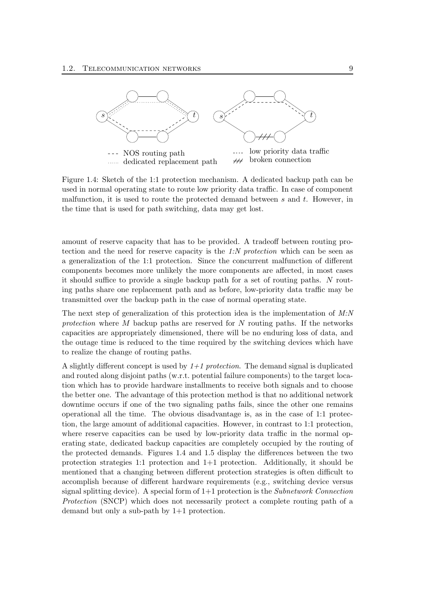

Figure 1.4: Sketch of the 1:1 protection mechanism. A dedicated backup path can be used in normal operating state to route low priority data traffic. In case of component malfunction, it is used to route the protected demand between  $s$  and  $t$ . However, in the time that is used for path switching, data may get lost.

amount of reserve capacity that has to be provided. A tradeoff between routing protection and the need for reserve capacity is the 1:N protection which can be seen as a generalization of the 1:1 protection. Since the concurrent malfunction of different components becomes more unlikely the more components are affected, in most cases it should suffice to provide a single backup path for a set of routing paths. N routing paths share one replacement path and as before, low-priority data traffic may be transmitted over the backup path in the case of normal operating state.

The next step of generalization of this protection idea is the implementation of  $M/N$ protection where M backup paths are reserved for N routing paths. If the networks capacities are appropriately dimensioned, there will be no enduring loss of data, and the outage time is reduced to the time required by the switching devices which have to realize the change of routing paths.

A slightly different concept is used by  $1+1$  protection. The demand signal is duplicated and routed along disjoint paths (w.r.t. potential failure components) to the target location which has to provide hardware installments to receive both signals and to choose the better one. The advantage of this protection method is that no additional network downtime occurs if one of the two signaling paths fails, since the other one remains operational all the time. The obvious disadvantage is, as in the case of 1:1 protection, the large amount of additional capacities. However, in contrast to 1:1 protection, where reserve capacities can be used by low-priority data traffic in the normal operating state, dedicated backup capacities are completely occupied by the routing of the protected demands. Figures 1.4 and 1.5 display the differences between the two protection strategies 1:1 protection and 1+1 protection. Additionally, it should be mentioned that a changing between different protection strategies is often difficult to accomplish because of different hardware requirements (e.g., switching device versus signal splitting device). A special form of  $1+1$  protection is the *Subnetwork Connection* Protection (SNCP) which does not necessarily protect a complete routing path of a demand but only a sub-path by 1+1 protection.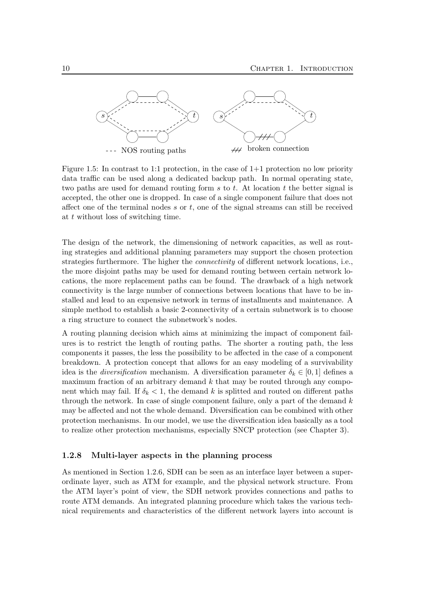

Figure 1.5: In contrast to 1:1 protection, in the case of  $1+1$  protection no low priority data traffic can be used along a dedicated backup path. In normal operating state, two paths are used for demand routing form  $s$  to  $t$ . At location  $t$  the better signal is accepted, the other one is dropped. In case of a single component failure that does not affect one of the terminal nodes  $s$  or  $t$ , one of the signal streams can still be received at t without loss of switching time.

The design of the network, the dimensioning of network capacities, as well as routing strategies and additional planning parameters may support the chosen protection strategies furthermore. The higher the connectivity of different network locations, i.e., the more disjoint paths may be used for demand routing between certain network locations, the more replacement paths can be found. The drawback of a high network connectivity is the large number of connections between locations that have to be installed and lead to an expensive network in terms of installments and maintenance. A simple method to establish a basic 2-connectivity of a certain subnetwork is to choose a ring structure to connect the subnetwork's nodes.

A routing planning decision which aims at minimizing the impact of component failures is to restrict the length of routing paths. The shorter a routing path, the less components it passes, the less the possibility to be affected in the case of a component breakdown. A protection concept that allows for an easy modeling of a survivability idea is the *diversification* mechanism. A diversification parameter  $\delta_k \in [0,1]$  defines a maximum fraction of an arbitrary demand  $k$  that may be routed through any component which may fail. If  $\delta_k < 1$ , the demand k is splitted and routed on different paths through the network. In case of single component failure, only a part of the demand  $k$ may be affected and not the whole demand. Diversification can be combined with other protection mechanisms. In our model, we use the diversification idea basically as a tool to realize other protection mechanisms, especially SNCP protection (see Chapter 3).

#### 1.2.8 Multi-layer aspects in the planning process

As mentioned in Section 1.2.6, SDH can be seen as an interface layer between a superordinate layer, such as ATM for example, and the physical network structure. From the ATM layer's point of view, the SDH network provides connections and paths to route ATM demands. An integrated planning procedure which takes the various technical requirements and characteristics of the different network layers into account is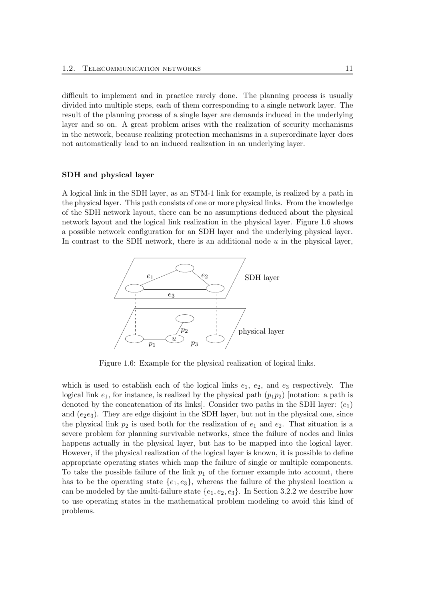difficult to implement and in practice rarely done. The planning process is usually divided into multiple steps, each of them corresponding to a single network layer. The result of the planning process of a single layer are demands induced in the underlying layer and so on. A great problem arises with the realization of security mechanisms in the network, because realizing protection mechanisms in a superordinate layer does not automatically lead to an induced realization in an underlying layer.

#### SDH and physical layer

A logical link in the SDH layer, as an STM-1 link for example, is realized by a path in the physical layer. This path consists of one or more physical links. From the knowledge of the SDH network layout, there can be no assumptions deduced about the physical network layout and the logical link realization in the physical layer. Figure 1.6 shows a possible network configuration for an SDH layer and the underlying physical layer. In contrast to the SDH network, there is an additional node  $u$  in the physical layer,



Figure 1.6: Example for the physical realization of logical links.

which is used to establish each of the logical links  $e_1, e_2,$  and  $e_3$  respectively. The logical link  $e_1$ , for instance, is realized by the physical path  $(p_1p_2)$  [notation: a path is denoted by the concatenation of its links]. Consider two paths in the SDH layer:  $(e_1)$ and  $(e_2e_3)$ . They are edge disjoint in the SDH layer, but not in the physical one, since the physical link  $p_2$  is used both for the realization of  $e_1$  and  $e_2$ . That situation is a severe problem for planning survivable networks, since the failure of nodes and links happens actually in the physical layer, but has to be mapped into the logical layer. However, if the physical realization of the logical layer is known, it is possible to define appropriate operating states which map the failure of single or multiple components. To take the possible failure of the link  $p_1$  of the former example into account, there has to be the operating state  $\{e_1, e_3\}$ , whereas the failure of the physical location u can be modeled by the multi-failure state  $\{e_1, e_2, e_3\}$ . In Section 3.2.2 we describe how to use operating states in the mathematical problem modeling to avoid this kind of problems.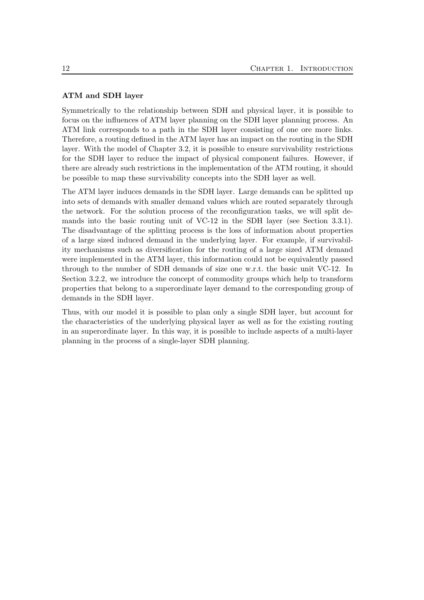#### ATM and SDH layer

Symmetrically to the relationship between SDH and physical layer, it is possible to focus on the influences of ATM layer planning on the SDH layer planning process. An ATM link corresponds to a path in the SDH layer consisting of one ore more links. Therefore, a routing defined in the ATM layer has an impact on the routing in the SDH layer. With the model of Chapter 3.2, it is possible to ensure survivability restrictions for the SDH layer to reduce the impact of physical component failures. However, if there are already such restrictions in the implementation of the ATM routing, it should be possible to map these survivability concepts into the SDH layer as well.

The ATM layer induces demands in the SDH layer. Large demands can be splitted up into sets of demands with smaller demand values which are routed separately through the network. For the solution process of the reconfiguration tasks, we will split demands into the basic routing unit of VC-12 in the SDH layer (see Section 3.3.1). The disadvantage of the splitting process is the loss of information about properties of a large sized induced demand in the underlying layer. For example, if survivability mechanisms such as diversification for the routing of a large sized ATM demand were implemented in the ATM layer, this information could not be equivalently passed through to the number of SDH demands of size one w.r.t. the basic unit VC-12. In Section 3.2.2, we introduce the concept of commodity groups which help to transform properties that belong to a superordinate layer demand to the corresponding group of demands in the SDH layer.

Thus, with our model it is possible to plan only a single SDH layer, but account for the characteristics of the underlying physical layer as well as for the existing routing in an superordinate layer. In this way, it is possible to include aspects of a multi-layer planning in the process of a single-layer SDH planning.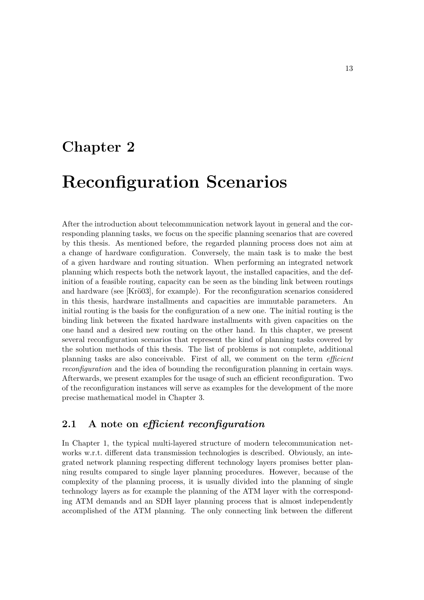## Chapter 2

## Reconfiguration Scenarios

After the introduction about telecommunication network layout in general and the corresponding planning tasks, we focus on the specific planning scenarios that are covered by this thesis. As mentioned before, the regarded planning process does not aim at a change of hardware configuration. Conversely, the main task is to make the best of a given hardware and routing situation. When performing an integrated network planning which respects both the network layout, the installed capacities, and the definition of a feasible routing, capacity can be seen as the binding link between routings and hardware (see [Krö03], for example). For the reconfiguration scenarios considered in this thesis, hardware installments and capacities are immutable parameters. An initial routing is the basis for the configuration of a new one. The initial routing is the binding link between the fixated hardware installments with given capacities on the one hand and a desired new routing on the other hand. In this chapter, we present several reconfiguration scenarios that represent the kind of planning tasks covered by the solution methods of this thesis. The list of problems is not complete, additional planning tasks are also conceivable. First of all, we comment on the term efficient reconfiguration and the idea of bounding the reconfiguration planning in certain ways. Afterwards, we present examples for the usage of such an efficient reconfiguration. Two of the reconfiguration instances will serve as examples for the development of the more precise mathematical model in Chapter 3.

## 2.1 A note on efficient reconfiguration

In Chapter 1, the typical multi-layered structure of modern telecommunication networks w.r.t. different data transmission technologies is described. Obviously, an integrated network planning respecting different technology layers promises better planning results compared to single layer planning procedures. However, because of the complexity of the planning process, it is usually divided into the planning of single technology layers as for example the planning of the ATM layer with the corresponding ATM demands and an SDH layer planning process that is almost independently accomplished of the ATM planning. The only connecting link between the different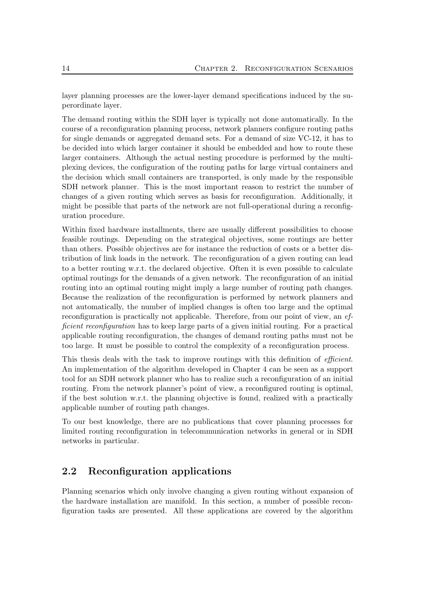layer planning processes are the lower-layer demand specifications induced by the superordinate layer.

The demand routing within the SDH layer is typically not done automatically. In the course of a reconfiguration planning process, network planners configure routing paths for single demands or aggregated demand sets. For a demand of size VC-12, it has to be decided into which larger container it should be embedded and how to route these larger containers. Although the actual nesting procedure is performed by the multiplexing devices, the configuration of the routing paths for large virtual containers and the decision which small containers are transported, is only made by the responsible SDH network planner. This is the most important reason to restrict the number of changes of a given routing which serves as basis for reconfiguration. Additionally, it might be possible that parts of the network are not full-operational during a reconfiguration procedure.

Within fixed hardware installments, there are usually different possibilities to choose feasible routings. Depending on the strategical objectives, some routings are better than others. Possible objectives are for instance the reduction of costs or a better distribution of link loads in the network. The reconfiguration of a given routing can lead to a better routing w.r.t. the declared objective. Often it is even possible to calculate optimal routings for the demands of a given network. The reconfiguration of an initial routing into an optimal routing might imply a large number of routing path changes. Because the realization of the reconfiguration is performed by network planners and not automatically, the number of implied changes is often too large and the optimal reconfiguration is practically not applicable. Therefore, from our point of view, an efficient reconfiguration has to keep large parts of a given initial routing. For a practical applicable routing reconfiguration, the changes of demand routing paths must not be too large. It must be possible to control the complexity of a reconfiguration process.

This thesis deals with the task to improve routings with this definition of *efficient*. An implementation of the algorithm developed in Chapter 4 can be seen as a support tool for an SDH network planner who has to realize such a reconfiguration of an initial routing. From the network planner's point of view, a reconfigured routing is optimal, if the best solution w.r.t. the planning objective is found, realized with a practically applicable number of routing path changes.

To our best knowledge, there are no publications that cover planning processes for limited routing reconfiguration in telecommunication networks in general or in SDH networks in particular.

## 2.2 Reconfiguration applications

Planning scenarios which only involve changing a given routing without expansion of the hardware installation are manifold. In this section, a number of possible reconfiguration tasks are presented. All these applications are covered by the algorithm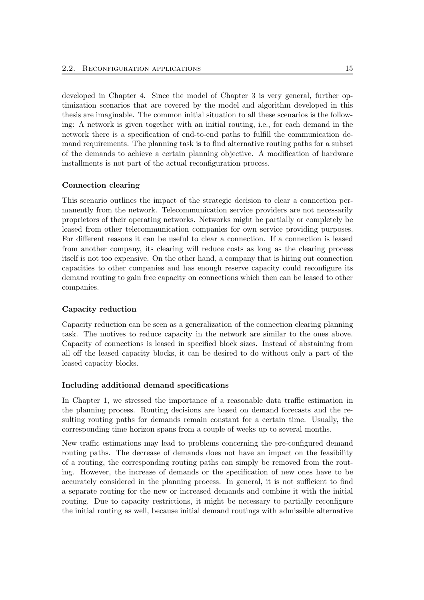developed in Chapter 4. Since the model of Chapter 3 is very general, further optimization scenarios that are covered by the model and algorithm developed in this thesis are imaginable. The common initial situation to all these scenarios is the following: A network is given together with an initial routing, i.e., for each demand in the network there is a specification of end-to-end paths to fulfill the communication demand requirements. The planning task is to find alternative routing paths for a subset of the demands to achieve a certain planning objective. A modification of hardware installments is not part of the actual reconfiguration process.

#### Connection clearing

This scenario outlines the impact of the strategic decision to clear a connection permanently from the network. Telecommunication service providers are not necessarily proprietors of their operating networks. Networks might be partially or completely be leased from other telecommunication companies for own service providing purposes. For different reasons it can be useful to clear a connection. If a connection is leased from another company, its clearing will reduce costs as long as the clearing process itself is not too expensive. On the other hand, a company that is hiring out connection capacities to other companies and has enough reserve capacity could reconfigure its demand routing to gain free capacity on connections which then can be leased to other companies.

#### Capacity reduction

Capacity reduction can be seen as a generalization of the connection clearing planning task. The motives to reduce capacity in the network are similar to the ones above. Capacity of connections is leased in specified block sizes. Instead of abstaining from all off the leased capacity blocks, it can be desired to do without only a part of the leased capacity blocks.

#### Including additional demand specifications

In Chapter 1, we stressed the importance of a reasonable data traffic estimation in the planning process. Routing decisions are based on demand forecasts and the resulting routing paths for demands remain constant for a certain time. Usually, the corresponding time horizon spans from a couple of weeks up to several months.

New traffic estimations may lead to problems concerning the pre-configured demand routing paths. The decrease of demands does not have an impact on the feasibility of a routing, the corresponding routing paths can simply be removed from the routing. However, the increase of demands or the specification of new ones have to be accurately considered in the planning process. In general, it is not sufficient to find a separate routing for the new or increased demands and combine it with the initial routing. Due to capacity restrictions, it might be necessary to partially reconfigure the initial routing as well, because initial demand routings with admissible alternative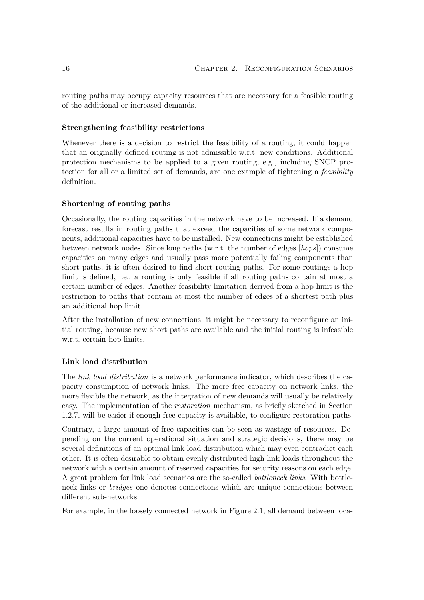routing paths may occupy capacity resources that are necessary for a feasible routing of the additional or increased demands.

#### Strengthening feasibility restrictions

Whenever there is a decision to restrict the feasibility of a routing, it could happen that an originally defined routing is not admissible w.r.t. new conditions. Additional protection mechanisms to be applied to a given routing, e.g., including SNCP protection for all or a limited set of demands, are one example of tightening a feasibility definition.

#### Shortening of routing paths

Occasionally, the routing capacities in the network have to be increased. If a demand forecast results in routing paths that exceed the capacities of some network components, additional capacities have to be installed. New connections might be established between network nodes. Since long paths (w.r.t. the number of edges [hops]) consume capacities on many edges and usually pass more potentially failing components than short paths, it is often desired to find short routing paths. For some routings a hop limit is defined, i.e., a routing is only feasible if all routing paths contain at most a certain number of edges. Another feasibility limitation derived from a hop limit is the restriction to paths that contain at most the number of edges of a shortest path plus an additional hop limit.

After the installation of new connections, it might be necessary to reconfigure an initial routing, because new short paths are available and the initial routing is infeasible w.r.t. certain hop limits.

#### Link load distribution

The *link load distribution* is a network performance indicator, which describes the capacity consumption of network links. The more free capacity on network links, the more flexible the network, as the integration of new demands will usually be relatively easy. The implementation of the restoration mechanism, as briefly sketched in Section 1.2.7, will be easier if enough free capacity is available, to configure restoration paths.

Contrary, a large amount of free capacities can be seen as wastage of resources. Depending on the current operational situation and strategic decisions, there may be several definitions of an optimal link load distribution which may even contradict each other. It is often desirable to obtain evenly distributed high link loads throughout the network with a certain amount of reserved capacities for security reasons on each edge. A great problem for link load scenarios are the so-called bottleneck links. With bottleneck links or bridges one denotes connections which are unique connections between different sub-networks.

For example, in the loosely connected network in Figure 2.1, all demand between loca-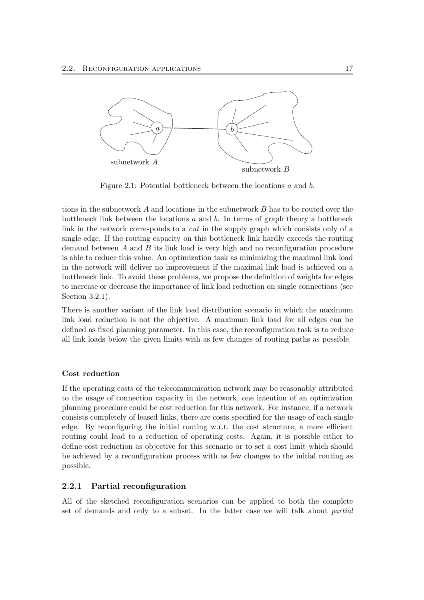

Figure 2.1: Potential bottleneck between the locations a and b.

tions in the subnetwork A and locations in the subnetwork B has to be routed over the bottleneck link between the locations  $a$  and  $b$ . In terms of graph theory a bottleneck link in the network corresponds to a cut in the supply graph which consists only of a single edge. If the routing capacity on this bottleneck link hardly exceeds the routing demand between  $A$  and  $B$  its link load is very high and no reconfiguration procedure is able to reduce this value. An optimization task as minimizing the maximal link load in the network will deliver no improvement if the maximal link load is achieved on a bottleneck link. To avoid these problems, we propose the definition of weights for edges to increase or decrease the importance of link load reduction on single connections (see Section 3.2.1).

There is another variant of the link load distribution scenario in which the maximum link load reduction is not the objective. A maximum link load for all edges can be defined as fixed planning parameter. In this case, the reconfiguration task is to reduce all link loads below the given limits with as few changes of routing paths as possible.

#### Cost reduction

If the operating costs of the telecommunication network may be reasonably attributed to the usage of connection capacity in the network, one intention of an optimization planning procedure could be cost reduction for this network. For instance, if a network consists completely of leased links, there are costs specified for the usage of each single edge. By reconfiguring the initial routing w.r.t. the cost structure, a more efficient routing could lead to a reduction of operating costs. Again, it is possible either to define cost reduction as objective for this scenario or to set a cost limit which should be achieved by a reconfiguration process with as few changes to the initial routing as possible.

#### 2.2.1 Partial reconfiguration

All of the sketched reconfiguration scenarios can be applied to both the complete set of demands and only to a subset. In the latter case we will talk about partial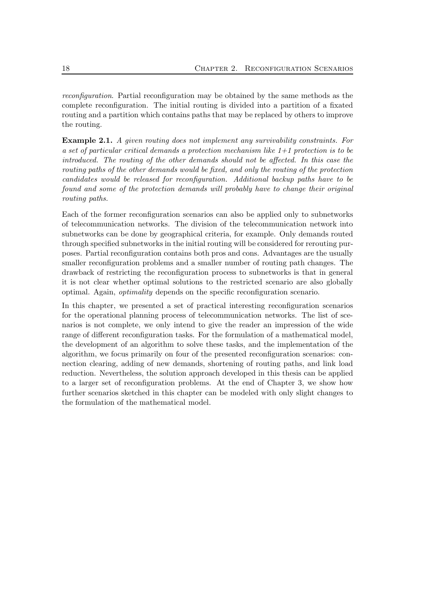reconfiguration. Partial reconfiguration may be obtained by the same methods as the complete reconfiguration. The initial routing is divided into a partition of a fixated routing and a partition which contains paths that may be replaced by others to improve the routing.

Example 2.1. A given routing does not implement any survivability constraints. For a set of particular critical demands a protection mechanism like  $1+1$  protection is to be introduced. The routing of the other demands should not be affected. In this case the routing paths of the other demands would be fixed, and only the routing of the protection candidates would be released for reconfiguration. Additional backup paths have to be found and some of the protection demands will probably have to change their original routing paths.

Each of the former reconfiguration scenarios can also be applied only to subnetworks of telecommunication networks. The division of the telecommunication network into subnetworks can be done by geographical criteria, for example. Only demands routed through specified subnetworks in the initial routing will be considered for rerouting purposes. Partial reconfiguration contains both pros and cons. Advantages are the usually smaller reconfiguration problems and a smaller number of routing path changes. The drawback of restricting the reconfiguration process to subnetworks is that in general it is not clear whether optimal solutions to the restricted scenario are also globally optimal. Again, optimality depends on the specific reconfiguration scenario.

In this chapter, we presented a set of practical interesting reconfiguration scenarios for the operational planning process of telecommunication networks. The list of scenarios is not complete, we only intend to give the reader an impression of the wide range of different reconfiguration tasks. For the formulation of a mathematical model, the development of an algorithm to solve these tasks, and the implementation of the algorithm, we focus primarily on four of the presented reconfiguration scenarios: connection clearing, adding of new demands, shortening of routing paths, and link load reduction. Nevertheless, the solution approach developed in this thesis can be applied to a larger set of reconfiguration problems. At the end of Chapter 3, we show how further scenarios sketched in this chapter can be modeled with only slight changes to the formulation of the mathematical model.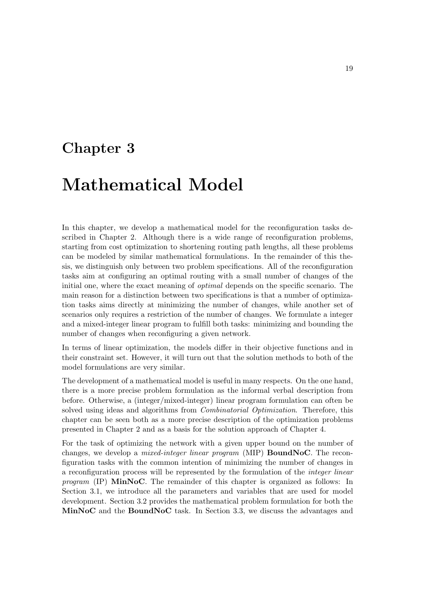## Chapter 3

# Mathematical Model

In this chapter, we develop a mathematical model for the reconfiguration tasks described in Chapter 2. Although there is a wide range of reconfiguration problems, starting from cost optimization to shortening routing path lengths, all these problems can be modeled by similar mathematical formulations. In the remainder of this thesis, we distinguish only between two problem specifications. All of the reconfiguration tasks aim at configuring an optimal routing with a small number of changes of the initial one, where the exact meaning of *optimal* depends on the specific scenario. The main reason for a distinction between two specifications is that a number of optimization tasks aims directly at minimizing the number of changes, while another set of scenarios only requires a restriction of the number of changes. We formulate a integer and a mixed-integer linear program to fulfill both tasks: minimizing and bounding the number of changes when reconfiguring a given network.

In terms of linear optimization, the models differ in their objective functions and in their constraint set. However, it will turn out that the solution methods to both of the model formulations are very similar.

The development of a mathematical model is useful in many respects. On the one hand, there is a more precise problem formulation as the informal verbal description from before. Otherwise, a (integer/mixed-integer) linear program formulation can often be solved using ideas and algorithms from *Combinatorial Optimization*. Therefore, this chapter can be seen both as a more precise description of the optimization problems presented in Chapter 2 and as a basis for the solution approach of Chapter 4.

For the task of optimizing the network with a given upper bound on the number of changes, we develop a *mixed-integer linear program* (MIP) **BoundNoC**. The reconfiguration tasks with the common intention of minimizing the number of changes in a reconfiguration process will be represented by the formulation of the integer linear program (IP) MinNoC. The remainder of this chapter is organized as follows: In Section 3.1, we introduce all the parameters and variables that are used for model development. Section 3.2 provides the mathematical problem formulation for both the MinNoC and the BoundNoC task. In Section 3.3, we discuss the advantages and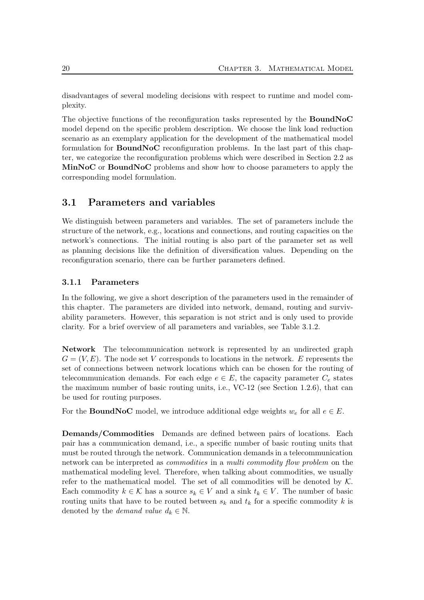disadvantages of several modeling decisions with respect to runtime and model complexity.

The objective functions of the reconfiguration tasks represented by the BoundNoC model depend on the specific problem description. We choose the link load reduction scenario as an exemplary application for the development of the mathematical model formulation for BoundNoC reconfiguration problems. In the last part of this chapter, we categorize the reconfiguration problems which were described in Section 2.2 as MinNoC or BoundNoC problems and show how to choose parameters to apply the corresponding model formulation.

### 3.1 Parameters and variables

We distinguish between parameters and variables. The set of parameters include the structure of the network, e.g., locations and connections, and routing capacities on the network's connections. The initial routing is also part of the parameter set as well as planning decisions like the definition of diversification values. Depending on the reconfiguration scenario, there can be further parameters defined.

#### 3.1.1 Parameters

In the following, we give a short description of the parameters used in the remainder of this chapter. The parameters are divided into network, demand, routing and survivability parameters. However, this separation is not strict and is only used to provide clarity. For a brief overview of all parameters and variables, see Table 3.1.2.

Network The telecommunication network is represented by an undirected graph  $G = (V, E)$ . The node set V corresponds to locations in the network. E represents the set of connections between network locations which can be chosen for the routing of telecommunication demands. For each edge  $e \in E$ , the capacity parameter  $C_e$  states the maximum number of basic routing units, i.e., VC-12 (see Section 1.2.6), that can be used for routing purposes.

For the **BoundNoC** model, we introduce additional edge weights  $w_e$  for all  $e \in E$ .

Demands/Commodities Demands are defined between pairs of locations. Each pair has a communication demand, i.e., a specific number of basic routing units that must be routed through the network. Communication demands in a telecommunication network can be interpreted as *commodities* in a *multi commodity flow problem* on the mathematical modeling level. Therefore, when talking about commodities, we usually refer to the mathematical model. The set of all commodities will be denoted by  $K$ . Each commodity  $k \in \mathcal{K}$  has a source  $s_k \in V$  and a sink  $t_k \in V$ . The number of basic routing units that have to be routed between  $s_k$  and  $t_k$  for a specific commodity k is denoted by the *demand value*  $d_k \in \mathbb{N}$ .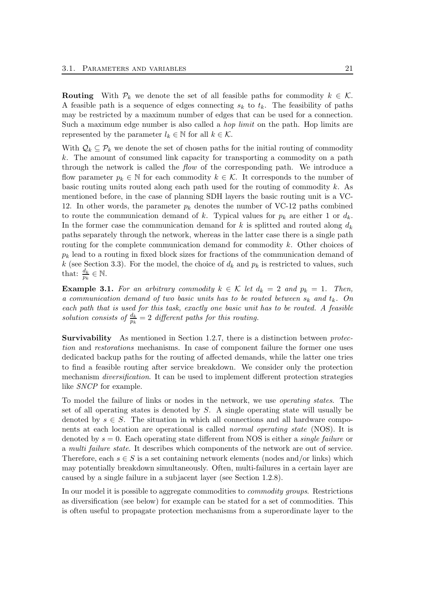**Routing** With  $\mathcal{P}_k$  we denote the set of all feasible paths for commodity  $k \in \mathcal{K}$ . A feasible path is a sequence of edges connecting  $s_k$  to  $t_k$ . The feasibility of paths may be restricted by a maximum number of edges that can be used for a connection. Such a maximum edge number is also called a *hop limit* on the path. Hop limits are represented by the parameter  $l_k \in \mathbb{N}$  for all  $k \in \mathcal{K}$ .

With  $\mathcal{Q}_k \subseteq \mathcal{P}_k$  we denote the set of chosen paths for the initial routing of commodity k. The amount of consumed link capacity for transporting a commodity on a path through the network is called the flow of the corresponding path. We introduce a flow parameter  $p_k \in \mathbb{N}$  for each commodity  $k \in \mathcal{K}$ . It corresponds to the number of basic routing units routed along each path used for the routing of commodity  $k$ . As mentioned before, in the case of planning SDH layers the basic routing unit is a VC-12. In other words, the parameter  $p_k$  denotes the number of VC-12 paths combined to route the communication demand of k. Typical values for  $p_k$  are either 1 or  $d_k$ . In the former case the communication demand for k is splitted and routed along  $d_k$ paths separately through the network, whereas in the latter case there is a single path routing for the complete communication demand for commodity k. Other choices of  $p_k$  lead to a routing in fixed block sizes for fractions of the communication demand of k (see Section 3.3). For the model, the choice of  $d_k$  and  $p_k$  is restricted to values, such that:  $\frac{d_k}{p_k} \in \mathbb{N}$ .

**Example 3.1.** For an arbitrary commodity  $k \in \mathcal{K}$  let  $d_k = 2$  and  $p_k = 1$ . Then, a communication demand of two basic units has to be routed between  $s_k$  and  $t_k$ . On each path that is used for this task, exactly one basic unit has to be routed. A feasible solution consists of  $\frac{d_k}{p_k} = 2$  different paths for this routing.

Survivability As mentioned in Section 1.2.7, there is a distinction between protection and restorations mechanisms. In case of component failure the former one uses dedicated backup paths for the routing of affected demands, while the latter one tries to find a feasible routing after service breakdown. We consider only the protection mechanism *diversification*. It can be used to implement different protection strategies like SNCP for example.

To model the failure of links or nodes in the network, we use operating states. The set of all operating states is denoted by  $S$ . A single operating state will usually be denoted by  $s \in S$ . The situation in which all connections and all hardware components at each location are operational is called normal operating state (NOS). It is denoted by  $s = 0$ . Each operating state different from NOS is either a *single failure* or a multi failure state. It describes which components of the network are out of service. Therefore, each  $s \in S$  is a set containing network elements (nodes and/or links) which may potentially breakdown simultaneously. Often, multi-failures in a certain layer are caused by a single failure in a subjacent layer (see Section 1.2.8).

In our model it is possible to aggregate commodities to *commodity groups*. Restrictions as diversification (see below) for example can be stated for a set of commodities. This is often useful to propagate protection mechanisms from a superordinate layer to the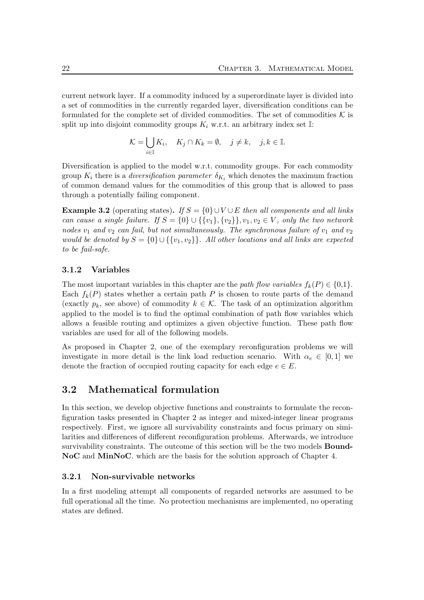current network layer. If a commodity induced by a superordinate layer is divided into a set of commodities in the currently regarded layer, diversification conditions can be formulated for the complete set of divided commodities. The set of commodities  $K$  is split up into disjoint commodity groups  $K_i$  w.r.t. an arbitrary index set I:

$$
\mathcal{K} = \bigcup_{i \in \mathbb{I}} K_i, \quad K_j \cap K_k = \emptyset, \quad j \neq k, \quad j, k \in \mathbb{I}.
$$

Diversification is applied to the model w.r.t. commodity groups. For each commodity group  $K_i$  there is a *diversification parameter*  $\delta_{K_i}$  which denotes the maximum fraction of common demand values for the commodities of this group that is allowed to pass through a potentially failing component.

**Example 3.2** (operating states). If  $S = \{0\} \cup V \cup E$  then all components and all links can cause a single failure. If  $S = \{0\} \cup \{\{v_1\}, \{v_2\}\}, v_1, v_2 \in V$ , only the two network nodes  $v_1$  and  $v_2$  can fail, but not simultaneously. The synchronous failure of  $v_1$  and  $v_2$ would be denoted by  $S = \{0\} \cup \{\{v_1, v_2\}\}\$ . All other locations and all links are expected to be fail-safe.

### 3.1.2 Variables

The most important variables in this chapter are the path flow variables  $f_k(P) \in \{0,1\}$ . Each  $f_k(P)$  states whether a certain path P is chosen to route parts of the demand (exactly  $p_k$ , see above) of commodity  $k \in \mathcal{K}$ . The task of an optimization algorithm applied to the model is to find the optimal combination of path flow variables which allows a feasible routing and optimizes a given objective function. These path flow variables are used for all of the following models.

As proposed in Chapter 2, one of the exemplary reconfiguration problems we will investigate in more detail is the link load reduction scenario. With  $\alpha_e \in [0,1]$  we denote the fraction of occupied routing capacity for each edge  $e \in E$ .

## 3.2 Mathematical formulation

In this section, we develop objective functions and constraints to formulate the reconfiguration tasks presented in Chapter 2 as integer and mixed-integer linear programs respectively. First, we ignore all survivability constraints and focus primary on similarities and differences of different reconfiguration problems. Afterwards, we introduce survivability constraints. The outcome of this section will be the two models **Bound-**NoC and MinNoC. which are the basis for the solution approach of Chapter 4.

#### 3.2.1 Non-survivable networks

In a first modeling attempt all components of regarded networks are assumed to be full operational all the time. No protection mechanisms are implemented, no operating states are defined.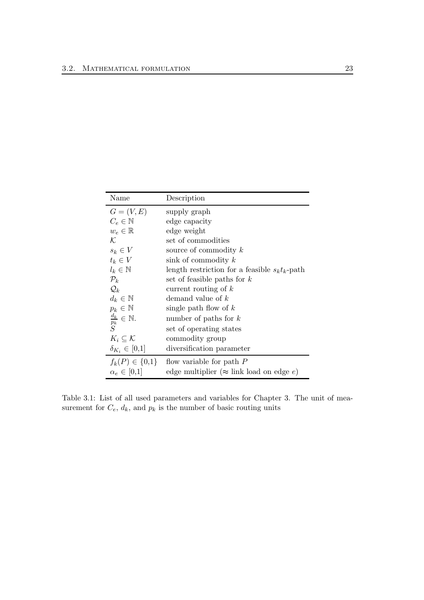| Name                                   | Description                                       |
|----------------------------------------|---------------------------------------------------|
| $G=(V,E)$                              | supply graph                                      |
| $C_e \in \mathbb{N}$                   | edge capacity                                     |
| $w_e \in \mathbb{R}$                   | edge weight                                       |
| $\mathcal{K}$                          | set of commodities                                |
| $s_k \in V$                            | source of commodity $k$                           |
| $t_k \in V$                            | sink of commodity $k$                             |
| $l_k \in \mathbb{N}$                   | length restriction for a feasible $s_k t_k$ -path |
| $\mathcal{P}_k$                        | set of feasible paths for $k$                     |
| $\mathcal{Q}_k$                        | current routing of $k$                            |
| $d_k \in \mathbb{N}$                   | demand value of $k$                               |
| $p_k \in \mathbb{N}$                   | single path flow of $k$                           |
| $\frac{d_k}{p_k} \in \mathbb{N}.$<br>S | number of paths for $k$                           |
|                                        | set of operating states                           |
| $K_i\subseteq\mathcal{K}$              | commodity group                                   |
| $\delta_{K_i} \in [0,1]$               | diversification parameter                         |
| $f_k(P) \in \{0,1\}$                   | flow variable for path $P$                        |
| $\alpha_e \in [0,1]$                   | edge multiplier ( $\approx$ link load on edge e)  |

Table 3.1: List of all used parameters and variables for Chapter 3. The unit of measurement for  $C_e$ ,  $d_k$ , and  $p_k$  is the number of basic routing units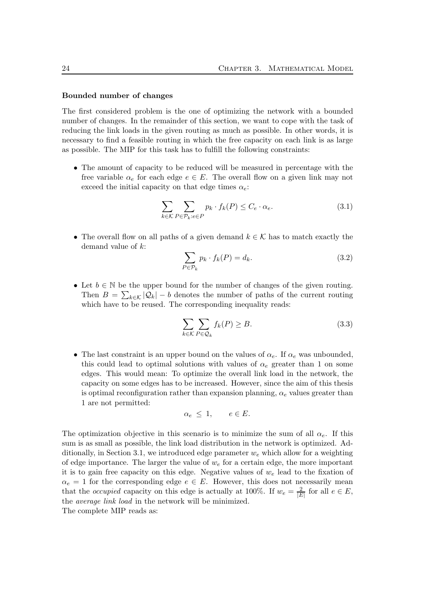#### Bounded number of changes

The first considered problem is the one of optimizing the network with a bounded number of changes. In the remainder of this section, we want to cope with the task of reducing the link loads in the given routing as much as possible. In other words, it is necessary to find a feasible routing in which the free capacity on each link is as large as possible. The MIP for this task has to fulfill the following constraints:

• The amount of capacity to be reduced will be measured in percentage with the free variable  $\alpha_e$  for each edge  $e \in E$ . The overall flow on a given link may not exceed the initial capacity on that edge times  $\alpha_e$ :

$$
\sum_{k \in \mathcal{K}} \sum_{P \in \mathcal{P}_k : e \in P} p_k \cdot f_k(P) \le C_e \cdot \alpha_e. \tag{3.1}
$$

• The overall flow on all paths of a given demand  $k \in \mathcal{K}$  has to match exactly the demand value of k:

$$
\sum_{P \in \mathcal{P}_k} p_k \cdot f_k(P) = d_k. \tag{3.2}
$$

• Let  $b \in \mathbb{N}$  be the upper bound for the number of changes of the given routing. Then  $B = \sum_{k \in \mathcal{K}} |\mathcal{Q}_k| - b$  denotes the number of paths of the current routing which have to be reused. The corresponding inequality reads:

$$
\sum_{k \in \mathcal{K}} \sum_{P \in \mathcal{Q}_k} f_k(P) \ge B. \tag{3.3}
$$

• The last constraint is an upper bound on the values of  $\alpha_e$ . If  $\alpha_e$  was unbounded, this could lead to optimal solutions with values of  $\alpha_e$  greater than 1 on some edges. This would mean: To optimize the overall link load in the network, the capacity on some edges has to be increased. However, since the aim of this thesis is optimal reconfiguration rather than expansion planning,  $\alpha_e$  values greater than 1 are not permitted:

$$
\alpha_e \leq 1, \qquad e \in E.
$$

The optimization objective in this scenario is to minimize the sum of all  $\alpha_e$ . If this sum is as small as possible, the link load distribution in the network is optimized. Additionally, in Section 3.1, we introduced edge parameter  $w_e$  which allow for a weighting of edge importance. The larger the value of  $w_e$  for a certain edge, the more important it is to gain free capacity on this edge. Negative values of  $w<sub>e</sub>$  lead to the fixation of  $\alpha_e = 1$  for the corresponding edge  $e \in E$ . However, this does not necessarily mean that the *occupied* capacity on this edge is actually at 100%. If  $w_e = \frac{2}{\sqrt{E}}$  $\frac{2}{|E|}$  for all  $e \in E$ , the average link load in the network will be minimized.

The complete MIP reads as: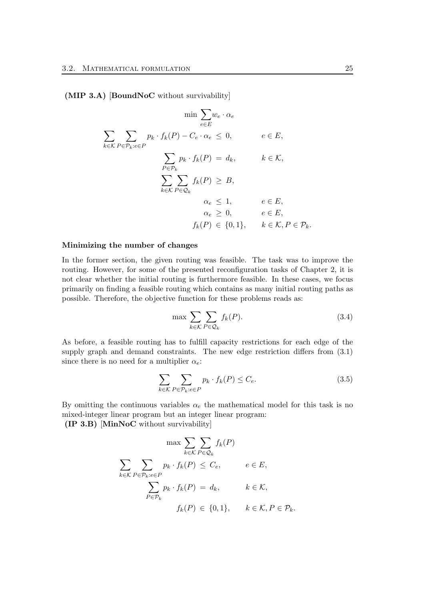(MIP 3.A) [BoundNoC without survivability]

$$
\min \sum_{e \in E} w_e \cdot \alpha_e
$$
\n
$$
\sum_{k \in K} \sum_{P \in \mathcal{P}_k : e \in P} p_k \cdot f_k(P) - C_e \cdot \alpha_e \le 0, \qquad e \in E,
$$
\n
$$
\sum_{P \in \mathcal{P}_k} p_k \cdot f_k(P) = d_k, \qquad k \in \mathcal{K},
$$
\n
$$
\sum_{k \in K} \sum_{P \in \mathcal{Q}_k} f_k(P) \ge B,
$$
\n
$$
\alpha_e \le 1, \qquad e \in E,
$$
\n
$$
\alpha_e \ge 0, \qquad e \in E,
$$
\n
$$
f_k(P) \in \{0, 1\}, \qquad k \in \mathcal{K}, P \in \mathcal{P}_k.
$$

#### Minimizing the number of changes

In the former section, the given routing was feasible. The task was to improve the routing. However, for some of the presented reconfiguration tasks of Chapter 2, it is not clear whether the initial routing is furthermore feasible. In these cases, we focus primarily on finding a feasible routing which contains as many initial routing paths as possible. Therefore, the objective function for these problems reads as:

$$
\max \sum_{k \in \mathcal{K}} \sum_{P \in \mathcal{Q}_k} f_k(P). \tag{3.4}
$$

As before, a feasible routing has to fulfill capacity restrictions for each edge of the supply graph and demand constraints. The new edge restriction differs from (3.1) since there is no need for a multiplier  $\alpha_e$ :

$$
\sum_{k \in \mathcal{K}} \sum_{P \in \mathcal{P}_k: e \in P} p_k \cdot f_k(P) \le C_e. \tag{3.5}
$$

By omitting the continuous variables  $\alpha_e$  the mathematical model for this task is no mixed-integer linear program but an integer linear program:

(IP 3.B) [MinNoC without survivability]

$$
\max \sum_{k \in \mathcal{K}} \sum_{P \in \mathcal{Q}_k} f_k(P)
$$
  

$$
\sum_{k \in \mathcal{K}} \sum_{P \in \mathcal{P}_k: e \in P} p_k \cdot f_k(P) \leq C_e, \qquad e \in E,
$$
  

$$
\sum_{P \in \mathcal{P}_k} p_k \cdot f_k(P) = d_k, \qquad k \in \mathcal{K},
$$
  

$$
f_k(P) \in \{0, 1\}, \qquad k \in \mathcal{K}, P \in \mathcal{P}_k.
$$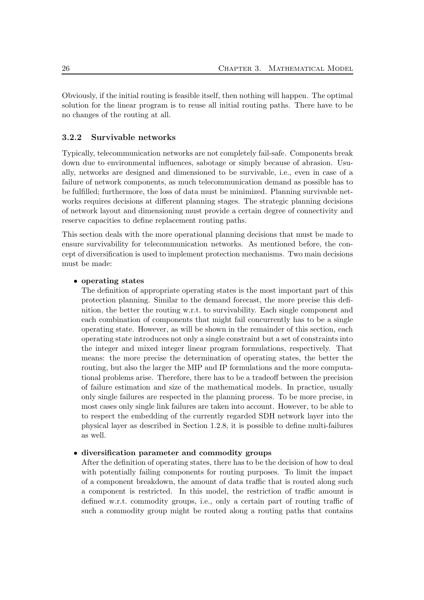Obviously, if the initial routing is feasible itself, then nothing will happen. The optimal solution for the linear program is to reuse all initial routing paths. There have to be no changes of the routing at all.

#### 3.2.2 Survivable networks

Typically, telecommunication networks are not completely fail-safe. Components break down due to environmental influences, sabotage or simply because of abrasion. Usually, networks are designed and dimensioned to be survivable, i.e., even in case of a failure of network components, as much telecommunication demand as possible has to be fulfilled; furthermore, the loss of data must be minimized. Planning survivable networks requires decisions at different planning stages. The strategic planning decisions of network layout and dimensioning must provide a certain degree of connectivity and reserve capacities to define replacement routing paths.

This section deals with the more operational planning decisions that must be made to ensure survivability for telecommunication networks. As mentioned before, the concept of diversification is used to implement protection mechanisms. Two main decisions must be made:

#### • operating states

The definition of appropriate operating states is the most important part of this protection planning. Similar to the demand forecast, the more precise this definition, the better the routing w.r.t. to survivability. Each single component and each combination of components that might fail concurrently has to be a single operating state. However, as will be shown in the remainder of this section, each operating state introduces not only a single constraint but a set of constraints into the integer and mixed integer linear program formulations, respectively. That means: the more precise the determination of operating states, the better the routing, but also the larger the MIP and IP formulations and the more computational problems arise. Therefore, there has to be a tradeoff between the precision of failure estimation and size of the mathematical models. In practice, usually only single failures are respected in the planning process. To be more precise, in most cases only single link failures are taken into account. However, to be able to to respect the embedding of the currently regarded SDH network layer into the physical layer as described in Section 1.2.8, it is possible to define multi-failures as well.

#### • diversification parameter and commodity groups

After the definition of operating states, there has to be the decision of how to deal with potentially failing components for routing purposes. To limit the impact of a component breakdown, the amount of data traffic that is routed along such a component is restricted. In this model, the restriction of traffic amount is defined w.r.t. commodity groups, i.e., only a certain part of routing traffic of such a commodity group might be routed along a routing paths that contains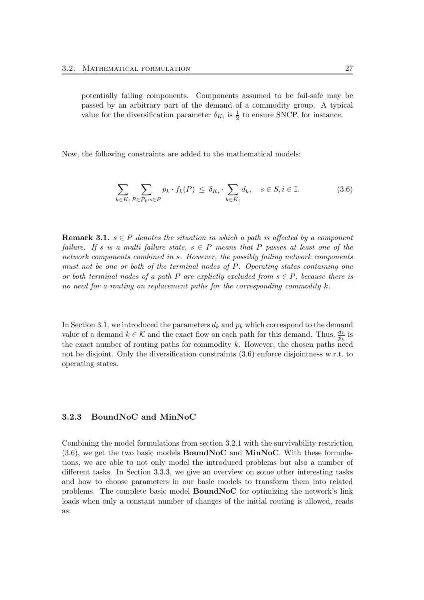Now, the following constraints are added to the mathematical models:

$$
\sum_{k \in K_i} \sum_{P \in \mathcal{P}_k: s \in P} p_k \cdot f_k(P) \le \delta_{K_i} \cdot \sum_{k \in K_i} d_k, \quad s \in S, i \in \mathbb{I}.
$$
 (3.6)

**Remark 3.1.**  $s \in P$  denotes the situation in which a path is affected by a component failure. If s is a multi failure state,  $s \in P$  means that P passes at least one of the network components combined in s. However, the possibly failing network components must not be one or both of the terminal nodes of P. Operating states containing one or both terminal nodes of a path P are explictly excluded from  $s \in P$ , because there is no need for a routing on replacement paths for the corresponding commodity  $k$ .

In Section 3.1, we introduced the parameters  $d_k$  and  $p_k$  which correspond to the demand value of a demand  $k \in \mathcal{K}$  and the exact flow on each path for this demand. Thus,  $\frac{d_k}{p_k}$  is the exact number of routing paths for commodity  $k$ . However, the chosen paths need not be disjoint. Only the diversification constraints (3.6) enforce disjointness w.r.t. to operating states.

#### 3.2.3 BoundNoC and MinNoC

Combining the model formulations from section 3.2.1 with the survivability restriction  $(3.6)$ , we get the two basic models **BoundNoC** and **MinNoC**. With these formulations, we are able to not only model the introduced problems but also a number of different tasks. In Section 3.3.3, we give an overview on some other interesting tasks and how to choose parameters in our basic models to transform them into related problems. The complete basic model BoundNoC for optimizing the network's link loads when only a constant number of changes of the initial routing is allowed, reads as: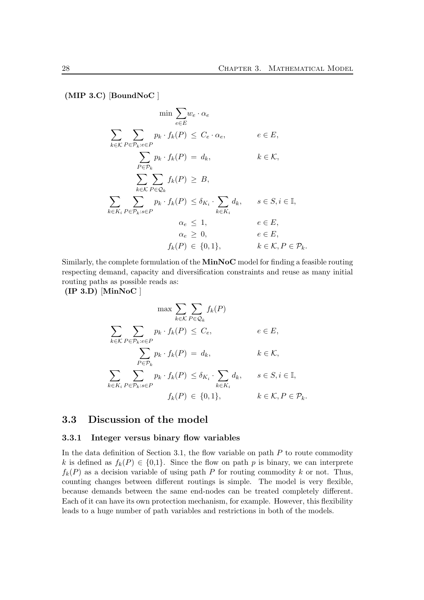$(MIP 3.C)$  [BoundNoC]

$$
\min \sum_{e \in E} w_e \cdot \alpha_e
$$
\n
$$
\sum_{k \in K} \sum_{P \in \mathcal{P}_k : e \in P} p_k \cdot f_k(P) \leq C_e \cdot \alpha_e, \qquad e \in E,
$$
\n
$$
\sum_{P \in \mathcal{P}_k} p_k \cdot f_k(P) = d_k, \qquad k \in \mathcal{K},
$$
\n
$$
\sum_{k \in K} \sum_{P \in \mathcal{Q}_k} f_k(P) \geq B,
$$
\n
$$
\sum_{k \in K_i} \sum_{P \in \mathcal{P}_k : s \in P} p_k \cdot f_k(P) \leq \delta_{K_i} \cdot \sum_{k \in K_i} d_k, \qquad s \in S, i \in \mathbb{I},
$$
\n
$$
\alpha_e \leq 1, \qquad e \in E,
$$
\n
$$
\alpha_e \geq 0, \qquad e \in E,
$$
\n
$$
f_k(P) \in \{0, 1\}, \qquad k \in \mathcal{K}, P \in \mathcal{P}_k.
$$

Similarly, the complete formulation of the **MinNoC** model for finding a feasible routing respecting demand, capacity and diversification constraints and reuse as many initial routing paths as possible reads as:

 $($ IP 3.D $)$  $[$ MinNoC $]$ 

$$
\max \sum_{k \in \mathcal{K}} \sum_{P \in \mathcal{Q}_k} f_k(P)
$$
  

$$
\sum_{k \in \mathcal{K}} \sum_{P \in \mathcal{P}_k : e \in P} p_k \cdot f_k(P) \leq C_e, \qquad e \in E,
$$
  

$$
\sum_{P \in \mathcal{P}_k} p_k \cdot f_k(P) = d_k, \qquad k \in \mathcal{K},
$$
  

$$
\sum_{k \in K_i} \sum_{P \in \mathcal{P}_k : s \in P} p_k \cdot f_k(P) \leq \delta_{K_i} \cdot \sum_{k \in K_i} d_k, \qquad s \in S, i \in \mathbb{I},
$$
  

$$
f_k(P) \in \{0, 1\}, \qquad k \in \mathcal{K}, P \in \mathcal{P}_k.
$$

### 3.3 Discussion of the model

#### 3.3.1 Integer versus binary flow variables

In the data definition of Section 3.1, the flow variable on path  $P$  to route commodity k is defined as  $f_k(P) \in \{0,1\}$ . Since the flow on path p is binary, we can interprete  $f_k(P)$  as a decision variable of using path P for routing commodity k or not. Thus, counting changes between different routings is simple. The model is very flexible, because demands between the same end-nodes can be treated completely different. Each of it can have its own protection mechanism, for example. However, this flexibility leads to a huge number of path variables and restrictions in both of the models.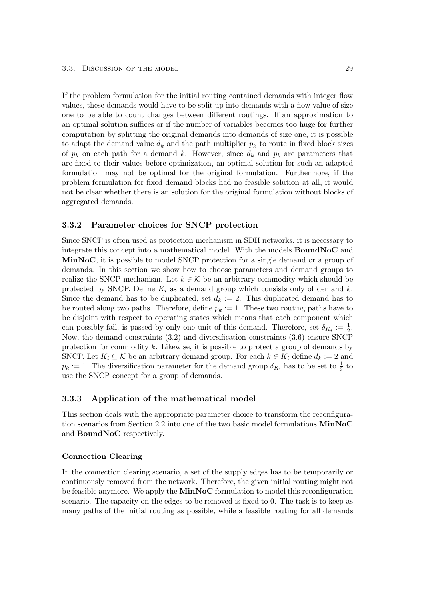If the problem formulation for the initial routing contained demands with integer flow values, these demands would have to be split up into demands with a flow value of size one to be able to count changes between different routings. If an approximation to an optimal solution suffices or if the number of variables becomes too huge for further computation by splitting the original demands into demands of size one, it is possible to adapt the demand value  $d_k$  and the path multiplier  $p_k$  to route in fixed block sizes of  $p_k$  on each path for a demand k. However, since  $d_k$  and  $p_k$  are parameters that are fixed to their values before optimization, an optimal solution for such an adapted formulation may not be optimal for the original formulation. Furthermore, if the problem formulation for fixed demand blocks had no feasible solution at all, it would not be clear whether there is an solution for the original formulation without blocks of aggregated demands.

#### 3.3.2 Parameter choices for SNCP protection

Since SNCP is often used as protection mechanism in SDH networks, it is necessary to integrate this concept into a mathematical model. With the models BoundNoC and MinNoC, it is possible to model SNCP protection for a single demand or a group of demands. In this section we show how to choose parameters and demand groups to realize the SNCP mechanism. Let  $k \in \mathcal{K}$  be an arbitrary commodity which should be protected by SNCP. Define  $K_i$  as a demand group which consists only of demand k. Since the demand has to be duplicated, set  $d_k := 2$ . This duplicated demand has to be routed along two paths. Therefore, define  $p_k := 1$ . These two routing paths have to be disjoint with respect to operating states which means that each component which can possibly fail, is passed by only one unit of this demand. Therefore, set  $\delta_{K_i} := \frac{1}{2}$ . Now, the demand constraints (3.2) and diversification constraints (3.6) ensure SNCP protection for commodity  $k$ . Likewise, it is possible to protect a group of demands by SNCP. Let  $K_i \subseteq \mathcal{K}$  be an arbitrary demand group. For each  $k \in K_i$  define  $d_k := 2$  and  $p_k := 1$ . The diversification parameter for the demand group  $\delta_{K_i}$  has to be set to  $\frac{1}{2}$  to use the SNCP concept for a group of demands.

#### 3.3.3 Application of the mathematical model

This section deals with the appropriate parameter choice to transform the reconfiguration scenarios from Section 2.2 into one of the two basic model formulations MinNoC and BoundNoC respectively.

#### Connection Clearing

In the connection clearing scenario, a set of the supply edges has to be temporarily or continuously removed from the network. Therefore, the given initial routing might not be feasible anymore. We apply the  $MinNoC$  formulation to model this reconfiguration scenario. The capacity on the edges to be removed is fixed to 0. The task is to keep as many paths of the initial routing as possible, while a feasible routing for all demands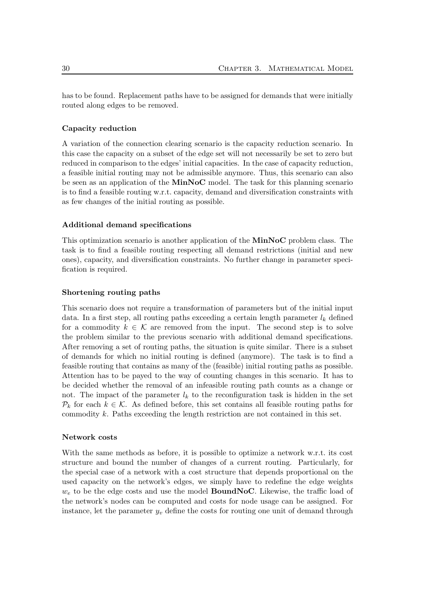has to be found. Replacement paths have to be assigned for demands that were initially routed along edges to be removed.

#### Capacity reduction

A variation of the connection clearing scenario is the capacity reduction scenario. In this case the capacity on a subset of the edge set will not necessarily be set to zero but reduced in comparison to the edges' initial capacities. In the case of capacity reduction, a feasible initial routing may not be admissible anymore. Thus, this scenario can also be seen as an application of the MinNoC model. The task for this planning scenario is to find a feasible routing w.r.t. capacity, demand and diversification constraints with as few changes of the initial routing as possible.

#### Additional demand specifications

This optimization scenario is another application of the MinNoC problem class. The task is to find a feasible routing respecting all demand restrictions (initial and new ones), capacity, and diversification constraints. No further change in parameter specification is required.

#### Shortening routing paths

This scenario does not require a transformation of parameters but of the initial input data. In a first step, all routing paths exceeding a certain length parameter  $l_k$  defined for a commodity  $k \in \mathcal{K}$  are removed from the input. The second step is to solve the problem similar to the previous scenario with additional demand specifications. After removing a set of routing paths, the situation is quite similar. There is a subset of demands for which no initial routing is defined (anymore). The task is to find a feasible routing that contains as many of the (feasible) initial routing paths as possible. Attention has to be payed to the way of counting changes in this scenario. It has to be decided whether the removal of an infeasible routing path counts as a change or not. The impact of the parameter  $l_k$  to the reconfiguration task is hidden in the set  $\mathcal{P}_k$  for each  $k \in \mathcal{K}$ . As defined before, this set contains all feasible routing paths for commodity k. Paths exceeding the length restriction are not contained in this set.

#### Network costs

With the same methods as before, it is possible to optimize a network w.r.t. its cost structure and bound the number of changes of a current routing. Particularly, for the special case of a network with a cost structure that depends proportional on the used capacity on the network's edges, we simply have to redefine the edge weights  $w_e$  to be the edge costs and use the model **BoundNoC**. Likewise, the traffic load of the network's nodes can be computed and costs for node usage can be assigned. For instance, let the parameter  $y_v$  define the costs for routing one unit of demand through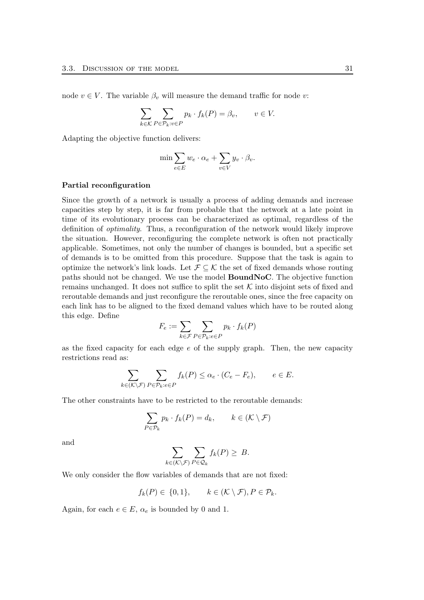node  $v \in V$ . The variable  $\beta_v$  will measure the demand traffic for node v:

$$
\sum_{k \in \mathcal{K}} \sum_{P \in \mathcal{P}_k: v \in P} p_k \cdot f_k(P) = \beta_v, \qquad v \in V.
$$

Adapting the objective function delivers:

$$
\min \sum_{e \in E} w_e \cdot \alpha_e + \sum_{v \in V} y_v \cdot \beta_v.
$$

#### Partial reconfiguration

Since the growth of a network is usually a process of adding demands and increase capacities step by step, it is far from probable that the network at a late point in time of its evolutionary process can be characterized as optimal, regardless of the definition of optimality. Thus, a reconfiguration of the network would likely improve the situation. However, reconfiguring the complete network is often not practically applicable. Sometimes, not only the number of changes is bounded, but a specific set of demands is to be omitted from this procedure. Suppose that the task is again to optimize the network's link loads. Let  $\mathcal{F} \subseteq \mathcal{K}$  the set of fixed demands whose routing paths should not be changed. We use the model BoundNoC. The objective function remains unchanged. It does not suffice to split the set  $K$  into disjoint sets of fixed and reroutable demands and just reconfigure the reroutable ones, since the free capacity on each link has to be aligned to the fixed demand values which have to be routed along this edge. Define

$$
F_e := \sum_{k \in \mathcal{F}} \sum_{P \in \mathcal{P}_k: e \in P} p_k \cdot f_k(P)
$$

as the fixed capacity for each edge  $e$  of the supply graph. Then, the new capacity restrictions read as:

$$
\sum_{k \in (\mathcal{K} \setminus \mathcal{F})} \sum_{P \in \mathcal{P}_k : e \in P} f_k(P) \le \alpha_e \cdot (C_e - F_e), \qquad e \in E.
$$

The other constraints have to be restricted to the reroutable demands:

$$
\sum_{P \in \mathcal{P}_k} p_k \cdot f_k(P) = d_k, \qquad k \in (\mathcal{K} \setminus \mathcal{F})
$$

and

$$
\sum_{k \in (\mathcal{K} \setminus \mathcal{F})} \sum_{P \in \mathcal{Q}_k} f_k(P) \geq B.
$$

We only consider the flow variables of demands that are not fixed:

$$
f_k(P) \in \{0,1\}, \qquad k \in (\mathcal{K} \setminus \mathcal{F}), P \in \mathcal{P}_k.
$$

Again, for each  $e \in E$ ,  $\alpha_e$  is bounded by 0 and 1.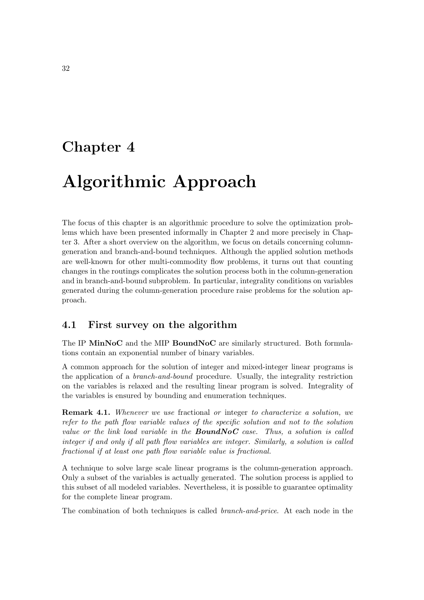# Chapter 4

# Algorithmic Approach

The focus of this chapter is an algorithmic procedure to solve the optimization problems which have been presented informally in Chapter 2 and more precisely in Chapter 3. After a short overview on the algorithm, we focus on details concerning columngeneration and branch-and-bound techniques. Although the applied solution methods are well-known for other multi-commodity flow problems, it turns out that counting changes in the routings complicates the solution process both in the column-generation and in branch-and-bound subproblem. In particular, integrality conditions on variables generated during the column-generation procedure raise problems for the solution approach.

# 4.1 First survey on the algorithm

The IP MinNoC and the MIP BoundNoC are similarly structured. Both formulations contain an exponential number of binary variables.

A common approach for the solution of integer and mixed-integer linear programs is the application of a branch-and-bound procedure. Usually, the integrality restriction on the variables is relaxed and the resulting linear program is solved. Integrality of the variables is ensured by bounding and enumeration techniques.

**Remark 4.1.** Whenever we use fractional or integer to characterize a solution, we refer to the path flow variable values of the specific solution and not to the solution value or the link load variable in the **BoundNoC** case. Thus, a solution is called integer if and only if all path flow variables are integer. Similarly, a solution is called fractional if at least one path flow variable value is fractional.

A technique to solve large scale linear programs is the column-generation approach. Only a subset of the variables is actually generated. The solution process is applied to this subset of all modeled variables. Nevertheless, it is possible to guarantee optimality for the complete linear program.

The combination of both techniques is called branch-and-price. At each node in the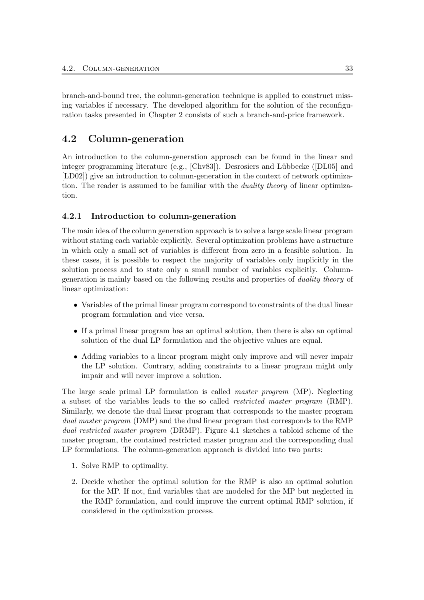branch-and-bound tree, the column-generation technique is applied to construct missing variables if necessary. The developed algorithm for the solution of the reconfiguration tasks presented in Chapter 2 consists of such a branch-and-price framework.

# 4.2 Column-generation

An introduction to the column-generation approach can be found in the linear and integer programming literature (e.g.,  $[Chv83]$ ). Desrosiers and Lübbecke ( $[DL05]$  and [LD02]) give an introduction to column-generation in the context of network optimization. The reader is assumed to be familiar with the *duality theory* of linear optimization.

# 4.2.1 Introduction to column-generation

The main idea of the column generation approach is to solve a large scale linear program without stating each variable explicitly. Several optimization problems have a structure in which only a small set of variables is different from zero in a feasible solution. In these cases, it is possible to respect the majority of variables only implicitly in the solution process and to state only a small number of variables explicitly. Columngeneration is mainly based on the following results and properties of duality theory of linear optimization:

- Variables of the primal linear program correspond to constraints of the dual linear program formulation and vice versa.
- If a primal linear program has an optimal solution, then there is also an optimal solution of the dual LP formulation and the objective values are equal.
- Adding variables to a linear program might only improve and will never impair the LP solution. Contrary, adding constraints to a linear program might only impair and will never improve a solution.

The large scale primal LP formulation is called master program (MP). Neglecting a subset of the variables leads to the so called restricted master program (RMP). Similarly, we denote the dual linear program that corresponds to the master program dual master program (DMP) and the dual linear program that corresponds to the RMP dual restricted master program (DRMP). Figure 4.1 sketches a tabloid scheme of the master program, the contained restricted master program and the corresponding dual LP formulations. The column-generation approach is divided into two parts:

- 1. Solve RMP to optimality.
- 2. Decide whether the optimal solution for the RMP is also an optimal solution for the MP. If not, find variables that are modeled for the MP but neglected in the RMP formulation, and could improve the current optimal RMP solution, if considered in the optimization process.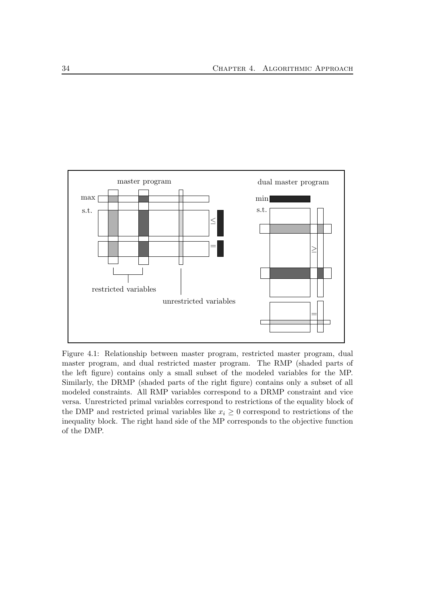

Figure 4.1: Relationship between master program, restricted master program, dual master program, and dual restricted master program. The RMP (shaded parts of the left figure) contains only a small subset of the modeled variables for the MP. Similarly, the DRMP (shaded parts of the right figure) contains only a subset of all modeled constraints. All RMP variables correspond to a DRMP constraint and vice versa. Unrestricted primal variables correspond to restrictions of the equality block of the DMP and restricted primal variables like  $x_i \geq 0$  correspond to restrictions of the inequality block. The right hand side of the MP corresponds to the objective function of the DMP.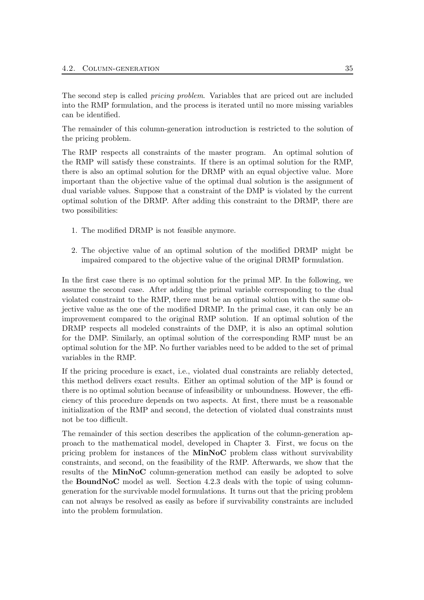The second step is called pricing problem. Variables that are priced out are included into the RMP formulation, and the process is iterated until no more missing variables can be identified.

The remainder of this column-generation introduction is restricted to the solution of the pricing problem.

The RMP respects all constraints of the master program. An optimal solution of the RMP will satisfy these constraints. If there is an optimal solution for the RMP, there is also an optimal solution for the DRMP with an equal objective value. More important than the objective value of the optimal dual solution is the assignment of dual variable values. Suppose that a constraint of the DMP is violated by the current optimal solution of the DRMP. After adding this constraint to the DRMP, there are two possibilities:

- 1. The modified DRMP is not feasible anymore.
- 2. The objective value of an optimal solution of the modified DRMP might be impaired compared to the objective value of the original DRMP formulation.

In the first case there is no optimal solution for the primal MP. In the following, we assume the second case. After adding the primal variable corresponding to the dual violated constraint to the RMP, there must be an optimal solution with the same objective value as the one of the modified DRMP. In the primal case, it can only be an improvement compared to the original RMP solution. If an optimal solution of the DRMP respects all modeled constraints of the DMP, it is also an optimal solution for the DMP. Similarly, an optimal solution of the corresponding RMP must be an optimal solution for the MP. No further variables need to be added to the set of primal variables in the RMP.

If the pricing procedure is exact, i.e., violated dual constraints are reliably detected, this method delivers exact results. Either an optimal solution of the MP is found or there is no optimal solution because of infeasibility or unboundness. However, the efficiency of this procedure depends on two aspects. At first, there must be a reasonable initialization of the RMP and second, the detection of violated dual constraints must not be too difficult.

The remainder of this section describes the application of the column-generation approach to the mathematical model, developed in Chapter 3. First, we focus on the pricing problem for instances of the MinNoC problem class without survivability constraints, and second, on the feasibility of the RMP. Afterwards, we show that the results of the MinNoC column-generation method can easily be adopted to solve the BoundNoC model as well. Section 4.2.3 deals with the topic of using columngeneration for the survivable model formulations. It turns out that the pricing problem can not always be resolved as easily as before if survivability constraints are included into the problem formulation.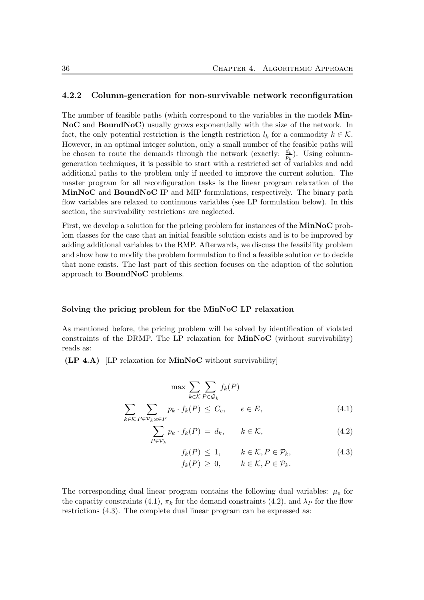#### 4.2.2 Column-generation for non-survivable network reconfiguration

The number of feasible paths (which correspond to the variables in the models **Min-**NoC and BoundNoC) usually grows exponentially with the size of the network. In fact, the only potential restriction is the length restriction  $l_k$  for a commodity  $k \in \mathcal{K}$ . However, in an optimal integer solution, only a small number of the feasible paths will be chosen to route the demands through the network (exactly:  $\frac{d_k}{p_k}$ ). Using columngeneration techniques, it is possible to start with a restricted set of variables and add additional paths to the problem only if needed to improve the current solution. The master program for all reconfiguration tasks is the linear program relaxation of the MinNoC and BoundNoC IP and MIP formulations, respectively. The binary path flow variables are relaxed to continuous variables (see LP formulation below). In this section, the survivability restrictions are neglected.

First, we develop a solution for the pricing problem for instances of the MinNoC problem classes for the case that an initial feasible solution exists and is to be improved by adding additional variables to the RMP. Afterwards, we discuss the feasibility problem and show how to modify the problem formulation to find a feasible solution or to decide that none exists. The last part of this section focuses on the adaption of the solution approach to BoundNoC problems.

#### Solving the pricing problem for the MinNoC LP relaxation

As mentioned before, the pricing problem will be solved by identification of violated constraints of the DRMP. The LP relaxation for MinNoC (without survivability) reads as:

 $(LP 4.A)$  [LP relaxation for **MinNoC** without survivability]

 $k$ ∈ $\mathcal{K}$ 

$$
\max \sum_{k \in \mathcal{K}} \sum_{P \in \mathcal{Q}_k} f_k(P)
$$
  

$$
\sum p_k \cdot f_k(P) \leq C_e, \quad e \in E,
$$
 (4.1)

$$
P \in \mathcal{P}_k : e \in P
$$
  

$$
\sum_{P \in \mathcal{P}_k} p_k \cdot f_k(P) = d_k, \qquad k \in \mathcal{K},
$$
 (4.2)

$$
f_k(P) \le 1, \qquad k \in \mathcal{K}, P \in \mathcal{P}_k, f_k(P) \ge 0, \qquad k \in \mathcal{K}, P \in \mathcal{P}_k.
$$
 (4.3)

The corresponding dual linear program contains the following dual variables:  $\mu_e$  for the capacity constraints (4.1),  $\pi_k$  for the demand constraints (4.2), and  $\lambda_P$  for the flow restrictions (4.3). The complete dual linear program can be expressed as: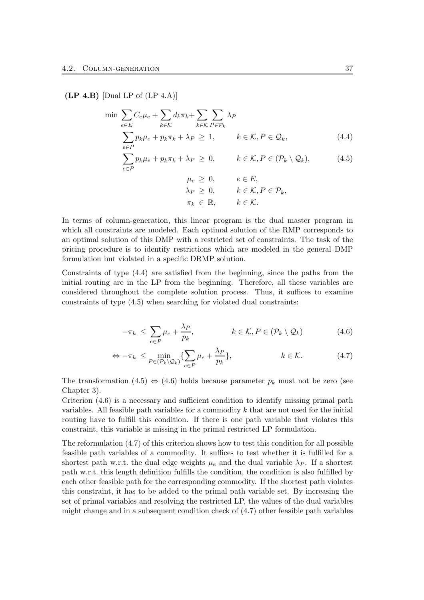#### $(LP 4.B)$  [Dual LP of  $(LP 4.A)$ ]

$$
\min \sum_{e \in E} C_e \mu_e + \sum_{k \in \mathcal{K}} d_k \pi_k + \sum_{k \in \mathcal{K}} \sum_{P \in \mathcal{P}_k} \lambda_P
$$
\n
$$
\sum_{e \in P} p_k \mu_e + p_k \pi_k + \lambda_P \ge 1, \qquad k \in \mathcal{K}, P \in \mathcal{Q}_k, \tag{4.4}
$$
\n
$$
\sum_{e \in P} p_k \mu_e + p_k \pi_k + \lambda_P \ge 0, \qquad k \in \mathcal{K}, P \in (\mathcal{P}_k \setminus \mathcal{Q}_k), \tag{4.5}
$$

$$
\mu_e \geq 0, \qquad e \in E,
$$
  
\n
$$
\lambda_P \geq 0, \qquad k \in \mathcal{K}, P \in \mathcal{P}_k,
$$
  
\n
$$
\pi_k \in \mathbb{R}, \qquad k \in \mathcal{K}.
$$

In terms of column-generation, this linear program is the dual master program in which all constraints are modeled. Each optimal solution of the RMP corresponds to an optimal solution of this DMP with a restricted set of constraints. The task of the pricing procedure is to identify restrictions which are modeled in the general DMP formulation but violated in a specific DRMP solution.

Constraints of type (4.4) are satisfied from the beginning, since the paths from the initial routing are in the LP from the beginning. Therefore, all these variables are considered throughout the complete solution process. Thus, it suffices to examine constraints of type (4.5) when searching for violated dual constraints:

$$
-\pi_k \leq \sum_{e \in P} \mu_e + \frac{\lambda_P}{p_k}, \qquad k \in \mathcal{K}, P \in (\mathcal{P}_k \setminus \mathcal{Q}_k)
$$
\n(4.6)

$$
\Leftrightarrow -\pi_k \le \min_{P \in (\mathcal{P}_k \setminus \mathcal{Q}_k)} \{ \sum_{e \in P} \mu_e + \frac{\lambda_P}{p_k} \}, \qquad k \in \mathcal{K}.
$$
 (4.7)

The transformation (4.5)  $\Leftrightarrow$  (4.6) holds because parameter  $p_k$  must not be zero (see Chapter 3).

Criterion (4.6) is a necessary and sufficient condition to identify missing primal path variables. All feasible path variables for a commodity  $k$  that are not used for the initial routing have to fulfill this condition. If there is one path variable that violates this constraint, this variable is missing in the primal restricted LP formulation.

The reformulation (4.7) of this criterion shows how to test this condition for all possible feasible path variables of a commodity. It suffices to test whether it is fulfilled for a shortest path w.r.t. the dual edge weights  $\mu_e$  and the dual variable  $\lambda_P$ . If a shortest path w.r.t. this length definition fulfills the condition, the condition is also fulfilled by each other feasible path for the corresponding commodity. If the shortest path violates this constraint, it has to be added to the primal path variable set. By increasing the set of primal variables and resolving the restricted LP, the values of the dual variables might change and in a subsequent condition check of (4.7) other feasible path variables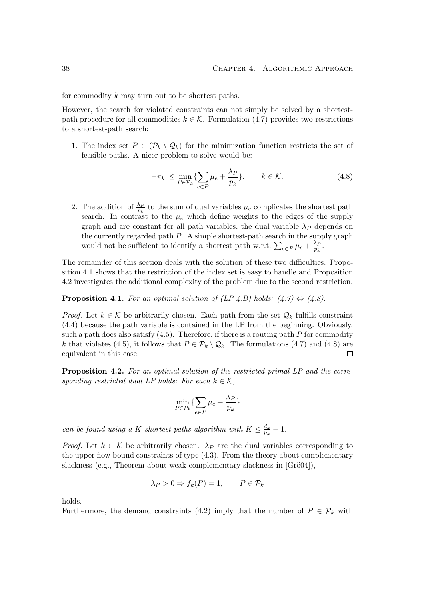for commodity k may turn out to be shortest paths.

However, the search for violated constraints can not simply be solved by a shortestpath procedure for all commodities  $k \in \mathcal{K}$ . Formulation (4.7) provides two restrictions to a shortest-path search:

1. The index set  $P \in (\mathcal{P}_k \setminus \mathcal{Q}_k)$  for the minimization function restricts the set of feasible paths. A nicer problem to solve would be:

$$
-\pi_k \le \min_{P \in \mathcal{P}_k} \{ \sum_{e \in P} \mu_e + \frac{\lambda_P}{p_k} \}, \qquad k \in \mathcal{K}.
$$
 (4.8)

2. The addition of  $\frac{\lambda_P}{p_k}$  to the sum of dual variables  $\mu_e$  complicates the shortest path search. In contrast to the  $\mu_e$  which define weights to the edges of the supply graph and are constant for all path variables, the dual variable  $\lambda_P$  depends on the currently regarded path  $P$ . A simple shortest-path search in the supply graph would not be sufficient to identify a shortest path w.r.t.  $\sum_{e \in P} \mu_e + \frac{\lambda_P^2}{p_k}$  $\frac{\lambda_P}{p_k}$ .

The remainder of this section deals with the solution of these two difficulties. Proposition 4.1 shows that the restriction of the index set is easy to handle and Proposition 4.2 investigates the additional complexity of the problem due to the second restriction.

**Proposition 4.1.** For an optimal solution of  $(LP \nvert A.B)$  holds:  $(4.7) \Leftrightarrow (4.8)$ .

*Proof.* Let  $k \in \mathcal{K}$  be arbitrarily chosen. Each path from the set  $\mathcal{Q}_k$  fulfills constraint (4.4) because the path variable is contained in the LP from the beginning. Obviously, such a path does also satisfy  $(4.5)$ . Therefore, if there is a routing path P for commodity k that violates (4.5), it follows that  $P \in \mathcal{P}_k \setminus \mathcal{Q}_k$ . The formulations (4.7) and (4.8) are equivalent in this case.  $\Box$ 

**Proposition 4.2.** For an optimal solution of the restricted primal LP and the corresponding restricted dual LP holds: For each  $k \in \mathcal{K}$ ,

$$
\min_{P \in \mathcal{P}_k} \{ \sum_{e \in P} \mu_e + \frac{\lambda_P}{p_k} \}
$$

can be found using a K-shortest-paths algorithm with  $K \leq \frac{d_k}{n_k}$  $\frac{a_k}{p_k}+1$ .

*Proof.* Let  $k \in \mathcal{K}$  be arbitrarily chosen.  $\lambda_P$  are the dual variables corresponding to the upper flow bound constraints of type (4.3). From the theory about complementary slackness (e.g., Theorem about weak complementary slackness in  $[Gr\ddot{o}04]$ ),

$$
\lambda_P > 0 \Rightarrow f_k(P) = 1, \qquad P \in \mathcal{P}_k
$$

holds.

Furthermore, the demand constraints (4.2) imply that the number of  $P \in \mathcal{P}_k$  with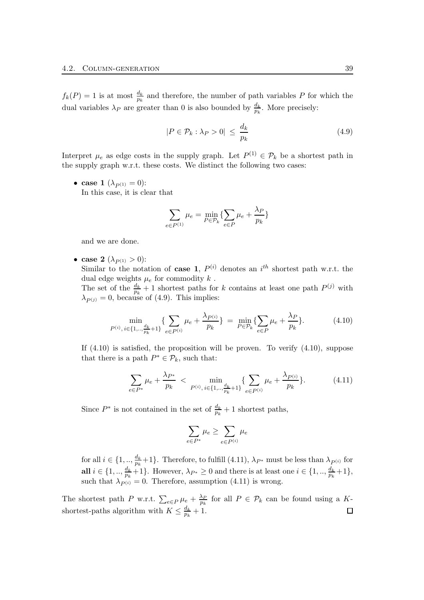$f_k(P) = 1$  is at most  $\frac{d_k}{p_k}$  and therefore, the number of path variables P for which the dual variables  $\lambda_P$  are greater than 0 is also bounded by  $\frac{d_k}{p_k}$ . More precisely:

$$
|P \in \mathcal{P}_k : \lambda_P > 0| \le \frac{d_k}{p_k} \tag{4.9}
$$

Interpret  $\mu_e$  as edge costs in the supply graph. Let  $P^{(1)} \in \mathcal{P}_k$  be a shortest path in the supply graph w.r.t. these costs. We distinct the following two cases:

• case 1  $(\lambda_{P^{(1)}} = 0)$ : In this case, it is clear that

$$
\sum_{e \in P^{(1)}} \mu_e = \min_{P \in \mathcal{P}_k} \{ \sum_{e \in P} \mu_e + \frac{\lambda_P}{p_k} \}
$$

and we are done.

• case 2  $({\lambda}_{P(1)} > 0)$ : Similar to the notation of case 1,  $P^{(i)}$  denotes an  $i^{th}$  shortest path w.r.t. the dual edge weights  $\mu_e$  for commodity  $k$ . The set of the  $\frac{d_k}{p_k}+1$  shortest paths for k contains at least one path  $P^{(j)}$  with  $\lambda_{P(j)} = 0$ , because of (4.9). This implies:

$$
\min_{P^{(i)}, i \in \{1, \dots, \frac{d_k}{p_k} + 1\}} \{ \sum_{e \in P^{(i)}} \mu_e + \frac{\lambda_{P^{(i)}}}{p_k} \} = \min_{P \in \mathcal{P}_k} \{ \sum_{e \in P} \mu_e + \frac{\lambda_P}{p_k} \}.
$$
\n(4.10)

If  $(4.10)$  is satisfied, the proposition will be proven. To verify  $(4.10)$ , suppose that there is a path  $P^* \in \mathcal{P}_k$ , such that:

$$
\sum_{e \in P^*} \mu_e + \frac{\lambda_{P^*}}{p_k} < \min_{P^{(i)}, i \in \{1, \dots, \frac{d_k}{p_k} + 1\}} \{ \sum_{e \in P^{(i)}} \mu_e + \frac{\lambda_{P^{(i)}}}{p_k} \}. \tag{4.11}
$$

Since  $P^*$  is not contained in the set of  $\frac{d_k}{p_k} + 1$  shortest paths,

$$
\sum_{e \in P^*} \mu_e \ge \sum_{e \in P^{(i)}} \mu_e
$$

for all  $i \in \{1, \ldots, \frac{d_k}{n_i}\}$  $\frac{a_k}{p_k}+1$ . Therefore, to fulfill (4.11),  $\lambda_{P^*}$  must be less than  $\lambda_{P^{(i)}}$  for all  $i \in \{1, ..., \frac{d_k}{n} \}$  $\frac{d_k}{p_k}+1$ . However,  $\lambda_{P^*}\geq 0$  and there is at least one  $i\in\{1, ..., \frac{d_k}{p_k}\}$ .  $\frac{a_k}{p_k} + 1\},\,$ such that  $\lambda_{P(i)}^{P_{k}} = 0$ . Therefore, assumption (4.11) is wrong.

The shortest path P w.r.t.  $\sum_{e \in P} \mu_e + \frac{\lambda_P}{p_k}$  $\frac{\lambda_P}{p_k}$  for all  $P \in \mathcal{P}_k$  can be found using a Kshortest-paths algorithm with  $K \leq \frac{d_k}{n_k}$  $\frac{a_k}{p_k}+1.$  $\Box$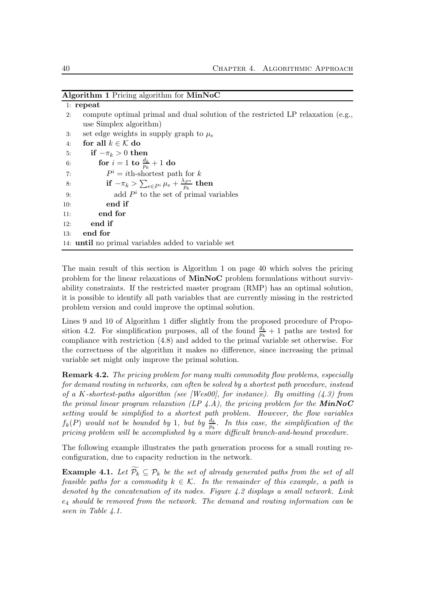| Algorithm 1 Pricing algorithm for MinNoC |  |  |  |  |  |
|------------------------------------------|--|--|--|--|--|
|------------------------------------------|--|--|--|--|--|

|     | $1:$ repeat                                                                     |
|-----|---------------------------------------------------------------------------------|
| 2:  | compute optimal primal and dual solution of the restricted LP relaxation (e.g., |
|     | use Simplex algorithm)                                                          |
| 3:  | set edge weights in supply graph to $\mu_e$                                     |
| 4:  | for all $k \in \mathcal{K}$ do                                                  |
| 5:  | if $-\pi_k > 0$ then                                                            |
| 6:  | <b>for</b> $i = 1$ <b>to</b> $\frac{d_k}{p_k} + 1$ <b>do</b>                    |
| 7:  | $P^i = i$ th-shortest path for k                                                |
| 8:  | if $-\pi_k > \sum_{e \in Pi} \mu_e + \frac{\lambda_{P^*}}{n_e}$ then            |
| 9:  | add $Pi$ to the set of primal variables                                         |
| 10: | end if                                                                          |
| 11: | end for                                                                         |
| 12: | end if                                                                          |
| 13: | end for                                                                         |
|     | 14: <b>until</b> no primal variables added to variable set                      |

The main result of this section is Algorithm 1 on page 40 which solves the pricing problem for the linear relaxations of MinNoC problem formulations without survivability constraints. If the restricted master program (RMP) has an optimal solution, it is possible to identify all path variables that are currently missing in the restricted problem version and could improve the optimal solution.

Lines 9 and 10 of Algorithm 1 differ slightly from the proposed procedure of Proposition 4.2. For simplification purposes, all of the found  $\frac{d_k}{p_k} + 1$  paths are tested for compliance with restriction (4.8) and added to the primal variable set otherwise. For the correctness of the algorithm it makes no difference, since increasing the primal variable set might only improve the primal solution.

**Remark 4.2.** The pricing problem for many multi commodity flow problems, especially for demand routing in networks, can often be solved by a shortest path procedure, instead of a K-shortest-paths algorithm (see [Wes00], for instance). By omitting  $(4.3)$  from the primal linear program relaxation (LP  $\angle A$ ), the pricing problem for the **MinNoC** setting would be simplified to a shortest path problem. However, the flow variables  $f_k(P)$  would not be bounded by 1, but by  $\frac{d_k}{p_k}$ . In this case, the simplification of the pricing problem will be accomplished by a more difficult branch-and-bound procedure.

The following example illustrates the path generation process for a small routing reconfiguration, due to capacity reduction in the network.

**Example 4.1.** Let  $\widetilde{\mathcal{P}_k} \subseteq \mathcal{P}_k$  be the set of already generated paths from the set of all feasible paths for a commodity  $k \in \mathcal{K}$ . In the remainder of this example, a path is denoted by the concatenation of its nodes. Figure 4.2 displays a small network. Link  $e_4$  should be removed from the network. The demand and routing information can be seen in Table 4.1.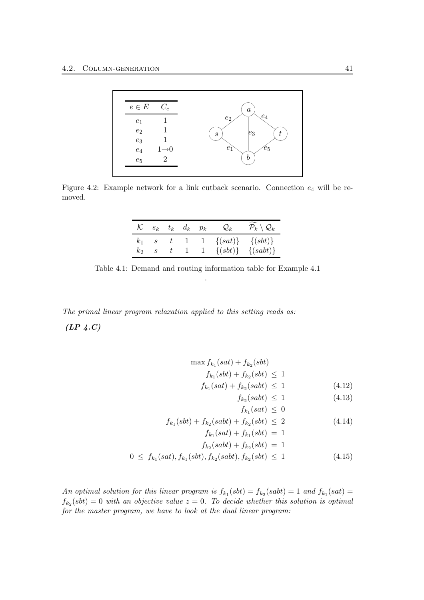

Figure 4.2: Example network for a link cutback scenario. Connection  $e_4$  will be removed.

|  |  | $\mathcal{K}$ $s_k$ $t_k$ $d_k$ $p_k$ | $\mathcal{Q}_k$                          | $\mathcal{\widetilde{P}}_k\setminus\mathcal{Q}_k$ |
|--|--|---------------------------------------|------------------------------------------|---------------------------------------------------|
|  |  |                                       | $k_1$ s t 1 1 $\{(sat)\}\$ $\{(sbt)\}$   |                                                   |
|  |  |                                       | $k_2$ s t 1 1 $\{(sbt)\}\$ $\{(sabt)\}\$ |                                                   |

Table 4.1: Demand and routing information table for Example 4.1 .

The primal linear program relaxation applied to this setting reads as:  $(LP \, 4.C)$ 

> $\max f_{k_1}(sat) + f_{k_2}(sbt)$  $f_{k_1}(sbt) + f_{k_2}(sbt) \leq 1$  $f_{k_1}(sat) + f_{k_2}(sabb) \leq 1$  (4.12)  $f_{k_2}(sabb) \le 1$  (4.13)  $f_{k_1}(sat) \leq 0$  $f_{k_1}(sbt) + f_{k_2}(sabt) + f_{k_2}(sbt) \leq 2$  (4.14)

$$
f_{k_1}(sat) + f_{k_1}(sbt) = 1
$$
  

$$
f_{k_2}(sabt) + f_{k_2}(sbt) = 1
$$
  

$$
0 \le f_{k_1}(sat), f_{k_1}(sbt), f_{k_2}(sabt), f_{k_2}(sbt) \le 1
$$
 (4.15)

An optimal solution for this linear program is  $f_{k_1}(sbt) = f_{k_2}(sabt) = 1$  and  $f_{k_1}(sat) =$  $f_{k_2}(sbt) = 0$  with an objective value  $z = 0$ . To decide whether this solution is optimal for the master program, we have to look at the dual linear program: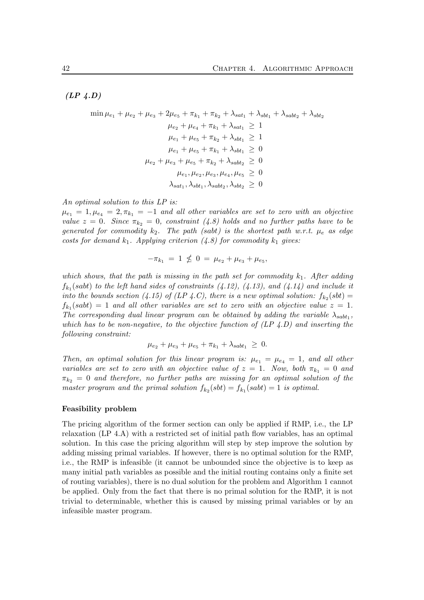$(LP \, 4.D)$ 

$$
\min \mu_{e_1} + \mu_{e_2} + \mu_{e_3} + 2\mu_{e_5} + \pi_{k_1} + \pi_{k_2} + \lambda_{sat_1} + \lambda_{sbt_1} + \lambda_{sabt_2} + \lambda_{sbt_2}
$$

$$
\mu_{e_2} + \mu_{e_4} + \pi_{k_1} + \lambda_{sat_1} \ge 1
$$

$$
\mu_{e_1} + \mu_{e_5} + \pi_{k_2} + \lambda_{sbt_1} \ge 1
$$

$$
\mu_{e_1} + \mu_{e_5} + \pi_{k_1} + \lambda_{sbt_1} \ge 0
$$

$$
\mu_{e_2} + \mu_{e_3} + \mu_{e_5} + \pi_{k_2} + \lambda_{sabt_2} \ge 0
$$

$$
\mu_{e_1}, \mu_{e_2}, \mu_{e_3}, \mu_{e_4}, \mu_{e_5} \ge 0
$$

$$
\lambda_{sat_1}, \lambda_{sbt_1}, \lambda_{sabt_2}, \lambda_{sbt_2} \ge 0
$$

An optimal solution to this LP is:

 $\mu_{e_1} = 1, \mu_{e_4} = 2, \pi_{k_1} = -1$  and all other variables are set to zero with an objective value  $z = 0$ . Since  $\pi_{k_2} = 0$ , constraint (4.8) holds and no further paths have to be generated for commodity  $k_2$ . The path (sabt) is the shortest path w.r.t.  $\mu_e$  as edge costs for demand  $k_1$ . Applying criterion (4.8) for commodity  $k_1$  gives:

$$
-\pi_{k_1} = 1 \nleq 0 = \mu_{e_2} + \mu_{e_3} + \mu_{e_5},
$$

which shows, that the path is missing in the path set for commodity  $k_1$ . After adding  $f_{k_1}(sabt)$  to the left hand sides of constraints  $(4.12)$ ,  $(4.13)$ , and  $(4.14)$  and include it into the bounds section (4.15) of (LP 4.C), there is a new optimal solution:  $f_{k_2}(sbt) =$  $f_{k_1}(sabt) = 1$  and all other variables are set to zero with an objective value  $z = 1$ . The corresponding dual linear program can be obtained by adding the variable  $\lambda_{sabb_1}$ , which has to be non-negative, to the objective function of  $(LP 4.D)$  and inserting the following constraint:

$$
\mu_{e_2} + \mu_{e_3} + \mu_{e_5} + \pi_{k_1} + \lambda_{sabt_1} \geq 0.
$$

Then, an optimal solution for this linear program is:  $\mu_{e_1} = \mu_{e_4} = 1$ , and all other variables are set to zero with an objective value of  $z = 1$ . Now, both  $\pi_{k_1} = 0$  and  $\pi_{k_2} = 0$  and therefore, no further paths are missing for an optimal solution of the master program and the primal solution  $f_{k_2}(sbt) = f_{k_1}(sabt) = 1$  is optimal.

#### Feasibility problem

The pricing algorithm of the former section can only be applied if RMP, i.e., the LP relaxation (LP 4.A) with a restricted set of initial path flow variables, has an optimal solution. In this case the pricing algorithm will step by step improve the solution by adding missing primal variables. If however, there is no optimal solution for the RMP, i.e., the RMP is infeasible (it cannot be unbounded since the objective is to keep as many initial path variables as possible and the initial routing contains only a finite set of routing variables), there is no dual solution for the problem and Algorithm 1 cannot be applied. Only from the fact that there is no primal solution for the RMP, it is not trivial to determinable, whether this is caused by missing primal variables or by an infeasible master program.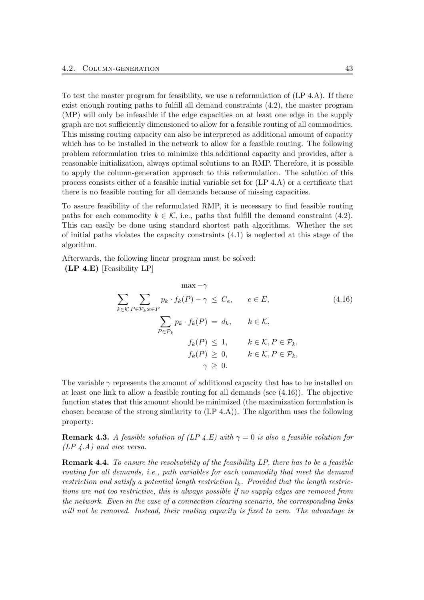To test the master program for feasibility, we use a reformulation of (LP 4.A). If there exist enough routing paths to fulfill all demand constraints (4.2), the master program (MP) will only be infeasible if the edge capacities on at least one edge in the supply graph are not sufficiently dimensioned to allow for a feasible routing of all commodities. This missing routing capacity can also be interpreted as additional amount of capacity which has to be installed in the network to allow for a feasible routing. The following problem reformulation tries to minimize this additional capacity and provides, after a reasonable initialization, always optimal solutions to an RMP. Therefore, it is possible to apply the column-generation approach to this reformulation. The solution of this process consists either of a feasible initial variable set for (LP 4.A) or a certificate that there is no feasible routing for all demands because of missing capacities.

To assure feasibility of the reformulated RMP, it is necessary to find feasible routing paths for each commodity  $k \in \mathcal{K}$ , i.e., paths that fulfill the demand constraint (4.2). This can easily be done using standard shortest path algorithms. Whether the set of initial paths violates the capacity constraints (4.1) is neglected at this stage of the algorithm.

Afterwards, the following linear program must be solved: (LP 4.E) [Feasibility LP]

$$
\max -\gamma
$$
  
\n
$$
\sum_{k \in \mathcal{K}} \sum_{P \in \mathcal{P}_k : e \in P} p_k \cdot f_k(P) - \gamma \leq C_e, \qquad e \in E,
$$
  
\n
$$
\sum_{P \in \mathcal{P}_k} p_k \cdot f_k(P) = d_k, \qquad k \in \mathcal{K},
$$
  
\n
$$
f_k(P) \leq 1, \qquad k \in \mathcal{K}, P \in \mathcal{P}_k,
$$
  
\n
$$
f_k(P) \geq 0, \qquad k \in \mathcal{K}, P \in \mathcal{P}_k,
$$
  
\n
$$
\gamma \geq 0.
$$
\n(4.16)

The variable  $\gamma$  represents the amount of additional capacity that has to be installed on at least one link to allow a feasible routing for all demands (see (4.16)). The objective function states that this amount should be minimized (the maximization formulation is chosen because of the strong similarity to (LP 4.A)). The algorithm uses the following property:

**Remark 4.3.** A feasible solution of (LP 4.E) with  $\gamma = 0$  is also a feasible solution for (LP 4.A) and vice versa.

Remark 4.4. To ensure the resolvability of the feasibility LP, there has to be a feasible routing for all demands, i.e., path variables for each commodity that meet the demand restriction and satisfy a potential length restriction  $l_k$ . Provided that the length restrictions are not too restrictive, this is always possible if no supply edges are removed from the network. Even in the case of a connection clearing scenario, the corresponding links will not be removed. Instead, their routing capacity is fixed to zero. The advantage is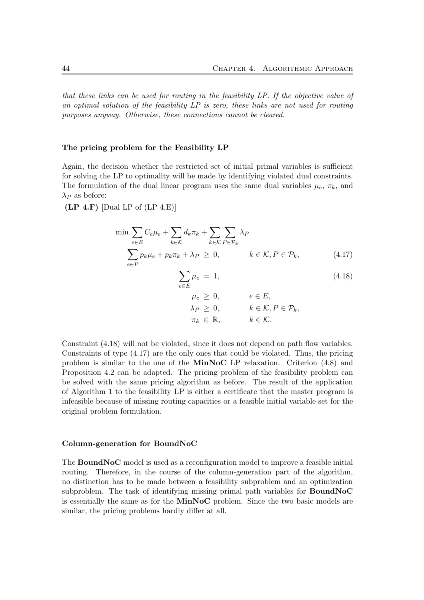that these links can be used for routing in the feasibility LP. If the objective value of an optimal solution of the feasibility LP is zero, these links are not used for routing purposes anyway. Otherwise, these connections cannot be cleared.

#### The pricing problem for the Feasibility LP

Again, the decision whether the restricted set of initial primal variables is sufficient for solving the LP to optimality will be made by identifying violated dual constraints. The formulation of the dual linear program uses the same dual variables  $\mu_e$ ,  $\pi_k$ , and  $\lambda_P$  as before:

 $(LP 4.F)$  [Dual LP of  $(LP 4.E)$ ]

$$
\min \sum_{e \in E} C_e \mu_e + \sum_{k \in \mathcal{K}} d_k \pi_k + \sum_{k \in \mathcal{K}} \sum_{P \in \mathcal{P}_k} \lambda_P
$$
\n
$$
\sum_{e \in P} p_k \mu_e + p_k \pi_k + \lambda_P \ge 0, \qquad k \in \mathcal{K}, P \in \mathcal{P}_k,
$$
\n(4.17)

$$
\sum_{e \in E} \mu_e = 1,\tag{4.18}
$$

$$
\mu_e \geq 0, \qquad e \in E,
$$
  
\n
$$
\lambda_P \geq 0, \qquad k \in \mathcal{K}, P \in \mathcal{P}_k,
$$
  
\n
$$
\pi_k \in \mathbb{R}, \qquad k \in \mathcal{K}.
$$

Constraint (4.18) will not be violated, since it does not depend on path flow variables. Constraints of type (4.17) are the only ones that could be violated. Thus, the pricing problem is similar to the one of the MinNoC LP relaxation. Criterion (4.8) and Proposition 4.2 can be adapted. The pricing problem of the feasibility problem can be solved with the same pricing algorithm as before. The result of the application of Algorithm 1 to the feasibility LP is either a certificate that the master program is infeasible because of missing routing capacities or a feasible initial variable set for the original problem formulation.

#### Column-generation for BoundNoC

The BoundNoC model is used as a reconfiguration model to improve a feasible initial routing. Therefore, in the course of the column-generation part of the algorithm, no distinction has to be made between a feasibility subproblem and an optimization subproblem. The task of identifying missing primal path variables for **BoundNoC** is essentially the same as for the **MinNoC** problem. Since the two basic models are similar, the pricing problems hardly differ at all.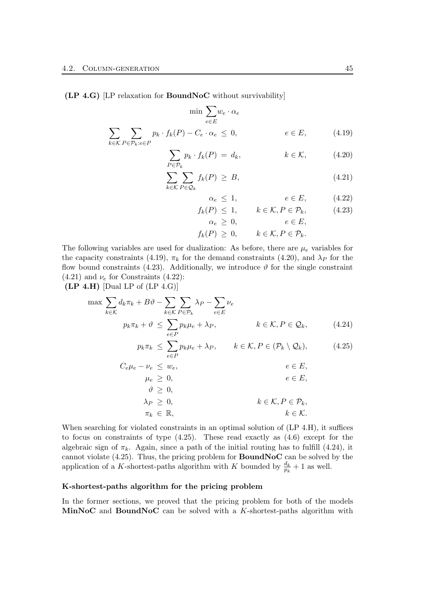(LP 4.G) [LP relaxation for BoundNoC without survivability]

$$
\min \sum_{e \in E} w_e \cdot \alpha_e
$$
  

$$
\sum_{k \in K} \sum_{P \in \mathcal{P}_k: e \in P} p_k \cdot f_k(P) - C_e \cdot \alpha_e \le 0, \qquad e \in E,
$$
 (4.19)

$$
\sum_{P \in \mathcal{P}_k} p_k \cdot f_k(P) = d_k, \qquad k \in \mathcal{K}, \qquad (4.20)
$$

$$
\sum_{k \in \mathcal{K}} \sum_{P \in \mathcal{Q}_k} f_k(P) \geq B,\tag{4.21}
$$

$$
\alpha_e \le 1, \qquad \qquad e \in E, \qquad (4.22)
$$

$$
f_k(P) \le 1, \qquad k \in \mathcal{K}, P \in \mathcal{P}_k, \tag{4.23}
$$

$$
\alpha_e \ge 0, \qquad e \in E,
$$

$$
f_k(P) \geq 0, \qquad k \in \mathcal{K}, P \in \mathcal{P}_k.
$$

The following variables are used for dualization: As before, there are  $\mu_e$  variables for the capacity constraints (4.19),  $\pi_k$  for the demand constraints (4.20), and  $\lambda_P$  for the flow bound constraints (4.23). Additionally, we introduce  $\vartheta$  for the single constraint  $(4.21)$  and  $\nu_e$  for Constraints  $(4.22)$ :

 $(LP 4.H)$  [Dual LP of  $(LP 4.G)$ ]

$$
\max \sum_{k \in \mathcal{K}} d_k \pi_k + B \vartheta - \sum_{k \in \mathcal{K}} \sum_{P \in \mathcal{P}_k} \lambda_P - \sum_{e \in E} \nu_e
$$
\n
$$
p_k \pi_k + \vartheta \le \sum_{e \in P} p_k \mu_e + \lambda_P, \qquad k \in \mathcal{K}, P \in \mathcal{Q}_k, \qquad (4.24)
$$

$$
p_k \pi_k \leq \sum_{e \in P} p_k \mu_e + \lambda_P, \qquad k \in \mathcal{K}, P \in (\mathcal{P}_k \setminus \mathcal{Q}_k), \tag{4.25}
$$

$$
C_{e}\mu_{e} - \nu_{e} \leq w_{e}, \qquad e \in E,
$$
  
\n
$$
\mu_{e} \geq 0, \qquad e \in E,
$$
  
\n
$$
\vartheta \geq 0, \qquad k \in \mathcal{K}, P \in \mathcal{P}_{k},
$$
  
\n
$$
\pi_{k} \in \mathbb{R}, \qquad k \in \mathcal{K}.
$$

When searching for violated constraints in an optimal solution of  $(LP 4.H)$ , it suffices to focus on constraints of type (4.25). These read exactly as (4.6) except for the algebraic sign of  $\pi_k$ . Again, since a path of the initial routing has to fulfill (4.24), it cannot violate  $(4.25)$ . Thus, the pricing problem for **BoundNoC** can be solved by the application of a K-shortest-paths algorithm with K bounded by  $\frac{d_k}{p_k} + 1$  as well.

#### K-shortest-paths algorithm for the pricing problem

In the former sections, we proved that the pricing problem for both of the models MinNoC and BoundNoC can be solved with a K-shortest-paths algorithm with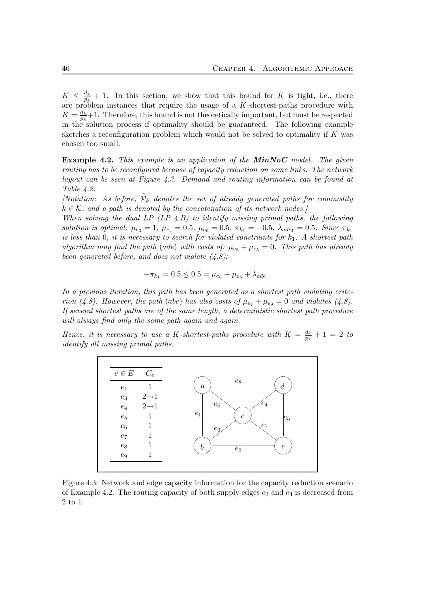$K \leq \frac{d_k}{n_k}$  $\frac{a_k}{p_k}+1$ . In this section, we show that this bound for K is tight, i.e., there are problem instances that require the usage of a  $K$ -shortest-paths procedure with  $K=\frac{d_k}{n_k}$  $\frac{a_k}{p_k}+1$ . Therefore, this bound is not theoretically important, but must be respected in the solution process if optimality should be guaranteed. The following example sketches a reconfiguration problem which would not be solved to optimality if  $K$  was chosen too small.

**Example 4.2.** This example is an application of the  $MinNoC$  model. The given routing has to be reconfigured because of capacity reduction on some links. The network layout can be seen at Figure 4.3. Demand and routing information can be found at Table 4.2.

[Notation: As before,  $\widetilde{\mathcal{P}_k}$  denotes the set of already generated paths for commodity  $k \in \mathcal{K}$ , and a path is denoted by the concatenation of its network nodes.

When solving the dual LP  $(LP \, 4.B)$  to identify missing primal paths, the following solution is optimal:  $\mu_{e_3} = 1$ ,  $\mu_{e_4} = 0.5$ ,  $\mu_{e_6} = 0.5$ ,  $\pi_{k_1} = -0.5$ ,  $\lambda_{ade_1} = 0.5$ . Since  $\pi_{k_1}$ is less than 0, it is necessary to search for violated constraints for  $k_1$ . A shortest path algorithm may find the path (ade) with costs of:  $\mu_{e_8} + \mu_{e_5} = 0$ . This path has already been generated before, and does not violate  $(4.8)$ :

$$
-\pi_{k_1} = 0.5 \leq 0.5 = \mu_{e_8} + \mu_{e_5} + \lambda_{ade_1}.
$$

In a previous iteration, this path has been generated as a shortest path violating criterion (4.8). However, the path (abe) has also costs of  $\mu_{e_1} + \mu_{e_9} = 0$  and violates (4.8). If several shortest paths are of the same length, a deterministic shortest path procedure will always find only the same path again and again.

Hence, it is necessary to use a K-shortest-paths procedure with  $K = \frac{d_k}{dt}$  $\frac{a_k}{p_k} + 1 = 2$  to identify all missing primal paths.



Figure 4.3: Network and edge capacity information for the capacity reduction scenario of Example 4.2. The routing capacity of both supply edges  $e_3$  and  $e_4$  is decreased from 2 to 1.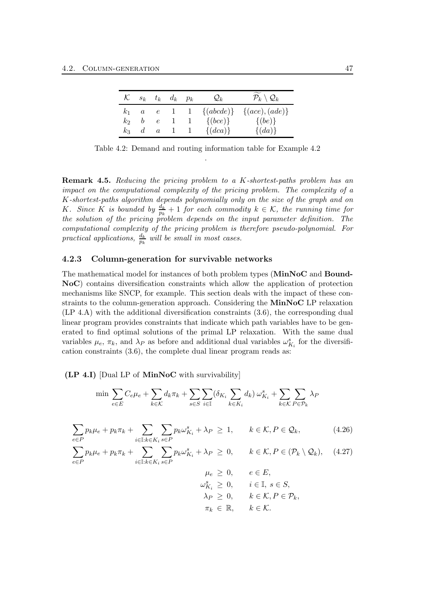| K.    |                  | $s_k$ $t_k$      |         | $d_k$ $p_k$ | $\mathcal{Q}_k$                        | $\mathcal{P}_k\setminus \mathcal{Q}_k$ |
|-------|------------------|------------------|---------|-------------|----------------------------------------|----------------------------------------|
| $k_1$ | $\boldsymbol{a}$ |                  |         |             | $e \quad 1 \quad 1 \quad \{(abcde)\}\$ | $\{(ace), (ade)\}\$                    |
| k2    | b                | $\epsilon$       | $\perp$ |             | $\{(bce)\}\$                           | $\{(be)\}\$                            |
| $k_3$ | $\mathfrak{a}$   | $\boldsymbol{a}$ |         |             | $\{(dca)\}\$                           | $\{(da)\}\$                            |

Table 4.2: Demand and routing information table for Example 4.2 .

Remark 4.5. Reducing the pricing problem to a K-shortest-paths problem has an impact on the computational complexity of the pricing problem. The complexity of a K-shortest-paths algorithm depends polynomially only on the size of the graph and on K. Since K is bounded by  $\frac{d_k}{p_k} + 1$  for each commodity  $k \in \mathcal{K}$ , the running time for the solution of the pricing problem depends on the input parameter definition. The computational complexity of the pricing problem is therefore pseudo-polynomial. For practical applications,  $\frac{d_k}{p_k}$  will be small in most cases.

#### 4.2.3 Column-generation for survivable networks

The mathematical model for instances of both problem types (MinNoC and Bound-NoC) contains diversification constraints which allow the application of protection mechanisms like SNCP, for example. This section deals with the impact of these constraints to the column-generation approach. Considering the MinNoC LP relaxation (LP 4.A) with the additional diversification constraints (3.6), the corresponding dual linear program provides constraints that indicate which path variables have to be generated to find optimal solutions of the primal LP relaxation. With the same dual variables  $\mu_e$ ,  $\pi_k$ , and  $\lambda_P$  as before and additional dual variables  $\omega_{K_i}^s$  for the diversification constraints (3.6), the complete dual linear program reads as:

#### (LP 4.I) [Dual LP of MinNoC with survivability]

$$
\min \sum_{e \in E} C_e \mu_e + \sum_{k \in \mathcal{K}} d_k \pi_k + \sum_{s \in S} \sum_{i \in \mathbb{I}} (\delta_{K_i} \sum_{k \in K_i} d_k) \omega_{K_i}^s + \sum_{k \in \mathcal{K}} \sum_{P \in \mathcal{P}_k} \lambda_P
$$

$$
\sum_{e \in P} p_k \mu_e + p_k \pi_k + \sum_{i \in \mathbb{I}: k \in K_i} \sum_{s \in P} p_k \omega_{K_i}^s + \lambda_P \ge 1, \qquad k \in \mathcal{K}, P \in \mathcal{Q}_k,
$$
\n(4.26)

$$
\sum_{e \in P} p_k \mu_e + p_k \pi_k + \sum_{i \in \mathbb{I}: k \in K_i} \sum_{s \in P} p_k \omega_{K_i}^s + \lambda_P \ge 0, \qquad k \in \mathcal{K}, P \in (\mathcal{P}_k \setminus \mathcal{Q}_k), \quad (4.27)
$$

 $\mu_e \geq 0, \qquad e \in E,$  $\omega_{K_i}^s \geq 0, \quad i \in \mathbb{I}, s \in S,$  $\lambda_P \geq 0, \qquad k \in \mathcal{K}, P \in \mathcal{P}_k,$  $\pi_k \in \mathbb{R}, \qquad k \in \mathcal{K}.$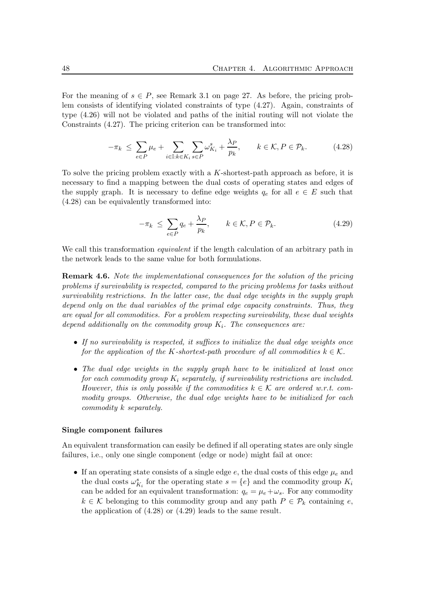For the meaning of  $s \in P$ , see Remark 3.1 on page 27. As before, the pricing problem consists of identifying violated constraints of type (4.27). Again, constraints of type (4.26) will not be violated and paths of the initial routing will not violate the Constraints (4.27). The pricing criterion can be transformed into:

$$
-\pi_k \leq \sum_{e \in P} \mu_e + \sum_{i \in \mathbb{I}: k \in K_i} \sum_{s \in P} \omega_{K_i}^s + \frac{\lambda_P}{p_k}, \qquad k \in \mathcal{K}, P \in \mathcal{P}_k.
$$
 (4.28)

To solve the pricing problem exactly with a  $K$ -shortest-path approach as before, it is necessary to find a mapping between the dual costs of operating states and edges of the supply graph. It is necessary to define edge weights  $q_e$  for all  $e \in E$  such that (4.28) can be equivalently transformed into:

$$
-\pi_k \le \sum_{e \in P} q_e + \frac{\lambda_P}{p_k}, \qquad k \in \mathcal{K}, P \in \mathcal{P}_k.
$$
 (4.29)

We call this transformation *equivalent* if the length calculation of an arbitrary path in the network leads to the same value for both formulations.

Remark 4.6. Note the implementational consequences for the solution of the pricing problems if survivability is respected, compared to the pricing problems for tasks without survivability restrictions. In the latter case, the dual edge weights in the supply graph depend only on the dual variables of the primal edge capacity constraints. Thus, they are equal for all commodities. For a problem respecting survivability, these dual weights depend additionally on the commodity group  $K_i$ . The consequences are:

- If no survivability is respected, it suffices to initialize the dual edge weights once for the application of the K-shortest-path procedure of all commodities  $k \in \mathcal{K}$ .
- The dual edge weights in the supply graph have to be initialized at least once for each commodity group  $K_i$  separately, if survivability restrictions are included. However, this is only possible if the commodities  $k \in \mathcal{K}$  are ordered w.r.t. commodity groups. Otherwise, the dual edge weights have to be initialized for each commodity k separately.

#### Single component failures

An equivalent transformation can easily be defined if all operating states are only single failures, i.e., only one single component (edge or node) might fail at once:

• If an operating state consists of a single edge  $e$ , the dual costs of this edge  $\mu_e$  and the dual costs  $\omega_{K_i}^s$  for the operating state  $s = \{e\}$  and the commodity group  $K_i$ can be added for an equivalent transformation:  $q_e = \mu_e + \omega_s$ . For any commodity  $k \in \mathcal{K}$  belonging to this commodity group and any path  $P \in \mathcal{P}_k$  containing e, the application of (4.28) or (4.29) leads to the same result.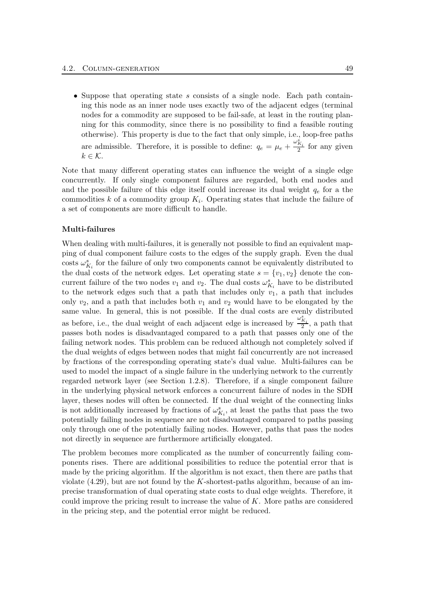• Suppose that operating state s consists of a single node. Each path containing this node as an inner node uses exactly two of the adjacent edges (terminal nodes for a commodity are supposed to be fail-safe, at least in the routing planning for this commodity, since there is no possibility to find a feasible routing otherwise). This property is due to the fact that only simple, i.e., loop-free paths are admissible. Therefore, it is possible to define:  $q_e = \mu_e + \frac{\omega_{K_i}^S}{2}$  for any given  $k \in \mathcal{K}$ .

Note that many different operating states can influence the weight of a single edge concurrently. If only single component failures are regarded, both end nodes and and the possible failure of this edge itself could increase its dual weight  $q_e$  for a the commodities  $k$  of a commodity group  $K_i$ . Operating states that include the failure of a set of components are more difficult to handle.

#### Multi-failures

When dealing with multi-failures, it is generally not possible to find an equivalent mapping of dual component failure costs to the edges of the supply graph. Even the dual costs  $\omega_{K_i}^s$  for the failure of only two components cannot be equivalently distributed to the dual costs of the network edges. Let operating state  $s = \{v_1, v_2\}$  denote the concurrent failure of the two nodes  $v_1$  and  $v_2$ . The dual costs  $\omega_{K_i}^s$  have to be distributed to the network edges such that a path that includes only  $v_1$ , a path that includes only  $v_2$ , and a path that includes both  $v_1$  and  $v_2$  would have to be elongated by the same value. In general, this is not possible. If the dual costs are evenly distributed as before, i.e., the dual weight of each adjacent edge is increased by  $\frac{\omega_{K_i}^s}{2}$ , a path that passes both nodes is disadvantaged compared to a path that passes only one of the failing network nodes. This problem can be reduced although not completely solved if the dual weights of edges between nodes that might fail concurrently are not increased by fractions of the corresponding operating state's dual value. Multi-failures can be used to model the impact of a single failure in the underlying network to the currently regarded network layer (see Section 1.2.8). Therefore, if a single component failure in the underlying physical network enforces a concurrent failure of nodes in the SDH layer, theses nodes will often be connected. If the dual weight of the connecting links is not additionally increased by fractions of  $\omega_{K_i}^s$ , at least the paths that pass the two potentially failing nodes in sequence are not disadvantaged compared to paths passing only through one of the potentially failing nodes. However, paths that pass the nodes not directly in sequence are furthermore artificially elongated.

The problem becomes more complicated as the number of concurrently failing components rises. There are additional possibilities to reduce the potential error that is made by the pricing algorithm. If the algorithm is not exact, then there are paths that violate  $(4.29)$ , but are not found by the K-shortest-paths algorithm, because of an imprecise transformation of dual operating state costs to dual edge weights. Therefore, it could improve the pricing result to increase the value of K. More paths are considered in the pricing step, and the potential error might be reduced.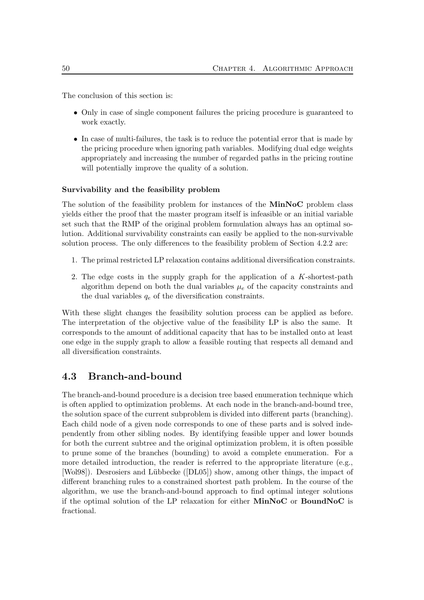The conclusion of this section is:

- Only in case of single component failures the pricing procedure is guaranteed to work exactly.
- In case of multi-failures, the task is to reduce the potential error that is made by the pricing procedure when ignoring path variables. Modifying dual edge weights appropriately and increasing the number of regarded paths in the pricing routine will potentially improve the quality of a solution.

#### Survivability and the feasibility problem

The solution of the feasibility problem for instances of the MinNoC problem class yields either the proof that the master program itself is infeasible or an initial variable set such that the RMP of the original problem formulation always has an optimal solution. Additional survivability constraints can easily be applied to the non-survivable solution process. The only differences to the feasibility problem of Section 4.2.2 are:

- 1. The primal restricted LP relaxation contains additional diversification constraints.
- 2. The edge costs in the supply graph for the application of a K-shortest-path algorithm depend on both the dual variables  $\mu_e$  of the capacity constraints and the dual variables  $q_e$  of the diversification constraints.

With these slight changes the feasibility solution process can be applied as before. The interpretation of the objective value of the feasibility LP is also the same. It corresponds to the amount of additional capacity that has to be installed onto at least one edge in the supply graph to allow a feasible routing that respects all demand and all diversification constraints.

# 4.3 Branch-and-bound

The branch-and-bound procedure is a decision tree based enumeration technique which is often applied to optimization problems. At each node in the branch-and-bound tree, the solution space of the current subproblem is divided into different parts (branching). Each child node of a given node corresponds to one of these parts and is solved independently from other sibling nodes. By identifying feasible upper and lower bounds for both the current subtree and the original optimization problem, it is often possible to prune some of the branches (bounding) to avoid a complete enumeration. For a more detailed introduction, the reader is referred to the appropriate literature (e.g., [Wol98]). Desrosiers and Lübbecke ([DL05]) show, among other things, the impact of different branching rules to a constrained shortest path problem. In the course of the algorithm, we use the branch-and-bound approach to find optimal integer solutions if the optimal solution of the LP relaxation for either MinNoC or BoundNoC is fractional.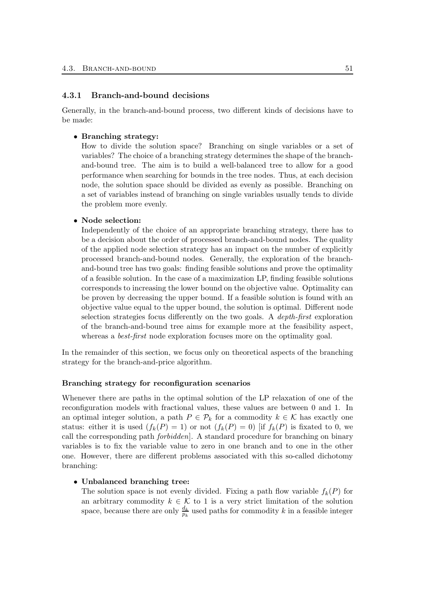#### 4.3.1 Branch-and-bound decisions

Generally, in the branch-and-bound process, two different kinds of decisions have to be made:

#### • Branching strategy:

How to divide the solution space? Branching on single variables or a set of variables? The choice of a branching strategy determines the shape of the branchand-bound tree. The aim is to build a well-balanced tree to allow for a good performance when searching for bounds in the tree nodes. Thus, at each decision node, the solution space should be divided as evenly as possible. Branching on a set of variables instead of branching on single variables usually tends to divide the problem more evenly.

#### • Node selection:

Independently of the choice of an appropriate branching strategy, there has to be a decision about the order of processed branch-and-bound nodes. The quality of the applied node selection strategy has an impact on the number of explicitly processed branch-and-bound nodes. Generally, the exploration of the branchand-bound tree has two goals: finding feasible solutions and prove the optimality of a feasible solution. In the case of a maximization LP, finding feasible solutions corresponds to increasing the lower bound on the objective value. Optimality can be proven by decreasing the upper bound. If a feasible solution is found with an objective value equal to the upper bound, the solution is optimal. Different node selection strategies focus differently on the two goals. A depth-first exploration of the branch-and-bound tree aims for example more at the feasibility aspect, whereas a *best-first* node exploration focuses more on the optimality goal.

In the remainder of this section, we focus only on theoretical aspects of the branching strategy for the branch-and-price algorithm.

#### Branching strategy for reconfiguration scenarios

Whenever there are paths in the optimal solution of the LP relaxation of one of the reconfiguration models with fractional values, these values are between 0 and 1. In an optimal integer solution, a path  $P \in \mathcal{P}_k$  for a commodity  $k \in \mathcal{K}$  has exactly one status: either it is used  $(f_k(P) = 1)$  or not  $(f_k(P) = 0)$  [if  $f_k(P)$  is fixated to 0, we call the corresponding path forbidden]. A standard procedure for branching on binary variables is to fix the variable value to zero in one branch and to one in the other one. However, there are different problems associated with this so-called dichotomy branching:

#### • Unbalanced branching tree:

The solution space is not evenly divided. Fixing a path flow variable  $f_k(P)$  for an arbitrary commodity  $k \in \mathcal{K}$  to 1 is a very strict limitation of the solution space, because there are only  $\frac{d_k}{p_k}$  used paths for commodity k in a feasible integer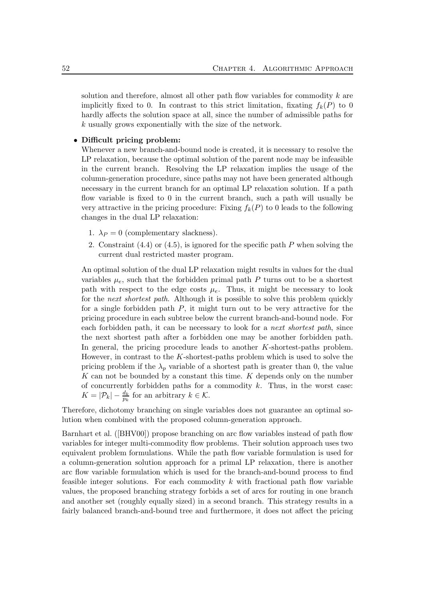solution and therefore, almost all other path flow variables for commodity k are implicitly fixed to 0. In contrast to this strict limitation, fixating  $f_k(P)$  to 0 hardly affects the solution space at all, since the number of admissible paths for k usually grows exponentially with the size of the network.

#### • Difficult pricing problem:

Whenever a new branch-and-bound node is created, it is necessary to resolve the LP relaxation, because the optimal solution of the parent node may be infeasible in the current branch. Resolving the LP relaxation implies the usage of the column-generation procedure, since paths may not have been generated although necessary in the current branch for an optimal LP relaxation solution. If a path flow variable is fixed to 0 in the current branch, such a path will usually be very attractive in the pricing procedure: Fixing  $f_k(P)$  to 0 leads to the following changes in the dual LP relaxation:

- 1.  $\lambda_P = 0$  (complementary slackness).
- 2. Constraint  $(4.4)$  or  $(4.5)$ , is ignored for the specific path P when solving the current dual restricted master program.

An optimal solution of the dual LP relaxation might results in values for the dual variables  $\mu_e$ , such that the forbidden primal path P turns out to be a shortest path with respect to the edge costs  $\mu_e$ . Thus, it might be necessary to look for the *next shortest path*. Although it is possible to solve this problem quickly for a single forbidden path  $P$ , it might turn out to be very attractive for the pricing procedure in each subtree below the current branch-and-bound node. For each forbidden path, it can be necessary to look for a next shortest path, since the next shortest path after a forbidden one may be another forbidden path. In general, the pricing procedure leads to another K-shortest-paths problem. However, in contrast to the  $K$ -shortest-paths problem which is used to solve the pricing problem if the  $\lambda_p$  variable of a shortest path is greater than 0, the value  $K$  can not be bounded by a constant this time.  $K$  depends only on the number of concurrently forbidden paths for a commodity  $k$ . Thus, in the worst case:  $K = |\mathcal{P}_k| - \frac{d_k}{p_k}$  for an arbitrary  $k \in \mathcal{K}$ .

Therefore, dichotomy branching on single variables does not guarantee an optimal solution when combined with the proposed column-generation approach.

Barnhart et al. ([BHV00]) propose branching on arc flow variables instead of path flow variables for integer multi-commodity flow problems. Their solution approach uses two equivalent problem formulations. While the path flow variable formulation is used for a column-generation solution approach for a primal LP relaxation, there is another arc flow variable formulation which is used for the branch-and-bound process to find feasible integer solutions. For each commodity  $k$  with fractional path flow variable values, the proposed branching strategy forbids a set of arcs for routing in one branch and another set (roughly equally sized) in a second branch. This strategy results in a fairly balanced branch-and-bound tree and furthermore, it does not affect the pricing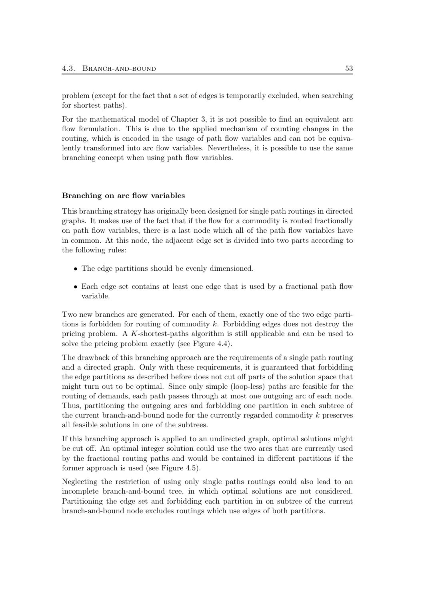problem (except for the fact that a set of edges is temporarily excluded, when searching for shortest paths).

For the mathematical model of Chapter 3, it is not possible to find an equivalent arc flow formulation. This is due to the applied mechanism of counting changes in the routing, which is encoded in the usage of path flow variables and can not be equivalently transformed into arc flow variables. Nevertheless, it is possible to use the same branching concept when using path flow variables.

#### Branching on arc flow variables

This branching strategy has originally been designed for single path routings in directed graphs. It makes use of the fact that if the flow for a commodity is routed fractionally on path flow variables, there is a last node which all of the path flow variables have in common. At this node, the adjacent edge set is divided into two parts according to the following rules:

- The edge partitions should be evenly dimensioned.
- Each edge set contains at least one edge that is used by a fractional path flow variable.

Two new branches are generated. For each of them, exactly one of the two edge partitions is forbidden for routing of commodity k. Forbidding edges does not destroy the pricing problem. A K-shortest-paths algorithm is still applicable and can be used to solve the pricing problem exactly (see Figure 4.4).

The drawback of this branching approach are the requirements of a single path routing and a directed graph. Only with these requirements, it is guaranteed that forbidding the edge partitions as described before does not cut off parts of the solution space that might turn out to be optimal. Since only simple (loop-less) paths are feasible for the routing of demands, each path passes through at most one outgoing arc of each node. Thus, partitioning the outgoing arcs and forbidding one partition in each subtree of the current branch-and-bound node for the currently regarded commodity k preserves all feasible solutions in one of the subtrees.

If this branching approach is applied to an undirected graph, optimal solutions might be cut off. An optimal integer solution could use the two arcs that are currently used by the fractional routing paths and would be contained in different partitions if the former approach is used (see Figure 4.5).

Neglecting the restriction of using only single paths routings could also lead to an incomplete branch-and-bound tree, in which optimal solutions are not considered. Partitioning the edge set and forbidding each partition in on subtree of the current branch-and-bound node excludes routings which use edges of both partitions.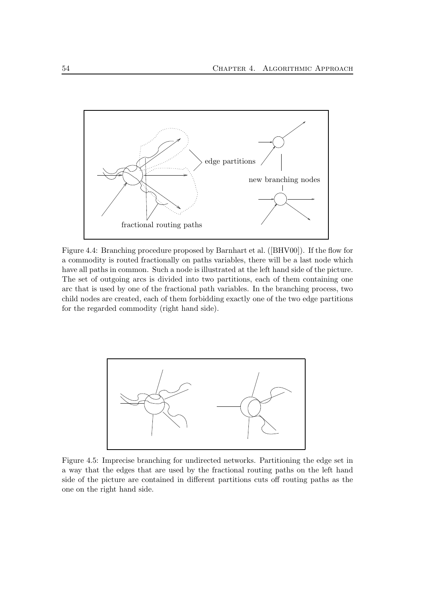

Figure 4.4: Branching procedure proposed by Barnhart et al. ([BHV00]). If the flow for a commodity is routed fractionally on paths variables, there will be a last node which have all paths in common. Such a node is illustrated at the left hand side of the picture. The set of outgoing arcs is divided into two partitions, each of them containing one arc that is used by one of the fractional path variables. In the branching process, two child nodes are created, each of them forbidding exactly one of the two edge partitions for the regarded commodity (right hand side).



Figure 4.5: Imprecise branching for undirected networks. Partitioning the edge set in a way that the edges that are used by the fractional routing paths on the left hand side of the picture are contained in different partitions cuts off routing paths as the one on the right hand side.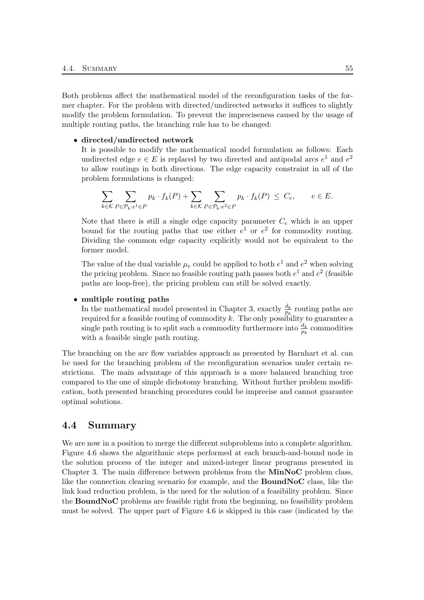Both problems affect the mathematical model of the reconfiguration tasks of the former chapter. For the problem with directed/undirected networks it suffices to slightly modify the problem formulation. To prevent the impreciseness caused by the usage of multiple routing paths, the branching rule has to be changed:

#### • directed/undirected network

It is possible to modify the mathematical model formulation as follows: Each undirected edge  $e \in E$  is replaced by two directed and antipodal arcs  $e^1$  and  $e^2$ to allow routings in both directions. The edge capacity constraint in all of the problem formulations is changed:

$$
\sum_{k \in \mathcal{K}} \sum_{P \in \mathcal{P}_k : e^1 \in P} p_k \cdot f_k(P) + \sum_{k \in \mathcal{K}} \sum_{P \in \mathcal{P}_k : e^2 \in P} p_k \cdot f_k(P) \le C_e, \qquad e \in E.
$$

Note that there is still a single edge capacity parameter  $C_e$  which is an upper bound for the routing paths that use either  $e^1$  or  $e^2$  for commodity routing. Dividing the common edge capacity explicitly would not be equivalent to the former model.

The value of the dual variable  $\mu_e$  could be applied to both  $e^1$  and  $e^2$  when solving the pricing problem. Since no feasible routing path passes both  $e^1$  and  $e^2$  (feasible paths are loop-free), the pricing problem can still be solved exactly.

#### • multiple routing paths

In the mathematical model presented in Chapter 3, exactly  $\frac{d_k}{p_k}$  routing paths are required for a feasible routing of commodity k. The only possibility to guarantee a single path routing is to split such a commodity furthermore into  $\frac{d_k}{p_k}$  commodities with a feasible single path routing.

The branching on the arc flow variables approach as presented by Barnhart et al. can be used for the branching problem of the reconfiguration scenarios under certain restrictions. The main advantage of this approach is a more balanced branching tree compared to the one of simple dichotomy branching. Without further problem modification, both presented branching procedures could be imprecise and cannot guarantee optimal solutions.

# 4.4 Summary

We are now in a position to merge the different subproblems into a complete algorithm. Figure 4.6 shows the algorithmic steps performed at each branch-and-bound node in the solution process of the integer and mixed-integer linear programs presented in Chapter 3. The main difference between problems from the MinNoC problem class, like the connection clearing scenario for example, and the BoundNoC class, like the link load reduction problem, is the need for the solution of a feasibility problem. Since the BoundNoC problems are feasible right from the beginning, no feasibility problem must be solved. The upper part of Figure 4.6 is skipped in this case (indicated by the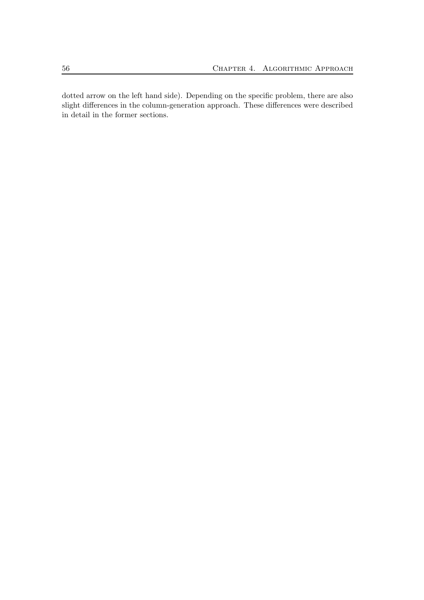dotted arrow on the left hand side). Depending on the specific problem, there are also slight differences in the column-generation approach. These differences were described in detail in the former sections.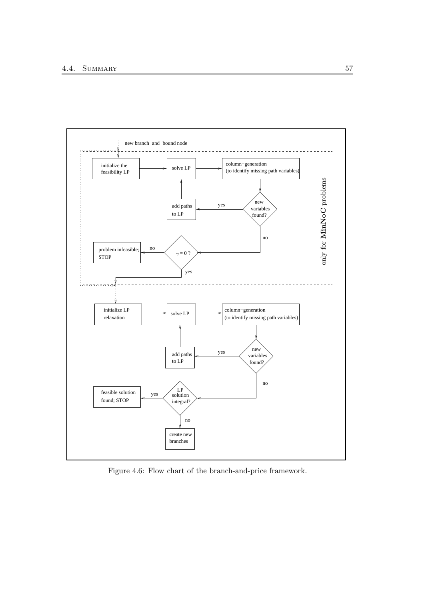

Figure 4.6: Flow chart of the branch-and-price framework.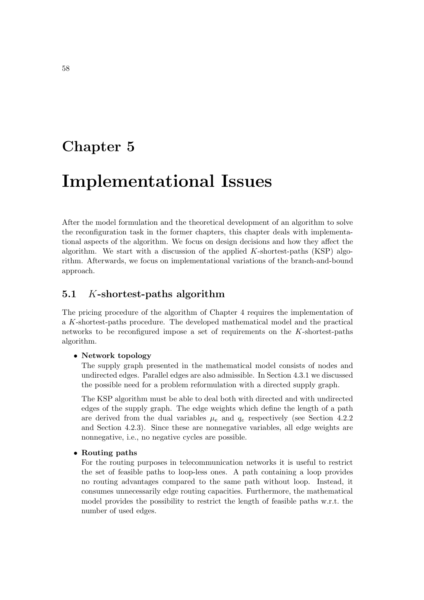# Chapter 5

# Implementational Issues

After the model formulation and the theoretical development of an algorithm to solve the reconfiguration task in the former chapters, this chapter deals with implementational aspects of the algorithm. We focus on design decisions and how they affect the algorithm. We start with a discussion of the applied  $K$ -shortest-paths (KSP) algorithm. Afterwards, we focus on implementational variations of the branch-and-bound approach.

# 5.1 K-shortest-paths algorithm

The pricing procedure of the algorithm of Chapter 4 requires the implementation of a K-shortest-paths procedure. The developed mathematical model and the practical networks to be reconfigured impose a set of requirements on the  $K$ -shortest-paths algorithm.

#### • Network topology

The supply graph presented in the mathematical model consists of nodes and undirected edges. Parallel edges are also admissible. In Section 4.3.1 we discussed the possible need for a problem reformulation with a directed supply graph.

The KSP algorithm must be able to deal both with directed and with undirected edges of the supply graph. The edge weights which define the length of a path are derived from the dual variables  $\mu_e$  and  $q_e$  respectively (see Section 4.2.2) and Section 4.2.3). Since these are nonnegative variables, all edge weights are nonnegative, i.e., no negative cycles are possible.

#### • Routing paths

For the routing purposes in telecommunication networks it is useful to restrict the set of feasible paths to loop-less ones. A path containing a loop provides no routing advantages compared to the same path without loop. Instead, it consumes unnecessarily edge routing capacities. Furthermore, the mathematical model provides the possibility to restrict the length of feasible paths w.r.t. the number of used edges.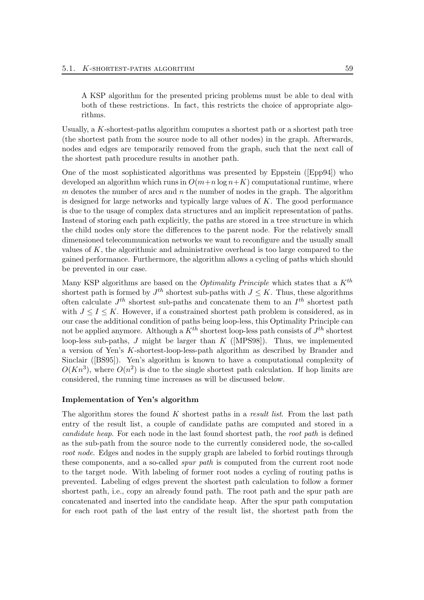A KSP algorithm for the presented pricing problems must be able to deal with both of these restrictions. In fact, this restricts the choice of appropriate algorithms.

Usually, a  $K$ -shortest-paths algorithm computes a shortest path or a shortest path tree (the shortest path from the source node to all other nodes) in the graph. Afterwards, nodes and edges are temporarily removed from the graph, such that the next call of the shortest path procedure results in another path.

One of the most sophisticated algorithms was presented by Eppstein ([Epp94]) who developed an algorithm which runs in  $O(m+n \log n+K)$  computational runtime, where m denotes the number of arcs and  $n$  the number of nodes in the graph. The algorithm is designed for large networks and typically large values of  $K$ . The good performance is due to the usage of complex data structures and an implicit representation of paths. Instead of storing each path explicitly, the paths are stored in a tree structure in which the child nodes only store the differences to the parent node. For the relatively small dimensioned telecommunication networks we want to reconfigure and the usually small values of  $K$ , the algorithmic and administrative overhead is too large compared to the gained performance. Furthermore, the algorithm allows a cycling of paths which should be prevented in our case.

Many KSP algorithms are based on the *Optimality Principle* which states that a  $K^{th}$ shortest path is formed by  $J^{th}$  shortest sub-paths with  $J \leq K$ . Thus, these algorithms often calculate  $J<sup>th</sup>$  shortest sub-paths and concatenate them to an  $I<sup>th</sup>$  shortest path with  $J \leq I \leq K$ . However, if a constrained shortest path problem is considered, as in our case the additional condition of paths being loop-less, this Optimality Principle can not be applied anymore. Although a  $K^{th}$  shortest loop-less path consists of  $J^{th}$  shortest loop-less sub-paths, J might be larger than  $K$  ([MPS98]). Thus, we implemented a version of Yen's K-shortest-loop-less-path algorithm as described by Brander and Sinclair ([BS95]). Yen's algorithm is known to have a computational complexity of  $O(Kn^3)$ , where  $O(n^2)$  is due to the single shortest path calculation. If hop limits are considered, the running time increases as will be discussed below.

#### Implementation of Yen's algorithm

The algorithm stores the found  $K$  shortest paths in a *result list*. From the last path entry of the result list, a couple of candidate paths are computed and stored in a candidate heap. For each node in the last found shortest path, the root path is defined as the sub-path from the source node to the currently considered node, the so-called root node. Edges and nodes in the supply graph are labeled to forbid routings through these components, and a so-called *spur path* is computed from the current root node to the target node. With labeling of former root nodes a cycling of routing paths is prevented. Labeling of edges prevent the shortest path calculation to follow a former shortest path, i.e., copy an already found path. The root path and the spur path are concatenated and inserted into the candidate heap. After the spur path computation for each root path of the last entry of the result list, the shortest path from the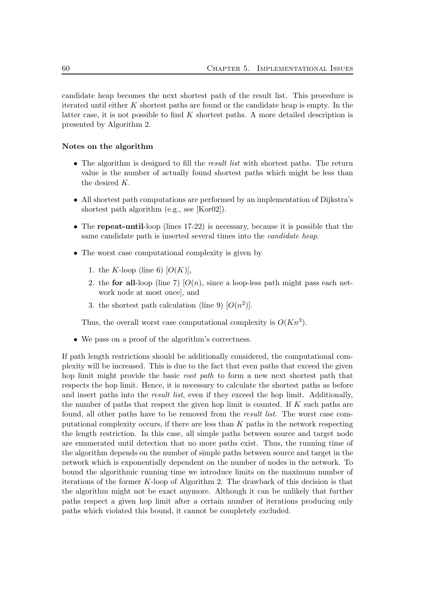candidate heap becomes the next shortest path of the result list. This procedure is iterated until either  $K$  shortest paths are found or the candidate heap is empty. In the latter case, it is not possible to find  $K$  shortest paths. A more detailed description is presented by Algorithm 2.

#### Notes on the algorithm

- The algorithm is designed to fill the *result list* with shortest paths. The return value is the number of actually found shortest paths which might be less than the desired K.
- All shortest path computations are performed by an implementation of Dijkstra's shortest path algorithm (e.g., see [Kor02]).
- The repeat-until-loop (lines 17-22) is necessary, because it is possible that the same candidate path is inserted several times into the candidate heap.
- The worst case computational complexity is given by
	- 1. the K-loop (line 6)  $[O(K)]$ ,
	- 2. the for all-loop (line 7)  $[O(n)]$ , since a loop-less path might pass each network node at most once], and
	- 3. the shortest path calculation (line 9)  $[O(n^2)]$ .

Thus, the overall worst case computational complexity is  $O(Kn^3)$ .

• We pass on a proof of the algorithm's correctness.

If path length restrictions should be additionally considered, the computational complexity will be increased. This is due to the fact that even paths that exceed the given hop limit might provide the basic *root path* to form a new next shortest path that respects the hop limit. Hence, it is necessary to calculate the shortest paths as before and insert paths into the *result list*, even if they exceed the hop limit. Additionally, the number of paths that respect the given hop limit is counted. If  $K$  such paths are found, all other paths have to be removed from the *result list*. The worst case computational complexity occurs, if there are less than  $K$  paths in the network respecting the length restriction. In this case, all simple paths between source and target node are enumerated until detection that no more paths exist. Thus, the running time of the algorithm depends on the number of simple paths between source and target in the network which is exponentially dependent on the number of nodes in the network. To bound the algorithmic running time we introduce limits on the maximum number of iterations of the former  $K$ -loop of Algorithm 2. The drawback of this decision is that the algorithm might not be exact anymore. Although it can be unlikely that further paths respect a given hop limit after a certain number of iterations producing only paths which violated this bound, it cannot be completely excluded.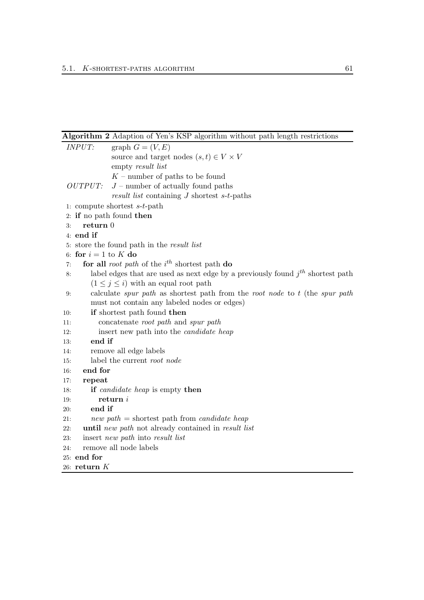Algorithm 2 Adaption of Yen's KSP algorithm without path length restrictions

|     | <b>INPUT:</b>          | graph $G = (V, E)$                                                                  |
|-----|------------------------|-------------------------------------------------------------------------------------|
|     |                        | source and target nodes $(s,t) \in V \times V$                                      |
|     |                        | empty result list                                                                   |
|     |                        | $K$ – number of paths to be found                                                   |
|     | OUTPUT:                | $J$ – number of actually found paths                                                |
|     |                        | result list containing $J$ shortest $s$ -t-paths                                    |
|     |                        | 1: compute shortest $s$ - $t$ -path                                                 |
|     |                        | 2: if no path found then                                                            |
| 3:  | return 0               |                                                                                     |
|     | $4:$ end if            |                                                                                     |
|     |                        | 5: store the found path in the result list                                          |
|     | 6: for $i = 1$ to K do |                                                                                     |
| 7:  |                        | for all <i>root</i> path of the $i^{th}$ shortest path do                           |
| 8:  |                        | label edges that are used as next edge by a previously found $j^{th}$ shortest path |
|     |                        | $(1 \leq j \leq i)$ with an equal root path                                         |
| 9:  |                        | calculate spur path as shortest path from the root node to $t$ (the spur path       |
|     |                        | must not contain any labeled nodes or edges)                                        |
| 10: |                        | if shortest path found then                                                         |
| 11: |                        | concatenate root path and spur path                                                 |
| 12: |                        | insert new path into the <i>candidate</i> heap                                      |
| 13: | end if                 |                                                                                     |
| 14: |                        | remove all edge labels                                                              |
| 15: |                        | label the current root node                                                         |
| 16: | end for                |                                                                                     |
| 17: | repeat                 |                                                                                     |
| 18: |                        | <b>if</b> candidate heap is empty then                                              |
| 19: |                        | return i                                                                            |
| 20: | end if                 |                                                                                     |
| 21: |                        | new path = shortest path from <i>candidate heap</i>                                 |
| 22: |                        | until new path not already contained in result list                                 |
| 23: |                        | insert <i>new path</i> into <i>result list</i>                                      |
| 24: |                        | remove all node labels                                                              |
|     | 25: end for            |                                                                                     |
|     | $26:$ return $K$       |                                                                                     |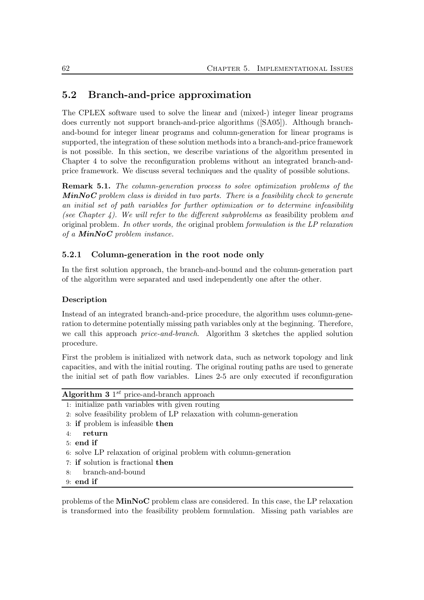# 5.2 Branch-and-price approximation

The CPLEX software used to solve the linear and (mixed-) integer linear programs does currently not support branch-and-price algorithms ([SA05]). Although branchand-bound for integer linear programs and column-generation for linear programs is supported, the integration of these solution methods into a branch-and-price framework is not possible. In this section, we describe variations of the algorithm presented in Chapter 4 to solve the reconfiguration problems without an integrated branch-andprice framework. We discuss several techniques and the quality of possible solutions.

Remark 5.1. The column-generation process to solve optimization problems of the  $MinNoC$  problem class is divided in two parts. There is a feasibility check to generate an initial set of path variables for further optimization or to determine infeasibility (see Chapter 4). We will refer to the different subproblems as feasibility problem and original problem. In other words, the original problem formulation is the LP relaxation of a  $MinNoC$  problem instance.

## 5.2.1 Column-generation in the root node only

In the first solution approach, the branch-and-bound and the column-generation part of the algorithm were separated and used independently one after the other.

### Description

Instead of an integrated branch-and-price procedure, the algorithm uses column-generation to determine potentially missing path variables only at the beginning. Therefore, we call this approach *price-and-branch*. Algorithm 3 sketches the applied solution procedure.

First the problem is initialized with network data, such as network topology and link capacities, and with the initial routing. The original routing paths are used to generate the initial set of path flow variables. Lines 2-5 are only executed if reconfiguration

| <b>Algorithm 3</b> $1^{st}$ price-and-branch approach                |
|----------------------------------------------------------------------|
| 1: initialize path variables with given routing                      |
| 2. solve feasibility problem of LP relaxation with column-generation |
| 3: if problem is infeasible then                                     |
| return<br>4:                                                         |
| $5:$ end if                                                          |
| 6: solve LP relaxation of original problem with column-generation    |
| 7: if solution is fractional then                                    |
| branch-and-bound<br>8:                                               |
| $9:$ end if                                                          |

problems of the MinNoC problem class are considered. In this case, the LP relaxation is transformed into the feasibility problem formulation. Missing path variables are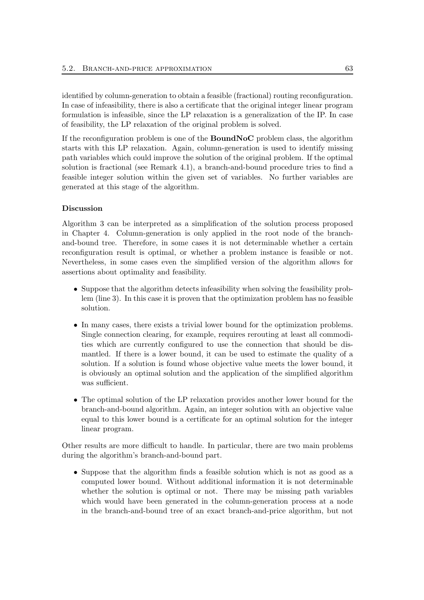identified by column-generation to obtain a feasible (fractional) routing reconfiguration. In case of infeasibility, there is also a certificate that the original integer linear program formulation is infeasible, since the LP relaxation is a generalization of the IP. In case of feasibility, the LP relaxation of the original problem is solved.

If the reconfiguration problem is one of the BoundNoC problem class, the algorithm starts with this LP relaxation. Again, column-generation is used to identify missing path variables which could improve the solution of the original problem. If the optimal solution is fractional (see Remark 4.1), a branch-and-bound procedure tries to find a feasible integer solution within the given set of variables. No further variables are generated at this stage of the algorithm.

### Discussion

Algorithm 3 can be interpreted as a simplification of the solution process proposed in Chapter 4. Column-generation is only applied in the root node of the branchand-bound tree. Therefore, in some cases it is not determinable whether a certain reconfiguration result is optimal, or whether a problem instance is feasible or not. Nevertheless, in some cases even the simplified version of the algorithm allows for assertions about optimality and feasibility.

- Suppose that the algorithm detects infeasibility when solving the feasibility problem (line 3). In this case it is proven that the optimization problem has no feasible solution.
- In many cases, there exists a trivial lower bound for the optimization problems. Single connection clearing, for example, requires rerouting at least all commodities which are currently configured to use the connection that should be dismantled. If there is a lower bound, it can be used to estimate the quality of a solution. If a solution is found whose objective value meets the lower bound, it is obviously an optimal solution and the application of the simplified algorithm was sufficient.
- The optimal solution of the LP relaxation provides another lower bound for the branch-and-bound algorithm. Again, an integer solution with an objective value equal to this lower bound is a certificate for an optimal solution for the integer linear program.

Other results are more difficult to handle. In particular, there are two main problems during the algorithm's branch-and-bound part.

• Suppose that the algorithm finds a feasible solution which is not as good as a computed lower bound. Without additional information it is not determinable whether the solution is optimal or not. There may be missing path variables which would have been generated in the column-generation process at a node in the branch-and-bound tree of an exact branch-and-price algorithm, but not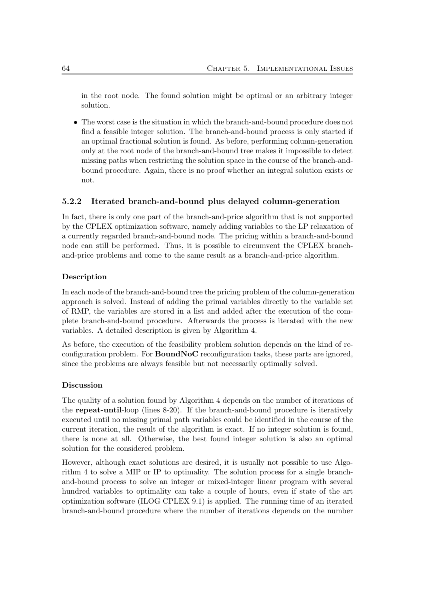in the root node. The found solution might be optimal or an arbitrary integer solution.

• The worst case is the situation in which the branch-and-bound procedure does not find a feasible integer solution. The branch-and-bound process is only started if an optimal fractional solution is found. As before, performing column-generation only at the root node of the branch-and-bound tree makes it impossible to detect missing paths when restricting the solution space in the course of the branch-andbound procedure. Again, there is no proof whether an integral solution exists or not.

#### 5.2.2 Iterated branch-and-bound plus delayed column-generation

In fact, there is only one part of the branch-and-price algorithm that is not supported by the CPLEX optimization software, namely adding variables to the LP relaxation of a currently regarded branch-and-bound node. The pricing within a branch-and-bound node can still be performed. Thus, it is possible to circumvent the CPLEX branchand-price problems and come to the same result as a branch-and-price algorithm.

#### Description

In each node of the branch-and-bound tree the pricing problem of the column-generation approach is solved. Instead of adding the primal variables directly to the variable set of RMP, the variables are stored in a list and added after the execution of the complete branch-and-bound procedure. Afterwards the process is iterated with the new variables. A detailed description is given by Algorithm 4.

As before, the execution of the feasibility problem solution depends on the kind of reconfiguration problem. For BoundNoC reconfiguration tasks, these parts are ignored, since the problems are always feasible but not necessarily optimally solved.

#### Discussion

The quality of a solution found by Algorithm 4 depends on the number of iterations of the repeat-until-loop (lines 8-20). If the branch-and-bound procedure is iteratively executed until no missing primal path variables could be identified in the course of the current iteration, the result of the algorithm is exact. If no integer solution is found, there is none at all. Otherwise, the best found integer solution is also an optimal solution for the considered problem.

However, although exact solutions are desired, it is usually not possible to use Algorithm 4 to solve a MIP or IP to optimality. The solution process for a single branchand-bound process to solve an integer or mixed-integer linear program with several hundred variables to optimality can take a couple of hours, even if state of the art optimization software (ILOG CPLEX 9.1) is applied. The running time of an iterated branch-and-bound procedure where the number of iterations depends on the number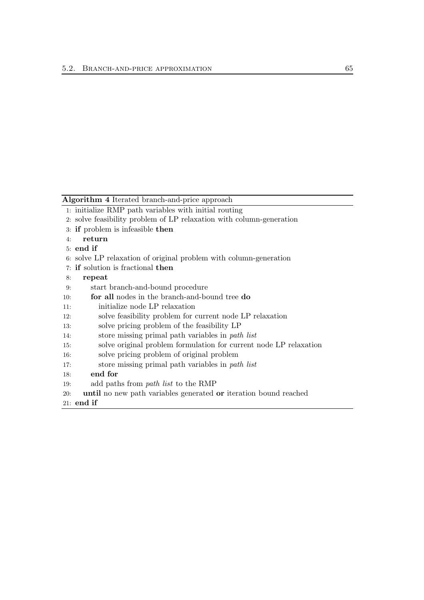Algorithm 4 Iterated branch-and-price approach

- 1: initialize RMP path variables with initial routing
- 2: solve feasibility problem of LP relaxation with column-generation
- 3: if problem is infeasible then
- 4: return
- 5: end if
- 6: solve LP relaxation of original problem with column-generation
- 7: if solution is fractional then
- 8: repeat
- 9: start branch-and-bound procedure
- 10: for all nodes in the branch-and-bound tree do
- 11: initialize node LP relaxation
- 12: solve feasibility problem for current node LP relaxation
- 13: solve pricing problem of the feasibility LP
- 14: store missing primal path variables in path list
- 15: solve original problem formulation for current node LP relaxation
- 16: solve pricing problem of original problem
- 17: store missing primal path variables in path list
- 18: end for
- 19: add paths from path list to the RMP
- 20: until no new path variables generated or iteration bound reached
- 21: end if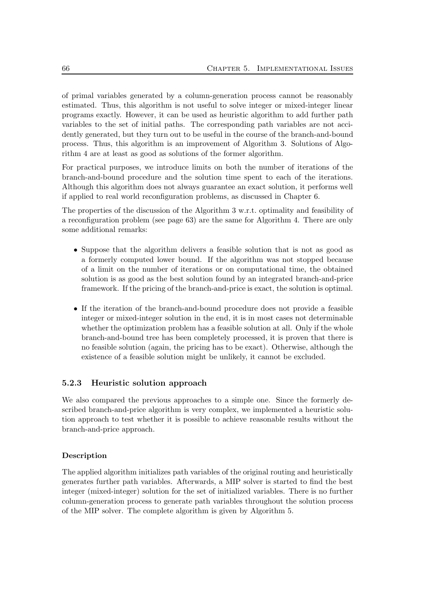of primal variables generated by a column-generation process cannot be reasonably estimated. Thus, this algorithm is not useful to solve integer or mixed-integer linear programs exactly. However, it can be used as heuristic algorithm to add further path variables to the set of initial paths. The corresponding path variables are not accidently generated, but they turn out to be useful in the course of the branch-and-bound process. Thus, this algorithm is an improvement of Algorithm 3. Solutions of Algorithm 4 are at least as good as solutions of the former algorithm.

For practical purposes, we introduce limits on both the number of iterations of the branch-and-bound procedure and the solution time spent to each of the iterations. Although this algorithm does not always guarantee an exact solution, it performs well if applied to real world reconfiguration problems, as discussed in Chapter 6.

The properties of the discussion of the Algorithm 3 w.r.t. optimality and feasibility of a reconfiguration problem (see page 63) are the same for Algorithm 4. There are only some additional remarks:

- Suppose that the algorithm delivers a feasible solution that is not as good as a formerly computed lower bound. If the algorithm was not stopped because of a limit on the number of iterations or on computational time, the obtained solution is as good as the best solution found by an integrated branch-and-price framework. If the pricing of the branch-and-price is exact, the solution is optimal.
- If the iteration of the branch-and-bound procedure does not provide a feasible integer or mixed-integer solution in the end, it is in most cases not determinable whether the optimization problem has a feasible solution at all. Only if the whole branch-and-bound tree has been completely processed, it is proven that there is no feasible solution (again, the pricing has to be exact). Otherwise, although the existence of a feasible solution might be unlikely, it cannot be excluded.

#### 5.2.3 Heuristic solution approach

We also compared the previous approaches to a simple one. Since the formerly described branch-and-price algorithm is very complex, we implemented a heuristic solution approach to test whether it is possible to achieve reasonable results without the branch-and-price approach.

#### Description

The applied algorithm initializes path variables of the original routing and heuristically generates further path variables. Afterwards, a MIP solver is started to find the best integer (mixed-integer) solution for the set of initialized variables. There is no further column-generation process to generate path variables throughout the solution process of the MIP solver. The complete algorithm is given by Algorithm 5.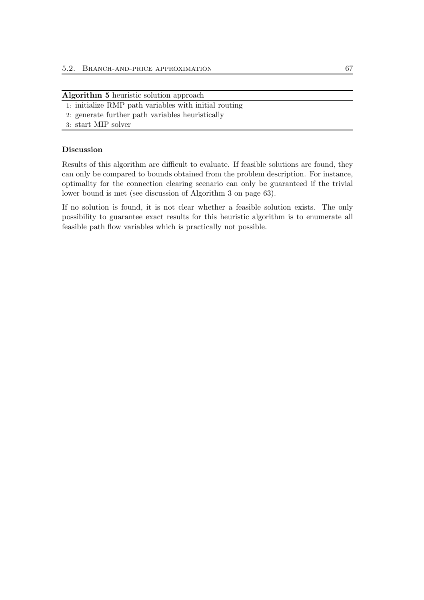| Algorithm 5 heuristic solution approach |  |  |  |  |
|-----------------------------------------|--|--|--|--|
|-----------------------------------------|--|--|--|--|

- 1: initialize RMP path variables with initial routing
- 2: generate further path variables heuristically
- 3: start MIP solver

#### Discussion

Results of this algorithm are difficult to evaluate. If feasible solutions are found, they can only be compared to bounds obtained from the problem description. For instance, optimality for the connection clearing scenario can only be guaranteed if the trivial lower bound is met (see discussion of Algorithm 3 on page 63).

If no solution is found, it is not clear whether a feasible solution exists. The only possibility to guarantee exact results for this heuristic algorithm is to enumerate all feasible path flow variables which is practically not possible.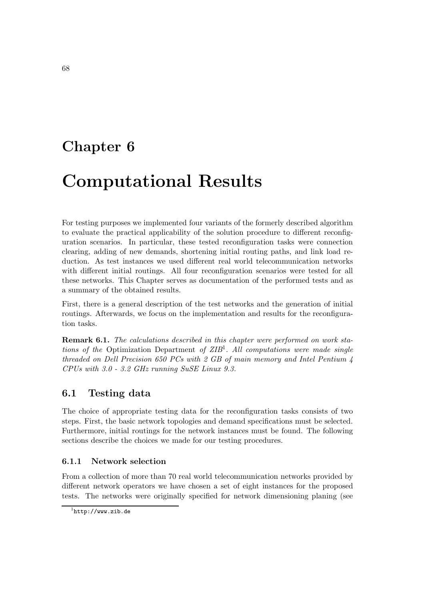# Chapter 6

# Computational Results

For testing purposes we implemented four variants of the formerly described algorithm to evaluate the practical applicability of the solution procedure to different reconfiguration scenarios. In particular, these tested reconfiguration tasks were connection clearing, adding of new demands, shortening initial routing paths, and link load reduction. As test instances we used different real world telecommunication networks with different initial routings. All four reconfiguration scenarios were tested for all these networks. This Chapter serves as documentation of the performed tests and as a summary of the obtained results.

First, there is a general description of the test networks and the generation of initial routings. Afterwards, we focus on the implementation and results for the reconfiguration tasks.

Remark 6.1. The calculations described in this chapter were performed on work stations of the Optimization Department of ZIB<sup>1</sup>. All computations were made single threaded on Dell Precision 650 PCs with 2 GB of main memory and Intel Pentium 4 CPUs with 3.0 - 3.2 GHz running SuSE Linux 9.3.

## 6.1 Testing data

The choice of appropriate testing data for the reconfiguration tasks consists of two steps. First, the basic network topologies and demand specifications must be selected. Furthermore, initial routings for the network instances must be found. The following sections describe the choices we made for our testing procedures.

## 6.1.1 Network selection

From a collection of more than 70 real world telecommunication networks provided by different network operators we have chosen a set of eight instances for the proposed tests. The networks were originally specified for network dimensioning planing (see

 $^1$ http://www.zib.de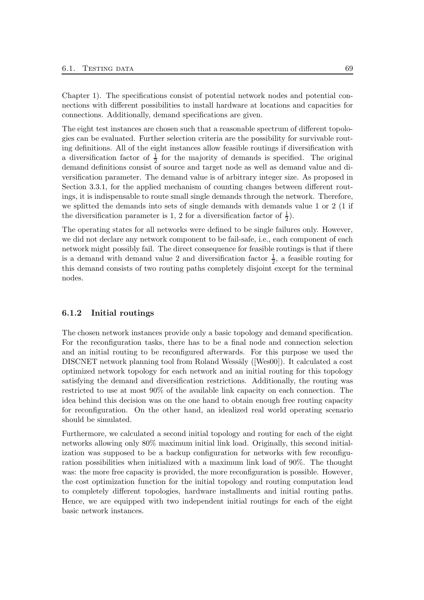Chapter 1). The specifications consist of potential network nodes and potential connections with different possibilities to install hardware at locations and capacities for connections. Additionally, demand specifications are given.

The eight test instances are chosen such that a reasonable spectrum of different topologies can be evaluated. Further selection criteria are the possibility for survivable routing definitions. All of the eight instances allow feasible routings if diversification with a diversification factor of  $\frac{1}{2}$  for the majority of demands is specified. The original demand definitions consist of source and target node as well as demand value and diversification parameter. The demand value is of arbitrary integer size. As proposed in Section 3.3.1, for the applied mechanism of counting changes between different routings, it is indispensable to route small single demands through the network. Therefore, we splitted the demands into sets of single demands with demands value 1 or 2 (1 if the diversification parameter is 1, 2 for a diversification factor of  $\frac{1}{2}$ ).

The operating states for all networks were defined to be single failures only. However, we did not declare any network component to be fail-safe, i.e., each component of each network might possibly fail. The direct consequence for feasible routings is that if there is a demand with demand value 2 and diversification factor  $\frac{1}{2}$ , a feasible routing for this demand consists of two routing paths completely disjoint except for the terminal nodes.

#### 6.1.2 Initial routings

The chosen network instances provide only a basic topology and demand specification. For the reconfiguration tasks, there has to be a final node and connection selection and an initial routing to be reconfigured afterwards. For this purpose we used the DISCNET network planning tool from Roland Wessäly ([Wes00]). It calculated a cost optimized network topology for each network and an initial routing for this topology satisfying the demand and diversification restrictions. Additionally, the routing was restricted to use at most 90% of the available link capacity on each connection. The idea behind this decision was on the one hand to obtain enough free routing capacity for reconfiguration. On the other hand, an idealized real world operating scenario should be simulated.

Furthermore, we calculated a second initial topology and routing for each of the eight networks allowing only 80% maximum initial link load. Originally, this second initialization was supposed to be a backup configuration for networks with few reconfiguration possibilities when initialized with a maximum link load of 90%. The thought was: the more free capacity is provided, the more reconfiguration is possible. However, the cost optimization function for the initial topology and routing computation lead to completely different topologies, hardware installments and initial routing paths. Hence, we are equipped with two independent initial routings for each of the eight basic network instances.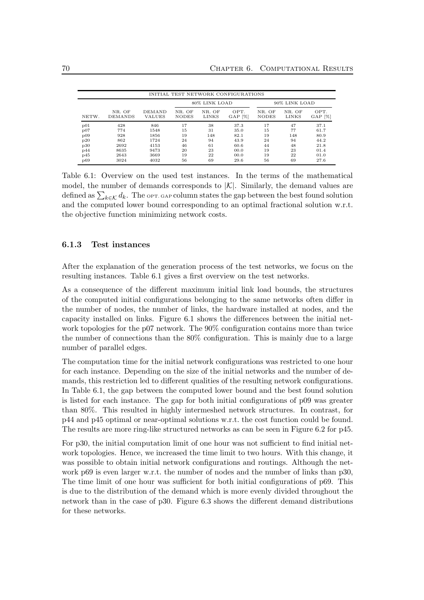|       |                          |                                |                        |                 | INITIAL TEST NETWORK CONFIGURATIONS |                        |                 |                   |  |
|-------|--------------------------|--------------------------------|------------------------|-----------------|-------------------------------------|------------------------|-----------------|-------------------|--|
|       |                          |                                |                        | 80% LINK LOAD   |                                     | 90% LINK LOAD          |                 |                   |  |
| NETW. | NR. OF<br><b>DEMANDS</b> | <b>DEMAND</b><br><b>VALUES</b> | NR. OF<br><b>NODES</b> | NR. OF<br>LINKS | OPT.<br>$GAP$ [%]                   | NR. OF<br><b>NODES</b> | NR. OF<br>LINKS | OPT.<br>$GAP$ [%] |  |
| p01   | 428                      | 846                            | 17                     | 38              | 37.3                                | 17                     | 47              | 37.1              |  |
| p07   | 774                      | 1548                           | 15                     | 31              | 35.0                                | 15                     | 77              | 61.7              |  |
| p09   | 928                      | 1856                           | 19                     | 148             | 82.1                                | 19                     | 148             | 80.9              |  |
| p20   | 862                      | 1724                           | 24                     | 94              | 43.9                                | 24                     | 94              | 44.2              |  |
| p30   | 2692                     | 4153                           | 46                     | 61              | 60.6                                | 44                     | 48              | 21.8              |  |
| p44   | 8635                     | 9473                           | 20                     | 23              | 00.0                                | 19                     | 23              | 01.4              |  |
| p45   | 2643                     | 3669                           | 19                     | 22              | 00.0                                | 19                     | 22              | 01.0              |  |
| p69   | 3024                     | 4032                           | 56                     | 69              | 29.6                                | 56                     | 69              | 27.6              |  |

Table 6.1: Overview on the used test instances. In the terms of the mathematical model, the number of demands corresponds to  $|\mathcal{K}|$ . Similarly, the demand values are defined as  $\sum_{k \in \mathcal{K}} d_k$ . The optical column states the gap between the best found solution and the computed lower bound corresponding to an optimal fractional solution w.r.t. the objective function minimizing network costs.

### 6.1.3 Test instances

After the explanation of the generation process of the test networks, we focus on the resulting instances. Table 6.1 gives a first overview on the test networks.

As a consequence of the different maximum initial link load bounds, the structures of the computed initial configurations belonging to the same networks often differ in the number of nodes, the number of links, the hardware installed at nodes, and the capacity installed on links. Figure 6.1 shows the differences between the initial network topologies for the p07 network. The 90% configuration contains more than twice the number of connections than the 80% configuration. This is mainly due to a large number of parallel edges.

The computation time for the initial network configurations was restricted to one hour for each instance. Depending on the size of the initial networks and the number of demands, this restriction led to different qualities of the resulting network configurations. In Table 6.1, the gap between the computed lower bound and the best found solution is listed for each instance. The gap for both initial configurations of p09 was greater than 80%. This resulted in highly intermeshed network structures. In contrast, for p44 and p45 optimal or near-optimal solutions w.r.t. the cost function could be found. The results are more ring-like structured networks as can be seen in Figure 6.2 for p45.

For p30, the initial computation limit of one hour was not sufficient to find initial network topologies. Hence, we increased the time limit to two hours. With this change, it was possible to obtain initial network configurations and routings. Although the network p69 is even larger w.r.t. the number of nodes and the number of links than p30, The time limit of one hour was sufficient for both initial configurations of p69. This is due to the distribution of the demand which is more evenly divided throughout the network than in the case of p30. Figure 6.3 shows the different demand distributions for these networks.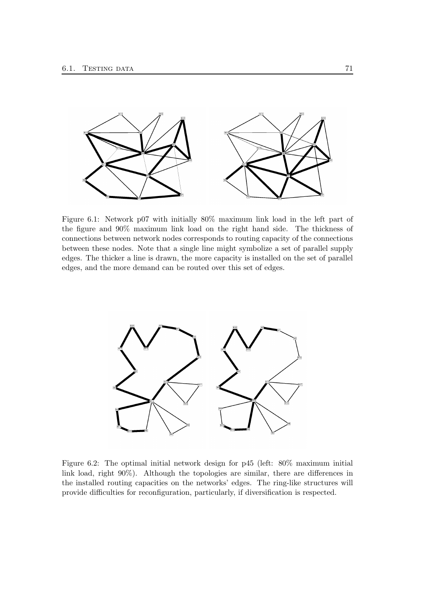

Figure 6.1: Network p07 with initially 80% maximum link load in the left part of the figure and 90% maximum link load on the right hand side. The thickness of connections between network nodes corresponds to routing capacity of the connections between these nodes. Note that a single line might symbolize a set of parallel supply edges. The thicker a line is drawn, the more capacity is installed on the set of parallel edges, and the more demand can be routed over this set of edges.



Figure 6.2: The optimal initial network design for p45 (left: 80% maximum initial link load, right 90%). Although the topologies are similar, there are differences in the installed routing capacities on the networks' edges. The ring-like structures will provide difficulties for reconfiguration, particularly, if diversification is respected.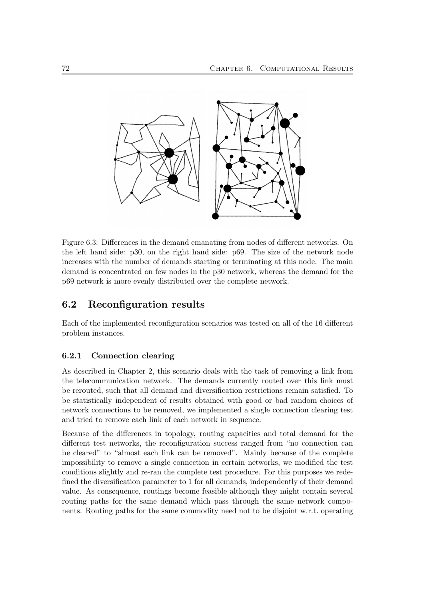

Figure 6.3: Differences in the demand emanating from nodes of different networks. On the left hand side: p30, on the right hand side: p69. The size of the network node increases with the number of demands starting or terminating at this node. The main demand is concentrated on few nodes in the p30 network, whereas the demand for the p69 network is more evenly distributed over the complete network.

## 6.2 Reconfiguration results

Each of the implemented reconfiguration scenarios was tested on all of the 16 different problem instances.

### 6.2.1 Connection clearing

As described in Chapter 2, this scenario deals with the task of removing a link from the telecommunication network. The demands currently routed over this link must be rerouted, such that all demand and diversification restrictions remain satisfied. To be statistically independent of results obtained with good or bad random choices of network connections to be removed, we implemented a single connection clearing test and tried to remove each link of each network in sequence.

Because of the differences in topology, routing capacities and total demand for the different test networks, the reconfiguration success ranged from "no connection can be cleared" to "almost each link can be removed". Mainly because of the complete impossibility to remove a single connection in certain networks, we modified the test conditions slightly and re-ran the complete test procedure. For this purposes we redefined the diversification parameter to 1 for all demands, independently of their demand value. As consequence, routings become feasible although they might contain several routing paths for the same demand which pass through the same network components. Routing paths for the same commodity need not to be disjoint w.r.t. operating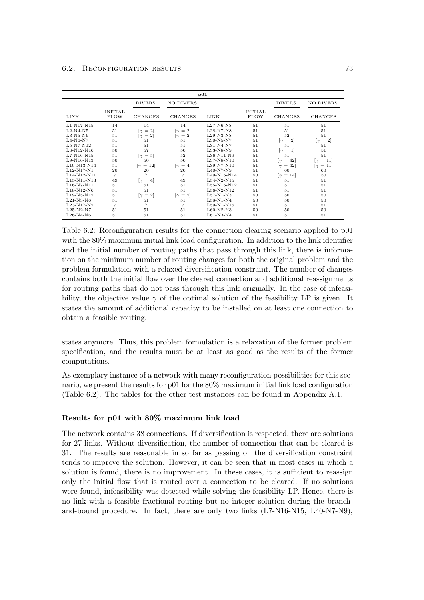|                                                   |                               |                                    |                                   | p01          |                               |                                    |                                    |
|---------------------------------------------------|-------------------------------|------------------------------------|-----------------------------------|--------------|-------------------------------|------------------------------------|------------------------------------|
|                                                   |                               | DIVERS.                            | NO DIVERS.                        |              |                               | DIVERS.                            | NO DIVERS.                         |
| LINK                                              | <b>INITIAL</b><br><b>FLOW</b> | <b>CHANGES</b>                     | <b>CHANGES</b>                    | LINK         | <b>INITIAL</b><br><b>FLOW</b> | <b>CHANGES</b>                     | CHANGES                            |
| $L1-N17-N15$                                      | 14                            | 14                                 | 14                                | $L27-N6-N8$  | 51                            | 51                                 | 51                                 |
| $L2-N4-N5$                                        | 51                            | $= 2$<br>$\sim$                    | $\lceil \gamma \rceil = 2 \rceil$ | $L28-N7-N8$  | 51                            | 51                                 | 51                                 |
| $L3-N5-N6$                                        | 51                            | $\lceil \gamma \rceil = 2 \rceil$  | $\lceil \gamma \rceil = 2 \rceil$ | $L29-N3-N8$  | 51                            | 52                                 | 51                                 |
| $L4-N6-N7$                                        | 51                            | 51                                 | 51                                | $L30-N5-N7$  | 51                            | $\lceil \gamma \rceil = 2 \rceil$  | $[\gamma = 2]$                     |
| $L5-N7-N12$                                       | 51                            | 51                                 | 51                                | $L31-N4-N7$  | 51                            | 51                                 | 51                                 |
| L6-N12-N16                                        | 50                            | 57                                 | 50                                | L33-N8-N9    | 51                            | $[\gamma = 1]$                     | 51                                 |
| $L7-N16-N15$                                      | 51                            | $\lceil \gamma \rceil = 5 \rceil$  | 52                                | L36-N11-N9   | 51                            | 51                                 | 51                                 |
| $L9-N16-N13$                                      | 50                            | 50                                 | 50                                | L37-N8-N10   | 51                            | $\lceil \gamma = 42 \rceil$        | $\lceil \gamma \, = \, 11 \rceil$  |
| L <sub>10</sub> -N <sub>13</sub> -N <sub>14</sub> | 51                            | $\lceil \gamma \rceil = 12 \rceil$ | $ \gamma=4 $                      | L39-N7-N10   | 51                            | $\lceil \gamma \, = \, 42 \rceil$  | $\lceil \gamma \rceil = 11 \rceil$ |
| L12-N17-N1                                        | 20                            | 20                                 | 20                                | $L40-N7-N9$  | 51                            | 60                                 | 60                                 |
| L14-N12-N11                                       | $\overline{7}$                | $\overline{7}$                     | 7                                 | L49-N15-N14  | 50                            | $\lceil \gamma \rceil = 14 \rceil$ | 50                                 |
| L15-N11-N13                                       | 49                            | $\lceil \gamma \rceil = 4 \rceil$  | 49                                | $L54-N2-N15$ | 51                            | 51                                 | 51                                 |
| $L16-N7-N11$                                      | 51                            | 51                                 | 51                                | L55-N15-N12  | 51                            | 51                                 | 51                                 |
| $L18-N12-N6$                                      | 51                            | 51                                 | 51                                | $L56-N2-N12$ | 51                            | 51                                 | 51                                 |
| $L19-N5-N12$                                      | 51                            | $\lceil \gamma \rceil = 2 \rceil$  | $\lceil \gamma \rceil = 2 \rceil$ | $L57-N1-N3$  | 50                            | 50                                 | 50                                 |
| $L21-N3-N6$                                       | 51                            | 51                                 | 51                                | $L58-N1-N4$  | 50                            | 50                                 | 50                                 |
| $L23-N17-N2$                                      | $\overline{7}$                | $\overline{7}$                     | 7                                 | $L59-N1-N15$ | 51                            | 51                                 | 51                                 |
| $L25-N2-N7$                                       | 51                            | 51                                 | 51                                | $L60-N2-N3$  | 50                            | 50                                 | 50                                 |
| $L26-N4-N6$                                       | 51                            | 51                                 | 51                                | $L61-N3-N4$  | 51                            | 51                                 | 51                                 |

Table 6.2: Reconfiguration results for the connection clearing scenario applied to p01 with the  $80\%$  maximum initial link load configuration. In addition to the link identifier and the initial number of routing paths that pass through this link, there is information on the minimum number of routing changes for both the original problem and the problem formulation with a relaxed diversification constraint. The number of changes contains both the initial flow over the cleared connection and additional reassignments for routing paths that do not pass through this link originally. In the case of infeasibility, the objective value  $\gamma$  of the optimal solution of the feasibility LP is given. It states the amount of additional capacity to be installed on at least one connection to obtain a feasible routing.

states anymore. Thus, this problem formulation is a relaxation of the former problem specification, and the results must be at least as good as the results of the former computations.

As exemplary instance of a network with many reconfiguration possibilities for this scenario, we present the results for p01 for the 80% maximum initial link load configuration (Table 6.2). The tables for the other test instances can be found in Appendix A.1.

#### Results for p01 with 80% maximum link load

The network contains 38 connections. If diversification is respected, there are solutions for 27 links. Without diversification, the number of connection that can be cleared is 31. The results are reasonable in so far as passing on the diversification constraint tends to improve the solution. However, it can be seen that in most cases in which a solution is found, there is no improvement. In these cases, it is sufficient to reassign only the initial flow that is routed over a connection to be cleared. If no solutions were found, infeasibility was detected while solving the feasibility LP. Hence, there is no link with a feasible fractional routing but no integer solution during the branchand-bound procedure. In fact, there are only two links (L7-N16-N15, L40-N7-N9),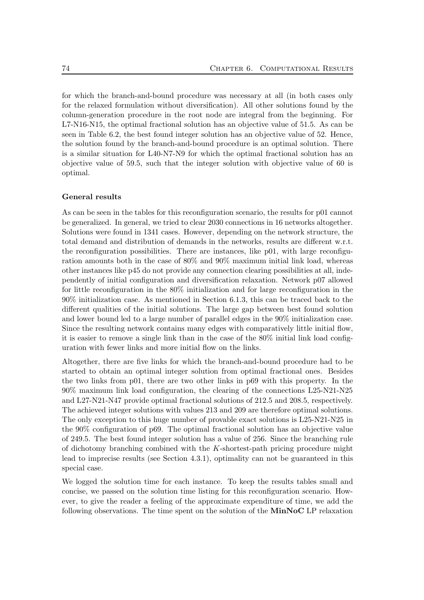for which the branch-and-bound procedure was necessary at all (in both cases only for the relaxed formulation without diversification). All other solutions found by the column-generation procedure in the root node are integral from the beginning. For L7-N16-N15, the optimal fractional solution has an objective value of 51.5. As can be seen in Table 6.2, the best found integer solution has an objective value of 52. Hence, the solution found by the branch-and-bound procedure is an optimal solution. There is a similar situation for L40-N7-N9 for which the optimal fractional solution has an objective value of 59.5, such that the integer solution with objective value of 60 is optimal.

#### General results

As can be seen in the tables for this reconfiguration scenario, the results for p01 cannot be generalized. In general, we tried to clear 2030 connections in 16 networks altogether. Solutions were found in 1341 cases. However, depending on the network structure, the total demand and distribution of demands in the networks, results are different w.r.t. the reconfiguration possibilities. There are instances, like p01, with large reconfiguration amounts both in the case of 80% and 90% maximum initial link load, whereas other instances like p45 do not provide any connection clearing possibilities at all, independently of initial configuration and diversification relaxation. Network p07 allowed for little reconfiguration in the 80% initialization and for large reconfiguration in the 90% initialization case. As mentioned in Section 6.1.3, this can be traced back to the different qualities of the initial solutions. The large gap between best found solution and lower bound led to a large number of parallel edges in the 90% initialization case. Since the resulting network contains many edges with comparatively little initial flow, it is easier to remove a single link than in the case of the 80% initial link load configuration with fewer links and more initial flow on the links.

Altogether, there are five links for which the branch-and-bound procedure had to be started to obtain an optimal integer solution from optimal fractional ones. Besides the two links from p01, there are two other links in p69 with this property. In the 90% maximum link load configuration, the clearing of the connections L25-N21-N25 and L27-N21-N47 provide optimal fractional solutions of 212.5 and 208.5, respectively. The achieved integer solutions with values 213 and 209 are therefore optimal solutions. The only exception to this huge number of provable exact solutions is L25-N21-N25 in the 90% configuration of p69. The optimal fractional solution has an objective value of 249.5. The best found integer solution has a value of 256. Since the branching rule of dichotomy branching combined with the K-shortest-path pricing procedure might lead to imprecise results (see Section 4.3.1), optimality can not be guaranteed in this special case.

We logged the solution time for each instance. To keep the results tables small and concise, we passed on the solution time listing for this reconfiguration scenario. However, to give the reader a feeling of the approximate expenditure of time, we add the following observations. The time spent on the solution of the MinNoC LP relaxation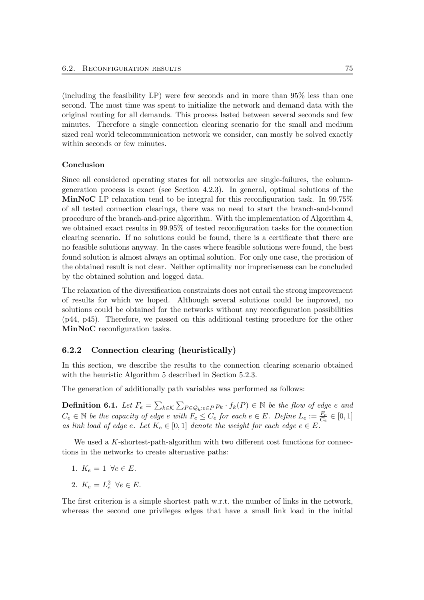(including the feasibility LP) were few seconds and in more than 95% less than one second. The most time was spent to initialize the network and demand data with the original routing for all demands. This process lasted between several seconds and few minutes. Therefore a single connection clearing scenario for the small and medium sized real world telecommunication network we consider, can mostly be solved exactly within seconds or few minutes.

#### Conclusion

Since all considered operating states for all networks are single-failures, the columngeneration process is exact (see Section 4.2.3). In general, optimal solutions of the MinNoC LP relaxation tend to be integral for this reconfiguration task. In 99.75% of all tested connection clearings, there was no need to start the branch-and-bound procedure of the branch-and-price algorithm. With the implementation of Algorithm 4, we obtained exact results in 99.95% of tested reconfiguration tasks for the connection clearing scenario. If no solutions could be found, there is a certificate that there are no feasible solutions anyway. In the cases where feasible solutions were found, the best found solution is almost always an optimal solution. For only one case, the precision of the obtained result is not clear. Neither optimality nor impreciseness can be concluded by the obtained solution and logged data.

The relaxation of the diversification constraints does not entail the strong improvement of results for which we hoped. Although several solutions could be improved, no solutions could be obtained for the networks without any reconfiguration possibilities (p44, p45). Therefore, we passed on this additional testing procedure for the other MinNoC reconfiguration tasks.

#### 6.2.2 Connection clearing (heuristically)

In this section, we describe the results to the connection clearing scenario obtained with the heuristic Algorithm 5 described in Section 5.2.3.

The generation of additionally path variables was performed as follows:

**Definition 6.1.** Let  $F_e = \sum_{k \in \mathcal{K}} \sum_{P \in \mathcal{Q}_k : e \in P} p_k \cdot f_k(P) \in \mathbb{N}$  be the flow of edge e and  $C_e \in \mathbb{N}$  be the capacity of edge e with  $F_e \leq C_e$  for each  $e \in E$ . Define  $L_e := \frac{F_e}{C_e} \in [0, 1]$ as link load of edge e. Let  $K_e \in [0,1]$  denote the weight for each edge  $e \in E$ .

We used a K-shortest-path-algorithm with two different cost functions for connections in the networks to create alternative paths:

- 1.  $K_e = 1 \ \forall e \in E$ .
- 2.  $K_e = L_e^2 \ \forall e \in E$ .

The first criterion is a simple shortest path w.r.t. the number of links in the network, whereas the second one privileges edges that have a small link load in the initial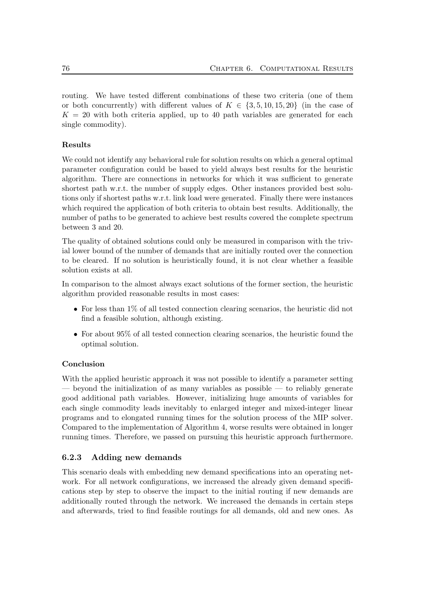routing. We have tested different combinations of these two criteria (one of them or both concurrently) with different values of  $K \in \{3, 5, 10, 15, 20\}$  (in the case of  $K = 20$  with both criteria applied, up to 40 path variables are generated for each single commodity).

## Results

We could not identify any behavioral rule for solution results on which a general optimal parameter configuration could be based to yield always best results for the heuristic algorithm. There are connections in networks for which it was sufficient to generate shortest path w.r.t. the number of supply edges. Other instances provided best solutions only if shortest paths w.r.t. link load were generated. Finally there were instances which required the application of both criteria to obtain best results. Additionally, the number of paths to be generated to achieve best results covered the complete spectrum between 3 and 20.

The quality of obtained solutions could only be measured in comparison with the trivial lower bound of the number of demands that are initially routed over the connection to be cleared. If no solution is heuristically found, it is not clear whether a feasible solution exists at all.

In comparison to the almost always exact solutions of the former section, the heuristic algorithm provided reasonable results in most cases:

- For less than 1% of all tested connection clearing scenarios, the heuristic did not find a feasible solution, although existing.
- For about 95% of all tested connection clearing scenarios, the heuristic found the optimal solution.

### Conclusion

With the applied heuristic approach it was not possible to identify a parameter setting — beyond the initialization of as many variables as possible — to reliably generate good additional path variables. However, initializing huge amounts of variables for each single commodity leads inevitably to enlarged integer and mixed-integer linear programs and to elongated running times for the solution process of the MIP solver. Compared to the implementation of Algorithm 4, worse results were obtained in longer running times. Therefore, we passed on pursuing this heuristic approach furthermore.

### 6.2.3 Adding new demands

This scenario deals with embedding new demand specifications into an operating network. For all network configurations, we increased the already given demand specifications step by step to observe the impact to the initial routing if new demands are additionally routed through the network. We increased the demands in certain steps and afterwards, tried to find feasible routings for all demands, old and new ones. As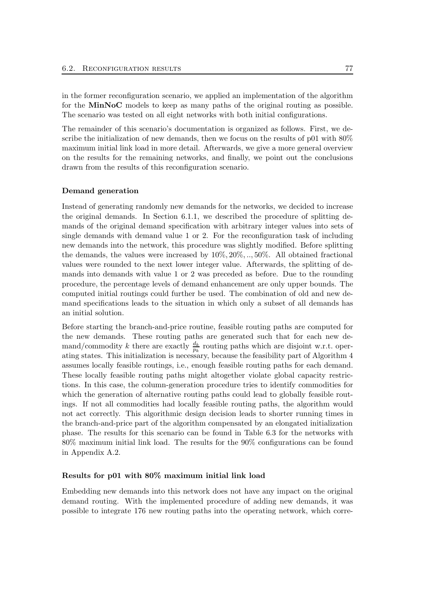in the former reconfiguration scenario, we applied an implementation of the algorithm for the MinNoC models to keep as many paths of the original routing as possible. The scenario was tested on all eight networks with both initial configurations.

The remainder of this scenario's documentation is organized as follows. First, we describe the initialization of new demands, then we focus on the results of p01 with 80% maximum initial link load in more detail. Afterwards, we give a more general overview on the results for the remaining networks, and finally, we point out the conclusions drawn from the results of this reconfiguration scenario.

#### Demand generation

Instead of generating randomly new demands for the networks, we decided to increase the original demands. In Section 6.1.1, we described the procedure of splitting demands of the original demand specification with arbitrary integer values into sets of single demands with demand value 1 or 2. For the reconfiguration task of including new demands into the network, this procedure was slightly modified. Before splitting the demands, the values were increased by 10%, 20%, .., 50%. All obtained fractional values were rounded to the next lower integer value. Afterwards, the splitting of demands into demands with value 1 or 2 was preceded as before. Due to the rounding procedure, the percentage levels of demand enhancement are only upper bounds. The computed initial routings could further be used. The combination of old and new demand specifications leads to the situation in which only a subset of all demands has an initial solution.

Before starting the branch-and-price routine, feasible routing paths are computed for the new demands. These routing paths are generated such that for each new demand/commodity k there are exactly  $\frac{d_k}{p_k}$  routing paths which are disjoint w.r.t. operating states. This initialization is necessary, because the feasibility part of Algorithm 4 assumes locally feasible routings, i.e., enough feasible routing paths for each demand. These locally feasible routing paths might altogether violate global capacity restrictions. In this case, the column-generation procedure tries to identify commodities for which the generation of alternative routing paths could lead to globally feasible routings. If not all commodities had locally feasible routing paths, the algorithm would not act correctly. This algorithmic design decision leads to shorter running times in the branch-and-price part of the algorithm compensated by an elongated initialization phase. The results for this scenario can be found in Table 6.3 for the networks with 80% maximum initial link load. The results for the 90% configurations can be found in Appendix A.2.

### Results for p01 with 80% maximum initial link load

Embedding new demands into this network does not have any impact on the original demand routing. With the implemented procedure of adding new demands, it was possible to integrate 176 new routing paths into the operating network, which corre-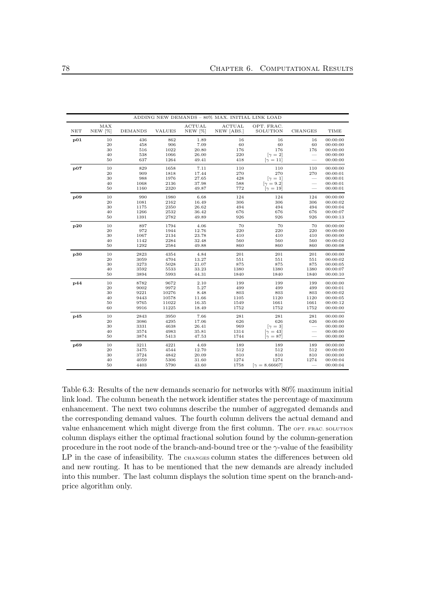|     |                   |                |               |                   | ADDING NEW DEMANDS - 80% MAX. INITIAL LINK LOAD |                        |                          |          |
|-----|-------------------|----------------|---------------|-------------------|-------------------------------------------------|------------------------|--------------------------|----------|
| NET | MAX<br>$NEW [\%]$ | <b>DEMANDS</b> | <b>VALUES</b> | ACTUAL<br>NEW [%] | ACTUAL<br>NEW [ABS.]                            | OPT. FRAC.<br>SOLUTION | <b>CHANGES</b>           | TIME     |
| p01 | 10                | 436            | 862           | 1.89              | 16                                              | 16                     | 16                       | 00:00:00 |
|     | 20                | 458            | 906           | 7.09              | 60                                              | 60                     | 60                       | 00:00:00 |
|     | 30                | 516            | 1022          | 20.80             | 176                                             | 176                    | 176                      | 00:00:00 |
|     | 40                | 538            | 1066          | 26.00             | $\rm 220$                                       | $[\gamma = 2]$         | $\overline{\phantom{a}}$ | 00:00:00 |
|     | 50                | 637            | 1264          | 49.41             | 418                                             | $[\gamma = 11]$        | $\frac{1}{2}$            | 00:00:00 |
| p07 | $10\,$            | 829            | 1658          | 7.11              | 110                                             | 110                    | 110                      | 00:00:00 |
|     | 20                | 909            | 1818          | 17.44             | 270                                             | 270                    | 270                      | 00:00:01 |
|     | 30                | 988            | 1976          | 27.65             | 428                                             | $[\gamma = 1]$         | $\overline{\phantom{m}}$ | 00:00:01 |
|     | 40                | 1068           | 2136          | 37.98             | 588                                             | $[\gamma = 9.2]$       |                          | 00:00:01 |
|     | 50                | 1160           | 2320          | 49.87             | 772                                             | $[\gamma = 19]$        | $\overline{\phantom{a}}$ | 00:00:01 |
| p09 | 10                | 990            | 1980          | 6.68              | 124                                             | 124                    | 124                      | 00:00:00 |
|     | 20                | 1081           | 2162          | 16.49             | 306                                             | 306                    | 306                      | 00:00:02 |
|     | $30\,$            | 1175           | 2350          | 26.62             | 494                                             | 494                    | 494                      | 00:00:04 |
|     | 40                | 1266           | 2532          | 36.42             | 676                                             | 676                    | 676                      | 00:00:07 |
|     | 50                | 1391           | 2782          | 49.89             | 926                                             | 926                    | 926                      | 00:00:13 |
| p20 | 10                | 897            | 1794          | 4.06              | 70                                              | 70                     | 70                       | 00:00:00 |
|     | 20                | 972            | 1944          | 12.76             | 220                                             | 220                    | 220                      | 00:00:00 |
|     | 30                | 1067           | 2134          | 23.78             | 410                                             | 410                    | 410                      | 00:00:00 |
|     | 40                | 1142           | 2284          | 32.48             | 560                                             | 560                    | 560                      | 00:00:02 |
|     | 50                | 1292           | 2584          | 49.88             | 860                                             | 860                    | 860                      | 00:00:08 |
| p30 | 10                | 2823           | 4354          | 4.84              | 201                                             | 201                    | 201                      | 00:00:00 |
|     | $20\,$            | 3059           | 4704          | 13.27             | 551                                             | 551                    | 551                      | 00:00:02 |
|     | 30                | 3273           | 5028          | 21.07             | 875                                             | 875                    | 875                      | 00:00:05 |
|     | 40                | 3592           | 5533          | 33.23             | 1380                                            | 1380                   | 1380                     | 00:00:07 |
|     | 50                | 3894           | 5993          | 44.31             | 1840                                            | 1840                   | 1840                     | 00:00:10 |
| p44 | 10                | 8782           | 9672          | 2.10              | 199                                             | 199                    | 199                      | 00:00:00 |
|     | 20                | 9002           | 9972          | 5.27              | 499                                             | 499                    | 499                      | 00:00:01 |
|     | 30                | 9221           | 10276         | 8.48              | 803                                             | 803                    | 803                      | 00:00:02 |
|     | 40                | 9443           | 10578         | 11.66             | 1105                                            | 1120                   | 1120                     | 00:00:05 |
|     | 50                | 9765           | 11022         | 16.35             | 1549                                            | 1661                   | 1661                     | 00:00:12 |
|     | 60                | 9916           | 11225         | 18.49             | 1752                                            | 1752                   | 1752                     | 00:00:00 |
| p45 | 10                | 2843           | 3950          | 7.66              | 281                                             | 281                    | 281                      | 00:00:00 |
|     | 20                | 3086           | 4295          | 17.06             | 626                                             | 626                    | 626                      | 00:00:00 |
|     | 30                | 3331           | 4638          | 26.41             | 969                                             | $[\gamma = 3]$         | $\overline{\phantom{a}}$ | 00:00:00 |
|     | 40                | 3574           | 4983          | 35.81             | 1314                                            | $[\gamma = 43]$        | $\overline{\phantom{0}}$ | 00:00:00 |
|     | 50                | 3874           | 5413          | 47.53             | 1744                                            | $[\gamma = 87]$        |                          | 00:00:00 |
| p69 | 10                | 3211           | 4221          | 4.69              | 189                                             | 189                    | 189                      | 00:00:00 |
|     | 20                | 3475           | 4544          | 12.70             | 512                                             | 512                    | 512                      | 00:00:00 |
|     | 30                | 3724           | 4842          | 20.09             | 810                                             | 810                    | 810                      | 00:00:00 |
|     | 40                | 4059           | 5306          | 31.60             | 1274                                            | 1274                   | 1274                     | 00:00:04 |
|     | 50                | 4403           | 5790          | 43.60             | 1758                                            | $[\gamma = 8.66667]$   | $\overline{\phantom{m}}$ | 00:00:04 |

Table 6.3: Results of the new demands scenario for networks with 80% maximum initial link load. The column beneath the network identifier states the percentage of maximum enhancement. The next two columns describe the number of aggregated demands and the corresponding demand values. The fourth column delivers the actual demand and value enhancement which might diverge from the first column. The OPT. FRAC. SOLUTION column displays either the optimal fractional solution found by the column-generation procedure in the root node of the branch-and-bound tree or the  $\gamma$ -value of the feasibility LP in the case of infeasibility. The CHANGES column states the differences between old and new routing. It has to be mentioned that the new demands are already included into this number. The last column displays the solution time spent on the branch-andprice algorithm only.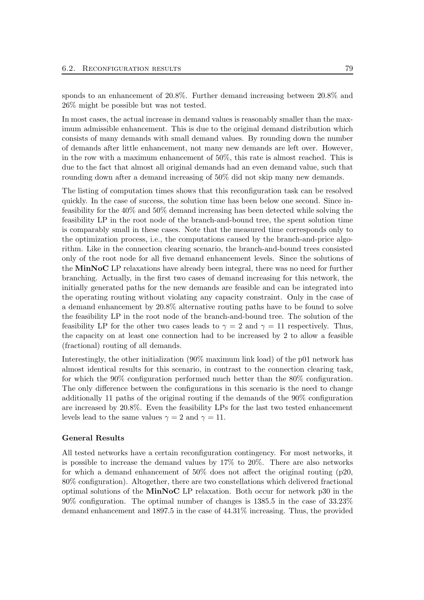sponds to an enhancement of 20.8%. Further demand increasing between 20.8% and 26% might be possible but was not tested.

In most cases, the actual increase in demand values is reasonably smaller than the maximum admissible enhancement. This is due to the original demand distribution which consists of many demands with small demand values. By rounding down the number of demands after little enhancement, not many new demands are left over. However, in the row with a maximum enhancement of 50%, this rate is almost reached. This is due to the fact that almost all original demands had an even demand value, such that rounding down after a demand increasing of 50% did not skip many new demands.

The listing of computation times shows that this reconfiguration task can be resolved quickly. In the case of success, the solution time has been below one second. Since infeasibility for the 40% and 50% demand increasing has been detected while solving the feasibility LP in the root node of the branch-and-bound tree, the spent solution time is comparably small in these cases. Note that the measured time corresponds only to the optimization process, i.e., the computations caused by the branch-and-price algorithm. Like in the connection clearing scenario, the branch-and-bound trees consisted only of the root node for all five demand enhancement levels. Since the solutions of the MinNoC LP relaxations have already been integral, there was no need for further branching. Actually, in the first two cases of demand increasing for this network, the initially generated paths for the new demands are feasible and can be integrated into the operating routing without violating any capacity constraint. Only in the case of a demand enhancement by 20.8% alternative routing paths have to be found to solve the feasibility LP in the root node of the branch-and-bound tree. The solution of the feasibility LP for the other two cases leads to  $\gamma = 2$  and  $\gamma = 11$  respectively. Thus, the capacity on at least one connection had to be increased by 2 to allow a feasible (fractional) routing of all demands.

Interestingly, the other initialization (90% maximum link load) of the p01 network has almost identical results for this scenario, in contrast to the connection clearing task, for which the 90% configuration performed much better than the 80% configuration. The only difference between the configurations in this scenario is the need to change additionally 11 paths of the original routing if the demands of the 90% configuration are increased by 20.8%. Even the feasibility LPs for the last two tested enhancement levels lead to the same values  $\gamma = 2$  and  $\gamma = 11$ .

#### General Results

All tested networks have a certain reconfiguration contingency. For most networks, it is possible to increase the demand values by 17% to 20%. There are also networks for which a demand enhancement of  $50\%$  does not affect the original routing (p20, 80% configuration). Altogether, there are two constellations which delivered fractional optimal solutions of the MinNoC LP relaxation. Both occur for network p30 in the 90% configuration. The optimal number of changes is 1385.5 in the case of 33.23% demand enhancement and 1897.5 in the case of 44.31% increasing. Thus, the provided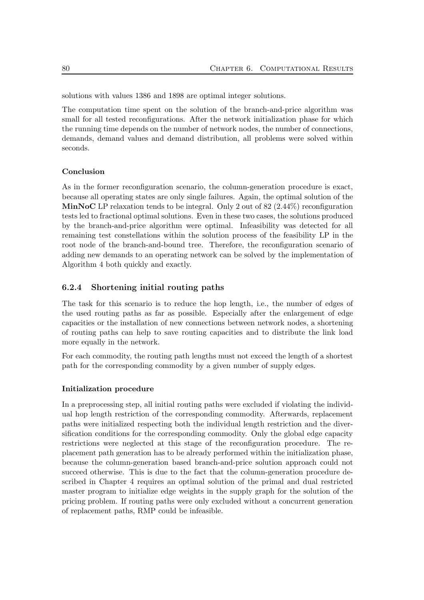solutions with values 1386 and 1898 are optimal integer solutions.

The computation time spent on the solution of the branch-and-price algorithm was small for all tested reconfigurations. After the network initialization phase for which the running time depends on the number of network nodes, the number of connections, demands, demand values and demand distribution, all problems were solved within seconds.

#### Conclusion

As in the former reconfiguration scenario, the column-generation procedure is exact, because all operating states are only single failures. Again, the optimal solution of the **MinNoC** LP relaxation tends to be integral. Only 2 out of  $82$  (2.44%) reconfiguration tests led to fractional optimal solutions. Even in these two cases, the solutions produced by the branch-and-price algorithm were optimal. Infeasibility was detected for all remaining test constellations within the solution process of the feasibility LP in the root node of the branch-and-bound tree. Therefore, the reconfiguration scenario of adding new demands to an operating network can be solved by the implementation of Algorithm 4 both quickly and exactly.

### 6.2.4 Shortening initial routing paths

The task for this scenario is to reduce the hop length, i.e., the number of edges of the used routing paths as far as possible. Especially after the enlargement of edge capacities or the installation of new connections between network nodes, a shortening of routing paths can help to save routing capacities and to distribute the link load more equally in the network.

For each commodity, the routing path lengths must not exceed the length of a shortest path for the corresponding commodity by a given number of supply edges.

#### Initialization procedure

In a preprocessing step, all initial routing paths were excluded if violating the individual hop length restriction of the corresponding commodity. Afterwards, replacement paths were initialized respecting both the individual length restriction and the diversification conditions for the corresponding commodity. Only the global edge capacity restrictions were neglected at this stage of the reconfiguration procedure. The replacement path generation has to be already performed within the initialization phase, because the column-generation based branch-and-price solution approach could not succeed otherwise. This is due to the fact that the column-generation procedure described in Chapter 4 requires an optimal solution of the primal and dual restricted master program to initialize edge weights in the supply graph for the solution of the pricing problem. If routing paths were only excluded without a concurrent generation of replacement paths, RMP could be infeasible.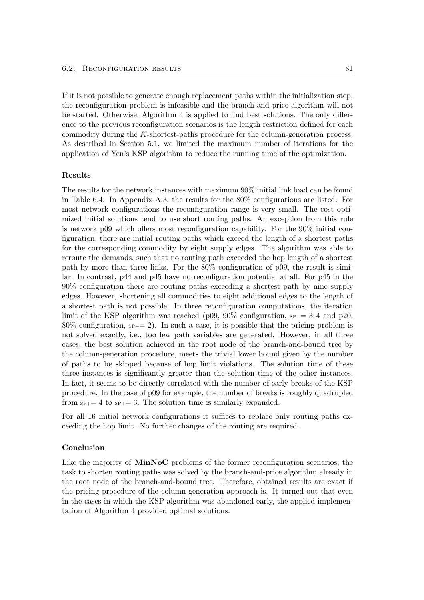If it is not possible to generate enough replacement paths within the initialization step, the reconfiguration problem is infeasible and the branch-and-price algorithm will not be started. Otherwise, Algorithm 4 is applied to find best solutions. The only difference to the previous reconfiguration scenarios is the length restriction defined for each commodity during the K-shortest-paths procedure for the column-generation process. As described in Section 5.1, we limited the maximum number of iterations for the application of Yen's KSP algorithm to reduce the running time of the optimization.

#### Results

The results for the network instances with maximum 90% initial link load can be found in Table 6.4. In Appendix A.3, the results for the 80% configurations are listed. For most network configurations the reconfiguration range is very small. The cost optimized initial solutions tend to use short routing paths. An exception from this rule is network p09 which offers most reconfiguration capability. For the 90% initial configuration, there are initial routing paths which exceed the length of a shortest paths for the corresponding commodity by eight supply edges. The algorithm was able to reroute the demands, such that no routing path exceeded the hop length of a shortest path by more than three links. For the 80% configuration of p09, the result is similar. In contrast, p44 and p45 have no reconfiguration potential at all. For p45 in the 90% configuration there are routing paths exceeding a shortest path by nine supply edges. However, shortening all commodities to eight additional edges to the length of a shortest path is not possible. In three reconfiguration computations, the iteration limit of the KSP algorithm was reached (p09, 90% configuration,  $s_{P+}= 3, 4$  and p20, 80% configuration,  $s_{P+}= 2$ ). In such a case, it is possible that the pricing problem is not solved exactly, i.e., too few path variables are generated. However, in all three cases, the best solution achieved in the root node of the branch-and-bound tree by the column-generation procedure, meets the trivial lower bound given by the number of paths to be skipped because of hop limit violations. The solution time of these three instances is significantly greater than the solution time of the other instances. In fact, it seems to be directly correlated with the number of early breaks of the KSP procedure. In the case of p09 for example, the number of breaks is roughly quadrupled from  $s_{P+}=4$  to  $s_{P+}=3$ . The solution time is similarly expanded.

For all 16 initial network configurations it suffices to replace only routing paths exceeding the hop limit. No further changes of the routing are required.

#### Conclusion

Like the majority of MinNoC problems of the former reconfiguration scenarios, the task to shorten routing paths was solved by the branch-and-price algorithm already in the root node of the branch-and-bound tree. Therefore, obtained results are exact if the pricing procedure of the column-generation approach is. It turned out that even in the cases in which the KSP algorithm was abandoned early, the applied implementation of Algorithm 4 provided optimal solutions.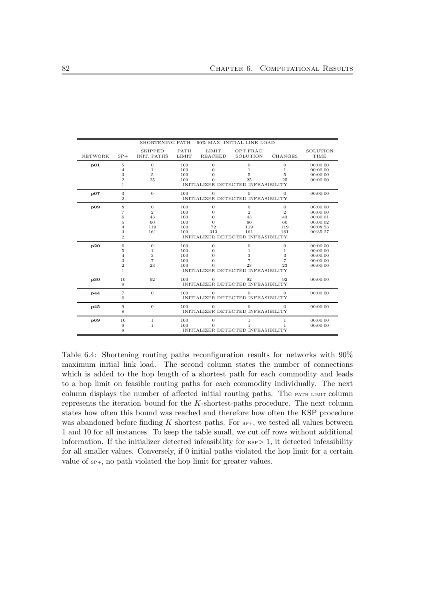|                |                                                                        |                                               |                                        |                                                     | SHORTENING PATH - 90% MAX. INITIAL LINK LOAD                                                   |                                                              |                                                                      |
|----------------|------------------------------------------------------------------------|-----------------------------------------------|----------------------------------------|-----------------------------------------------------|------------------------------------------------------------------------------------------------|--------------------------------------------------------------|----------------------------------------------------------------------|
| <b>NETWORK</b> | $SP+$                                                                  | <b>SKIPPED</b><br>INIT. PATHS                 | <b>PATH</b><br>LIMIT                   | <b>LIMIT</b><br><b>REACHED</b>                      | OPT.FRAC.<br>SOLUTION                                                                          | <b>CHANGES</b>                                               | SOLUTION<br>TIME                                                     |
| p01            | $\bf 5$<br>$\overline{4}$<br>3                                         | $\mathbf{0}$<br>1<br>5                        | 100<br>100<br>100                      | $\boldsymbol{0}$<br>$\Omega$<br>0                   | $\overline{0}$<br>1<br>5                                                                       | $\boldsymbol{0}$<br>1<br>5                                   | 00:00:00<br>00:00:00<br>00:00:00                                     |
|                | $\overline{2}$<br>1                                                    | 25                                            | 100                                    |                                                     | 25<br>INITIALIZER DETECTED INFEASIBILITY                                                       | 25                                                           | 00:00:00                                                             |
| p07            | 3<br>$\overline{2}$                                                    | $\overline{0}$                                | 100                                    | $\Omega$                                            | $\overline{0}$<br>INITIALIZER DETECTED INFEASIBILITY                                           | $\mathbf{0}$                                                 | 00:00:00                                                             |
| $_{109}$       | 8<br>$\overline{7}$<br>6<br>5<br>$\overline{4}$<br>3<br>$\overline{2}$ | 0<br>$\overline{2}$<br>43<br>60<br>119<br>161 | 100<br>100<br>100<br>100<br>100<br>100 | $\boldsymbol{0}$<br>0<br>0<br>$\Omega$<br>72<br>313 | $\overline{0}$<br>$\mathbf{2}$<br>43<br>60<br>119<br>161<br>INITIALIZER DETECTED INFEASIBILITY | $\boldsymbol{0}$<br>$\overline{2}$<br>43<br>60<br>119<br>161 | 00:00:00<br>00:00:00<br>00:00:01<br>00:00:02<br>00:08:53<br>00:35:27 |
| p20            | 6<br>5<br>$\overline{4}$<br>3<br>$\overline{2}$<br>$\mathbf{1}$        | $\mathbf{0}$<br>1<br>3<br>7<br>23             | 100<br>100<br>100<br>100<br>100        | $\mathbf{0}$<br>0<br>0<br>0                         | $\overline{0}$<br>1<br>3<br>23<br>INITIALIZER DETECTED INFEASIBILITY                           | $\boldsymbol{0}$<br>1<br>3<br>$\overline{7}$<br>23           | 00:00:00<br>00:00:00<br>00:00:00<br>00:00:00<br>00:00:00             |
| p30            | 10<br>9                                                                | 92                                            | 100                                    | $\Omega$                                            | 92<br>INITIALIZER DETECTED INFEASIBILITY                                                       | 92                                                           | 00:00:00                                                             |
| p44            | $\overline{7}$<br>6                                                    | $\overline{0}$                                | 100                                    | $\Omega$                                            | $\overline{0}$<br>INITIALIZER DETECTED INFEASIBILITY                                           | $\mathbf{0}$                                                 | 00:00:00                                                             |
| p45            | 9<br>8                                                                 | $\mathbf{0}$                                  | 100                                    | $\Omega$                                            | $\Omega$<br>INITIALIZER DETECTED INFEASIBILITY                                                 | $\mathbf{0}$                                                 | 00:00:00                                                             |
| p69            | 10<br>9<br>8                                                           | $\,1$<br>$\mathbf{1}$                         | 100<br>100                             | $\boldsymbol{0}$<br>O                               | $\mathbf 1$<br>$\mathbf{1}$<br>INITIALIZER DETECTED INFEASIBILITY                              | $\,1$<br>1                                                   | 00:00:00<br>00:00:00                                                 |

Table 6.4: Shortening routing paths reconfiguration results for networks with 90% maximum initial link load. The second column states the number of connections which is added to the hop length of a shortest path for each commodity and leads to a hop limit on feasible routing paths for each commodity individually. The next column displays the number of affected initial routing paths. The PATH LIMIT column represents the iteration bound for the  $K$ -shortest-paths procedure. The next column states how often this bound was reached and therefore how often the KSP procedure was abandoned before finding  $K$  shortest paths. For  $s_{F+}$ , we tested all values between 1 and 10 for all instances. To keep the table small, we cut off rows without additional information. If the initializer detected infeasibility for  $KSP>1$ , it detected infeasibility for all smaller values. Conversely, if 0 initial paths violated the hop limit for a certain value of  $s_{P+}$ , no path violated the hop limit for greater values.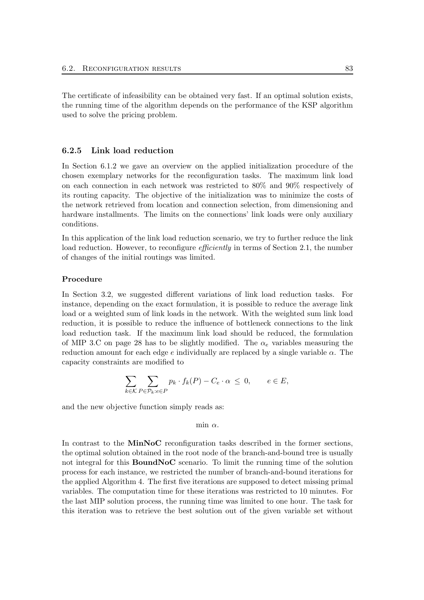The certificate of infeasibility can be obtained very fast. If an optimal solution exists, the running time of the algorithm depends on the performance of the KSP algorithm used to solve the pricing problem.

#### 6.2.5 Link load reduction

In Section 6.1.2 we gave an overview on the applied initialization procedure of the chosen exemplary networks for the reconfiguration tasks. The maximum link load on each connection in each network was restricted to 80% and 90% respectively of its routing capacity. The objective of the initialization was to minimize the costs of the network retrieved from location and connection selection, from dimensioning and hardware installments. The limits on the connections' link loads were only auxiliary conditions.

In this application of the link load reduction scenario, we try to further reduce the link load reduction. However, to reconfigure *efficiently* in terms of Section 2.1, the number of changes of the initial routings was limited.

#### Procedure

In Section 3.2, we suggested different variations of link load reduction tasks. For instance, depending on the exact formulation, it is possible to reduce the average link load or a weighted sum of link loads in the network. With the weighted sum link load reduction, it is possible to reduce the influence of bottleneck connections to the link load reduction task. If the maximum link load should be reduced, the formulation of MIP 3.C on page 28 has to be slightly modified. The  $\alpha_e$  variables measuring the reduction amount for each edge  $e$  individually are replaced by a single variable  $\alpha$ . The capacity constraints are modified to

$$
\sum_{k \in \mathcal{K}} \sum_{P \in \mathcal{P}_k : e \in P} p_k \cdot f_k(P) - C_e \cdot \alpha \le 0, \qquad e \in E,
$$

and the new objective function simply reads as:

min  $\alpha$ .

In contrast to the MinNoC reconfiguration tasks described in the former sections, the optimal solution obtained in the root node of the branch-and-bound tree is usually not integral for this BoundNoC scenario. To limit the running time of the solution process for each instance, we restricted the number of branch-and-bound iterations for the applied Algorithm 4. The first five iterations are supposed to detect missing primal variables. The computation time for these iterations was restricted to 10 minutes. For the last MIP solution process, the running time was limited to one hour. The task for this iteration was to retrieve the best solution out of the given variable set without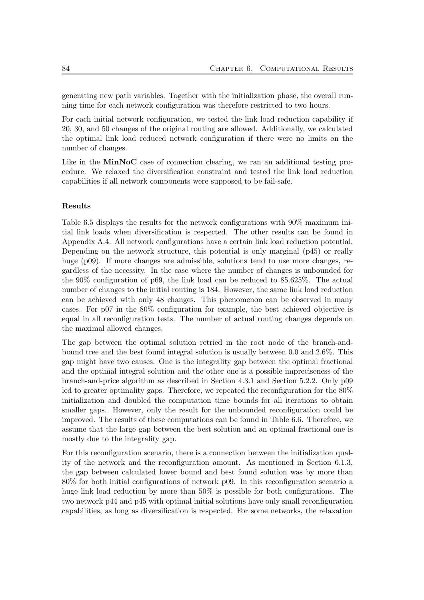generating new path variables. Together with the initialization phase, the overall running time for each network configuration was therefore restricted to two hours.

For each initial network configuration, we tested the link load reduction capability if 20, 30, and 50 changes of the original routing are allowed. Additionally, we calculated the optimal link load reduced network configuration if there were no limits on the number of changes.

Like in the MinNoC case of connection clearing, we ran an additional testing procedure. We relaxed the diversification constraint and tested the link load reduction capabilities if all network components were supposed to be fail-safe.

#### Results

Table 6.5 displays the results for the network configurations with 90% maximum initial link loads when diversification is respected. The other results can be found in Appendix A.4. All network configurations have a certain link load reduction potential. Depending on the network structure, this potential is only marginal (p45) or really huge (p09). If more changes are admissible, solutions tend to use more changes, regardless of the necessity. In the case where the number of changes is unbounded for the 90% configuration of p69, the link load can be reduced to 85.625%. The actual number of changes to the initial routing is 184. However, the same link load reduction can be achieved with only 48 changes. This phenomenon can be observed in many cases. For p07 in the 80% configuration for example, the best achieved objective is equal in all reconfiguration tests. The number of actual routing changes depends on the maximal allowed changes.

The gap between the optimal solution retried in the root node of the branch-andbound tree and the best found integral solution is usually between 0.0 and 2.6%. This gap might have two causes. One is the integrality gap between the optimal fractional and the optimal integral solution and the other one is a possible impreciseness of the branch-and-price algorithm as described in Section 4.3.1 and Section 5.2.2. Only p09 led to greater optimality gaps. Therefore, we repeated the reconfiguration for the 80% initialization and doubled the computation time bounds for all iterations to obtain smaller gaps. However, only the result for the unbounded reconfiguration could be improved. The results of these computations can be found in Table 6.6. Therefore, we assume that the large gap between the best solution and an optimal fractional one is mostly due to the integrality gap.

For this reconfiguration scenario, there is a connection between the initialization quality of the network and the reconfiguration amount. As mentioned in Section 6.1.3, the gap between calculated lower bound and best found solution was by more than 80% for both initial configurations of network p09. In this reconfiguration scenario a huge link load reduction by more than  $50\%$  is possible for both configurations. The two network p44 and p45 with optimal initial solutions have only small reconfiguration capabilities, as long as diversification is respected. For some networks, the relaxation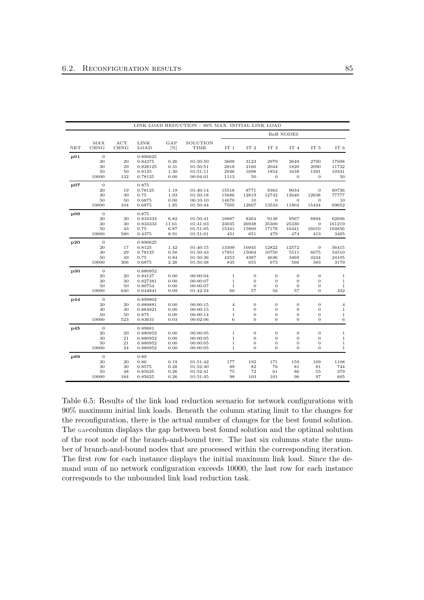|     |                  |             |                      |              | LINK LOAD REDUCTION - 90% MAX. INITIAL LINK LOAD |                       |                                      |                                  |                        |                                      |                    |
|-----|------------------|-------------|----------------------|--------------|--------------------------------------------------|-----------------------|--------------------------------------|----------------------------------|------------------------|--------------------------------------|--------------------|
|     |                  |             |                      |              |                                                  |                       |                                      |                                  | <b>BnB NODES</b>       |                                      |                    |
|     | MAX              | ACT.        | LINK                 | GAP          | SOLUTION                                         |                       |                                      |                                  |                        |                                      |                    |
| NET | <b>CHNG</b>      | <b>CHNG</b> | LOAD                 | [%]          | TIME                                             | IT 1                  | IT <sub>2</sub>                      | IT <sub>3</sub>                  | IT <sub>4</sub>        | IT <sub>5</sub>                      | IT <sub>6</sub>    |
| p01 | $\overline{0}$   |             | 0.890625             |              |                                                  |                       |                                      |                                  |                        |                                      |                    |
|     | 20               | 20          | 0.84375              | 0.26         | 01:50:50                                         | 3609                  | 3123                                 | 2979                             | 2649                   | 2700                                 | 17098              |
|     | 30               | 29          | 0.828125             | 0.31         | 01:50:51                                         | 2818                  | 2160                                 | 2044                             | 1820                   | 2090                                 | 11732              |
|     | 50<br>10000      | 50<br>132   | 0.8125<br>0.78125    | 1.30<br>0.00 | 01:51:11<br>00:04:01                             | 2946<br>1113          | 1698<br>50                           | 1854<br>$\mathbf{0}$             | 1638<br>$\mathbf{0}$   | 1291<br>$\mathbf{0}$                 | 10341<br>50        |
| p07 | $\overline{0}$   |             | 0.875                |              |                                                  |                       |                                      |                                  |                        |                                      |                    |
|     | 20               | 19          | 0.78125              | 1.19         | 01:40:14                                         | 15518                 | 8771                                 | 9363                             | 9034                   | $\mathbf{0}$                         | 60736              |
|     | 30               | 30          | 0.75                 | 1.93         | 01:50:18                                         | 15686                 | 12819                                | 12742                            | 12640                  | 12638                                | 77777              |
|     | 50<br>10000      | 50<br>104   | 0.6875<br>0.6875     | 0.00<br>1.85 | 00:10:10<br>01:50:44                             | 14670<br>7505         | 10<br>12607                          | $\mathbf{0}$<br>13533            | 0<br>11803             | $\theta$<br>15434                    | 10<br>69652        |
| p09 | $\overline{0}$   |             | 0.875                |              |                                                  |                       |                                      |                                  |                        |                                      |                    |
|     | 20               | 20          | 0.833333             | 6.82         | 01:50:41                                         | 10887                 | 8264                                 | 9138                             | 9567                   | 8894                                 | 62606              |
|     | 30               | 30          | 0.833333             | 11.61        | 01:41:03                                         | 23035                 | 26938                                | 25300                            | 25330                  | $\mathbf{0}$                         | 161219             |
|     | 50               | 43          | 0.75                 | 6.87         | 01:51:05                                         | 15341                 | 15800                                | 17178                            | 16441                  | 16010                                | 104856             |
|     | 10000            | 580         | 0.4375               | 8.91         | 01:51:01                                         | 451                   | 651                                  | 479                              | 474                    | 413                                  | 3495               |
| p20 | $\overline{0}$   |             | 0.890625             |              |                                                  |                       |                                      |                                  |                        |                                      |                    |
|     | 20               | 17          | 0.8125               | 1.42         | 01:40:15                                         | 13309                 | 10945                                | 12822                            | 12572                  | $\mathbf{0}$                         | 56415              |
|     | 30<br>50         | 29<br>49    | 0.78125<br>0.75      | 0.50<br>0.84 | 01:50:43<br>01:50:36                             | 17851<br>4253         | 15004<br>4387                        | 10750<br>4636                    | 5511<br>3469           | 6075<br>4244                         | 54510<br>24105     |
|     | 10000            | 306         | 0.6875               | 2.26         | 01:50:48                                         | 835                   | 655                                  | 673                              | 566                    | 583                                  | 3179               |
| p30 | $\boldsymbol{0}$ |             | 0.880952             |              |                                                  |                       |                                      |                                  |                        |                                      |                    |
|     | 20               | 20          | 0.84127              | 0.00         | 00:00:04                                         | $\,1\,$               | $\overline{0}$                       | $\mathbf{0}$                     | $\mathbf 0$            | $\overline{0}$                       | $\mathbf{1}$       |
|     | 30               | 30          | 0.827381             | 0.00         | 00:00:07                                         | $\,1$                 | $\boldsymbol{0}$                     | $\boldsymbol{0}$                 | $\mathbf 0$            | $\mathbf{0}$                         | $\,1$              |
|     | 50<br>10000      | 50<br>640   | 0.80754<br>0.644841  | 0.00<br>0.09 | 00:00:07<br>01:42:24                             | $\mathbf 1$<br>60     | $\boldsymbol{0}$<br>57               | $\mathbf{0}$<br>56               | $\boldsymbol{0}$<br>57 | $\boldsymbol{0}$<br>$\boldsymbol{0}$ | $\mathbf 1$<br>332 |
| p44 | $\overline{0}$   |             | 0.899802             |              |                                                  |                       |                                      |                                  |                        |                                      |                    |
|     | 20               | 20          | 0.889881             | 0.00         | 00:00:15                                         | $\overline{4}$        | $\mathbf{0}$                         | $\boldsymbol{0}$                 | 0                      | $\boldsymbol{0}$                     | $\overline{4}$     |
|     | 30               | 30          | 0.884921             | 0.00         | 00:00:15                                         | $\mathbf{1}$          | $\boldsymbol{0}$                     | $\mathbf{0}$                     | $\mathbf 0$            | $\mathbf{0}$                         | $\,1$              |
|     | 50               | 50          | 0.875                | 0.00         | 00:00:14                                         | $\mathbf{1}$          | $\boldsymbol{0}$                     | $\boldsymbol{0}$                 | 0                      | $\boldsymbol{0}$                     | $\,1$              |
|     | 10000            | 523         | 0.83631              | 0.03         | 00:02:06                                         | $\,$ 6 $\,$           | $\mathbf{0}$                         | $\mathbf{0}$                     | $\overline{0}$         | $\overline{0}$                       | $\,6$              |
| p45 | $\overline{0}$   |             | 0.89881              |              |                                                  |                       |                                      |                                  |                        |                                      |                    |
|     | 20<br>30         | 20<br>21    | 0.880952<br>0.880952 | 0.00<br>0.00 | 00:00:05<br>00:00:05                             | $\mathbf{1}$<br>$\,1$ | $\boldsymbol{0}$<br>$\boldsymbol{0}$ | $\mathbf{0}$<br>$\boldsymbol{0}$ | 0<br>0                 | $\mathbf{0}$<br>$\boldsymbol{0}$     | 1<br>$\mathbf{1}$  |
|     | 50               | 21          | 0.880952             | 0.00         | 00:00:05                                         | $\,1$                 | $\boldsymbol{0}$                     | $\boldsymbol{0}$                 | $\mathbf{0}$           | $\mathbf{0}$                         | $\mathbf 1$        |
|     | 10000            | 24          | 0.880952             | 0.00         | 00:00:05                                         | $\mathbf{1}$          | $\boldsymbol{0}$                     | $\mathbf{0}$                     | $\overline{0}$         | $\mathbf{0}$                         | $\mathbf{1}$       |
| p69 | $\overline{0}$   |             | 0.89                 |              |                                                  |                       |                                      |                                  |                        |                                      |                    |
|     | 20               | 20          | 0.86                 | 0.19         | 01:51:42                                         | 177                   | 192                                  | 171                              | 159                    | 169                                  | 1108               |
|     | 30               | 30          | 0.8575               | 0.28         | 01:52:30                                         | 89                    | 82                                   | 76                               | 81                     | 81                                   | 744                |
|     | 50               | 48          | 0.85625              | 0.26         | 01:52:41                                         | 75                    | 72                                   | 61                               | 86                     | 55                                   | 379                |
|     | 10000            | 184         | 0.85625              | 0.26         | 01:51:45                                         | 98                    | 103                                  | 101                              | 96                     | 97                                   | 605                |

Table 6.5: Results of the link load reduction scenario for network configurations with 90% maximum initial link loads. Beneath the column stating limit to the changes for the reconfiguration, there is the actual number of changes for the best found solution. The GAPcolumn displays the gap between best found solution and the optimal solution of the root node of the branch-and-bound tree. The last six columns state the number of branch-and-bound nodes that are processed within the corresponding iteration. The first row for each instance displays the initial maximum link load. Since the demand sum of no network configuration exceeds 10000, the last row for each instance corresponds to the unbounded link load reduction task.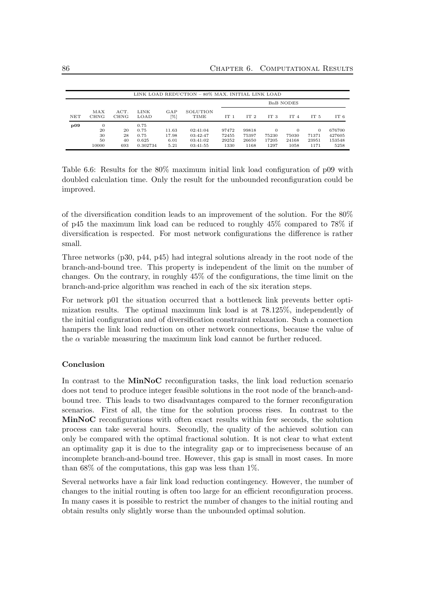|            |                                     |                       |                                           |                                | LINK LOAD REDUCTION - 80% MAX. INITIAL LINK LOAD |                                 |                                 |                                    |                                    |                                    |                                    |  |
|------------|-------------------------------------|-----------------------|-------------------------------------------|--------------------------------|--------------------------------------------------|---------------------------------|---------------------------------|------------------------------------|------------------------------------|------------------------------------|------------------------------------|--|
|            |                                     |                       |                                           |                                |                                                  | <b>BnB NODES</b>                |                                 |                                    |                                    |                                    |                                    |  |
| <b>NET</b> | MAX<br><b>CHNG</b>                  | ACT.<br><b>CHNG</b>   | LINK<br>LOAD                              | GAP<br>[%]                     | SOLUTION<br>TIME                                 | IT <sub>1</sub>                 | IT <sub>2</sub>                 | IT <sub>3</sub>                    | IT <sub>4</sub>                    | IT <sub>5</sub>                    | IT 6                               |  |
| p09        | $\theta$<br>20<br>30<br>50<br>10000 | 20<br>28<br>40<br>693 | 0.75<br>0.75<br>0.75<br>0.625<br>0.302734 | 11.63<br>17.98<br>6.01<br>5.21 | 02:41:04<br>03:42:47<br>03:41:02<br>03:41:55     | 97472<br>72455<br>29252<br>1330 | 99818<br>75397<br>26650<br>1168 | $\Omega$<br>75230<br>17205<br>1297 | $\Omega$<br>75030<br>24168<br>1058 | $\Omega$<br>71371<br>23951<br>1171 | 676700<br>427605<br>153548<br>5258 |  |

Table 6.6: Results for the 80% maximum initial link load configuration of p09 with doubled calculation time. Only the result for the unbounded reconfiguration could be improved.

of the diversification condition leads to an improvement of the solution. For the 80% of p45 the maximum link load can be reduced to roughly 45% compared to 78% if diversification is respected. For most network configurations the difference is rather small.

Three networks (p30, p44, p45) had integral solutions already in the root node of the branch-and-bound tree. This property is independent of the limit on the number of changes. On the contrary, in roughly 45% of the configurations, the time limit on the branch-and-price algorithm was reached in each of the six iteration steps.

For network p01 the situation occurred that a bottleneck link prevents better optimization results. The optimal maximum link load is at 78.125%, independently of the initial configuration and of diversification constraint relaxation. Such a connection hampers the link load reduction on other network connections, because the value of the  $\alpha$  variable measuring the maximum link load cannot be further reduced.

### Conclusion

In contrast to the MinNoC reconfiguration tasks, the link load reduction scenario does not tend to produce integer feasible solutions in the root node of the branch-andbound tree. This leads to two disadvantages compared to the former reconfiguration scenarios. First of all, the time for the solution process rises. In contrast to the MinNoC reconfigurations with often exact results within few seconds, the solution process can take several hours. Secondly, the quality of the achieved solution can only be compared with the optimal fractional solution. It is not clear to what extent an optimality gap it is due to the integrality gap or to impreciseness because of an incomplete branch-and-bound tree. However, this gap is small in most cases. In more than  $68\%$  of the computations, this gap was less than  $1\%$ .

Several networks have a fair link load reduction contingency. However, the number of changes to the initial routing is often too large for an efficient reconfiguration process. In many cases it is possible to restrict the number of changes to the initial routing and obtain results only slightly worse than the unbounded optimal solution.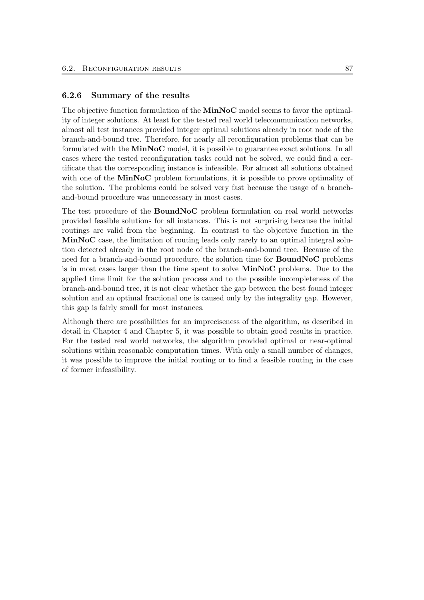## 6.2.6 Summary of the results

The objective function formulation of the **MinNoC** model seems to favor the optimality of integer solutions. At least for the tested real world telecommunication networks, almost all test instances provided integer optimal solutions already in root node of the branch-and-bound tree. Therefore, for nearly all reconfiguration problems that can be formulated with the MinNoC model, it is possible to guarantee exact solutions. In all cases where the tested reconfiguration tasks could not be solved, we could find a certificate that the corresponding instance is infeasible. For almost all solutions obtained with one of the MinNoC problem formulations, it is possible to prove optimality of the solution. The problems could be solved very fast because the usage of a branchand-bound procedure was unnecessary in most cases.

The test procedure of the BoundNoC problem formulation on real world networks provided feasible solutions for all instances. This is not surprising because the initial routings are valid from the beginning. In contrast to the objective function in the MinNoC case, the limitation of routing leads only rarely to an optimal integral solution detected already in the root node of the branch-and-bound tree. Because of the need for a branch-and-bound procedure, the solution time for BoundNoC problems is in most cases larger than the time spent to solve MinNoC problems. Due to the applied time limit for the solution process and to the possible incompleteness of the branch-and-bound tree, it is not clear whether the gap between the best found integer solution and an optimal fractional one is caused only by the integrality gap. However, this gap is fairly small for most instances.

Although there are possibilities for an impreciseness of the algorithm, as described in detail in Chapter 4 and Chapter 5, it was possible to obtain good results in practice. For the tested real world networks, the algorithm provided optimal or near-optimal solutions within reasonable computation times. With only a small number of changes, it was possible to improve the initial routing or to find a feasible routing in the case of former infeasibility.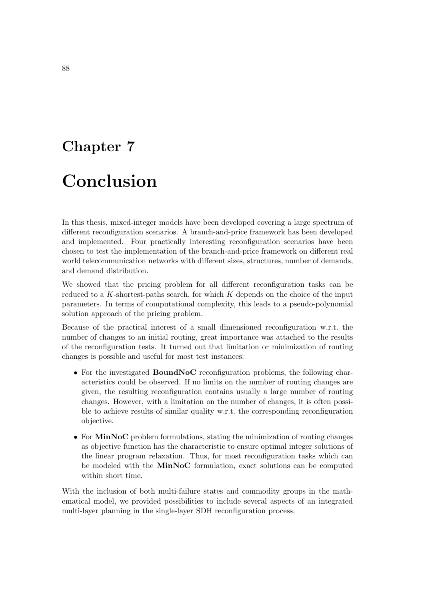# Chapter 7

# Conclusion

In this thesis, mixed-integer models have been developed covering a large spectrum of different reconfiguration scenarios. A branch-and-price framework has been developed and implemented. Four practically interesting reconfiguration scenarios have been chosen to test the implementation of the branch-and-price framework on different real world telecommunication networks with different sizes, structures, number of demands, and demand distribution.

We showed that the pricing problem for all different reconfiguration tasks can be reduced to a  $K$ -shortest-paths search, for which  $K$  depends on the choice of the input parameters. In terms of computational complexity, this leads to a pseudo-polynomial solution approach of the pricing problem.

Because of the practical interest of a small dimensioned reconfiguration w.r.t. the number of changes to an initial routing, great importance was attached to the results of the reconfiguration tests. It turned out that limitation or minimization of routing changes is possible and useful for most test instances:

- For the investigated BoundNoC reconfiguration problems, the following characteristics could be observed. If no limits on the number of routing changes are given, the resulting reconfiguration contains usually a large number of routing changes. However, with a limitation on the number of changes, it is often possible to achieve results of similar quality w.r.t. the corresponding reconfiguration objective.
- For MinNoC problem formulations, stating the minimization of routing changes as objective function has the characteristic to ensure optimal integer solutions of the linear program relaxation. Thus, for most reconfiguration tasks which can be modeled with the MinNoC formulation, exact solutions can be computed within short time.

With the inclusion of both multi-failure states and commodity groups in the mathematical model, we provided possibilities to include several aspects of an integrated multi-layer planning in the single-layer SDH reconfiguration process.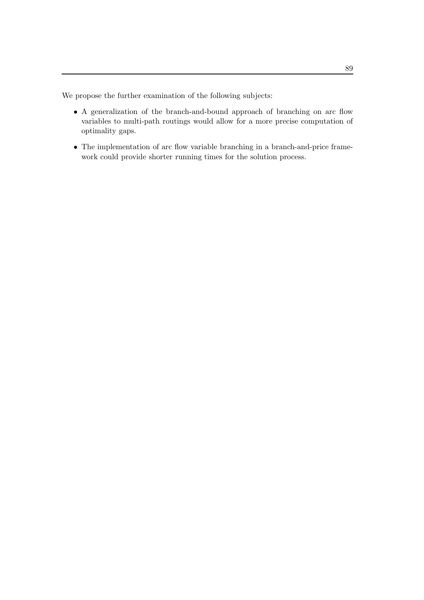We propose the further examination of the following subjects:

- A generalization of the branch-and-bound approach of branching on arc flow variables to multi-path routings would allow for a more precise computation of optimality gaps.
- The implementation of arc flow variable branching in a branch-and-price framework could provide shorter running times for the solution process.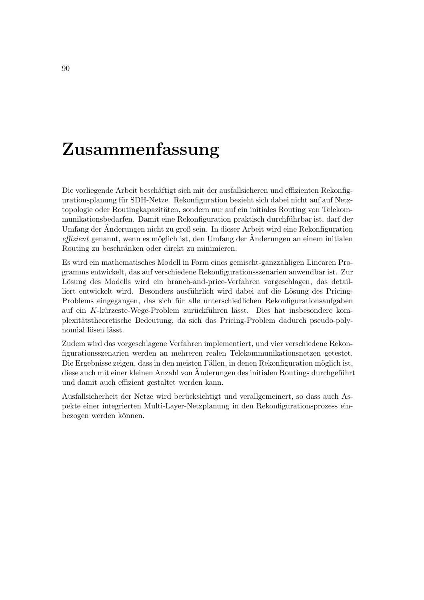# Zusammenfassung

Die vorliegende Arbeit beschäftigt sich mit der ausfallsicheren und effizienten Rekonfigurationsplanung für SDH-Netze. Rekonfiguration bezieht sich dabei nicht auf auf Netztopologie oder Routingkapazitäten, sondern nur auf ein initiales Routing von Telekommunikationsbedarfen. Damit eine Rekonfiguration praktisch durchführbar ist, darf der Umfang der Änderungen nicht zu groß sein. In dieser Arbeit wird eine Rekonfiguration  $effizient$  genannt, wenn es möglich ist, den Umfang der Anderungen an einem initialen Routing zu beschränken oder direkt zu minimieren.

Es wird ein mathematisches Modell in Form eines gemischt-ganzzahligen Linearen Programms entwickelt, das auf verschiedene Rekonfigurationsszenarien anwendbar ist. Zur Lösung des Modells wird ein branch-and-price-Verfahren vorgeschlagen, das detailliert entwickelt wird. Besonders ausführlich wird dabei auf die Lösung des Pricing-Problems eingegangen, das sich für alle unterschiedlichen Rekonfigurationsaufgaben auf ein K-kürzeste-Wege-Problem zurückführen lässt. Dies hat insbesondere komplexit¨atstheoretische Bedeutung, da sich das Pricing-Problem dadurch pseudo-polynomial lösen lässt.

Zudem wird das vorgeschlagene Verfahren implementiert, und vier verschiedene Rekonfigurationsszenarien werden an mehreren realen Telekommunikationsnetzen getestet. Die Ergebnisse zeigen, dass in den meisten Fällen, in denen Rekonfiguration möglich ist, diese auch mit einer kleinen Anzahl von Änderungen des initialen Routings durchgeführt und damit auch effizient gestaltet werden kann.

Ausfallsicherheit der Netze wird berücksichtigt und verallgemeinert, so dass auch Aspekte einer integrierten Multi-Layer-Netzplanung in den Rekonfigurationsprozess einbezogen werden können.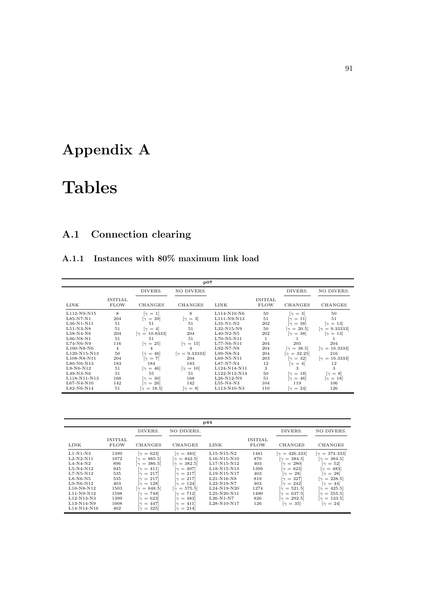# Appendix A

# Tables

# A.1 Connection clearing

## A.1.1 Instances with 80% maximum link load

|              | p07                           |                                    |                                    |              |                               |                                    |                                    |  |  |  |
|--------------|-------------------------------|------------------------------------|------------------------------------|--------------|-------------------------------|------------------------------------|------------------------------------|--|--|--|
|              |                               | DIVERS.                            | NO DIVERS.                         |              |                               | DIVERS.                            | NO DIVERS.                         |  |  |  |
| LINK         | <b>INITIAL</b><br><b>FLOW</b> | <b>CHANGES</b>                     | CHANGES                            | <b>LINK</b>  | <b>INITIAL</b><br><b>FLOW</b> | CHANGES                            | CHANGES                            |  |  |  |
| L112-N9-N15  | 8                             | $\lceil \gamma \rceil = 1 \rceil$  | 8                                  | L114-N10-N6  | 50                            | $[\gamma = 3]$                     | 50                                 |  |  |  |
| $L85-N7-N1$  | 204                           | $\lceil \gamma = 39 \rceil$        | $[\gamma = 3]$                     | L111-N9-N13  | 51                            | $\lceil \gamma \rceil = 11 \rceil$ | 51                                 |  |  |  |
| $L36-N1-N11$ | 51                            | 51                                 | 51                                 | $L35-N1-N2$  | 202                           | $\lceil \gamma = 38 \rceil$        | $\lceil \gamma = 13 \rceil$        |  |  |  |
| $L51-N3-N8$  | 51                            | $\lceil \gamma \rceil = 4 \rceil$  | 51                                 | L32-N15-N9   | 50                            | $[\gamma = 20.5]$                  | $[\gamma = 9.33333]$               |  |  |  |
| $L58-N4-N6$  | 204                           | $[\gamma = 10.8333]$               | 204                                | $L40-N2-N5$  | 202                           | $\lceil \gamma = 38 \rceil$        | $\lceil \gamma = 13 \rceil$        |  |  |  |
| $L96-N8-N1$  | 51                            | 51                                 | 51                                 | $L70-N5-N11$ | $\mathbf{1}$                  |                                    |                                    |  |  |  |
| $L74-N6-N9$  | 116                           | $[\gamma = 25]$                    | $\lceil \gamma \rceil = 15 \rceil$ | $L77-N6-N11$ | 204                           | 205                                | 204                                |  |  |  |
| $L100-N8-N6$ | $\overline{4}$                | 4                                  | 4                                  | $L92-N7-N8$  | 204                           | $[\gamma = 38.5]$                  | $[\gamma = 16.3333]$               |  |  |  |
| L129-N15-N13 | 50                            | $\lceil \gamma = 46 \rceil$        | $[\gamma = 9.33333]$               | $L99-N8-N4$  | 204                           | $[\gamma = 32.25]$                 | 216                                |  |  |  |
| L108-N8-N11  | 204                           | $[\gamma = 7]$                     | 204                                | $L69-N5-N11$ | 203                           | $\lceil \gamma = 32 \rceil$        | $[\gamma = 16.3333]$               |  |  |  |
| $L80-N6-N13$ | 183                           | 184                                | 183                                | $L87-N7-N4$  | 12                            | $\lceil \gamma \rceil = 4 \rceil$  | 12                                 |  |  |  |
| $L9-N6-N12$  | 51                            | $\lceil \gamma = 46 \rceil$        | $\lceil \gamma \rceil = 10 \rceil$ | L124-N14-N11 | 3                             | 3                                  | 3                                  |  |  |  |
| $L49-N3-N6$  | 51                            | 55                                 | 51                                 | L122-N13-N14 | 50                            | $\lceil \gamma \rceil = 18 \rceil$ | $\lceil \gamma = 8 \rceil$         |  |  |  |
| L118-N11-N13 | 168                           | $\lbrack \gamma = 30 \rbrack$      | 168                                | $L26-N12-N9$ | 51                            | $\lceil \gamma \rceil = 46 \rceil$ | $\lceil \gamma \rceil = 18 \rceil$ |  |  |  |
| $L67-N4-N10$ | 142                           | $\lceil \gamma \rceil = 26 \rceil$ | 142                                | L55-N4-N3    | 104                           | 119                                | 106                                |  |  |  |
| L82-N6-N14   | 51                            | $[\gamma = 18.5]$                  | $\lceil \gamma = 8 \rceil$         | L113-N10-N3  | 110                           | $\lceil \gamma \rceil = 24 \rceil$ | 126                                |  |  |  |

|                                                                                                                                                  |                                                                         |                                                                                                                                                                                                                                                                                                                                            |                                                                                                                                                                                                                                                                                                                                              | p44                                                                                                                                                                                                      |                                                                        |                                                                                                                                                                                                                                                                                             |                                                                                                                                                                                                                                                                                           |
|--------------------------------------------------------------------------------------------------------------------------------------------------|-------------------------------------------------------------------------|--------------------------------------------------------------------------------------------------------------------------------------------------------------------------------------------------------------------------------------------------------------------------------------------------------------------------------------------|----------------------------------------------------------------------------------------------------------------------------------------------------------------------------------------------------------------------------------------------------------------------------------------------------------------------------------------------|----------------------------------------------------------------------------------------------------------------------------------------------------------------------------------------------------------|------------------------------------------------------------------------|---------------------------------------------------------------------------------------------------------------------------------------------------------------------------------------------------------------------------------------------------------------------------------------------|-------------------------------------------------------------------------------------------------------------------------------------------------------------------------------------------------------------------------------------------------------------------------------------------|
|                                                                                                                                                  |                                                                         | DIVERS.                                                                                                                                                                                                                                                                                                                                    | NO DIVERS.                                                                                                                                                                                                                                                                                                                                   |                                                                                                                                                                                                          |                                                                        | DIVERS.                                                                                                                                                                                                                                                                                     | NO DIVERS.                                                                                                                                                                                                                                                                                |
| LINK                                                                                                                                             | <b>INITIAL</b><br><b>FLOW</b>                                           | <b>CHANGES</b>                                                                                                                                                                                                                                                                                                                             | CHANGES                                                                                                                                                                                                                                                                                                                                      | LINK                                                                                                                                                                                                     | <b>INITIAL</b><br><b>FLOW</b>                                          | CHANGES                                                                                                                                                                                                                                                                                     | CHANGES                                                                                                                                                                                                                                                                                   |
| $L1-N1-N3$<br>$L2-N2-N11$<br>$L4-N4-N2$<br>$L5-N4-N12$<br>$L7-N5-N12$<br>$L8-N6-N5$<br>$L9-N6-N12$<br>$L10-N8-N12$<br>$L11-N9-N12$<br>L12-N13-N3 | 1399<br>1972<br>896<br>945<br>535<br>535<br>403<br>1503<br>1598<br>1399 | $\lceil \gamma \rceil = 623 \rceil$<br>$[\gamma = 885.5]$<br>$[\gamma = 386.5]$<br>$\lceil \gamma \, = \, 411 \rceil$<br>$\lceil \gamma \, = \, 217 \rceil$<br>$\lceil \gamma \, = \, 217 \rceil$<br>$\lceil \gamma \, = \, 128 \rceil$<br>$[\gamma = 648.5]$<br>$\lceil \gamma \, = \, 748 \rceil$<br>$\lceil \gamma \rceil = 623 \rceil$ | $\lceil \gamma \rceil = 483 \rceil$<br>$[\gamma = 842.5]$<br>$[\gamma = 382.5]$<br>$\lceil \gamma \rceil = 407 \rceil$<br>$\lceil \gamma \, = \, 217 \rceil$<br>$\lceil \gamma \rceil = 217 \rceil$<br>$\lceil \gamma \, = \, 124 \rceil$<br>$[\gamma = 575.5]$<br>$\lceil \gamma \, = \, 712 \rceil$<br>$\lceil \gamma \rceil = 483 \rceil$ | $L15-N15-N2$<br>$L16-N15-N10$<br>$L17-N15-N12$<br>L <sub>18</sub> -N <sub>15</sub> -N <sub>13</sub><br>$L19-N15-N17$<br>$L21-N16-N8$<br>$L22-N19-N7$<br>$L_{24-N19-N20}$<br>$L25-N20-N11$<br>$L26-N1-N7$ | 1481<br>870<br>403<br>1399<br>403<br>819<br>403<br>1274<br>1490<br>826 | $[\gamma = 426.333]$<br>$= 384.5$<br>$\sim$<br>$\lbrack \gamma =280]$<br>$\lceil \gamma \rceil = 623 \rceil$<br>$\lceil \gamma \rceil = 28 \rceil$<br>$\lceil \gamma = 327 \rceil$<br>$\lceil \gamma \rceil = 242 \rceil$<br>$[\gamma = 521.5]$<br>$[\gamma = 637.5]$<br>$[\gamma = 292.5]$ | $[\gamma = 374.333]$<br>$[\gamma = 384.5]$<br>$\lceil \gamma = 52 \rceil$<br>$\lceil \gamma = 483 \rceil$<br>$\lceil \gamma \rceil = 28 \rceil$<br>$[\gamma = 228.5]$<br>$\lceil \gamma \rceil = 44 \rceil$<br>$\lceil \gamma \rceil = 425.5$<br>$[\gamma = 555.5]$<br>$[\gamma = 133.5]$ |
| L13-N14-N9<br>L14-N14-N16                                                                                                                        | 1008<br>402                                                             | $ \gamma = 447 $<br>$\lceil \gamma \rceil = 325 \rceil$                                                                                                                                                                                                                                                                                    | $\lceil \gamma = 411 \rceil$<br>$\lceil \gamma \rceil = 214 \rceil$                                                                                                                                                                                                                                                                          | L28-N10-N17                                                                                                                                                                                              | 126                                                                    | $\lceil \gamma \rceil = 35 \rceil$                                                                                                                                                                                                                                                          | $\lceil \gamma \rceil = 24 \rceil$                                                                                                                                                                                                                                                        |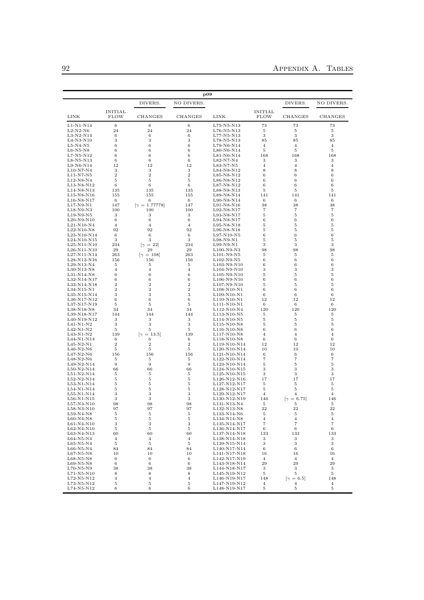|                              |                        |                            | $_{\bf p09}$         |                                                                    |                               |                                  |                        |
|------------------------------|------------------------|----------------------------|----------------------|--------------------------------------------------------------------|-------------------------------|----------------------------------|------------------------|
|                              |                        | DIVERS.                    | NO DIVERS.           |                                                                    |                               | DIVERS.                          | NO DIVERS.             |
| LINK                         | INITIAL<br><b>FLOW</b> | CHANGES                    | CHANGES              | LINK                                                               | <b>INITIAL</b><br><b>FLOW</b> | CHANGES                          | CHANGES                |
| L1-N1-N14                    | 6                      | 6                          | 6                    | $L75-N5-N13$                                                       | 73                            | 73                               | 73                     |
| $L2-N2-N6$                   | 24                     | 24                         | 24                   | $L76-N5-N13$                                                       | 5                             | 5                                | 5                      |
| L3-N2-N14<br>$L4-N3-N10$     | 6<br>3                 | 6<br>3                     | 6<br>3               | $L77-N5-N13$<br>L78-N5-N13                                         | 3<br>85                       | 3<br>85                          | 3<br>85                |
| $L5-N4-N5$                   | 6                      | 6                          | 6                    | L79-N6-N14                                                         | $\overline{4}$                | $\overline{4}$                   | $\overline{4}$         |
| $L6-N5-N8$                   | 6                      | 6                          | 6                    | $L80-N6-N14$                                                       | 5                             | 5                                | 5                      |
| $L7-N5-N12$                  | 6                      | 6                          | 6                    | L81-N6-N14                                                         | 168                           | 168                              | 168                    |
| L8-N5-N13                    | 6                      | 6                          | 6                    | $L82-N7-N4$                                                        | 3                             | 3                                | 3                      |
| $L9-N6-N14$                  | 12                     | 12                         | 12                   | $L83-N7-N5$                                                        | 4                             | $\overline{4}$                   | $\overline{4}$         |
| $L10-N7-N4$<br>$L11-N7-N5$   | 3<br>$\overline{2}$    | 3<br>$\overline{2}$        | 3<br>$\overline{2}$  | L84-N8-N12<br>$L85-N8-N12$                                         | 8<br>6                        | 8<br>6                           | 8<br>6                 |
| L12-N8-N4                    | 5                      | 5                          | 5                    | $L86-N8-N12$                                                       | 6                             | 6                                | 6                      |
| L13-N8-N12                   | 6                      | 6                          | 6                    | L87-N8-N12                                                         | 6                             | 6                                | 6                      |
| L14-N8-N13                   | 135                    | 135                        | 135                  | L88-N8-N13                                                         | 5                             | 5                                | 5                      |
| L15-N8-N16                   | 155                    | 155                        | 155                  | L89-N8-N14                                                         | 141                           | 141                              | 141                    |
| $L16-N8-N17$                 | 6                      | 6                          | 6                    | L90-N8-N14                                                         | 6                             | 6                                | 6                      |
| L17-N9-N1                    | 147                    | $[\gamma = 1.77778]$       | 147                  | $L91-N8-N16$                                                       | 38                            | 38                               | 38                     |
| L18-N9-N3<br>$L19-N9-N5$     | 100<br>3               | 100<br>3                   | 100<br>3             | L92-N8-N17<br>L93-N8-N17                                           | 7<br>5                        | $\overline{7}$<br>5              | $\scriptstyle{7}$<br>5 |
| $L20-N9-N10$                 | 6                      | 6                          | 6                    | $L94-N8-N17$                                                       | 6                             | 6                                | 6                      |
| $L21-N10-N4$                 | 4                      | 4                          | 4                    | $L95-N8-N18$                                                       | 5                             | 5                                | 5                      |
| $L22-N10-N8$                 | 92                     | 92                         | 92                   | $L96-N8-N18$                                                       | 5                             | 5                                | 5                      |
| L23-N10-N14                  | 6                      | 6                          | 6                    | $L97-N10-N5$                                                       | 6                             | 6                                | 6                      |
| $L24-N10-N15$                | 3                      | 3                          | 3                    | L98-N9-N1                                                          | 5                             | 5                                | 5                      |
| L25-N11-N10                  | 234                    | $\left[\gamma = 22\right]$ | 234                  | $L99-N9-N1$                                                        | 3                             | 3                                | 3                      |
| $L26-N11-N10$<br>L27-N11-N14 | 29<br>263              | 29                         | 29<br>263            | $L100-N9-N3$                                                       | 98<br>5                       | 98<br>5                          | 98<br>5                |
| L28-N12-N16                  | 156                    | $ \gamma = 108 $<br>156    | 156                  | $L101-N9-N5$<br>$L102-N9-N5$                                       | 6                             | 6                                | 6                      |
| $L29-N13-N4$                 | 5                      | 5                          | 5                    | L <sub>103</sub> -N <sub>9</sub> -N <sub>10</sub>                  | 6                             | 6                                | 6                      |
| $L30-N13-N8$                 | 4                      | 4                          | 4                    | L <sub>104</sub> -N <sub>9</sub> -N <sub>10</sub>                  | 3                             | 3                                | 3                      |
| L31-N14-N8                   | 6                      | 6                          | 6                    | L105-N9-N10                                                        | 5                             | 5                                | 5                      |
| L32-N14-N17                  | 6                      | 6                          | 6                    | $L106-N9-N10$                                                      | 6                             | 6                                | 6                      |
| L33-N14-N18                  | 2                      | $\overline{2}$             | $\overline{2}$       | L107-N9-N10                                                        | 5                             | 5                                | 5                      |
| L34-N15-N1<br>L35-N15-N14    | $\overline{2}$<br>3    | $\overline{2}$<br>3        | $\overline{2}$<br>3  | L108-N10-N1<br>L109-N10-N1                                         | 6<br>6                        | 6<br>6                           | 6<br>6                 |
| L36-N17-N12                  | 6                      | 6                          | 6                    | L110-N10-N1                                                        | 12                            | 12                               | 12                     |
| L37-N17-N19                  | 5                      | 5                          | 5                    | L111-N10-N1                                                        | 6                             | 6                                | 6                      |
| L38-N18-N8                   | 34                     | 34                         | 34                   | L112-N10-N4                                                        | 120                           | 120                              | 120                    |
| L39-N18-N17                  | 144                    | 144                        | 144                  | L113-N10-N5                                                        | 5                             | 5                                | 5                      |
| L40-N19-N12                  | 3                      | 3                          | 3                    | L114-N10-N5                                                        | 5                             | 5                                | 5                      |
| $L41-N1-N2$<br>$L42-N1-N2$   | 3<br>5                 | 3<br>5                     | 3<br>5               | L115-N10-N8<br>$L116-N10-N8$                                       | 5<br>6                        | 5<br>6                           | 5<br>6                 |
| L43-N1-N2                    | 139                    | $[\gamma = 13.5]$          | 139                  | L117-N10-N8                                                        | 4                             | $\overline{4}$                   | $\overline{4}$         |
| L44-N1-N14                   | 6                      | 6                          | 6                    | L118-N10-N8                                                        | 6                             | 6                                | 6                      |
| $L45-N2-N1$                  | $\overline{2}$         | 2                          | $\overline{2}$       | L119-N10-N14                                                       | 12                            | 12                               | 12                     |
| $L46-N2-N6$                  | 5                      | 5                          | 5                    | L120-N10-N14                                                       | 10                            | 10                               | 10                     |
| $L47-N2-N6$                  | 156                    | 156                        | 156                  | L <sub>121</sub> -N <sub>10</sub> -N <sub>14</sub>                 | 6                             | 6                                | 6                      |
| L48-N2-N6<br>L49-N2-N14      | 5<br>9                 | 5<br>9                     | 5<br>9               | L122-N10-N14<br>L123-N10-N14                                       | 7<br>5                        | 7<br>5                           | $\scriptstyle{7}$<br>5 |
| $L50-N2-N14$                 | 66                     | 66                         | 66                   | L <sub>124</sub> -N <sub>10</sub> -N <sub>15</sub>                 | 3                             | 3                                | 3                      |
| $L51-N2-N14$                 | 5                      | 5                          | 5                    | L125-N10-N15                                                       | 3                             | 3                                | 3                      |
| L52-N2-N14                   | 5                      | 5                          | 5                    | $L126-N12-N16$                                                     | 17                            | 17                               | 17                     |
| $L53-N1-N14$                 | 5                      | 5                          | 5                    | L127-N12-N17                                                       | 5                             | 5                                | 5                      |
| L54-N1-N14                   | 5                      | 5                          | 5                    | L128-N12-N17                                                       | 5                             | 5                                | 5                      |
| L55-N1-N14<br>$L56-N1-N15$   | 3<br>3                 | 3<br>3                     | 3<br>3               | L129-N12-N17<br>L130-N12-N19                                       | 4<br>146                      | 4<br>$[\gamma = 6.75]$           | $\overline{4}$<br>146  |
| $L57-N3-N10$                 | 98                     | 98                         | 98                   | L131-N13-N4                                                        |                               |                                  | 5                      |
| $L58-N3-N10$                 | 97                     | 97                         | 97                   | L132-N13-N8                                                        | 22                            | 22                               | 22                     |
| L59-N4-N8                    | 5                      | 5                          | 5                    | L133-N14-N6                                                        | 5                             | $\bf 5$                          | 5                      |
| $L60-N4-N8$                  | 5                      | 5                          | 5                    | L134-N14-N8                                                        | 4                             | 4                                | 4                      |
| $L61-N4-N10$                 | 3                      | 3                          | 3                    | L135-N14-N17                                                       | 7                             | $\overline{7}$                   | $\scriptstyle{7}$      |
| $L62-N4-N10$                 | 5                      | 5                          | 5                    | L136-N14-N17                                                       | 6                             | 6                                | 6                      |
| L63-N4-N13<br>$L64-N5-N4$    | 60<br>$\overline{4}$   | 60<br>$\overline{4}$       | 60<br>$\overline{4}$ | L137-N14-N18<br>L138-N14-N18                                       | 133<br>3                      | 133<br>3                         | 133<br>3               |
| $L65-N5-N4$                  | 5                      | 5                          | 5                    | L139-N15-N14                                                       | 3                             | 3                                | 3                      |
| $L66-N5-N4$                  | 84                     | 84                         | 84                   | L140-N17-N14                                                       | 6                             | 6                                | 6                      |
| $L67-N5-N8$                  | 10                     | 10                         | 10                   | L141-N17-N18                                                       | 16                            | 16                               | 16                     |
| $L68-N5-N8$                  | 6                      | 6                          | 6                    | L142-N17-N19                                                       | 4                             | 4                                | 4                      |
| $L69-N5-N8$                  | 6                      | 6                          | 6                    | L143-N18-N14                                                       | 29                            | 29                               | 29                     |
| L70-N5-N9                    | 38                     | 38                         | 38                   | L144-N18-N17                                                       | 3                             | 3                                | 3                      |
| L71-N5-N10                   | 8                      | 8                          | 8                    | L145-N19-N12                                                       | 5                             | $\,$ 5                           | $\,$ 5                 |
| $L72-N5-N12$<br>L73-N5-N12   | $\overline{4}$<br>5    | 4<br>5                     | 4<br>5               | L <sub>146</sub> -N <sub>19</sub> -N <sub>17</sub><br>L147-N19-N12 | 148<br>4                      | $ \gamma=6.5 $<br>$\overline{4}$ | 148<br>$\overline{4}$  |
|                              |                        |                            |                      |                                                                    |                               |                                  |                        |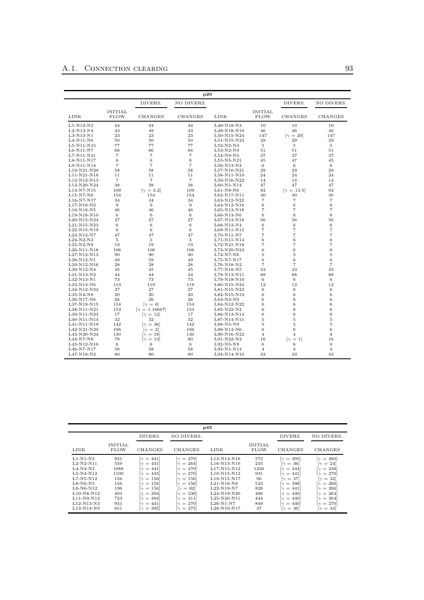|                            |                               |                                    | p20            |                            |                               |                                   |                   |
|----------------------------|-------------------------------|------------------------------------|----------------|----------------------------|-------------------------------|-----------------------------------|-------------------|
|                            |                               | DIVERS.                            | NO DIVERS.     |                            |                               | DIVERS.                           | NO DIVERS.        |
| LINK                       | <b>INITIAL</b><br><b>FLOW</b> | <b>CHANGES</b>                     | CHANGES        | LINK                       | <b>INITIAL</b><br><b>FLOW</b> | CHANGES                           | CHANGES           |
| $L1-N12-N2$                | 44                            | 44                                 | 44             | L48-N18-N3                 | 10                            | 10                                | 10                |
| L2-N13-N4                  | 43                            | 49                                 | 43             | L49-N18-N10                | 46                            | 46                                | 46                |
| $L3-N13-N1$                | 23                            | 23                                 | 23             | L50-N15-N24                | 147                           | $\lbrack \gamma = 20 \rbrack$     | 147               |
| $L4-N11-N6$                | 50                            | 50                                 | 50             | L51-N15-N23                | 29                            | 29                                | 29                |
| $L5-N11-N15$               | 77                            | 77                                 | 77             | $L52-N2-N3$                | 5                             | 5                                 | 5                 |
| $L6-N11-N7$                | 66                            | 66                                 | 66             | L53-N2-N9                  | 51                            | 51                                | 51                |
| $L7-N11-N21$               | $\overline{7}$                | $\overline{7}$                     | $\overline{7}$ | $L54-N9-N5$                | 37                            | 37                                | 37                |
| $L8-N11-N17$               | 6                             | 6                                  | 6              | L55-N5-N21                 | 45                            | 47                                | 45                |
| L9-N11-N14                 | $\overline{7}$                | $\overline{7}$                     | $\overline{7}$ | L56-N13-N2                 | 6                             | 6                                 | $\,6\,$           |
| $L10-N21-N20$              | 58                            | 58                                 | 58             | $L57-N10-N21$              | 29                            | 29                                | 29                |
| L11-N21-N18                | 11                            | 11                                 | 11             | L58-N11-N10                | 24                            | 24                                | 24                |
| L12-N12-N13                | $\overline{7}$                | $\scriptstyle{7}$                  | $\overline{7}$ | L59-N16-N22                | 14                            | 14                                | 14                |
| L13-N20-N24                | 38                            | 38                                 | 38             | $L60-N1-N14$               | 47                            | 47                                | 47                |
| $L14-N7-N15$               | 109                           | $[\gamma = 3.2]$                   | 109            | $L61-N8-N6$                | 82                            | $[\gamma = 13.5]$                 | 82                |
| $L15-N7-N6$                | 154                           | 154                                | 154            | $L62-N17-N11$              | 30                            | 30                                | 30                |
| L16-N7-N17                 | 34                            | 34                                 | 34             | L63-N12-N22                | $\overline{7}$                | $\overline{7}$                    | $\overline{7}$    |
| L17-N18-N2                 | 9                             | $\boldsymbol{9}$                   | 9              | L64-N12-N16                | 6                             | 6                                 | $\boldsymbol{6}$  |
| L18-N18-N5                 | 46                            | 46                                 | 46             | L65-N13-N18                | $\overline{7}$                | $\overline{7}$                    | $\overline{7}$    |
| L19-N18-N10                | 6                             | 6                                  | 6              | $L66-N13-N6$               | 6                             | 6                                 | 6                 |
| $L_{20-N15-N24}$           | 27                            | 27                                 | 27             | L67-N13-N18                | 56                            | 56                                | 56                |
| L21-N15-N23                | 6                             | 6                                  | 6              | L68-N13-N4                 | 6                             | $\,6$                             | $\boldsymbol{6}$  |
| L22-N15-N19                | 6                             | 6                                  | 6              | L69-N11-N15                | 7                             | $\overline{7}$                    | $\scriptstyle{7}$ |
| $L23-N12-N7$               | 47                            | 47                                 | 47             | $L70-N11-N7$               | $\overline{7}$                | $\overline{7}$                    | $\scriptstyle{7}$ |
| $L24-N2-N3$                | $\overline{5}$                | $\overline{5}$                     | 5              | L71-N11-N14                | 6                             | 6                                 | 6                 |
| $L25-N2-N9$                | 19                            | 19                                 | 19             | L72-N21-N18                | $\overline{7}$                | $\overline{7}$                    | $\overline{7}$    |
| L26-N11-N18                | 106                           | 106                                | 106            | L73-N20-N24                | 6                             | 6                                 | $\,$ 6 $\,$       |
| $L27-N12-N13$              | 90                            | 90                                 | 90             | $L74-N7-N6$                | 5                             | 5                                 | 5                 |
| $L28-N12-N1$               | 49                            | 59                                 | 49             | L75-N7-N17                 | 6                             | $\,6$                             | $\boldsymbol{6}$  |
| L29-N12-N16                | 28                            | 28                                 | 28             | $L76-N18-N2$               | $\overline{7}$                | $\overline{7}$                    | $\scriptstyle{7}$ |
| L30-N12-N4                 | 45                            | 45                                 | 45             | L77-N18-N5                 | 33                            | 33                                | 33                |
|                            | 44                            | 44                                 | 44             |                            | 88                            | 88                                | 88                |
| L31-N13-N2<br>$L32-N13-N1$ | 73                            | 73                                 | 73             | L78-N13-N11<br>L79-N18-N10 | 6                             | 6                                 | 6                 |
|                            | 119                           | 119                                |                |                            | 12                            | 12                                | 12                |
| L33-N13-N6                 |                               |                                    | 119            | L80-N15-N24                |                               |                                   |                   |
| L34-N12-N22                | 27                            | 27                                 | 27             | L81-N15-N23                | 6                             | 6                                 | 6                 |
| $L35-N4-N8$                | 20                            | 20                                 | 20             | L82-N15-N19                | 6                             | 6                                 | 6                 |
| $L36-N17-N6$               | 26                            | 26                                 | 26             | L83-N2-N9                  | 6                             | 6                                 | 6                 |
| $L37-N19-N15$              | 154                           | $[\gamma = 6]$                     | 154            | $L84-N12-N22$              | 6                             | 6                                 | 6                 |
| L38-N11-N21                | 153                           | $[\gamma = 1.16667]$               | 153            | L85-N22-N2                 | 6                             | 6                                 | $\,$ 6 $\,$       |
| L39-N11-N23                | 17                            | $ \gamma=12 $                      | 17             | L86-N13-N14                | 6                             | 6                                 | $\,$ 6 $\,$       |
| L40-N11-N14                | 32                            | 32                                 | 32             | L87-N14-N11                | 5                             | 5                                 | $\overline{5}$    |
| L41-N11-N19                | 142                           | $\lceil \gamma \rceil = 36 \rceil$ | 142            | $L88-N5-N9$                | 5                             | 5                                 | $\overline{5}$    |
| L42-N21-N20                | 106                           | $[\gamma = 2]$                     | 106            | L89-N13-N6                 | 6                             | 6                                 | 6                 |
| L43-N20-N24                | 130                           | $\lceil \gamma \rceil = 18 \rceil$ | 130            | L90-N16-N22                | $\overline{4}$                | $\overline{4}$                    | $\overline{4}$    |
| $L44-N7-N8$                | 78                            | $\lceil \gamma \rceil = 13 \rceil$ | 80             | $L91-N22-N2$               | 16                            | $\lceil \gamma \rceil = 1 \rceil$ | 16                |
| L45-N12-N16                | 6                             | 6                                  | 6              | L92-N5-N9                  | 6                             | $\,6$                             | 6                 |
| L46-N7-N17                 | 58                            | 58                                 | 58             | L93-N1-N14                 | $\overline{4}$                | $\overline{4}$                    | $\overline{4}$    |
| L47-N18-N2                 | 80                            | 80                                 | 80             | L94-N14-N10                | 33                            | 33                                | 33                |

|                                                                                     |                                          |                                                                                                                                                                                                                                        |                                                                                                                                               | p45                                                                                                                           |                                        |                                                                                                                                                                                                                        |                                                                                                                                                                 |
|-------------------------------------------------------------------------------------|------------------------------------------|----------------------------------------------------------------------------------------------------------------------------------------------------------------------------------------------------------------------------------------|-----------------------------------------------------------------------------------------------------------------------------------------------|-------------------------------------------------------------------------------------------------------------------------------|----------------------------------------|------------------------------------------------------------------------------------------------------------------------------------------------------------------------------------------------------------------------|-----------------------------------------------------------------------------------------------------------------------------------------------------------------|
|                                                                                     |                                          | DIVERS.                                                                                                                                                                                                                                | NO DIVERS.                                                                                                                                    |                                                                                                                               |                                        | DIVERS.                                                                                                                                                                                                                | NO DIVERS.                                                                                                                                                      |
| LINK                                                                                | <b>INITIAL</b><br><b>FLOW</b>            | <b>CHANGES</b>                                                                                                                                                                                                                         | <b>CHANGES</b>                                                                                                                                | LINK                                                                                                                          | <b>INITIAL</b><br><b>FLOW</b>          | <b>CHANGES</b>                                                                                                                                                                                                         | CHANGES                                                                                                                                                         |
| $L1-N1-N3$<br>$L2-N2-N11$<br>$L4-N4-N2$<br>$L5-N4-N12$<br>$L7-N5-N12$<br>$L8-N6-N5$ | 931<br>559<br>1088<br>1100<br>156<br>156 | $\lceil \gamma \rceil = 441 \rceil$<br>$\lceil \gamma \rceil = 441 \rceil$<br>$\lceil \gamma \rceil = 441 \rceil$<br>$\lceil \gamma \rceil = 445 \rceil$<br>$\lceil \gamma \rceil = 156 \rceil$<br>$\lceil \gamma \rceil = 156 \rceil$ | $= 270$<br>$\sim$<br>$= 264$<br>$\sim$<br>$= 270$<br>$\sim$<br>$\lbrack \gamma \, = \, 270 \rbrack$<br>$= 156$<br>$\sim$<br>$= 156$<br>$\sim$ | L14-N14-N16<br>L <sub>16</sub> -N <sub>15</sub> -N <sub>10</sub><br>L17-N15-N12<br>L18-N15-N13<br>L19-N15-N17<br>$L21-N16-N8$ | 573<br>235<br>1256<br>931<br>96<br>523 | $\lceil \gamma \rceil = 395 \rceil$<br>$\lceil \gamma \rceil = 36 \rceil$<br>$\lceil \gamma \rceil = 444 \rceil$<br>$\lceil \gamma = 441 \rceil$<br>$\lceil \gamma \rceil = 37$<br>$\lceil \gamma \rceil = 396 \rceil$ | $\gamma = 260$<br>$ \gamma=24 $<br>$\lceil \gamma \rceil = 238 \rceil$<br>$\lbrack \gamma =270]$<br>$= 32$<br>$\sim$<br>$\lceil \gamma \rceil = 266 \rceil$     |
| $L9-N6-N12$<br>$L10-N8-N12$<br>L11-N9-N12<br>L12-N13-N3<br>L13-N14-N9               | 196<br>403<br>723<br>931<br>651          | $\lceil \gamma \rceil = 156 \rceil$<br>$\lceil \gamma \rceil = 394 \rceil$<br>$\lceil \gamma \rceil = 394 \rceil$<br>$\lceil \gamma \rceil = 441 \rceil$<br>$\lceil \gamma \rceil = 395$                                               | $\lceil \gamma = 82 \rceil$<br>$= 230$<br>$\sim$<br>$= 311$<br>$\sim$<br>$\lbrack \gamma \, = \, 270 \rbrack$<br>$= 275$<br>$\gamma$          | $L22-N19-N7$<br>$L_{24-N19-N20}$<br>$L25-N20-N11$<br>$L26-N1-N7$<br>L28-N10-N17                                               | 828<br>486<br>444<br>849<br>37         | $\lceil \gamma = 441 \rceil$<br>$\lceil \gamma \rceil = 440 \rceil$<br>$\lceil \gamma \rceil = 440 \rceil$<br>$\lceil \gamma = 440 \rceil$<br>$=$ 36<br>$\sim$                                                         | $\lceil \gamma \rceil = 266 \rceil$<br>$\lceil \gamma \rceil = 264 \rceil$<br>$\lceil \gamma \rceil = 264 \rceil$<br>$\lbrack \gamma =270]$<br>$= 34$<br>$\sim$ |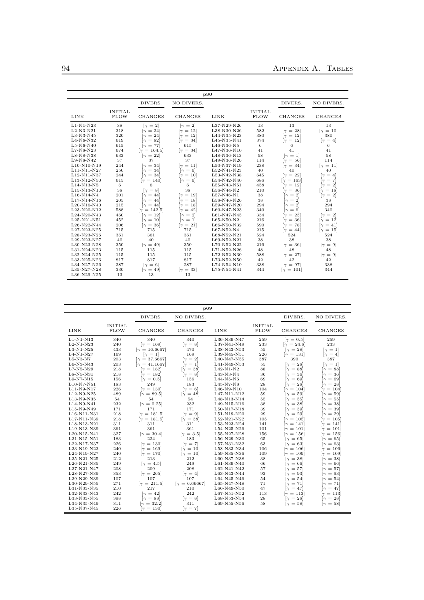|                                                                                                                                     |                                                           |                                                                                                                                                                                       |                                                                                                                                                                                                                                | p30                                                                                                                                |                                                        |                                                                                                                                                                                  |                                                                                                                                                                                |
|-------------------------------------------------------------------------------------------------------------------------------------|-----------------------------------------------------------|---------------------------------------------------------------------------------------------------------------------------------------------------------------------------------------|--------------------------------------------------------------------------------------------------------------------------------------------------------------------------------------------------------------------------------|------------------------------------------------------------------------------------------------------------------------------------|--------------------------------------------------------|----------------------------------------------------------------------------------------------------------------------------------------------------------------------------------|--------------------------------------------------------------------------------------------------------------------------------------------------------------------------------|
|                                                                                                                                     |                                                           | DIVERS.                                                                                                                                                                               | NO DIVERS.                                                                                                                                                                                                                     |                                                                                                                                    |                                                        | DIVERS.                                                                                                                                                                          | NO DIVERS.                                                                                                                                                                     |
| LINK                                                                                                                                | <b>INITIAL</b><br><b>FLOW</b>                             | <b>CHANGES</b>                                                                                                                                                                        | <b>CHANGES</b>                                                                                                                                                                                                                 | LINK                                                                                                                               | <b>INITIAL</b><br><b>FLOW</b>                          | <b>CHANGES</b>                                                                                                                                                                   | CHANGES                                                                                                                                                                        |
| $L1-N1-N23$<br>$L2-N3-N21$<br>L3-N3-N45<br>L4-N6-N32<br>$L5-N6-N40$<br>L7-N8-N23<br>$L8-N8-N38$<br>L9-N8-N42<br>L10-N10-N19         | 38<br>318<br>320<br>619<br>615<br>674<br>633<br>37<br>244 | $[\gamma = 2]$<br>$\lceil \gamma \rceil = 24 \rceil$<br>$\gamma = 24$<br>$\gamma = 82$<br>$[\gamma = 77]$<br>$[\gamma = 164.5]$<br>$\lceil \gamma = 22 \rceil$<br>37<br>$\gamma = 34$ | $\lceil \gamma \rceil = 2 \rceil$<br>$\lceil \gamma = 12 \rceil$<br>$\lceil \gamma \rceil = 12 \rceil$<br>$\lceil \gamma = 34 \rceil$<br>615<br>$\lceil \gamma = 34 \rceil$<br>633<br>37<br>$\lceil \gamma \rceil = 11 \rceil$ | L37-N29-N26<br>L38-N30-N26<br>L44-N35-N23<br>L45-N35-N41<br>L46-N36-N5<br>L47-N36-N10<br>L48-N36-N13<br>L49-N36-N26<br>L50-N37-N19 | 13<br>582<br>380<br>374<br>6<br>41<br>58<br>114<br>238 | 13<br>$\lceil \gamma \rceil = 28 \rceil$<br>$\lceil \gamma \rceil = 12 \rceil$<br>$\lceil \gamma = 12 \rceil$<br>6<br>41<br>$[\gamma = 1]$<br>$[\gamma = 56]$<br>$[\gamma = 34]$ | 13<br>$[\gamma = 10]$<br>380<br>$[\gamma = 4]$<br>6<br>41<br>58<br>114<br>$\lceil \gamma \rceil = 11 \rceil$                                                                   |
| L11-N11-N27<br>L12-N11-N37<br>L13-N12-N50<br>L14-N13-N5<br>L15-N13-N10<br>L16-N14-N4                                                | 250<br>244<br>615<br>6<br>38<br>201                       | $\lceil \gamma \rceil = 34 \rceil$<br>$\lceil \gamma \rceil = 34 \rceil$<br>$\lceil \gamma \rceil = 140 \rceil$<br>6<br>$[\gamma = 8]$<br>$\lceil \gamma \rceil = 44 \rceil$          | $[\gamma = 6]$<br>$\lceil \gamma \rceil = 10 \rceil$<br>$\lceil \gamma = 6 \rceil$<br>6<br>38<br>$\lceil \gamma \rceil = 19 \rceil$                                                                                            | L52-N41-N23<br>L53-N42-N38<br>L54-N42-N40<br>L55-N43-N51<br>$L56-N44-N2$<br>L57-N46-N1                                             | 40<br>645<br>686<br>458<br>210<br>38                   | 40<br>$\lceil \gamma = 22 \rceil$<br>$\lceil \gamma \rceil = 163 \rceil$<br>$\lceil \gamma \rceil = 12 \rceil$<br>$[\gamma = 36]$<br>$[\gamma = 2]$                              | 40<br>$\lceil \gamma \rceil = 4 \rceil$<br>$\lceil \gamma \rceil = 7$<br>$\lceil \gamma \rceil = 2 \rceil$<br>$\lceil \gamma \rceil = 18 \rceil$<br>$\lceil \gamma = 2 \rceil$ |
| L17-N14-N16<br>L20-N16-N40<br>L23-N20-N12<br>L24-N20-N43<br>L25-N21-N51<br>L26-N22-N44<br>L27-N23-N25                               | 205<br>215<br>588<br>460<br>452<br>206<br>715             | $\lceil \gamma \rceil = 44 \rceil$<br>$\lceil \gamma \rceil = 44 \rceil$<br>$[\gamma = 142.5]$<br>$\lceil \gamma \, = \, 12 \rceil$<br>$\gamma = 10$<br>$[\gamma = 36]$<br>715        | $[\gamma = 18]$<br>$\lceil \gamma \rceil = 18 \rceil$<br>$\lceil \gamma = 42 \rceil$<br>$[\gamma = 2]$<br>$[\gamma = 1]$<br>$\lceil \gamma = 21 \rceil$<br>715                                                                 | L58-N46-N26<br>L59-N47-N20<br>L60-N47-N23<br>L61-N47-N45<br>$L65-N50-N2$<br>L66-N50-N32<br>L67-N52-N4                              | 38<br>294<br>340<br>334<br>216<br>590<br>215           | $\lceil \gamma \rceil = 2 \rceil$<br>$= 2$<br>ſγ<br>$[\gamma = 6]$<br>$\lceil \gamma = 23 \rceil$<br>$[\gamma = 36]$<br>$\gamma = 78$<br>$[\gamma = 44]$                         | 38<br>294<br>340<br>$\lceil \gamma = 2 \rceil$<br>$\gamma = 12$<br>$\lceil \gamma \rceil = 41 \rceil$<br>$\lceil \gamma \rceil = 15 \rceil$                                    |
| L28-N23-N26<br>L29-N23-N27<br>L30-N23-N28<br>L31-N24-N23<br>L32-N24-N25<br>L33-N25-N26<br>L34-N27-N26<br>L35-N27-N28<br>L36-N29-N25 | 361<br>40<br>350<br>115<br>115<br>817<br>287<br>330<br>13 | 361<br>40<br>$\lceil \gamma = 49 \rceil$<br>115<br>115<br>817<br>$[\gamma = 6]$<br>$\gamma = 49$<br>13                                                                                | 361<br>40<br>350<br>115<br>115<br>817<br>287<br>$[\gamma = 33]$<br>13                                                                                                                                                          | L68-N52-N21<br>L69-N52-N21<br>L70-N52-N22<br>L71-N52-N26<br>L72-N52-N30<br>L73-N52-N50<br>L74-N54-N10<br>L75-N54-N41               | 524<br>38<br>216<br>48<br>588<br>42<br>338<br>344      | 524<br>38<br>$[\gamma = 36]$<br>48<br>$[\gamma = 27]$<br>42<br>$[\gamma = 97]$<br>$\gamma = 101$                                                                                 | 524<br>38<br>$\lceil \gamma = 9 \rceil$<br>48<br>$[\gamma = 9]$<br>42<br>338<br>344                                                                                            |

|               |                               |                                     | p69                                |             |                               |                                     |                                     |
|---------------|-------------------------------|-------------------------------------|------------------------------------|-------------|-------------------------------|-------------------------------------|-------------------------------------|
|               |                               | DIVERS.                             | NO DIVERS.                         |             |                               | DIVERS.                             | NO DIVERS.                          |
| <b>LINK</b>   | <b>INITIAL</b><br><b>FLOW</b> | CHANGES                             | CHANGES                            | LINK        | <b>INITIAL</b><br><b>FLOW</b> | <b>CHANGES</b>                      | <b>CHANGES</b>                      |
| L1-N1-N13     | 340                           | 340                                 | 340                                | L36-N39-N47 | 259                           | $\lbrack \gamma = 0.5 \rbrack$      | 259                                 |
| $L2-N1-N23$   | 240                           | $\gamma = 169$                      | $[\gamma = 8]$                     | L37-N41-N49 | 233                           | $[\gamma = 24.8]$                   | 233                                 |
| $L3-N1-N25$   | 433                           | $[\gamma = 16.6667]$                | 470                                | L38-N43-N53 | 55                            | $\lceil \gamma = 28 \rceil$         | $[\gamma = 1]$                      |
| $L4-N1-N27$   | 169                           | $[\gamma = 1]$                      | 169                                | L39-N45-N51 | 226                           | $\lceil \gamma \rceil = 131 \rceil$ | $[\gamma = 4]$                      |
| $L5-N3-N7$    | 203                           | $[\gamma = 37.6667]$                | $\lceil \gamma \rceil = 2 \rceil$  | L40-N47-N55 | 387                           | 390                                 | 387                                 |
| L6-N3-N43     | 203                           | $[\gamma = 41.1667]$                | $\lceil \gamma \rceil = 1 \rceil$  | L41-N49-N53 | 55                            | $\lceil \gamma \rceil = 28 \rceil$  | $[\gamma = 1]$                      |
| L7-N5-N29     | 218                           | $\lceil \gamma \rceil = 182 \rceil$ | $\lceil \gamma = 38 \rceil$        | $L42-N1-N2$ | 88                            | $\lceil \gamma \rfloor = 88 \rceil$ | $\lceil \gamma = 88 \rceil$         |
| L8-N5-N31     | 218                           | $\lceil \gamma \rceil = 182 \rceil$ | $[\gamma = 8]$                     | L43-N3-N4   | 36                            | $\lceil \gamma \rceil = 36 \rceil$  | $\lceil \gamma \rceil = 36 \rceil$  |
| L9-N7-N15     | 156                           | $\lbrack \gamma =0.5 \rbrack$       | 156                                | $L44-N5-N6$ | 69                            | $\lceil \gamma \rceil = 69 \rceil$  | $\gamma = 69$                       |
| L10-N7-N51    | 183                           | 249                                 | 183                                | L45-N7-N8   | 28                            | $\lceil \gamma \rceil = 28 \rceil$  | $\gamma = 28$                       |
| L11-N9-N17    | 226                           | $\lbrack \gamma = 130 \rbrack$      | $[\gamma = 6]$                     | L46-N9-N10  | 104                           | $\lceil \gamma \rceil = 104 \rceil$ | $\lceil \gamma \rceil = 104 \rceil$ |
| L12-N9-N25    | 489                           | $[\gamma = 89.5]$                   | $\lceil \gamma = 48 \rceil$        | L47-N11-N12 | 59                            | $\lceil \gamma \rceil = 59 \rceil$  | $\lceil \gamma = 59 \rceil$         |
| L13-N9-N35    | 54                            | 54                                  | 54                                 | L48-N13-N14 | 55                            | $\lceil \gamma \rfloor = 55 \rceil$ | ſγ<br>$= 55$                        |
| L14-N9-N41    | 232                           | $[\gamma = 0.25]$                   | 232                                | L49-N15-N16 | 38                            | $\lceil \gamma \rfloor = 38 \rceil$ | $= 38$<br>$\sim$                    |
| L15-N9-N49    | 171                           | 171                                 | 171                                | L50-N17-N18 | 39                            | $\lceil \gamma \rceil = 39 \rceil$  | $= 39$<br>ſγ                        |
| L16-N11-N31   | 218                           | $[\gamma = 181.5]$                  | $[\gamma = 9]$                     | L51-N19-N20 | 29                            | $\lceil \gamma \rceil = 29 \rceil$  | $\lceil \gamma \rceil = 29 \rceil$  |
| L17-N11-N39   | 218                           | $[\gamma = 181.5]$                  | $\lceil \gamma = 38 \rceil$        | L52-N21-N22 | 105                           | $\gamma = 105$                      | $\lceil \gamma \rceil = 105 \rceil$ |
| L18-N13-N21   | 311                           | 311                                 | 311                                | L53-N23-N24 | 141                           | $\lceil \gamma \rceil = 141 \rceil$ | $\lceil \gamma \rceil = 141 \rceil$ |
| L19-N13-N39   | 361                           | 361                                 | 361                                | L54-N25-N26 | 101                           | $\lceil \gamma \rceil = 101 \rceil$ | $\lceil \gamma \rceil = 101 \rceil$ |
| L20-N15-N41   | 327                           | $\lceil \gamma = 30.4 \rceil$       | $[\gamma = 3.5]$                   | L55-N27-N28 | 156                           | $\lceil \gamma \rceil = 156 \rceil$ | $\gamma = 156$                      |
| L21-N15-N51   | 183                           | 224                                 | 183                                | L56-N29-N30 | 65                            | $\lceil \gamma \rceil = 65 \rceil$  | $\lceil \gamma \rceil = 65 \rceil$  |
| L22-N17-N37   | 226                           | $\lceil \gamma \rceil = 130 \rceil$ | $[\gamma = 7]$                     | L57-N31-N32 | 63                            | $\lceil \gamma \rceil = 63 \rceil$  | $\lceil \gamma \rceil = 63 \rceil$  |
| L23-N19-N23   | 240                           | $\lceil \gamma \rceil = 169 \rceil$ | $\lceil \gamma \rceil = 10 \rceil$ | L58-N33-N34 | 106                           | $\lceil \gamma \rceil = 106 \rceil$ | $\gamma = 106$                      |
| L24-N19-N27   | 240                           | $\gamma = 170$                      | $\lceil \gamma \rceil = 10 \rceil$ | L59-N35-N36 | 109                           | $\lceil \gamma \rceil = 109 \rceil$ | $\lceil \gamma \rceil = 109 \rceil$ |
| $L25-N21-N25$ | 212                           | 213                                 | 212                                | L60-N37-N38 | 38                            | $\lceil \gamma \rceil = 38 \rceil$  | $\lceil \gamma \rceil = 38 \rceil$  |
| L26-N21-N35   | 249                           | $[\gamma = 4.5]$                    | 249                                | L61-N39-N40 | 66                            | $\lceil \gamma \rceil = 66 \rceil$  | $\lceil \gamma \rceil = 66 \rceil$  |
| L27-N21-N47   | 208                           | 209                                 | 208                                | L62-N41-N42 | 57                            | $\gamma = 57$                       | $[\gamma = 57]$                     |
| L28-N27-N39   | 353                           | $[\gamma = 265]$                    | $[\gamma = 4]$                     | L63-N43-N44 | 93                            | $\lceil \gamma \rfloor = 93 \rceil$ | $= 93$<br>$\sim$                    |
| L29-N29-N39   | 107                           | 107                                 | 107                                | L64-N45-N46 | 54                            | $\gamma = 54$                       | $= 54$<br>$\sim$                    |
| L30-N29-N55   | 271                           | $[\gamma = 211.5]$                  | $[\gamma = 6.66667]$               | L65-N47-N48 | 71                            | $\lceil \gamma \, = \, 71 \rceil$   | $\lceil \gamma \rceil = 71 \rceil$  |
| L31-N33-N35   | 210                           | 217                                 | 210                                | L66-N49-N50 | 47                            | $\lceil \gamma \rceil = 47 \rceil$  | $= 47$<br>$\sim$                    |
| L32-N33-N43   | 242                           | $\lceil \gamma = 42 \rceil$         | 242                                | L67-N51-N52 | 113                           | $\lceil \gamma \rceil = 113 \rceil$ | $\lceil \gamma \rceil = 113 \rceil$ |
| L33-N33-N55   | 398                           | $\lceil \gamma = 88 \rceil$         | $[\gamma = 8]$                     | L68-N53-N54 | 28                            | $\lceil \gamma = 28 \rceil$         | $= 28$<br>$\sim$                    |
| L34-N35-N49   | 311                           | $[\gamma = 32.2]$                   | 311                                | L69-N55-N56 | 58                            | $\lceil \gamma \rfloor = 58 \rceil$ | $= 58$<br>$\sim$                    |
| L35-N37-N45   | 226                           | $\lceil \gamma \rceil = 130 \rceil$ | $[\gamma = 7]$                     |             |                               |                                     |                                     |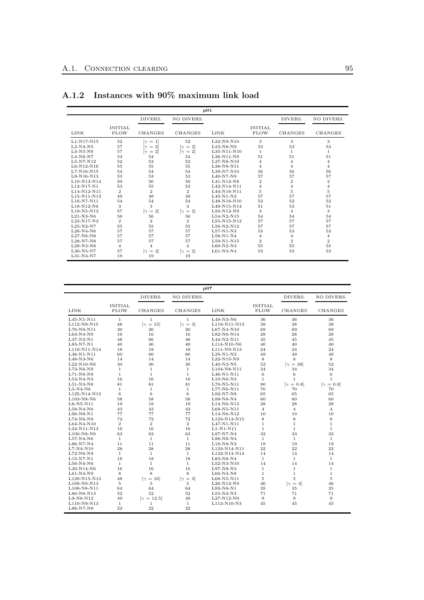|               |                               |                                   |                                   | p01           |                               |                |                |
|---------------|-------------------------------|-----------------------------------|-----------------------------------|---------------|-------------------------------|----------------|----------------|
|               |                               | DIVERS.                           | NO DIVERS.                        |               |                               | DIVERS.        | NO DIVERS.     |
| LINK          | <b>INITIAL</b><br><b>FLOW</b> | CHANGES                           | CHANGES                           | <b>LINK</b>   | <b>INITIAL</b><br><b>FLOW</b> | CHANGES        | CHANGES        |
| $L1-N17-N15$  | 52                            | $\lceil \gamma \rceil = 1 \rceil$ | 52                                | L32-N9-N10    | 3                             | 3              | 3              |
| $L2-N4-N5$    | 57                            | $\lceil \gamma \rceil = 2 \rceil$ | $\lceil \gamma \rceil = 2 \rceil$ | L33-N8-N9     | 53                            | 53             | 53             |
| $L3-N5-N6$    | 57                            | $\lceil \gamma \rceil = 2 \rceil$ | $[\gamma = 2]$                    | L35-N11-N10   | 1                             | 1.             | 1              |
| $L4-N6-N7$    | 54                            | 54                                | 54                                | L36-N11-N9    | 51                            | 51             | 51             |
| $L5-N7-N12$   | 52                            | 53                                | 52                                | $L37-N8-N10$  | 4                             | 4              | 4              |
| $L6-N12-N16$  | 55                            | 55                                | 55                                | L38-N8-N11    | 4                             | 4              | 4              |
| $L7-N16-N15$  | 54                            | 54                                | 54                                | L39-N7-N10    | 56                            | 56             | 56             |
| $L9-N16-N13$  | 53                            | 53                                | 53                                | $L40-N7-N9$   | 57                            | 57             | 57             |
| L10-N13-N14   | 50                            | 50                                | 50                                | $L41-N12-N8$  | $\overline{2}$                | $\overline{2}$ | $\,2$          |
| L12-N17-N1    | 53                            | 55                                | 53                                | $L42-N14-N11$ | 4                             | 4              | $\overline{4}$ |
| L14-N12-N11   | $\overline{2}$                | $\overline{2}$                    | $\overline{2}$                    | L44-N16-N11   | 5                             | 5              | $\overline{5}$ |
| $L15-N11-N13$ | 49                            | 49                                | 49                                | $L45-N1-N2$   | 57                            | 57             | 57             |
| $L16-N7-N11$  | 54                            | 54                                | 54                                | L48-N16-N10   | 52                            | 52             | 52             |
| $L18-N12-N6$  | 3                             | 3                                 | 3                                 | $L49-N15-N14$ | 51                            | 53             | 51             |
| L19-N5-N12    | 57                            | $[\gamma = 2]$                    | $ \gamma=2 $                      | $L50-N12-N9$  | 3                             | 3              | 3              |
| $L21-N3-N6$   | 56                            | 56                                | 56                                | $L54-N2-N15$  | 54                            | 54             | 54             |
| $L23-N17-N2$  | $\overline{2}$                | $\overline{2}$                    | $\mathbf{2}$                      | L55-N15-N12   | 57                            | 57             | 57             |
| $L25-N2-N7$   | 55                            | 55                                | 55                                | $L56-N2-N12$  | 57                            | 57             | 57             |
| $L26-N4-N6$   | 57                            | 57                                | 57                                | $L57-N1-N3$   | 53                            | 53             | 53             |
| $L27-N6-N8$   | 57                            | 57                                | 57                                | $L58-N1-N4$   | 4                             | 4              | 4              |
| $L28-N7-N8$   | 57                            | 57                                | 57                                | $L59-N1-N15$  | $\overline{2}$                | $\mathbf{2}$   | $\overline{2}$ |
| $L29-N3-N8$   | $\overline{4}$                | $\overline{4}$                    | $\overline{4}$                    | $L60-N2-N3$   | 55                            | 55             | 55             |
| $L30-N5-N7$   | 57                            | $[\gamma = 2]$                    | $\lceil \gamma \rceil = 2 \rceil$ | $L61-N3-N4$   | 53                            | 53             | 53             |
| $L31-N4-N7$   | 19                            | 19                                | 19                                |               |                               |                |                |

## A.1.2 Instances with 90% maximum link load

| DIVERS.<br>NO DIVERS.<br><b>INITIAL</b><br><b>INITIAL</b><br><b>FLOW</b><br><b>CHANGES</b><br><b>FLOW</b><br><b>LINK</b><br><b>CHANGES</b><br>LINK<br>36<br>$\mathbf{1}$<br>$\mathbf{1}$<br>$\mathbf{1}$<br>$L45-N1-N11$<br>$L49-N3-N6$<br>48<br>$[\gamma = 3]$<br>38<br>L112-N9-N15<br>$\lceil \gamma \rceil = 15 \rceil$<br>L118-N11-N13<br>20<br>69<br>L76-N6-N11<br>20<br>20<br>$L67-N4-N10$<br>16<br>16<br>28<br>$L63-N4-N9$<br>16<br>L82-N6-N14<br>66<br>48<br>$L37-N2-N1$<br>48<br>$L44-N2-N11$<br>45<br>$L85-N7-N1$<br>40<br>40<br>40<br>L114-N10-N6<br>40<br>18<br>18<br>L111-N9-N13<br>24<br>L119-N11-N14<br>18<br>$L36-N1-N11$<br>60<br>60<br>$L35-N1-N2$<br>49<br>60<br>8<br>14<br>$L48-N3-N6$<br>14<br>14<br>L32-N15-N9<br>52<br>L22-N10-N6<br>30<br>30<br>30<br>$L40-N2-N5$<br>L73-N6-N9<br>$\mathbf{1}$<br>$\mathbf{1}$<br>34<br>$\mathbf{1}$<br>L104-N8-N11<br>$\mathbf{1}$<br>$\mathbf{1}$<br>$\mathbf{1}$<br>6<br>$L46-N1-N11$ |                             |                  |
|--------------------------------------------------------------------------------------------------------------------------------------------------------------------------------------------------------------------------------------------------------------------------------------------------------------------------------------------------------------------------------------------------------------------------------------------------------------------------------------------------------------------------------------------------------------------------------------------------------------------------------------------------------------------------------------------------------------------------------------------------------------------------------------------------------------------------------------------------------------------------------------------------------------------------------------------------|-----------------------------|------------------|
|                                                                                                                                                                                                                                                                                                                                                                                                                                                                                                                                                                                                                                                                                                                                                                                                                                                                                                                                                  | DIVERS.                     | NO DIVERS.       |
|                                                                                                                                                                                                                                                                                                                                                                                                                                                                                                                                                                                                                                                                                                                                                                                                                                                                                                                                                  | <b>CHANGES</b>              | CHANGES          |
|                                                                                                                                                                                                                                                                                                                                                                                                                                                                                                                                                                                                                                                                                                                                                                                                                                                                                                                                                  | 36                          | 36               |
|                                                                                                                                                                                                                                                                                                                                                                                                                                                                                                                                                                                                                                                                                                                                                                                                                                                                                                                                                  | 38                          | 38               |
|                                                                                                                                                                                                                                                                                                                                                                                                                                                                                                                                                                                                                                                                                                                                                                                                                                                                                                                                                  | 69                          | 69               |
|                                                                                                                                                                                                                                                                                                                                                                                                                                                                                                                                                                                                                                                                                                                                                                                                                                                                                                                                                  | 28                          | 28               |
|                                                                                                                                                                                                                                                                                                                                                                                                                                                                                                                                                                                                                                                                                                                                                                                                                                                                                                                                                  | 45                          | 45               |
|                                                                                                                                                                                                                                                                                                                                                                                                                                                                                                                                                                                                                                                                                                                                                                                                                                                                                                                                                  | 40                          | 40               |
|                                                                                                                                                                                                                                                                                                                                                                                                                                                                                                                                                                                                                                                                                                                                                                                                                                                                                                                                                  | 24                          | 24               |
|                                                                                                                                                                                                                                                                                                                                                                                                                                                                                                                                                                                                                                                                                                                                                                                                                                                                                                                                                  | 49                          | 49               |
|                                                                                                                                                                                                                                                                                                                                                                                                                                                                                                                                                                                                                                                                                                                                                                                                                                                                                                                                                  | 8                           | 8                |
|                                                                                                                                                                                                                                                                                                                                                                                                                                                                                                                                                                                                                                                                                                                                                                                                                                                                                                                                                  | $\lceil \gamma = 38 \rceil$ | 52               |
|                                                                                                                                                                                                                                                                                                                                                                                                                                                                                                                                                                                                                                                                                                                                                                                                                                                                                                                                                  | 34                          | 34               |
| $L71-N6-N9$                                                                                                                                                                                                                                                                                                                                                                                                                                                                                                                                                                                                                                                                                                                                                                                                                                                                                                                                      | 6                           | 6                |
| L53-N4-N3<br>16<br>16<br>16<br>$L10-N6-N3$<br>$\mathbf{1}$                                                                                                                                                                                                                                                                                                                                                                                                                                                                                                                                                                                                                                                                                                                                                                                                                                                                                       | $\mathbf{1}$                | $\mathbf{1}$     |
| 80<br>L51-N3-N8<br>81<br>81<br>81<br>$L70-N5-N11$                                                                                                                                                                                                                                                                                                                                                                                                                                                                                                                                                                                                                                                                                                                                                                                                                                                                                                | $[\gamma = 0.8]$            | $[\gamma = 0.8]$ |
| $\mathbf{1}$<br>$\mathbf{1}$<br>$\mathbf{1}$<br>L77-N6-N11<br>70<br>$L5-N4-N6$                                                                                                                                                                                                                                                                                                                                                                                                                                                                                                                                                                                                                                                                                                                                                                                                                                                                   | 70                          | 70               |
| 6<br>6<br>6<br>L125-N14-N13<br>$L92-N7-N8$<br>65                                                                                                                                                                                                                                                                                                                                                                                                                                                                                                                                                                                                                                                                                                                                                                                                                                                                                                 | 65                          | 65               |
| 58<br>58<br>L103-N8-N6<br>58<br>$L99-N8-N4$<br>60                                                                                                                                                                                                                                                                                                                                                                                                                                                                                                                                                                                                                                                                                                                                                                                                                                                                                                | 60                          | 60               |
| 28<br>$L8-N5-N11$<br>19<br>19<br>19<br>L14-N6-N13                                                                                                                                                                                                                                                                                                                                                                                                                                                                                                                                                                                                                                                                                                                                                                                                                                                                                                | 28                          | $\bf 28$         |
| 43<br>43<br>$L58-N4-N6$<br>43<br>$L69-N5-N11$<br>$\overline{4}$                                                                                                                                                                                                                                                                                                                                                                                                                                                                                                                                                                                                                                                                                                                                                                                                                                                                                  | $\overline{4}$              | $\overline{4}$   |
| 77<br>77<br>10<br>$L96-N8-N1$<br>77<br>L13-N6-N12                                                                                                                                                                                                                                                                                                                                                                                                                                                                                                                                                                                                                                                                                                                                                                                                                                                                                                | 10                          | 10               |
| 72<br>72<br>72<br>8<br>L74-N6-N9<br>L123-N13-N15                                                                                                                                                                                                                                                                                                                                                                                                                                                                                                                                                                                                                                                                                                                                                                                                                                                                                                 | 8                           | 8                |
| $\overline{2}$<br>$\overline{2}$<br>$\overline{2}$<br>$\mathbf{1}$<br>$L64-N4-N10$<br>$L47-N1-N11$                                                                                                                                                                                                                                                                                                                                                                                                                                                                                                                                                                                                                                                                                                                                                                                                                                               | $\mathbf{1}$                | $\mathbf{1}$     |
| 16<br>16<br>$\mathbf{1}$<br>L24-N11-N13<br>16<br>$L1-N1-N11$                                                                                                                                                                                                                                                                                                                                                                                                                                                                                                                                                                                                                                                                                                                                                                                                                                                                                     | $\mathbf{1}$                | $\mathbf{1}$     |
| 63<br>63<br>32<br>L100-N8-N6<br>63<br>L87-N7-N4                                                                                                                                                                                                                                                                                                                                                                                                                                                                                                                                                                                                                                                                                                                                                                                                                                                                                                  | 33                          | 32               |
| $L57-N4-N6$<br>L98-N8-N4<br>$\mathbf{1}$<br>$\mathbf{1}$<br>$\mathbf{1}$<br>$\mathbf{1}$                                                                                                                                                                                                                                                                                                                                                                                                                                                                                                                                                                                                                                                                                                                                                                                                                                                         | $\mathbf{1}$                | $\mathbf{1}$     |
| 11<br>11<br>19<br>$L86-N7-N4$<br>11<br>$L18-N8-N3$                                                                                                                                                                                                                                                                                                                                                                                                                                                                                                                                                                                                                                                                                                                                                                                                                                                                                               | 19                          | 19               |
| 28<br>28<br>22<br>28<br>$L7-N4-N10$<br>L124-N14-N11                                                                                                                                                                                                                                                                                                                                                                                                                                                                                                                                                                                                                                                                                                                                                                                                                                                                                              | 22                          | 22               |
| $\mathbf{1}$<br>$\mathbf{1}$<br>$\mathbf{1}$<br>L122-N13-N14<br>14<br>$L72-N6-N9$                                                                                                                                                                                                                                                                                                                                                                                                                                                                                                                                                                                                                                                                                                                                                                                                                                                                | 14                          | 14               |
| 18<br>L15-N7-N1<br>18<br>18<br>L83-N8-N4<br>$\mathbf{1}$                                                                                                                                                                                                                                                                                                                                                                                                                                                                                                                                                                                                                                                                                                                                                                                                                                                                                         | $\mathbf{1}$                | $\mathbf{1}$     |
| 14<br>$L56-N4-N6$<br>$\mathbf{1}$<br>$\mathbf{1}$<br>$\mathbf{1}$<br>L52-N3-N10                                                                                                                                                                                                                                                                                                                                                                                                                                                                                                                                                                                                                                                                                                                                                                                                                                                                  | 14                          | 14               |
| 16<br>16<br>$\mathbf{1}$<br>16<br>$L97-N8-N3$<br>$L30-N14-N6$                                                                                                                                                                                                                                                                                                                                                                                                                                                                                                                                                                                                                                                                                                                                                                                                                                                                                    | $\mathbf{1}$                | $\mathbf{1}$     |
| 8<br>8<br>8<br>$\mathbf{1}$<br>L61-N4-N9<br>$L60-N4-N8$                                                                                                                                                                                                                                                                                                                                                                                                                                                                                                                                                                                                                                                                                                                                                                                                                                                                                          | $\mathbf{1}$                | $\mathbf{1}$     |
| 5<br>L129-N15-N13<br>48<br>$\lceil \gamma \rceil = 16 \rceil$<br>$[\gamma = 3]$<br>$L68 - N5 - N11$                                                                                                                                                                                                                                                                                                                                                                                                                                                                                                                                                                                                                                                                                                                                                                                                                                              | 5                           | 5                |
| 5<br>5<br>5<br>L109-N9-N13<br>$L26-N12-N9$<br>46                                                                                                                                                                                                                                                                                                                                                                                                                                                                                                                                                                                                                                                                                                                                                                                                                                                                                                 | $\lceil \gamma = 4 \rceil$  | 46               |
| L108-N8-N11<br>64<br>64<br>64<br>L93-N8-N1<br>35                                                                                                                                                                                                                                                                                                                                                                                                                                                                                                                                                                                                                                                                                                                                                                                                                                                                                                 | 35                          | 35               |
| 52<br>52<br>$L80-N6-N13$<br>52<br>$L55-N4-N3$<br>71                                                                                                                                                                                                                                                                                                                                                                                                                                                                                                                                                                                                                                                                                                                                                                                                                                                                                              | 71                          | 71               |
| 49<br>$[\gamma = 12.5]$<br>49<br>9<br>$L9-N6-N12$<br>L27-N12-N9                                                                                                                                                                                                                                                                                                                                                                                                                                                                                                                                                                                                                                                                                                                                                                                                                                                                                  | 9                           | 9                |
| L110-N9-N13<br>$\mathbf{1}$<br>$\mathbf{1}$<br>$\mathbf{1}$<br>L113-N10-N3<br>45                                                                                                                                                                                                                                                                                                                                                                                                                                                                                                                                                                                                                                                                                                                                                                                                                                                                 | 45                          | 45               |
| 22<br>22<br>22<br>L88-N7-N8                                                                                                                                                                                                                                                                                                                                                                                                                                                                                                                                                                                                                                                                                                                                                                                                                                                                                                                      |                             |                  |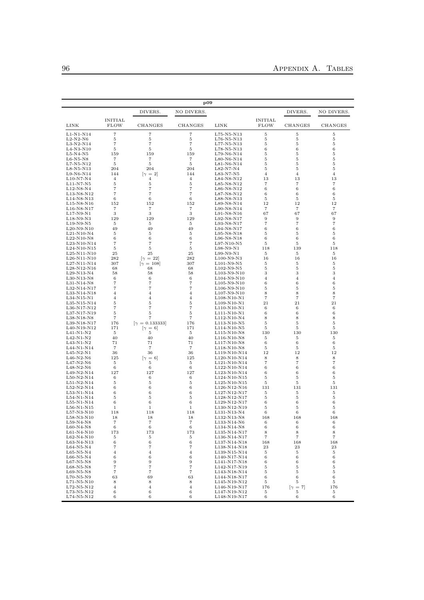|                              |                               |                              | p09                              |                                                                    |                               |                     |                     |
|------------------------------|-------------------------------|------------------------------|----------------------------------|--------------------------------------------------------------------|-------------------------------|---------------------|---------------------|
|                              |                               | DIVERS.                      | NO DIVERS.                       |                                                                    |                               | DIVERS.             | NO DIVERS.          |
| LINK                         | <b>INITIAL</b><br><b>FLOW</b> | CHANGES                      | CHANGES                          | LINK                                                               | <b>INITIAL</b><br><b>FLOW</b> | CHANGES             | CHANGES             |
| $L1-N1-N14$                  | $\scriptstyle{7}$             | 7                            | 7                                | L75-N5-N13                                                         | 5                             | 5                   | 5                   |
| $L2-N2-N6$<br>$L3-N2-N14$    | 5<br>$\scriptstyle{7}$        | 5<br>$\overline{7}$          | 5<br>$\overline{7}$              | $L76-N5-N13$<br>$L77-N5-N13$                                       | 5<br>5                        | 5<br>5              | 5<br>5              |
| $L4-N3-N10$                  | 5                             | 5                            | 5                                | L78-N5-N13                                                         | 6                             | 6                   | 6                   |
| $L5-N4-N5$                   | 159                           | 159                          | 159                              | L79-N6-N14                                                         | 5                             | 5                   | 5                   |
| $L6-N5-N8$                   | 7                             | 7                            | 7                                | $L80-N6-N14$                                                       | 5                             | 5                   | 5                   |
| $L7-N5-N12$<br>$L8-N5-N13$   | 5<br>204                      | 5<br>204                     | 5<br>204                         | L81-N6-N14<br>L82-N7-N4                                            | 5<br>5                        | 5<br>5              | 5<br>5              |
| $L9-N6-N14$                  | 144                           | $ \gamma=2 $                 | 144                              | $L83-N7-N5$                                                        | $\overline{4}$                | $\overline{4}$      | 4                   |
| $L10-N7-N4$                  | $\overline{4}$                | $\,4$                        | $\overline{4}$                   | L84-N8-N12                                                         | 13                            | 13                  | 13                  |
| $L11-N7-N5$                  | 5                             | 5                            | 5                                | L85-N8-N12                                                         | 7                             | 7                   | 7                   |
| $L12-N8-N4$<br>L13-N8-N12    | 7<br>$\overline{7}$           | $\overline{7}$<br>7          | $\overline{7}$<br>$\overline{7}$ | $L86-N8-N12$<br>L87-N8-N12                                         | 6<br>6                        | 6<br>6              | 6<br>6              |
| L14-N8-N13                   | 6                             | 6                            | 6                                | L88-N8-N13                                                         | 5                             | 5                   | 5                   |
| $L15-N8-N16$                 | 152                           | 152                          | 152                              | L89-N8-N14                                                         | 12                            | 12                  | 12                  |
| $L16-N8-N17$                 | 7                             | 7                            | 7                                | L90-N8-N14                                                         | 7                             | $\overline{7}$      | $\scriptstyle{7}$   |
| $L17-N9-N1$<br>L18-N9-N3     | 3<br>129                      | 3<br>129                     | 3<br>129                         | $L91-N8-N16$<br>$L92-N8-N17$                                       | 67<br>9                       | 67<br>9             | 67<br>9             |
| $L19-N9-N5$                  | 5                             | 5                            | 5                                | L93-N8-N17                                                         | 7                             | 7                   | $\overline{7}$      |
| $L20-N9-N10$                 | 49                            | 49                           | 49                               | $L94-N8-N17$                                                       | 6                             | 6                   | 6                   |
| $L21-N10-N4$                 | 5                             | 5                            | 5                                | $L95-N8-N18$                                                       | 5                             | 5                   | 5                   |
| L22-N10-N8<br>L23-N10-N14    | 6<br>7                        | 6<br>$\overline{7}$          | 6<br>$\overline{7}$              | $L96-N8-N18$<br>$L97-N10-N5$                                       | 6<br>5                        | 6<br>5              | 6<br>5              |
| L24-N10-N15                  | 5                             | 5                            | 5                                | $L98-N9-N1$                                                        | 118                           | 139                 | 118                 |
| $L25-N11-N10$                | 25                            | 25                           | 25                               | $L99-N9-N1$                                                        | 5                             | 5                   | 5                   |
| $L26-N11-N10$                | 282                           | $ \gamma=22 $                | 282                              | $L100-N9-N3$                                                       | 16                            | 16                  | 16                  |
| L27-N11-N14                  | 307                           | $[\gamma = 108]$             | 307                              | $L101-N9-N5$<br>L102-N9-N5                                         | $\bf 5$                       | 5                   | 5                   |
| L28-N12-N16<br>$L29-N13-N4$  | 68<br>58                      | 68<br>58                     | 68<br>58                         | L103-N9-N10                                                        | 5<br>3                        | 5<br>3              | 5<br>3              |
| $L30-N13-N8$                 | 6                             | 6                            | $\,6$                            | L104-N9-N10                                                        | 4                             | 4                   | $\overline{4}$      |
| L31-N14-N8                   | 7                             | 7                            | 7                                | L105-N9-N10                                                        | 6                             | 6                   | 6                   |
| L32-N14-N17                  | 7                             | $\overline{7}$               | 7                                | $L106-N9-N10$<br>L107-N9-N10                                       | 5                             | 5                   | 5                   |
| L33-N14-N18<br>$L34-N15-N1$  | 4<br>4                        | $\overline{\mathbf{4}}$<br>4 | $\overline{4}$<br>$\overline{4}$ | L108-N10-N1                                                        | 8<br>$\overline{7}$           | 8<br>7              | 8<br>$\overline{7}$ |
| L35-N15-N14                  | 5                             | 5                            | 5                                | L109-N10-N1                                                        | 21                            | 21                  | 21                  |
| L36-N17-N12                  | 7                             | $\overline{7}$               | $\overline{7}$                   | L110-N10-N1                                                        | 6                             | 6                   | 6                   |
| L37-N17-N19                  | 5<br>$\overline{7}$           | 5<br>$\overline{7}$          | 5<br>$\scriptstyle{7}$           | L111-N10-N1                                                        | 6<br>8                        | 6                   | 6                   |
| L38-N18-N8<br>L39-N18-N17    | 176                           | $[\gamma = 0.133333]$        | 176                              | L112-N10-N4<br>L113-N10-N5                                         | 5                             | 8<br>5              | 8<br>5              |
| L40-N19-N12                  | 171                           | $[\gamma = 6]$               | 171                              | L114-N10-N5                                                        | 5                             | 5                   | 5                   |
| $L41-N1-N2$                  | 5                             | 5                            | 5                                | L115-N10-N8                                                        | 130                           | 130                 | 130                 |
| $L42-N1-N2$<br>$L43-N1-N2$   | 40<br>71                      | 40<br>71                     | 40<br>71                         | L116-N10-N8<br>L117-N10-N8                                         | 5<br>6                        | 5<br>6              | 5<br>6              |
| $L44-N1-N14$                 | 7                             | $\overline{7}$               | 7                                | L118-N10-N8                                                        | 5                             | 5                   | 5                   |
| $L45-N2-N1$                  | 36                            | 36                           | 36                               | L119-N10-N14                                                       | 12                            | 12                  | 12                  |
| $L46-N2-N6$                  | 125                           | $[\gamma = 6]$               | 125                              | L120-N10-N14                                                       | 8                             | 8                   | 8                   |
| $L47-N2-N6$<br>$L48-N2-N6$   | 5<br>6                        | 5<br>6                       | 5<br>6                           | L121-N10-N14<br>L122-N10-N14                                       | $\scriptstyle{7}$<br>6        | 7<br>6              | 7<br>6              |
| L49-N2-N14                   | 127                           | 127                          | 127                              | L123-N10-N14                                                       | 6                             | 6                   | 6                   |
| $L50-N2-N14$                 | 6                             | 6                            | 6                                | L124-N10-N15                                                       | 5                             | 5                   | 5                   |
| $L51-N2-N14$                 | 5                             | 5                            | 5                                | L125-N10-N15                                                       | 5                             | 5                   | 5                   |
| $L52-N2-N14$<br>$L53-N1-N14$ | 6<br>6                        | 6<br>6                       | 6<br>6                           | L <sub>126</sub> -N <sub>12</sub> -N <sub>16</sub><br>L127-N12-N17 | 131<br>5                      | 131<br>5            | 131<br>5            |
| L54-N1-N14                   | 5                             | 5                            | 5                                | L128-N12-N17                                                       | 5                             | 5                   | 5                   |
| $L55-N1-N14$                 | 6                             | 6                            | 6                                | L129-N12-N17                                                       | 6                             | 6                   | 6                   |
| $L56-N1-N15$<br>$L57-N3-N10$ | $\mathbf 1$<br>118            | 1<br>118                     | 1<br>118                         | L130-N12-N19<br>L131-N13-N4                                        | 5<br>6                        | 5<br>6              | 5<br>6              |
| $L58-N3-N10$                 | 18                            | 18                           | 18                               | L132-N13-N8                                                        | 168                           | 168                 | 168                 |
| L59-N4-N8                    | $\scriptstyle{7}$             | 7                            | $\scriptstyle{7}$                | L133-N14-N6                                                        | 6                             | 6                   | 6                   |
| $L60-N4-N8$                  | 6                             | 6                            | 6                                | L134-N14-N8                                                        | 6                             | 6                   | 6                   |
| $L61-N4-N10$<br>L62-N4-N10   | 173<br>5                      | 173<br>5                     | 173<br>5                         | L135-N14-N17<br>L136-N14-N17                                       | 8<br>7                        | 8<br>7              | 8<br>7              |
| L63-N4-N13                   | 6                             | 6                            | 6                                | L137-N14-N18                                                       | 168                           | 168                 | 168                 |
| $L64-N5-N4$                  | $\scriptstyle{7}$             | $\overline{7}$               | $\scriptstyle{7}$                | L138-N14-N18                                                       | 23                            | 23                  | 23                  |
| $L65-N5-N4$                  | 4                             | $\overline{4}$               | $\overline{4}$                   | L139-N15-N14                                                       | 5                             | 5                   | 5                   |
| $L66-N5-N4$<br>$L67-N5-N8$   | 6<br>9                        | 6<br>9                       | 6<br>$\boldsymbol{9}$            | L140-N17-N14<br>L141-N17-N18                                       | 6<br>6                        | 6<br>6              | 6<br>6              |
| $L68-N5-N8$                  | 7                             | 7                            | $\scriptstyle{7}$                | L142-N17-N19                                                       | 5                             | 5                   | 5                   |
| $L69-N5-N8$                  | $\scriptstyle{7}$             | $\scriptstyle{7}$            | $\overline{7}$                   | L143-N18-N14                                                       | 5                             | 5                   | 5                   |
| $L70-N5-N9$                  | 63                            | 69                           | 63                               | L144-N18-N17                                                       | 6                             | 6                   | 6                   |
| L71-N5-N10<br>$L72-N5-N12$   | 8<br>$\overline{4}$           | 8<br>$\overline{4}$          | 8<br>$\overline{4}$              | L145-N19-N12<br>L <sub>146</sub> -N <sub>19</sub> -N <sub>17</sub> | 5<br>176                      | 5<br>$[\gamma = 7]$ | 5<br>176            |
| L73-N5-N12                   | 6                             | 6                            | 6                                | L147-N19-N12                                                       | 5                             | 5                   | 5                   |
| L74-N5-N12                   | 6                             | 6                            | 6                                | L148-N19-N17                                                       | 6                             | 6                   | 6                   |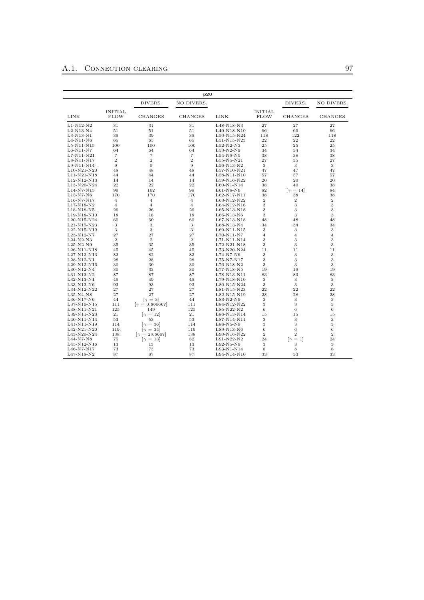|                                            |                               |                                    | p20            |               |                        |                                    |                |
|--------------------------------------------|-------------------------------|------------------------------------|----------------|---------------|------------------------|------------------------------------|----------------|
|                                            |                               | DIVERS.                            | NO DIVERS.     |               |                        | DIVERS.                            | NO DIVERS.     |
| <b>LINK</b>                                | <b>INITIAL</b><br><b>FLOW</b> | <b>CHANGES</b>                     | <b>CHANGES</b> | LINK          | <b>INITIAL</b><br>FLOW | <b>CHANGES</b>                     | <b>CHANGES</b> |
| $L1-N12-N2$                                | 31                            | 31                                 | 31             | L48-N18-N3    | 27                     | 27                                 | 27             |
| L2-N13-N4                                  | 51                            | 51                                 | 51             | L49-N18-N10   | 66                     | 66                                 | 66             |
| $L3-N13-N1$                                | 39                            | 39                                 | 39             | $L50-N15-N24$ | 118                    | 122                                | 118            |
| $L4-N11-N6$                                | 65                            | 65                                 | 65             | L51-N15-N23   | 22                     | 22                                 | 22             |
| $L5-N11-N15$                               | 100                           | 100                                | 100            | $L52-N2-N3$   | 25                     | 25                                 | 25             |
| $L6-N11-N7$                                | 64                            | 64                                 | 64             | $L53-N2-N9$   | 34                     | 34                                 | 34             |
| $L7-N11-N21$                               | $\overline{7}$                | $\overline{7}$                     | $\overline{7}$ | $L54-N9-N5$   | 38                     | 38                                 | 38             |
| L8-N11-N17                                 | $\overline{2}$                | $\overline{2}$                     | $\overline{2}$ | $L55-N5-N21$  | 27                     | 35                                 | 27             |
| L9-N11-N14                                 | 9                             | 9                                  | 9              | $L56-N13-N2$  | 3                      | 3                                  | 3              |
| $L10-N21-N20$                              | 48                            | 48                                 | 48             | L57-N10-N21   | 47                     | 47                                 | 47             |
| L11-N21-N18                                | 44                            | 44                                 | 44             | L58-N11-N10   | 57                     | 57                                 | 57             |
| L12-N12-N13                                | 14                            | 14                                 | 14             | L59-N16-N22   | 20                     | 20                                 | 20             |
| L13-N20-N24                                | 22                            | 22                                 | 22             | $L60-N1-N14$  | 38                     | 40                                 | 38             |
| L14-N7-N15                                 | 99                            | 162                                | 99             | $L61-N8-N6$   | 82                     | $\lceil \gamma \rceil = 14 \rceil$ | 84             |
| $L15-N7-N6$                                | 170                           | 170                                | 170            | L62-N17-N11   | 38                     | 38                                 | 38             |
| $L16-N7-N17$                               | $\overline{4}$                | $\overline{4}$                     | $\overline{4}$ | L63-N12-N22   | $\overline{2}$         | $\overline{2}$                     | $\overline{2}$ |
|                                            | $\overline{4}$                | $\overline{4}$                     | $\overline{4}$ |               | 3                      | 3                                  | 3              |
| L17-N18-N2                                 |                               |                                    |                | L64-N12-N16   |                        |                                    |                |
| $L18 - N18 - N5$                           | 26                            | 26                                 | 26             | $L65-N13-N18$ | 3                      | 3                                  | 3              |
| L19-N18-N10                                | 18                            | 18                                 | 18             | $L66-N13-N6$  | 3                      | 3                                  | 3              |
| $L_{20}$ -N <sub>15</sub> -N <sub>24</sub> | 60                            | 60                                 | 60             | $L67-N13-N18$ | 48                     | 48                                 | 48             |
| L21-N15-N23                                | 3                             | 3                                  | 3              | L68-N13-N4    | 34                     | 34                                 | 34             |
| L22-N15-N19                                | 3                             | 3                                  | 3              | L69-N11-N15   | 3                      | 3                                  | 3              |
| $L23-N12-N7$                               | 27                            | 27                                 | 27             | $L70-N11-N7$  | $\overline{4}$         | $\overline{4}$                     | $\overline{4}$ |
| $L24-N2-N3$                                | $\overline{2}$                | $\overline{2}$                     | $\overline{2}$ | L71-N11-N14   | 3                      | 3                                  | 3              |
| $L25-N2-N9$                                | 35                            | 35                                 | 35             | L72-N21-N18   | 3                      | 3                                  | 3              |
| $L26-N11-N18$                              | 45                            | 45                                 | 45             | L73-N20-N24   | 11                     | 11                                 | 11             |
| L27-N12-N13                                | 82                            | 82                                 | 82             | L74-N7-N6     | 3                      | 3                                  | 3              |
| $L28-N12-N1$                               | 28                            | 28                                 | 28             | L75-N7-N17    | 3                      | 3                                  | 3              |
| L29-N12-N16                                | 30                            | 30                                 | 30             | L76-N18-N2    | 3                      | 3                                  | 3              |
| $L30-N12-N4$                               | 30                            | 33                                 | 30             | L77-N18-N5    | 19                     | 19                                 | 19             |
| $L31-N13-N2$                               | 87                            | 87                                 | 87             | L78-N13-N11   | 83                     | 83                                 | 83             |
| L32-N13-N1                                 | 49                            | 49                                 | 49             | L79-N18-N10   | 3                      | 3                                  | 3              |
| L33-N13-N6                                 | 93                            | 93                                 | 93             | $L80-N15-N24$ | 3                      | 3                                  | 3              |
| L34-N12-N22                                | 27                            | 27                                 | 27             | L81-N15-N23   | 22                     | 22                                 | 22             |
| $L35-N4-N8$                                | 27                            | 27                                 | 27             | L82-N15-N19   | 28                     | 28                                 | 28             |
| $L36-N17-N6$                               | 44                            | $\lceil \gamma \rceil = 3 \rceil$  | 44             | $L83-N2-N9$   | 3                      | 3                                  | 3              |
| L37-N19-N15                                | 111                           | $[\gamma = 0.666667]$              | 111            | L84-N12-N22   | 3                      | 3                                  | 3              |
| L38-N11-N21                                | 125                           | 149                                | 125            | L85-N22-N2    | 6                      | 6                                  | 6              |
| L39-N11-N23                                | 21                            | $\lceil \gamma \rceil = 12 \rceil$ | 21             | L86-N13-N14   | 15                     | 15                                 | 15             |
| L40-N11-N14                                | 53                            | 53                                 | 53             | L87-N14-N11   | 3                      | 3                                  | 3              |
| L41-N11-N19                                | 114                           |                                    | 114            | $L88-N5-N9$   | 3                      | 3                                  | 3              |
|                                            |                               | $[\gamma = 36]$                    |                |               | 6                      | 6                                  | $\,6$          |
| L42-N21-N20                                | 119                           | $[\gamma = 34]$                    | 119            | L89-N13-N6    |                        |                                    |                |
| L43-N20-N24                                | 138                           | $[\gamma = 28.6667]$               | 138            | $L90-N16-N22$ | $\mathbf{2}$           | $\overline{2}$                     | $\overline{2}$ |
| L44-N7-N8                                  | 75                            | $\lceil \gamma = 13 \rceil$        | 82             | L91-N22-N2    | 24                     | $\lceil \gamma \rceil = 1 \rceil$  | 24             |
| L45-N12-N16                                | 13                            | 13                                 | 13             | L92-N5-N9     | 3                      | 3                                  | 3              |
| $L46-N7-N17$                               | 73                            | 73                                 | 73             | L93-N1-N14    | 8                      | 8                                  | 8              |
| L47-N18-N2                                 | 87                            | 87                                 | 87             | L94-N14-N10   | 33                     | 33                                 | 33             |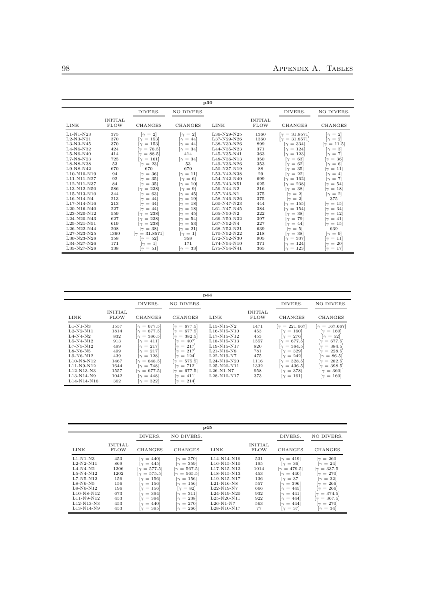|             |                               |                                     |                                    | p30          |                               |                                     |                                    |
|-------------|-------------------------------|-------------------------------------|------------------------------------|--------------|-------------------------------|-------------------------------------|------------------------------------|
|             |                               | DIVERS.                             | NO DIVERS.                         |              |                               | DIVERS.                             | NO DIVERS.                         |
| LINK        | <b>INITIAL</b><br><b>FLOW</b> | <b>CHANGES</b>                      | <b>CHANGES</b>                     | <b>LINK</b>  | <b>INITIAL</b><br><b>FLOW</b> | <b>CHANGES</b>                      | CHANGES                            |
| $L1-N1-N23$ | 375                           | $[\gamma = 2]$                      | $[\gamma = 2]$                     | L36-N29-N25  | 1360                          | $\gamma = 31.8571$                  | $\lceil \gamma = 2 \rceil$         |
| $L2-N3-N21$ | 370                           | $[\gamma = 153]$                    | $\lceil \gamma = 44 \rceil$        | L37-N29-N26  | 1360                          | $[\gamma = 31.8571]$                | $\lceil \gamma \rceil = 2 \rceil$  |
| $L3-N3-N45$ | 370                           | $[\gamma = 153]$                    | $\lceil \gamma \rceil = 44 \rceil$ | L38-N30-N26  | 899                           | $[\gamma = 334]$                    | $[\gamma = 11.5]$                  |
| $L4-N6-N32$ | 424                           | $[\gamma = 78.5]$                   | $\lceil \gamma \rceil = 34 \rceil$ | L44-N35-N23  | 371                           | $\lceil \gamma \, = \, 124 \rceil$  | $\lceil \gamma \rceil = 3 \rceil$  |
| $L5-N6-N40$ | 414                           | $[\gamma = 88.5]$                   | 414                                | L45-N35-N41  | 363                           | $\lceil \gamma \rceil = 123 \rceil$ | $[\gamma = 7]$                     |
| $L7-N8-N23$ | 725                           | $\lceil \gamma \rceil = 161 \rceil$ | $\lceil \gamma = 34 \rceil$        | L48-N36-N13  | 350                           | $\lceil \gamma = 63 \rceil$         | $\lceil \gamma \rceil = 36 \rceil$ |
| $L8-N8-N38$ | 53                            | $\lceil \gamma = 23 \rceil$         | 53                                 | L49-N36-N26  | 353                           | $\gamma = 62$                       | $\lceil \gamma \rceil = 6 \rceil$  |
| L9-N8-N42   | 670                           | 670                                 | 670                                | L50-N37-N19  | 88                            | $\lceil \gamma = 35 \rceil$         | $\lceil \gamma = 11 \rceil$        |
| L10-N10-N19 | 94                            | $[\gamma = 36]$                     | $\lceil \gamma = 11 \rceil$        | L53-N42-N38  | 29                            | $\lceil \gamma = 22 \rceil$         | $\lceil \gamma \rceil = 4 \rceil$  |
| L11-N11-N27 | 92                            | $\lceil \gamma \rceil = 35 \rceil$  | $[\gamma = 6]$                     | L54-N42-N40  | 699                           | $\lceil \gamma \rceil = 162 \rceil$ | $\lceil \gamma \rceil = 7$         |
| L12-N11-N37 | 84                            | $\lceil \gamma \rceil = 35 \rceil$  | $\lceil \gamma \rceil = 10 \rceil$ | L55-N43-N51  | 625                           | $\lceil \gamma \rceil = 238 \rceil$ | $\lceil \gamma \rceil = 54 \rceil$ |
| L13-N12-N50 | 586                           | $\lceil \gamma \rceil = 238 \rceil$ | $\lceil \gamma = 9 \rceil$         | $L56-N44-N2$ | 216                           | $= 38$<br>$\lceil \gamma \rceil$    | $\lceil \gamma = 18 \rceil$        |
| L15-N13-N10 | 344                           | $\gamma = 63$                       | $\gamma = 45$                      | L57-N46-N1   | 375                           | $[\gamma = 2]$                      | $[\gamma = 2]$                     |
| L16-N14-N4  | 213                           | $\lceil \gamma \rceil = 44 \rceil$  | $\lceil \gamma \rceil = 19 \rceil$ | L58-N46-N26  | 375                           | $\lceil \gamma \rceil = 2 \rceil$   | 375                                |
| L17-N14-N16 | 213                           | $\lceil \gamma \rceil = 44 \rceil$  | $\lceil \gamma \rceil = 18 \rceil$ | L60-N47-N23  | 444                           | $\lceil \gamma \rceil = 155 \rceil$ | $\lceil \gamma \rceil = 15 \rceil$ |
| L20-N16-N40 | 227                           | $\lceil \gamma \rceil = 44 \rceil$  | $\lceil \gamma \rceil = 18 \rceil$ | L61-N47-N45  | 384                           | $\lceil \gamma \rceil = 154 \rceil$ | $\lceil \gamma = 34 \rceil$        |
| L23-N20-N12 | 559                           | $[\gamma = 238]$                    | 45<br>$\lceil \gamma \rceil =$     | L65-N50-N2   | 222                           | $= 38$<br>$\sim$                    | $\lceil \gamma \rceil = 12 \rceil$ |
| L24-N20-N43 | 627                           | $\lceil \gamma \rceil = 238 \rceil$ | $\lceil \gamma \, = \, 54 \rceil$  | L66-N50-N32  | 397                           | $= 79$<br>ſγ                        | $\lceil \gamma = 41 \rceil$        |
| L25-N21-N51 | 619                           | $\lceil \gamma \rceil = 238 \rceil$ | $\lceil \gamma \rceil = 53 \rceil$ | L67-N52-N4   | 227                           | $[\gamma = 44]$                     | $[\gamma = 15]$                    |
| L26-N22-N44 | 208                           | $\lceil \gamma = 38 \rceil$         | $\lceil \gamma = 21 \rceil$        | L68-N52-N21  | 639                           | $\lceil \gamma \rceil = 5 \rceil$   | 639                                |
| L27-N23-N25 | 1360                          | $[\gamma = 31.8571]$                | $\lceil \gamma \rceil = 1 \rceil$  | L70-N52-N22  | 218                           | $\lceil \gamma = 38 \rceil$         | $[\gamma = 9]$                     |
| L30-N23-N28 | 358                           | $\lceil \gamma = 52 \rceil$         | 358                                | L72-N52-N30  | 905                           | $[\gamma = 337]$                    | $[\gamma = 11]$                    |
| L34-N27-N26 | 171                           | $\lceil \gamma \rceil = 1 \rceil$   | 171                                | L74-N54-N10  | 371                           | $\gamma = 124$                      | $\gamma = 20$                      |
| L35-N27-N28 | 338                           | $\lceil \gamma = 51 \rceil$         | $[\gamma = 33]$                    | L75-N54-N41  | 365                           | $\lceil \gamma \rceil = 123 \rceil$ | $\lceil \gamma \rceil = 17$        |

| p44          |                               |                                     |                                     |                  |                               |                                     |                                     |  |  |  |  |  |
|--------------|-------------------------------|-------------------------------------|-------------------------------------|------------------|-------------------------------|-------------------------------------|-------------------------------------|--|--|--|--|--|
|              |                               | DIVERS.                             | NO DIVERS.                          |                  |                               | DIVERS.                             | NO DIVERS.                          |  |  |  |  |  |
| LINK         | <b>INITIAL</b><br><b>FLOW</b> | CHANGES                             | CHANGES                             | LINK             | <b>INITIAL</b><br><b>FLOW</b> | CHANGES                             | CHANGES                             |  |  |  |  |  |
| $L1-N1-N3$   | 1557                          | $[\gamma = 677.5]$                  | $[\gamma = 677.5]$                  | $L15-N15-N2$     | 1471                          | $[\gamma = 221.667]$                | $[\gamma = 167.667]$                |  |  |  |  |  |
| $L2-N2-N11$  | 1814                          | $[\gamma = 677.5]$                  | $[\gamma = 677.5]$                  | $L16-N15-N10$    | 453                           | $\lceil \gamma \rceil = 160 \rceil$ | $\lceil \gamma \rceil = 160 \rceil$ |  |  |  |  |  |
| $L4-N4-N2$   | 832                           | $[\gamma = 386.5]$                  | $[\gamma = 382.5]$                  | L17-N15-N12      | 453                           | $\lceil \gamma \rceil = 276 \rceil$ | $\lceil \gamma = 52 \rceil$         |  |  |  |  |  |
| $L5-N4-N12$  | 913                           | $\lceil \gamma = 411 \rceil$        | $\lceil \gamma \rceil = 407 \rceil$ | L18-N15-N13      | 1557                          | $\gamma = 677.5$                    | $[\gamma = 677.5]$                  |  |  |  |  |  |
| $L7-N5-N12$  | 499                           | $\lceil \gamma \rceil = 217 \rceil$ | $\lceil \gamma \rceil = 217 \rceil$ | $L19-N15-N17$    | 820                           | $[\gamma = 384.5]$                  | $[\gamma = 384.5]$                  |  |  |  |  |  |
| $L8-N6-N5$   | 499                           | $\lceil \gamma \rceil = 217 \rceil$ | $\lceil \gamma \rceil = 217 \rceil$ | $L21-N16-N8$     | 781                           | $\lceil \gamma = 329 \rceil$        | $[\gamma = 228.5]$                  |  |  |  |  |  |
| $L9-N6-N12$  | 439                           | $\lceil \gamma \rceil = 128 \rceil$ | $\lceil \gamma \rceil = 124 \rceil$ | $L22-N19-N7$     | 475                           | $\lceil \gamma \rceil = 242 \rceil$ | $[\gamma = 86.5]$                   |  |  |  |  |  |
| $L10-N8-N12$ | 1467                          | $[\gamma = 648.5]$                  | $[\gamma = 575.5]$                  | $L_{24-N19-N20}$ | 1116                          | $[\gamma = 328.5]$                  | $[\gamma = 282.5]$                  |  |  |  |  |  |
| $L11-N9-N12$ | 1644                          | $\lceil \gamma \rceil = 748 \rceil$ | $\lceil \gamma = 712 \rceil$        | $L25-N20-N11$    | 1332                          | $[\gamma = 436.5]$                  | $[\gamma = 398.5]$                  |  |  |  |  |  |
| L12-N13-N3   | 1557                          | $[\gamma = 677.5]$                  | $[\gamma = 677.5]$                  | $L26-N1-N7$      | 958                           | $\lceil \gamma \rceil = 378 \rceil$ | $\lceil \gamma \rceil = 360 \rceil$ |  |  |  |  |  |
| L13-N14-N9   | 1042                          | $\lceil \gamma \rceil = 448 \rceil$ | $\lceil \gamma = 411 \rceil$        | $L28-N10-N17$    | 373                           | $\lceil \gamma \rceil = 161 \rceil$ | $\lceil \gamma \rceil = 160 \rceil$ |  |  |  |  |  |
| L14-N14-N16  | 362                           | $\lceil \gamma = 322 \rceil$        | $\lceil \gamma \rceil = 214 \rceil$ |                  |                               |                                     |                                     |  |  |  |  |  |

|                                                                                                    |                                                 |                                                                                                                                                                                                                                             |                                                                                                                                                                                                                                      | p45                                                                                                         |                                                |                                                                                                                                                                                                                                       |                                                                                                                                                                                                                                                 |
|----------------------------------------------------------------------------------------------------|-------------------------------------------------|---------------------------------------------------------------------------------------------------------------------------------------------------------------------------------------------------------------------------------------------|--------------------------------------------------------------------------------------------------------------------------------------------------------------------------------------------------------------------------------------|-------------------------------------------------------------------------------------------------------------|------------------------------------------------|---------------------------------------------------------------------------------------------------------------------------------------------------------------------------------------------------------------------------------------|-------------------------------------------------------------------------------------------------------------------------------------------------------------------------------------------------------------------------------------------------|
|                                                                                                    |                                                 | DIVERS.                                                                                                                                                                                                                                     | NO DIVERS.                                                                                                                                                                                                                           |                                                                                                             |                                                | DIVERS.                                                                                                                                                                                                                               | NO DIVERS.                                                                                                                                                                                                                                      |
| LINK                                                                                               | <b>INITIAL</b><br><b>FLOW</b>                   | CHANGES                                                                                                                                                                                                                                     | CHANGES                                                                                                                                                                                                                              | <b>LINK</b>                                                                                                 | <b>INITIAL</b><br><b>FLOW</b>                  | <b>CHANGES</b>                                                                                                                                                                                                                        | CHANGES                                                                                                                                                                                                                                         |
| $L1-N1-N3$<br>$L2-N2-N11$<br>$L4-N4-N2$<br>$L5-N4-N12$<br>$L7-N5-N12$<br>$L8-N6-N5$<br>$L9-N6-N12$ | 453<br>869<br>1206<br>1202<br>156<br>156<br>196 | $\lceil \gamma \rceil = 440 \rceil$<br>$\lceil \gamma \rceil = 445 \rceil$<br>$[\gamma = 577.5]$<br>$[\gamma = 575.5]$<br>$\lceil \gamma \rceil = 156 \rceil$<br>$\lceil \gamma \rceil = 156 \rceil$<br>$\lceil \gamma \rceil = 156 \rceil$ | $\lbrack \gamma \, = \, 270 \rbrack$<br>$\lceil \gamma \rceil = 359 \rceil$<br>$[\gamma = 567.5]$<br>$[\gamma = 565.5]$<br>$\lceil \gamma \rceil = 156 \rceil$<br>$\lceil \gamma \rceil = 156 \rceil$<br>$\lceil \gamma = 82 \rceil$ | L14-N14-N16<br>$L16-N15-N10$<br>L17-N15-N12<br>L18-N15-N13<br>$L19-N15-N17$<br>$L21-N16-N8$<br>$L22-N19-N7$ | 531<br>195<br>1014<br>453<br>136<br>557<br>666 | $\lceil \gamma = 419 \rceil$<br>$\lceil \gamma \rceil = 36 \rceil$<br>$[\gamma = 479.5]$<br>$\lceil \gamma = 440 \rceil$<br>$\lceil \gamma \rceil = 37$<br>$\lceil \gamma \rceil = 396 \rceil$<br>$\lceil \gamma \rceil = 445 \rceil$ | $\lbrack \gamma = 260 \rbrack$<br>$\lceil \gamma \rceil = 24 \rceil$<br>$[\gamma = 337.5]$<br>$\lbrack \gamma \, = \, 270 \rbrack$<br>$\lceil \gamma = 32 \rceil$<br>$\lceil \gamma \rceil = 266 \rceil$<br>$\lceil \gamma \rceil = 266 \rceil$ |
| $L10-N8-N12$<br>L11-N9-N12<br>L12-N13-N3<br>L13-N14-N9                                             | 673<br>453<br>453<br>453                        | $\lceil \gamma \rceil = 394 \rceil$<br>$\lceil \gamma \rceil = 394 \rceil$<br>$\lceil \gamma \rceil = 440 \rceil$<br>$\lceil \gamma \rceil = 395 \rceil$                                                                                    | $\lceil \gamma = 311 \rceil$<br>$\lceil \gamma \rfloor = 238$<br>$\lbrack \gamma \, = \, 270 \rbrack$<br>$\lceil \gamma \rfloor = 266 \rceil$                                                                                        | L24-N19-N20<br>$L25-N20-N11$<br>$L26-N1-N7$<br>L28-N10-N17                                                  | 932<br>922<br>563<br>77                        | $\lceil \gamma = 441 \rceil$<br>$\lceil \gamma \rceil = 444 \rceil$<br>$\lceil \gamma \rceil = 444 \rceil$<br>$\lceil \gamma \rceil = 37$                                                                                             | $[\gamma = 374.5]$<br>$[\gamma = 367.5]$<br>$\lbrack \gamma = 270 \rbrack$<br>$\lceil \gamma \rceil = 34 \rceil$                                                                                                                                |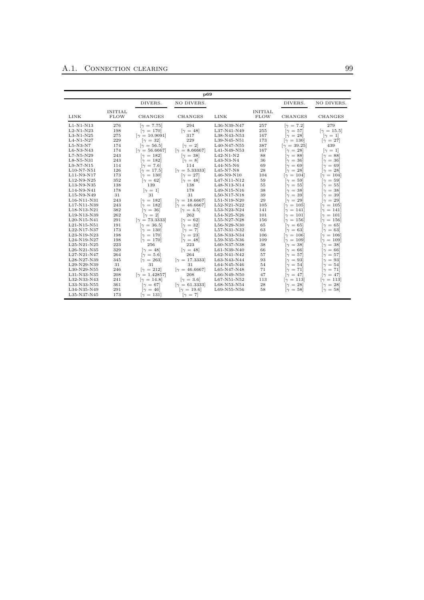|              |                               |                                      |                             |              |                               |                                     | p69                                  |  |  |  |  |  |  |  |  |  |  |  |
|--------------|-------------------------------|--------------------------------------|-----------------------------|--------------|-------------------------------|-------------------------------------|--------------------------------------|--|--|--|--|--|--|--|--|--|--|--|
|              |                               | DIVERS.                              | NO DIVERS.                  |              |                               | DIVERS.                             | NO DIVERS.                           |  |  |  |  |  |  |  |  |  |  |  |
| <b>LINK</b>  | <b>INITIAL</b><br><b>FLOW</b> | <b>CHANGES</b>                       | <b>CHANGES</b>              | LINK         | <b>INITIAL</b><br><b>FLOW</b> | <b>CHANGES</b>                      | <b>CHANGES</b>                       |  |  |  |  |  |  |  |  |  |  |  |
| $L1-N1-N13$  | 276                           | $[\gamma = 7.75]$                    | 294                         | L36-N39-N47  | 257                           | $[\gamma = 7.2]$                    | 279                                  |  |  |  |  |  |  |  |  |  |  |  |
| $L2-N1-N23$  | 198                           | $\lbrack \gamma = 170 \rbrack$       | $\lceil \gamma = 48 \rceil$ | L37-N41-N49  | 255                           | $\lceil \gamma = 57 \rceil$         | $[\gamma = 15.5]$                    |  |  |  |  |  |  |  |  |  |  |  |
| $L3-N1-N25$  | 275                           | $[\gamma = 10.9091]$                 | 317                         | L38-N43-N53  | 167                           | $\lceil \gamma \rceil = 28 \rceil$  | $[\gamma = 1]$                       |  |  |  |  |  |  |  |  |  |  |  |
| $L4-N1-N27$  | 229                           | $\lceil \gamma = 32 \rceil$          | 229                         | L39-N45-N51  | 173                           | $\lbrack \gamma = 130 \rbrack$      | $[\gamma = 27]$                      |  |  |  |  |  |  |  |  |  |  |  |
| $L5-N3-N7$   | 174                           | $[\gamma = 56.5]$                    | $[\gamma = 2]$              | L40-N47-N55  | 387                           | $[\gamma = 39.25]$                  | 439                                  |  |  |  |  |  |  |  |  |  |  |  |
| L6-N3-N43    | 174                           | $[\gamma = 56.6667]$                 | $[\gamma = 8.66667]$        | L41-N49-N53  | 167                           | $\lceil \gamma \rceil = 28 \rceil$  | $[\gamma = 1]$                       |  |  |  |  |  |  |  |  |  |  |  |
| $L7-N5-N29$  | 243                           | $[\gamma = 182]$                     | $[\gamma = 38]$             | $L42-N1-N2$  | 88                            | $\lceil \gamma \rceil = 88 \rceil$  | $\lceil \gamma = 88 \rceil$          |  |  |  |  |  |  |  |  |  |  |  |
| L8-N5-N31    | 243                           | $\lceil \gamma \rceil = 182 \rceil$  | $[\gamma = 8]$              | L43-N3-N4    | 36                            | $\gamma = 36$                       | $\lceil \gamma \rceil = 36 \rceil$   |  |  |  |  |  |  |  |  |  |  |  |
| $L9-N7-N15$  | 114                           | $[\gamma = 7.6]$                     | 114                         | $L44-N5-N6$  | 69                            | $\lceil \gamma \rceil = 69 \rceil$  | $\lceil \gamma \rceil = 69 \rceil$   |  |  |  |  |  |  |  |  |  |  |  |
| $L10-N7-N51$ | 126                           | $[\gamma = 17.5]$                    | $[\gamma = 5.33333]$        | $L45-N7-N8$  | 28                            | $\lceil \gamma = 28 \rceil$         | $\lceil \gamma \rceil = 28 \rceil$   |  |  |  |  |  |  |  |  |  |  |  |
| L11-N9-N17   | 173                           | $\lbrack \gamma = 130 \rbrack$       | $\lceil \gamma \rceil = 27$ | $L46-N9-N10$ | 104                           | $\lceil \gamma \rceil = 104 \rceil$ | $[\gamma = 104]$                     |  |  |  |  |  |  |  |  |  |  |  |
| $L12-N9-N25$ | 352                           | $[\gamma = 62]$                      | $[\gamma = 48]$             | L47-N11-N12  | 59                            | $[\gamma = 59]$                     | $[\gamma = 59]$                      |  |  |  |  |  |  |  |  |  |  |  |
| L13-N9-N35   | 138                           | 139                                  | 138                         | L48-N13-N14  | 55                            | $\lceil \gamma \rceil = 55 \rceil$  | $\lceil \gamma \rceil = 55 \rceil$   |  |  |  |  |  |  |  |  |  |  |  |
| L14-N9-N41   | 178                           | $[\gamma = 1]$                       | 178                         | L49-N15-N16  | 38                            | $\lceil \gamma = 38 \rceil$         | $\lceil \gamma = 38 \rceil$          |  |  |  |  |  |  |  |  |  |  |  |
| L15-N9-N49   | 31                            | 31                                   | 31                          | L50-N17-N18  | 39                            | $\lceil \gamma \rceil = 39 \rceil$  | $\lceil \gamma = 39 \rceil$          |  |  |  |  |  |  |  |  |  |  |  |
| L16-N11-N31  | 243                           | $\lceil \gamma \rceil = 182 \rceil$  | $[\gamma = 18.6667]$        | L51-N19-N20  | 29                            | $[\gamma = 29]$                     | $\lceil \gamma \rceil = 29 \rceil$   |  |  |  |  |  |  |  |  |  |  |  |
| L17-N11-N39  | 243                           | $[\gamma = 182]$                     | $[\gamma = 46.6667]$        | L52-N21-N22  | 105                           | $\lceil \gamma \rceil = 105 \rceil$ | $\lceil \gamma \rceil = 105 \rceil$  |  |  |  |  |  |  |  |  |  |  |  |
| L18-N13-N21  | 382                           | $\lceil \gamma \rceil = 36 \rceil$   | $[\gamma = 4.5]$            | L53-N23-N24  | 141                           | $\lceil \gamma \rceil = 141 \rceil$ | $\lceil \gamma \rfloor = 141 \rceil$ |  |  |  |  |  |  |  |  |  |  |  |
| L19-N13-N39  | 262                           | $[\gamma = 2]$                       | 262                         | L54-N25-N26  | 101                           | $\lceil \gamma \rceil = 101 \rceil$ | $\lceil \gamma \, = \, 101 \rceil$   |  |  |  |  |  |  |  |  |  |  |  |
| L20-N15-N41  | 291                           | $[\gamma = 73.3333]$                 | $\lceil \gamma = 62 \rceil$ | L55-N27-N28  | 156                           | $\lceil \gamma \rceil = 156 \rceil$ | $\lceil \gamma \rceil = 156 \rceil$  |  |  |  |  |  |  |  |  |  |  |  |
| L21-N15-N51  | 191                           | $[\gamma = 36.5]$                    | $\lceil \gamma = 32 \rceil$ | L56-N29-N30  | 65                            | $\lceil \gamma \rceil = 65 \rceil$  | $\lceil \gamma \rceil = 65 \rceil$   |  |  |  |  |  |  |  |  |  |  |  |
| L22-N17-N37  | 173                           | $\lbrack \gamma = 130 \rbrack$       | $[\gamma = 7]$              | L57-N31-N32  | 63                            | $\lceil \gamma = 63 \rceil$         | $\lceil \gamma = 63 \rceil$          |  |  |  |  |  |  |  |  |  |  |  |
| L23-N19-N23  | 198                           | $[\gamma = 170]$                     | $\lceil \gamma = 23 \rceil$ | L58-N33-N34  | 106                           | $[\gamma = 106]$                    | $\lceil \gamma \rceil = 106 \rceil$  |  |  |  |  |  |  |  |  |  |  |  |
| L24-N19-N27  | 198                           | $\lbrack \gamma = 170 \rbrack$       | $\lceil \gamma = 48 \rceil$ | L59-N35-N36  | 109                           | $[\gamma = 109]$                    | $\lceil \gamma \rceil = 109 \rceil$  |  |  |  |  |  |  |  |  |  |  |  |
| L25-N21-N25  | 223                           | 256                                  | 223                         | L60-N37-N38  | 38                            | $\lceil \gamma = 38 \rceil$         | $[\gamma = 38]$                      |  |  |  |  |  |  |  |  |  |  |  |
| L26-N21-N35  | 329                           | $[\gamma = 48]$                      | $\lceil \gamma = 48 \rceil$ | L61-N39-N40  | 66                            | $\gamma = 66$                       | $\gamma = 66$                        |  |  |  |  |  |  |  |  |  |  |  |
| L27-N21-N47  | 264                           | $[\gamma = 5.6]$                     | 264                         | L62-N41-N42  | 57                            | $\lceil \gamma \rceil = 57 \rceil$  | $\lceil \gamma = 57 \rceil$          |  |  |  |  |  |  |  |  |  |  |  |
| L28-N27-N39  | 345                           | $\lbrack \gamma = 263 \rbrack$       | $[\gamma = 17.3333]$        | L63-N43-N44  | 93                            | $\lceil \gamma \rceil = 93 \rceil$  | $\lceil \gamma \rceil = 93 \rceil$   |  |  |  |  |  |  |  |  |  |  |  |
| L29-N29-N39  | 31                            | 31                                   | 31                          | L64-N45-N46  | 54                            | $\lceil \gamma \rceil = 54 \rceil$  | $\lceil \gamma \rceil = 54 \rceil$   |  |  |  |  |  |  |  |  |  |  |  |
| L30-N29-N55  | 246                           | $\lceil \gamma \rceil = 212 \rceil$  | $[\gamma = 46.6667]$        | L65-N47-N48  | 71                            | $\gamma = 71$                       | $[\gamma = 71]$                      |  |  |  |  |  |  |  |  |  |  |  |
| L31-N33-N35  | 208                           | $[\gamma = 1.42857]$                 | 208                         | L66-N49-N50  | 47                            | $\lceil \gamma \rceil = 47 \rceil$  | $[\gamma = 47]$                      |  |  |  |  |  |  |  |  |  |  |  |
| L32-N33-N43  | 241                           | $\lceil \gamma \rceil = 14.8 \rceil$ | $[\gamma = 3.6]$            | L67-N51-N52  | 113                           | $\lceil \gamma \rceil = 113 \rceil$ | $[\gamma = 113]$                     |  |  |  |  |  |  |  |  |  |  |  |
| L33-N33-N55  | 361                           | $\lceil \gamma \rceil = 67$          | $[\gamma = 61.3333]$        | L68-N53-N54  | 28                            | $\lceil \gamma = 28 \rceil$         | $\lceil \gamma = 28 \rceil$          |  |  |  |  |  |  |  |  |  |  |  |
| L34-N35-N49  | 291                           | $\lceil \gamma \rceil = 46 \rceil$   | $[\gamma = 19.6]$           | L69-N55-N56  | 58                            | $\lceil \gamma = 58 \rceil$         | $[\gamma = 58]$                      |  |  |  |  |  |  |  |  |  |  |  |
| L35-N37-N45  | 173                           | $\lceil \gamma \rceil = 131 \rceil$  | $[\gamma = 7]$              |              |                               |                                     |                                      |  |  |  |  |  |  |  |  |  |  |  |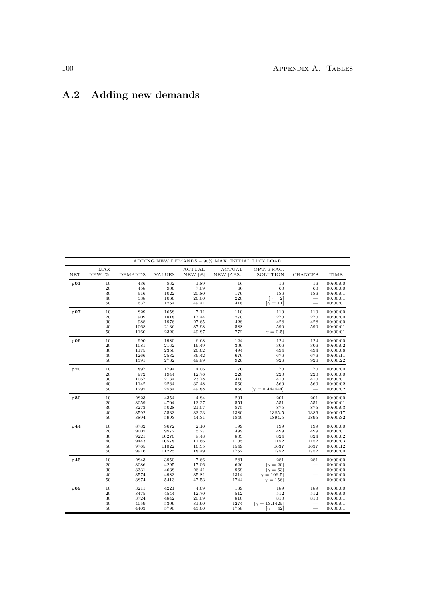L.

# A.2 Adding new demands

|                      |         |         |               |               | ADDING NEW DEMANDS - 90% MAX. INITIAL LINK LOAD |                       |                          |          |
|----------------------|---------|---------|---------------|---------------|-------------------------------------------------|-----------------------|--------------------------|----------|
|                      | MAX     |         |               | <b>ACTUAL</b> | <b>ACTUAL</b>                                   | OPT. FRAC.            |                          |          |
| $\operatorname{NET}$ | NEW [%] | DEMANDS | <b>VALUES</b> | NEW [%]       | NEW [ABS.]                                      | SOLUTION              | CHANGES                  | TIME     |
| p01                  | 10      | 436     | 862           | 1.89          | 16                                              | 16                    | 16                       | 00:00:00 |
|                      | 20      | 458     | 906           | 7.09          | 60                                              | 60                    | 60                       | 00:00:00 |
|                      | $30\,$  | 516     | 1022          | 20.80         | 176                                             | 186                   | 186                      | 00:00:01 |
|                      | 40      | 538     | 1066          | 26.00         | 220                                             | $[\gamma = 2]$        |                          | 00:00:01 |
|                      | 50      | 637     | 1264          | 49.41         | 418                                             | $[\gamma = 11]$       | $\overline{\phantom{0}}$ | 00:00:01 |
| $\bf p07$            | 10      | 829     | 1658          | 7.11          | 110                                             | 110                   | 110                      | 00:00:00 |
|                      | 20      | 909     | 1818          | 17.44         | 270                                             | 270                   | 270                      | 00:00:00 |
|                      | 30      | 988     | 1976          | 27.65         | 428                                             | 428                   | 428                      | 00:00:00 |
|                      | 40      | 1068    | 2136          | 37.98         | 588                                             | 590                   | 590                      | 00:00:01 |
|                      | 50      | 1160    | 2320          | 49.87         | 772                                             | $[\gamma = 0.5]$      | $\overline{\phantom{0}}$ | 00:00:01 |
| $\bf p09$            | $10\,$  | 990     | 1980          | 6.68          | 124                                             | 124                   | 124                      | 00:00:00 |
|                      | 20      | 1081    | 2162          | 16.49         | 306                                             | 306                   | 306                      | 00:00:02 |
|                      | $30\,$  | 1175    | 2350          | 26.62         | 494                                             | 494                   | 494                      | 00:00:06 |
|                      | 40      | 1266    | 2532          | 36.42         | 676                                             | 676                   | 676                      | 00:00:11 |
|                      | 50      | 1391    | 2782          | 49.89         | 926                                             | 926                   | 926                      | 00:00:22 |
| p20                  | 10      | 897     | 1794          | 4.06          | 70                                              | 70                    | 70                       | 00:00:00 |
|                      | 20      | 972     | 1944          | 12.76         | 220                                             | 220                   | 220                      | 00:00:00 |
|                      | $30\,$  | 1067    | 2134          | 23.78         | 410                                             | 410                   | 410                      | 00:00:01 |
|                      | 40      | 1142    | 2284          | 32.48         | 560                                             | 560                   | 560                      | 00:00:02 |
|                      | 50      | 1292    | 2584          | 49.88         | 860                                             | $[\gamma = 0.444444]$ | $\overline{\phantom{a}}$ | 00:00:02 |
| p30                  | 10      | 2823    | 4354          | 4.84          | 201                                             | 201                   | 201                      | 00:00:00 |
|                      | 20      | 3059    | 4704          | 13.27         | 551                                             | 551                   | 551                      | 00:00:01 |
|                      | 30      | 3273    | 5028          | 21.07         | 875                                             | 875                   | 875                      | 00:00:03 |
|                      | 40      | 3592    | 5533          | 33.23         | 1380                                            | 1385.5                | 1386                     | 00:00:17 |
|                      | 50      | 3894    | 5993          | 44.31         | 1840                                            | 1894.5                | 1895                     | 00:00:32 |
| p44                  | $10\,$  | 8782    | 9672          | 2.10          | 199                                             | 199                   | 199                      | 00:00:00 |
|                      | 20      | 9002    | 9972          | 5.27          | 499                                             | 499                   | 499                      | 00:00:01 |
|                      | 30      | 9221    | 10276         | 8.48          | 803                                             | 824                   | 824                      | 00:00:02 |
|                      | 40      | 9443    | 10578         | 11.66         | 1105                                            | 1152                  | 1152                     | 00:00:03 |
|                      | 50      | 9765    | 11022         | 16.35         | 1549                                            | 1637                  | 1637                     | 00:00:12 |
|                      | 60      | 9916    | 11225         | 18.49         | 1752                                            | 1752                  | 1752                     | 00:00:00 |
| p45                  | 10      | 2843    | 3950          | 7.66          | 281                                             | 281                   | 281                      | 00:00:00 |
|                      | 20      | 3086    | 4295          | 17.06         | 626                                             | $[\gamma = 20]$       |                          | 00:00:00 |
|                      | 30      | 3331    | 4638          | 26.41         | 969                                             | $\gamma = 63$         |                          | 00:00:00 |
|                      | 40      | 3574    | 4983          | 35.81         | 1314                                            | $[\gamma = 106.5]$    |                          | 00:00:00 |
|                      | 50      | 3874    | 5413          | 47.53         | 1744                                            | $[\gamma = 156]$      |                          | 00:00:00 |
| p69                  | $10\,$  | 3211    | 4221          | 4.69          | 189                                             | 189                   | 189                      | 00:00:00 |
|                      | 20      | 3475    | 4544          | 12.70         | 512                                             | 512                   | 512                      | 00:00:00 |
|                      | $30\,$  | 3724    | 4842          | 20.09         | 810                                             | 810                   | 810                      | 00:00:01 |
|                      | 40      | 4059    | 5306          | 31.60         | 1274                                            | $[\gamma = 13.1429]$  |                          | 00:00:01 |
|                      | 50      | 4403    | 5790          | 43.60         | 1758                                            | $[\gamma = 42]$       |                          | 00:00:01 |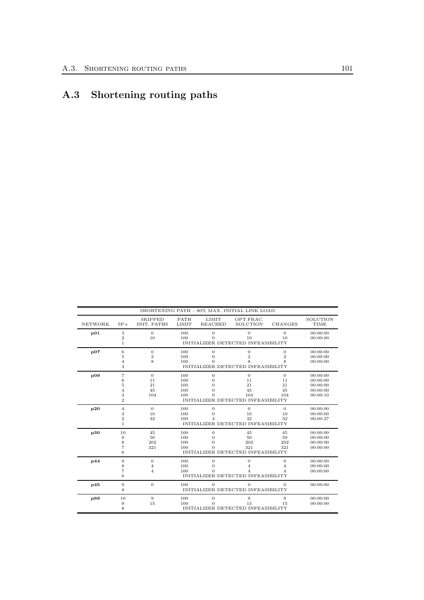# A.3 Shortening routing paths

|                |                   | <b>SKIPPED</b>     | <b>PATH</b> | <b>LIMIT</b>     | OPT.FRAC.                          |                  | SOLUTION |
|----------------|-------------------|--------------------|-------------|------------------|------------------------------------|------------------|----------|
| <b>NETWORK</b> | $SP+$             | <b>INIT. PATHS</b> | LIMIT       | <b>REACHED</b>   | <b>SOLUTION</b>                    | <b>CHANGES</b>   | TIME     |
| p01            | $\,3$             | $\mathbf{0}$       | 100         | $\mathbf{0}$     | $\overline{0}$                     | $\overline{0}$   | 00:00:00 |
|                | $\boldsymbol{2}$  | 10                 | 100         | $\Omega$         | 10                                 | 10               | 00:00:00 |
|                | $\mathbf{1}$      |                    |             |                  | INITIALIZER DETECTED INFEASIBILITY |                  |          |
| p07            | $\,$ 6 $\,$       | $\overline{0}$     | 100         | $\mathbf{0}$     | $\mathbf{0}$                       | $\overline{0}$   | 00:00:00 |
|                | 5                 | $\overline{2}$     | 100         | $\mathbf{0}$     | $\overline{2}$                     | $\overline{2}$   | 00:00:00 |
|                | 4                 | 8                  | 100         | $\Omega$         | 8                                  | 8                | 00:00:00 |
|                | 3                 |                    |             |                  | INITIALIZER DETECTED INFEASIBILITY |                  |          |
| p09            | $\scriptstyle{7}$ | $\mathbf{0}$       | 100         | $\boldsymbol{0}$ | $\mathbf{0}$                       | $\boldsymbol{0}$ | 00:00:00 |
|                | 6                 | 11                 | 100         | $\Omega$         | 11                                 | 11               | 00:00:00 |
|                | 5                 | 21                 | 100         | $\Omega$         | 21                                 | 21               | 00:00:00 |
|                | 4                 | 45                 | 100         | $\Omega$         | 45                                 | 45               | 00:00:00 |
|                | 3                 | 104                | 100         | $\Omega$         | 104                                | 104              | 00:00:10 |
|                | $\overline{2}$    |                    |             |                  | INITIALIZER DETECTED INFEASIBILITY |                  |          |
| p20            | $\overline{4}$    | $\overline{0}$     | 100         | $\boldsymbol{0}$ | $\theta$                           | $\mathbf{0}$     | 00:00:00 |
|                | 3                 | 10                 | 100         | $\mathbf{0}$     | 10                                 | 10               | 00:00:00 |
|                | $\overline{2}$    | 32                 | 100         |                  | 32                                 | 32               | 00:00:27 |
|                | 1.                |                    |             |                  | INITIALIZER DETECTED INFEASIBILITY |                  |          |
| p30            | 10                | 45                 | 100         | $\boldsymbol{0}$ | 45                                 | 45               | 00:00:00 |
|                | 9                 | 50                 | 100         | $\Omega$         | 50                                 | 50               | 00:00:00 |
|                | 8                 | 202                | 100         | $\mathbf{0}$     | 202                                | 202              | 00:00:00 |
|                | 7                 | 321                | 100         | $\Omega$         | 321                                | 321              | 00:00:00 |
|                | 6                 |                    |             |                  | INITIALIZER DETECTED INFEASIBILITY |                  |          |
| p44            | $9\,$             | $\boldsymbol{0}$   | 100         | $\boldsymbol{0}$ | 0                                  | $\boldsymbol{0}$ | 00:00:00 |
|                | 8                 | $\overline{4}$     | 100         | $\mathbf{0}$     | $\overline{4}$                     | 4                | 00:00:00 |
|                | 7                 | $\overline{4}$     | 100         | $\Omega$         | 4                                  | 4                | 00:00:00 |
|                | 6                 |                    |             |                  | INITIALIZER DETECTED INFEASIBILITY |                  |          |
| p45            | 9                 | $\mathbf{0}$       | 100         | $\theta$         | $\overline{0}$                     | 0                | 00:00:00 |
|                | 8                 |                    |             |                  | INITIALIZER DETECTED INFEASIBILITY |                  |          |
| p69            | 10                | $\overline{9}$     | 100         | $\mathbf{0}$     | 9                                  | 9                | 00:00:00 |
|                | 9                 | 15                 | 100         | $\Omega$         | 15                                 | 15               | 00:00:00 |
|                | 8                 |                    |             |                  | INITIALIZER DETECTED INFEASIBILITY |                  |          |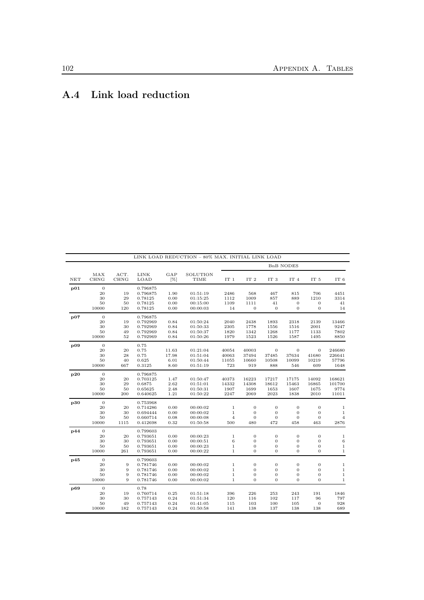# A.4 Link load reduction

| NET | MAX<br><b>CHNG</b> | ACT.<br><b>CHNG</b> | <b>LINK</b><br>LOAD  | GAP<br>[%]   | SOLUTION<br>TIME     | <b>BnB NODES</b>            |                                    |                                |                                |                                    |                              |
|-----|--------------------|---------------------|----------------------|--------------|----------------------|-----------------------------|------------------------------------|--------------------------------|--------------------------------|------------------------------------|------------------------------|
|     |                    |                     |                      |              |                      | IT $1$                      | IT <sub>2</sub>                    | IT 3                           | IT 4                           | IT <sub>5</sub>                    | IT <sub>6</sub>              |
| p01 | $\theta$           |                     | 0.796875             |              |                      |                             |                                    |                                |                                |                                    |                              |
|     | 20                 | 19                  | 0.796875             | 1.90         | 01:51:19             | 2486                        | 568                                | 467                            | 815                            | 706                                | 4451                         |
|     | 30                 | 29                  | 0.78125              | 0.00         | 01:15:25             | 1112                        | 1009                               | 857                            | 889                            | 1210                               | 3314                         |
|     | 50                 | 50                  | 0.78125              | 0.00         | 00:15:00             | 1109                        | 1111                               | 41                             | $\mathbf{0}$                   | $\boldsymbol{0}$                   | 41                           |
|     | 10000              | 120                 | 0.78125              | 0.00         | 00:00:03             | 14                          | $\mathbf{0}$                       | $\theta$                       | $\overline{0}$                 | $\mathbf{0}$                       | 14                           |
| p07 | $\overline{0}$     |                     | 0.796875             |              |                      |                             |                                    |                                |                                |                                    |                              |
|     | 20                 | 19                  | 0.792969             | 0.84         | 01:50:24             | 2040                        | 2438                               | 1893                           | 2318                           | 2139                               | 13466                        |
|     | 30                 | 30                  | 0.792969             | 0.84         | 01:50:33             | 2305                        | 1778                               | 1556                           | 1516                           | 2001                               | 9247                         |
|     | 50                 | 49                  | 0.792969             | 0.84         | 01:50:37             | 1820                        | 1342                               | 1268                           | 1177                           | 1133                               | 7802                         |
|     | 10000              | 52                  | 0.792969             | 0.84         | 01:50:26             | 1979                        | 1523                               | 1526                           | 1587                           | 1495                               | 8850                         |
| p09 | $\mathbf{0}$       |                     | 0.75                 |              |                      |                             |                                    |                                |                                |                                    |                              |
|     | 20                 | 20                  | 0.75                 | 11.63        | 01:21:04             | 40054                       | 40003                              | $\mathbf{0}$                   | $\mathbf{0}$                   | $\mathbf{0}$                       | 246680                       |
|     | 30                 | 28                  | 0.75                 | 17.98        | 01:51:04             | 40063                       | 37494                              | 37485                          | 37634                          | 41680                              | 226641                       |
|     | 50                 | 40                  | 0.625                | 6.01         | 01:50:44             | 11055                       | 10660                              | 10508                          | 10099                          | 10219                              | 57796                        |
|     | 10000              | 667                 | 0.3125               | 8.60         | 01:51:19             | 723                         | 919                                | 888                            | 546                            | 609                                | 1648                         |
| p20 | $\mathbf{0}$       |                     | 0.796875             |              |                      |                             |                                    |                                |                                |                                    |                              |
|     | 20                 | 20                  | 0.703125             | 1.47         | 01:50:47             | 40373                       | 16223                              | 17217                          | 17175                          | 14092                              | 168621                       |
|     | 30                 | 29                  | 0.6875               | 2.62         | 01:51:01             | 14332                       | 14308                              | 18612                          | 15463                          | 16865                              | 101700                       |
|     | 50                 | 50                  | 0.65625              | 2.48         | 01:50:31             | 1907                        | 1699                               | 1653                           | 1607                           | 1675                               | 9774                         |
|     | 10000              | 200                 | 0.640625             | 1.21         | 01:50:22             | 2247                        | 2069                               | 2023                           | 1838                           | 2010                               | 11011                        |
| p30 | $\overline{0}$     |                     | 0.753968             |              |                      |                             |                                    |                                |                                |                                    |                              |
|     | 20                 | 20                  | 0.714286             | 0.00         | 00:00:02             | $\mathbf{1}$                | $\overline{0}$                     | $\overline{0}$                 | $\overline{0}$                 | $\mathbf{0}$                       | $\mathbf{1}$                 |
|     | 30                 | 30                  | 0.694444             | 0.00         | 00:00:02             | $\,1$                       | $\mathbf{0}$                       | $\mathbf{0}$                   | $\mathbf{0}$                   | $\mathbf{0}$                       | $\,1\,$                      |
|     | 50                 | 50                  | 0.660714             | 0.08         | 00:00:08             | $\overline{4}$              | $\mathbf{0}$                       | $\mathbf{0}$                   | $\mathbf{0}$                   | $\boldsymbol{0}$                   | $\overline{4}$               |
|     | 10000              | 1115                | 0.412698             | 0.32         | 01:50:58             | 500                         | 480                                | 472                            | 458                            | 463                                | 2876                         |
| p44 | $\mathbf{0}$       |                     | 0.799603             |              |                      |                             |                                    |                                |                                |                                    |                              |
|     | 20                 | 20                  | 0.793651             | 0.00         | 00:00:23             | $\,1$                       | $\mathbf{0}$                       | $\mathbf{0}$                   | $\mathbf{0}$                   | $\mathbf{0}$                       | $\,1\,$                      |
|     | 30                 | 30                  | 0.793651             | 0.00         | 00:00:51             | 6                           | $\boldsymbol{0}$                   | $\mathbf{0}$                   | $\mathbf{0}$                   | $\mathbf{0}$                       | 6<br>$\mathbf{1}$            |
|     | 50<br>10000        | 50<br>261           | 0.793651<br>0.793651 | 0.00<br>0.00 | 00:00:23<br>00:00:22 | $\mathbf 1$<br>$\mathbf{1}$ | $\boldsymbol{0}$<br>$\overline{0}$ | $\theta$<br>$\theta$           | $\mathbf{0}$<br>$\overline{0}$ | $\boldsymbol{0}$<br>$\overline{0}$ | $\mathbf{1}$                 |
|     |                    |                     |                      |              |                      |                             |                                    |                                |                                |                                    |                              |
| p45 | $\mathbf{0}$       |                     | 0.799603             |              |                      |                             | $\overline{0}$                     |                                |                                | $\overline{0}$                     |                              |
|     | 20<br>30           | 9<br>9              | 0.781746<br>0.781746 | 0.00<br>0.00 | 00:00:02<br>00:00:02 | $\mathbf{1}$<br>$\mathbf 1$ | $\mathbf{0}$                       | $\mathbf{0}$<br>$\overline{0}$ | $\theta$<br>$\mathbf{0}$       | $\overline{0}$                     | $\mathbf{1}$<br>$\mathbf{1}$ |
|     | 50                 | 9                   | 0.781746             | 0.00         | 00:00:02             | $\,1$                       | $\mathbf{0}$                       | $\mathbf{0}$                   | $\mathbf{0}$                   | $\mathbf{0}$                       | $\,1\,$                      |
|     | 10000              | 9                   | 0.781746             | 0.00         | 00:00:02             | $\mathbf{1}$                | $\mathbf{0}$                       | $\Omega$                       | $\overline{0}$                 | $\overline{0}$                     | $\mathbf 1$                  |
| p69 | $\mathbf{0}$       |                     | 0.78                 |              |                      |                             |                                    |                                |                                |                                    |                              |
|     | 20                 | 19                  | 0.760714             | 0.25         | 01:51:18             | 396                         | 226                                | 253                            | 243                            | 191                                | 1846                         |
|     | 30                 | 30                  | 0.757143             | 0.24         | 01:51:34             | 120                         | 116                                | 102                            | 117                            | 96                                 | 797                          |
|     | 50                 | 49                  | 0.757143             | 0.24         | 01:41:05             | 115                         | 103                                | 100                            | 105                            | $\overline{0}$                     | 928                          |
|     | 10000              | 182                 | 0.757143             | 0.24         | 01:50:58             | 141                         | 138                                | 137                            | 138                            | 138                                | 689                          |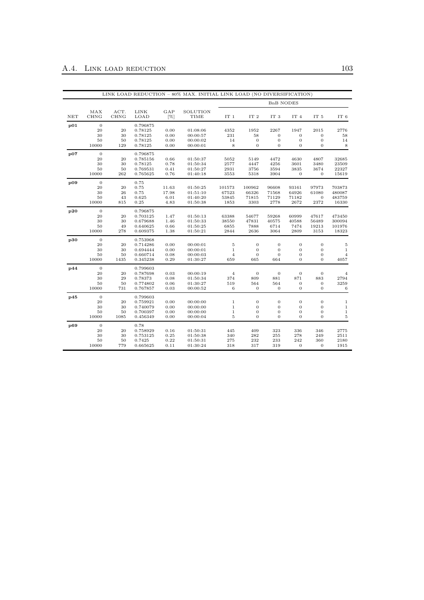|     |                    |              |                      |              |                      |                         |                   | <b>BnB NODES</b>                   |                                      |                              |                  |
|-----|--------------------|--------------|----------------------|--------------|----------------------|-------------------------|-------------------|------------------------------------|--------------------------------------|------------------------------|------------------|
| NET | MAX<br><b>CHNG</b> | ACT.<br>CHNG | <b>LINK</b><br>LOAD  | GAP<br>[%]   | SOLUTION<br>TIME     | IT <sub>1</sub>         | IT <sub>2</sub>   | IT <sub>3</sub>                    | IT 4                                 | IT 5                         | IT 6             |
| p01 | $\mathbf{0}$       |              | 0.796875             |              |                      |                         |                   |                                    |                                      |                              |                  |
|     | 20                 | 20           | 0.78125              | 0.00         | 01:08:06             | 4352                    | 1952              | 2267                               | 1947                                 | 2015                         | 2776             |
|     | 30                 | 30           | 0.78125              | 0.00         | 00:00:57             | 231                     | 58                | $\boldsymbol{0}$                   | $\overline{0}$                       | $\mathbf{0}$                 | 58               |
|     | 50                 | 50           | 0.78125              | 0.00         | 00:00:02             | 14                      | $\boldsymbol{0}$  | $\boldsymbol{0}$                   | $\mathbf{0}$                         | $\mathbf{0}$                 | 14               |
|     | 10000              | 129          | 0.78125              | 0.00         | 00:00:01             | 8                       | $\mathbf{0}$      | $\overline{0}$                     | $\overline{0}$                       | $\mathbf{0}$                 | $\,$ 8 $\,$      |
| p07 | $\mathbf{0}$       |              | 0.796875             |              |                      |                         |                   |                                    |                                      |                              |                  |
|     | 20                 | 20           | 0.785156             | 0.66         | 01:50:37             | 5052                    | 5149              | 4472                               | 4630                                 | 4807                         | 32685            |
|     | 30                 | 30           | 0.78125              | 0.78         | 01:50:34             | 2577                    | 4447              | 4256                               | 3601                                 | 3480                         | 23509            |
|     | 50                 | 50           | 0.769531             | 0.41         | 01:50:27             | 2931                    | 3756              | 3594                               | 3835                                 | 3674                         | 22327            |
|     | 10000              | 262          | 0.765625             | 0.76         | 01:40:18             | 3553                    | 5318              | 3904                               | $\mathbf{0}$                         | $\mathbf{0}$                 | 15619            |
| p09 | $\mathbf{0}$       |              | 0.75                 |              |                      |                         |                   |                                    |                                      |                              |                  |
|     | 20                 | 20           | 0.75                 | 11.63        | 01:50:25             | 101573                  | 100962            | 96608                              | 93161                                | 97973                        | 703873           |
|     | 30                 | 26           | 0.75                 | 17.98        | 01:51:10             | 67523                   | 66326             | 71568                              | 64926                                | 61080                        | 480087           |
|     | 50                 | 43           | 0.625                | 6.01         | 01:40:20             | 53845                   | 71815             | 71129                              | 71182                                | $\mathbf{0}$                 | 483759           |
|     | 10000              | 815          | 0.25                 | 4.83         | 01:50:38             | 1853                    | 3303              | 2778                               | 2672                                 | 2372                         | 16330            |
| p20 | $\mathbf{0}$       |              | 0.796875             |              |                      |                         |                   |                                    |                                      |                              |                  |
|     | 20                 | 20           | 0.703125             | 1.47         | 01:50:13             | 63388                   | 54677             | 59268                              | 60999                                | 47617                        | 473450           |
|     | 30                 | 30           | 0.679688             | 1.46         | 01:50:33             | 38550                   | 47831             | 40575                              | 40588                                | 56489                        | 300094           |
|     | 50                 | 49           | 0.640625             | 0.66         | 01:50:25             | 6855                    | 7888              | 6714                               | 7474                                 | 19213                        | 101976           |
|     | 10000              | 278          | 0.609375             | 1.38         | 01:50:21             | 2844                    | 2636              | 3064                               | 2809                                 | 3153                         | 18323            |
| p30 | $\mathbf{0}$       |              | 0.753968             |              |                      |                         |                   |                                    |                                      |                              |                  |
|     | 20                 | 20           | 0.714286             | 0.00         | 00:00:01             | 5                       | $\boldsymbol{0}$  | 0                                  | $\mathbf{0}$                         | $\mathbf{0}$                 | 5                |
|     | 30                 | 30           | 0.694444             | 0.00         | 00:00:01             | $\mathbf{1}$            | $\boldsymbol{0}$  | 0                                  | $\mathbf{0}$                         | $\mathbf{0}$                 | $\mathbf{1}$     |
|     | 50                 | 50           | 0.660714             | 0.08         | 00:00:03             | $\overline{4}$          | $\boldsymbol{0}$  | $\overline{0}$                     | $\boldsymbol{0}$                     | $\mathbf{0}$                 | $\overline{4}$   |
|     | 10000              | 1435         | 0.345238             | 0.29         | 01:30:27             | 659                     | 665               | 664                                | $\overline{0}$                       | $\theta$                     | 4057             |
| p44 | $\mathbf{0}$       |              | 0.799603             |              |                      |                         |                   |                                    |                                      |                              |                  |
|     | 20                 | 20           | 0.787698             | 0.03         | 00:00:19             | $\overline{4}$          | $\mathbf{0}$      | $\mathbf 0$                        | $\boldsymbol{0}$                     | $\mathbf{0}$                 | $\overline{4}$   |
|     | 30                 | 29           | 0.78373              | 0.08         | 01:50:34             | 374                     | 809               | 881                                | 871                                  | 883                          | 2794             |
|     | 50                 | 50           | 0.774802             | 0.06         | 01:30:27             | 519                     | 564               | 564                                | $\mathbf{0}$                         | $\mathbf{0}$                 | 3259             |
|     | 10000              | 731          | 0.767857             | 0.03         | 00:00:52             | 6                       | $\boldsymbol{0}$  | 0                                  | 0                                    | $\mathbf{0}$                 | $\,6$            |
| p45 | $\mathbf{0}$       |              | 0.799603             |              |                      |                         |                   |                                    |                                      |                              |                  |
|     | 20                 | 20           | 0.759921             | 0.00         | 00:00:00             | $\mathbf{1}$            | $\boldsymbol{0}$  | $\mathbf 0$                        | $\overline{0}$                       | $\mathbf{0}$                 | $\mathbf{1}$     |
|     | 30<br>50           | 30<br>50     | 0.740079<br>0.700397 | 0.00<br>0.00 | 00:00:00<br>00:00:00 | $\,1\,$<br>$\mathbf{1}$ | $\mathbf{0}$      | $\overline{0}$<br>$\boldsymbol{0}$ | $\boldsymbol{0}$<br>$\boldsymbol{0}$ | $\mathbf{0}$<br>$\mathbf{0}$ | $\,1\,$<br>$\,1$ |
|     | 10000              | 1085         | 0.456349             | 0.00         | 00:00:04             | $\overline{5}$          | 0<br>$\mathbf{0}$ | $\mathbf 0$                        | $\mathbf 0$                          | $\mathbf{0}$                 | $\bf 5$          |
| p69 | $\mathbf{0}$       |              | 0.78                 |              |                      |                         |                   |                                    |                                      |                              |                  |
|     | 20                 | 20           | 0.758929             | 0.16         | 01:50:31             | 445                     | 409               | 323                                | 336                                  | 346                          | 2775             |
|     | 30                 | 30           | 0.753125             | 0.25         | 01:50:38             | 340                     | 282               | 255                                | 278                                  | 249                          | 2511             |
|     | 50                 | 50           | 0.7425               | 0.22         | 01:50:31             | 275                     | 232               | 233                                | 242                                  | 360                          | 2180             |
|     | 10000              | 779          | 0.665625             | 0.11         | 01:30:24             | 318                     | 317               | 319                                | $\overline{0}$                       | $\theta$                     | 1915             |
|     |                    |              |                      |              |                      |                         |                   |                                    |                                      |                              |                  |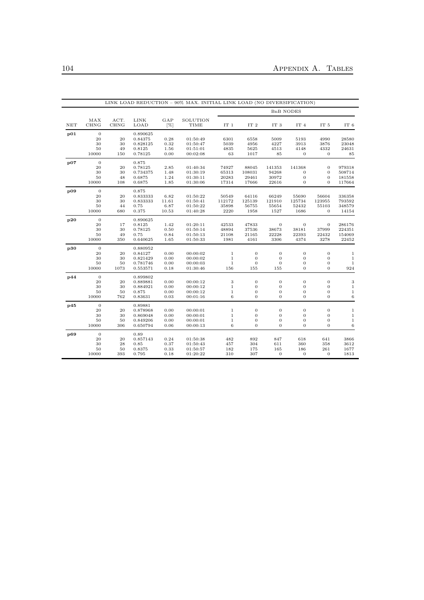|     |                    |                     |                    |               |                         |                  |                  |                  | <b>BnB NODES</b>                   |                          |                  |
|-----|--------------------|---------------------|--------------------|---------------|-------------------------|------------------|------------------|------------------|------------------------------------|--------------------------|------------------|
| NET | MAX<br>CHNG        | ACT.<br><b>CHNG</b> | LINK<br>LOAD       | GAP<br>[%]    | SOLUTION<br><b>TIME</b> | $\rm IT$ $\rm 1$ | IT <sub>2</sub>  | IT $3$           | IT 4                               | IT <sub>5</sub>          | IT 6             |
| p01 | $\overline{0}$     |                     | 0.890625           |               |                         |                  |                  |                  |                                    |                          |                  |
|     | 20                 | 20                  | 0.84375            | 0.28          | 01:50:49                | 6301             | 6558             | 5009             | 5193                               | 4990                     | 28580            |
|     | 30                 | 30                  | 0.828125           | 0.32          | 01:50:47                | 5039             | 4956             | 4227             | 3913                               | 3876                     | 23048            |
|     | 50                 | 49                  | 0.8125             | 1.56          | 01:51:01                | 4835             | 5625             | 4513             | 4148                               | 4332                     | 24631            |
|     | 10000              | 150                 | 0.78125            | 0.00          | 00:02:08                | 63               | 1017             | 85               | $\boldsymbol{0}$                   | $\theta$                 | 85               |
| p07 | $\overline{0}$     |                     | 0.875              |               |                         |                  |                  |                  |                                    |                          |                  |
|     | 20                 | 20                  | 0.78125            | 2.85          | 01:40:34                | 74927            | 88045            | 141353           | 141368                             | $\mathbf{0}$             | 979318           |
|     | 30                 | 30                  | 0.734375           | 1.48          | 01:30:19                | 65313            | 108031           | 94268            | $\mathbf{0}$                       | $\mathbf{0}$             | 508714           |
|     | 50<br>10000        | 48<br>108           | 0.6875<br>0.6875   | 1.24<br>1.85  | 01:30:11<br>01:30:06    | 20283<br>17314   | 29461<br>17666   | 30972<br>22616   | $\boldsymbol{0}$<br>$\overline{0}$ | $\mathbf{0}$<br>$\theta$ | 181558<br>117664 |
|     |                    |                     |                    |               |                         |                  |                  |                  |                                    |                          |                  |
| p09 | $\mathbf{0}$       |                     | 0.875              |               |                         |                  |                  |                  |                                    |                          |                  |
|     | 20                 | 20                  | 0.833333           | 6.82          | 01:50:22                | 50549            | 64116            | 66249            | 55690                              | 56604                    | 336358           |
|     | 30<br>50           | 30                  | 0.833333           | 11.61<br>6.87 | 01:50:41<br>01:50:22    | 112172<br>35898  | 125139<br>56755  | 121910           | 125734                             | 123955                   | 793592           |
|     | 10000              | 44<br>680           | 0.75<br>0.375      | 10.53         | 01:40:28                | 2220             | 1958             | 55654<br>1527    | 52432<br>1686                      | 55103<br>$\theta$        | 348579<br>14154  |
|     |                    |                     |                    |               |                         |                  |                  |                  |                                    |                          |                  |
| p20 | $\mathbf{0}$<br>20 | 17                  | 0.890625<br>0.8125 | 1.42          | 01:20:11                | 42533            | 47833            | $\overline{0}$   | $\overline{0}$                     | $\theta$                 | 286176           |
|     | 30                 | 30                  | 0.78125            | 0.50          | 01:50:14                | 48894            | 37536            | 38673            | 38181                              | 37999                    | 224351           |
|     | 50                 | 49                  | 0.75               | 0.84          | 01:50:13                | 21108            | 21165            | 22228            | 22393                              | 22432                    | 154069           |
|     | 10000              | 350                 | 0.640625           | 1.65          | 01:50:33                | 1981             | 4161             | 3306             | 4374                               | 3278                     | 22452            |
| p30 | $\overline{0}$     |                     | 0.880952           |               |                         |                  |                  |                  |                                    |                          |                  |
|     | 20                 | 20                  | 0.84127            | 0.00          | 00:00:02                | $\mathbf{1}$     | $\theta$         | $\mathbf{0}$     | $\mathbf{0}$                       | $\overline{0}$           | 1                |
|     | 30                 | 30                  | 0.821429           | 0.00          | 00:00:02                | $\mathbf{1}$     | $\mathbf{0}$     | $\mathbf{0}$     | $\boldsymbol{0}$                   | $\mathbf{0}$             | $\mathbf{1}$     |
|     | 50                 | 50                  | 0.781746           | 0.00          | 00:00:03                | $\mathbf{1}$     | $\mathbf{0}$     | $\theta$         | $\mathbf{0}$                       | $\mathbf{0}$             | 1                |
|     | 10000              | 1073                | 0.553571           | 0.18          | 01:30:46                | 156              | 155              | 155              | $\overline{0}$                     | $\overline{0}$           | 924              |
| p44 | $\overline{0}$     |                     | 0.899802           |               |                         |                  |                  |                  |                                    |                          |                  |
|     | 20                 | 20                  | 0.889881           | 0.00          | 00:00:12                | 3                | $\mathbf{0}$     | $\mathbf{0}$     | $\mathbf{0}$                       | $\mathbf{0}$             | 3                |
|     | 30                 | 30                  | 0.884921           | 0.00          | 00:00:12                | $\,1\,$          | $\mathbf{0}$     | $\mathbf{0}$     | $\mathbf{0}$                       | $\mathbf{0}$             | $1\,$            |
|     | 50                 | 50                  | 0.875              | 0.00          | 00:00:12                | $\mathbf{1}$     | $\mathbf{0}$     | $\mathbf{0}$     | $\mathbf{0}$                       | $\mathbf{0}$             | $\mathbf 1$      |
|     | 10000              | 762                 | 0.83631            | 0.03          | 00:01:16                | 6                | $\theta$         | $\theta$         | $\overline{0}$                     | $\overline{0}$           | 6                |
| p45 | $\mathbf{0}$       |                     | 0.89881            |               |                         |                  |                  |                  |                                    |                          |                  |
|     | 20                 | 20                  | 0.878968           | 0.00          | 00:00:01                | $\mathbf{1}$     | $\boldsymbol{0}$ | $\boldsymbol{0}$ | $\boldsymbol{0}$                   | $\mathbf{0}$             | $\,1$            |
|     | 30                 | 30                  | 0.869048           | 0.00          | 00:00:01                | $\,1\,$          | $\boldsymbol{0}$ | $\boldsymbol{0}$ | $\boldsymbol{0}$                   | $\mathbf{0}$             | $\mathbf{1}$     |
|     | 50                 | 50                  | 0.849206           | 0.00          | 00:00:01                | $\mathbf{1}$     | $\mathbf{0}$     | $\mathbf{0}$     | $\mathbf{0}$                       | $\mathbf{0}$             | $\mathbf{1}$     |
|     | 10000              | 306                 | 0.650794           | 0.06          | 00:00:13                | 6                | $\overline{0}$   | $\overline{0}$   | $\overline{0}$                     | $\overline{0}$           | $\,$ 6 $\,$      |
| p69 | $\overline{0}$     |                     | 0.89               |               |                         |                  |                  |                  |                                    |                          |                  |
|     | 20                 | 20                  | 0.857143           | 0.24          | 01:50:38                | 482              | 892              | 847              | 618                                | 641                      | 3866             |
|     | 30                 | 28                  | 0.85               | 0.37          | 01:50:43                | 457              | 304              | 611              | 360                                | 358                      | 3612             |
|     | 50                 | 50                  | 0.8375             | 0.33          | 01:50:57                | 182              | 175              | 165              | 186                                | 261                      | 1677             |
|     | 10000              | 393                 | 0.795              | 0.18          | 01:20:22                | 310              | 307              | $\mathbf{0}$     | $\overline{0}$                     | $\theta$                 | 1813             |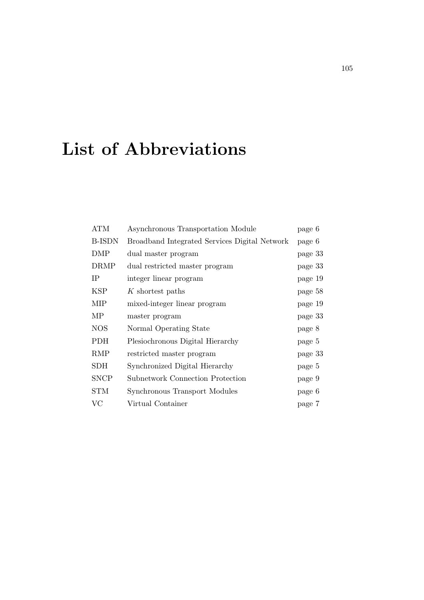### List of Abbreviations

| <b>ATM</b>    | Asynchronous Transportation Module            | page 6  |
|---------------|-----------------------------------------------|---------|
| <b>B-ISDN</b> | Broadband Integrated Services Digital Network | page 6  |
| DMP           | dual master program                           | page 33 |
| <b>DRMP</b>   | dual restricted master program                | page 33 |
| <b>IP</b>     | integer linear program                        | page 19 |
| <b>KSP</b>    | K shortest paths                              | page 58 |
| <b>MIP</b>    | mixed-integer linear program                  | page 19 |
| МP            | master program                                | page 33 |
| <b>NOS</b>    | Normal Operating State                        | page 8  |
| <b>PDH</b>    | Plesiochronous Digital Hierarchy              | page 5  |
| <b>RMP</b>    | restricted master program                     | page 33 |
| <b>SDH</b>    | Synchronized Digital Hierarchy                | page 5  |
| <b>SNCP</b>   | <b>Subnetwork Connection Protection</b>       | page 9  |
| <b>STM</b>    | Synchronous Transport Modules                 | page 6  |
| $\rm VC$      | Virtual Container                             | page 7  |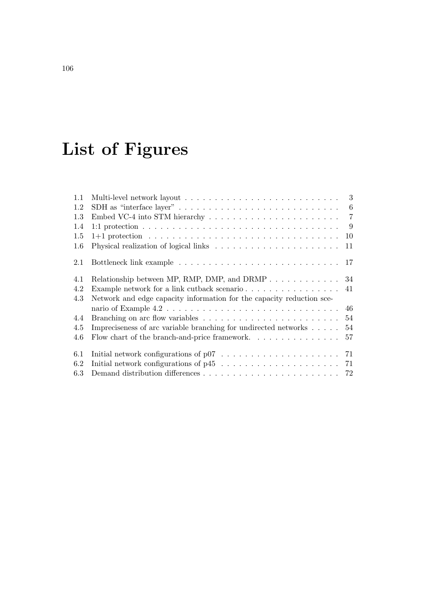# List of Figures

| 1.1 |                                                                                                  |     |
|-----|--------------------------------------------------------------------------------------------------|-----|
| 1.2 |                                                                                                  | - 6 |
| 1.3 |                                                                                                  |     |
| 1.4 |                                                                                                  | - 9 |
| 1.5 |                                                                                                  | 10  |
| 1.6 |                                                                                                  | 11  |
| 2.1 |                                                                                                  |     |
| 4.1 |                                                                                                  |     |
| 4.2 | Example network for a link cutback scenario                                                      | 41  |
| 4.3 | Network and edge capacity information for the capacity reduction sce-                            |     |
|     |                                                                                                  | 46  |
| 4.4 | Branching on arc flow variables $\dots \dots \dots \dots \dots \dots \dots \dots \dots \dots$ 54 |     |
| 4.5 | Impreciseness of arc variable branching for undirected networks                                  | 54  |
| 4.6 | Flow chart of the branch-and-price framework                                                     | 57  |
| 6.1 |                                                                                                  |     |
| 6.2 |                                                                                                  |     |
| 6.3 |                                                                                                  |     |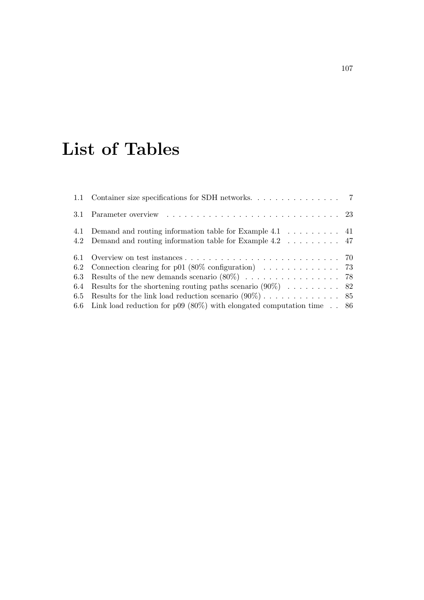### List of Tables

|     | 1.1 Container size specifications for SDH networks. 7                                             |  |
|-----|---------------------------------------------------------------------------------------------------|--|
|     | 3.1 Parameter overview $\ldots \ldots \ldots \ldots \ldots \ldots \ldots \ldots \ldots \ldots 23$ |  |
|     | 4.1 Demand and routing information table for Example 4.1 41                                       |  |
|     | 4.2 Demand and routing information table for Example 4.2 47                                       |  |
|     |                                                                                                   |  |
|     | 6.2 Connection clearing for p01 (80% configuration) $\ldots \ldots \ldots \ldots$ 73              |  |
|     | 6.3 Results of the new demands scenario $(80\%)$ 78                                               |  |
| 6.4 | Results for the shortening routing paths scenario $(90\%)$ 82                                     |  |
|     |                                                                                                   |  |
|     | 6.6 Link load reduction for p09 (80%) with elongated computation time $\therefore$ 86             |  |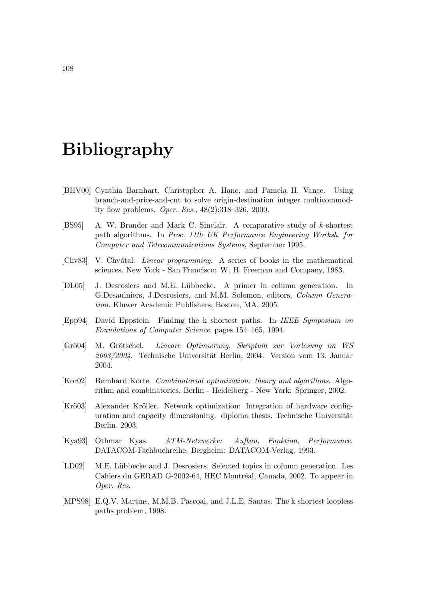#### Bibliography

- [BHV00] Cynthia Barnhart, Christopher A. Hane, and Pamela H. Vance. Using branch-and-price-and-cut to solve origin-destination integer multicommodity flow problems. Oper. Res., 48(2):318–326, 2000.
- [BS95] A. W. Brander and Mark C. Sinclair. A comparative study of k-shortest path algorithms. In Proc. 11th UK Performance Engineering Worksh. for Computer and Telecommunications Systems, September 1995.
- [Chv83] V. Chvátal. *Linear programming*. A series of books in the mathematical sciences. New York - San Francisco: W. H. Freeman and Company, 1983.
- [DL05] J. Desrosiers and M.E. L¨ubbecke. A primer in column generation. In G.Desaulniers, J.Desrosiers, and M.M. Solomon, editors, Column Generation. Kluwer Academic Publishers, Boston, MA, 2005.
- [Epp94] David Eppstein. Finding the k shortest paths. In IEEE Symposium on Foundations of Computer Science, pages 154–165, 1994.
- [Grö $04$ ] M. Grötschel. Lineare Optimierung, Skriptum zur Vorlesung im WS  $2003/2004$ . Technische Universität Berlin, 2004. Version vom 13. Januar 2004.
- [Kor02] Bernhard Korte. Combinatorial optimization: theory and algorithms. Algorithm and combinatorics. Berlin - Heidelberg - New York: Springer, 2002.
- [Krö03] Alexander Kröller. Network optimization: Integration of hardware configuration and capacity dimensioning. diploma thesis, Technische Universität Berlin, 2003.
- [Kya93] Othmar Kyas. ATM-Netzwerke: Aufbau, Funktion, Performance. DATACOM-Fachbuchreihe. Bergheim: DATACOM-Verlag, 1993.
- [LD02] M.E. Lübbecke and J. Desrosiers. Selected topics in column generation. Les Cahiers du GERAD G-2002-64, HEC Montréal, Canada, 2002. To appear in Oper. Res.
- [MPS98] E.Q.V. Martins, M.M.B. Pascoal, and J.L.E. Santos. The k shortest loopless paths problem, 1998.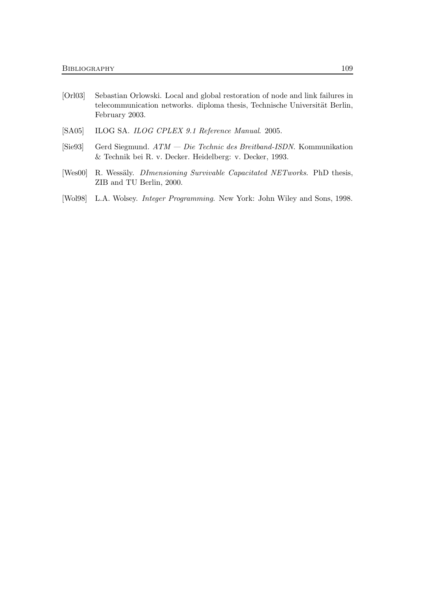- [Orl03] Sebastian Orlowski. Local and global restoration of node and link failures in telecommunication networks. diploma thesis, Technische Universität Berlin, February 2003.
- [SA05] ILOG SA. ILOG CPLEX 9.1 Reference Manual. 2005.
- [Sie93] Gerd Siegmund. ATM Die Technic des Breitband-ISDN. Kommunikation & Technik bei R. v. Decker. Heidelberg: v. Decker, 1993.
- [Wes00] R. Wessäly. *DImensioning Survivable Capacitated NETworks*. PhD thesis, ZIB and TU Berlin, 2000.
- [Wol98] L.A. Wolsey. Integer Programming. New York: John Wiley and Sons, 1998.